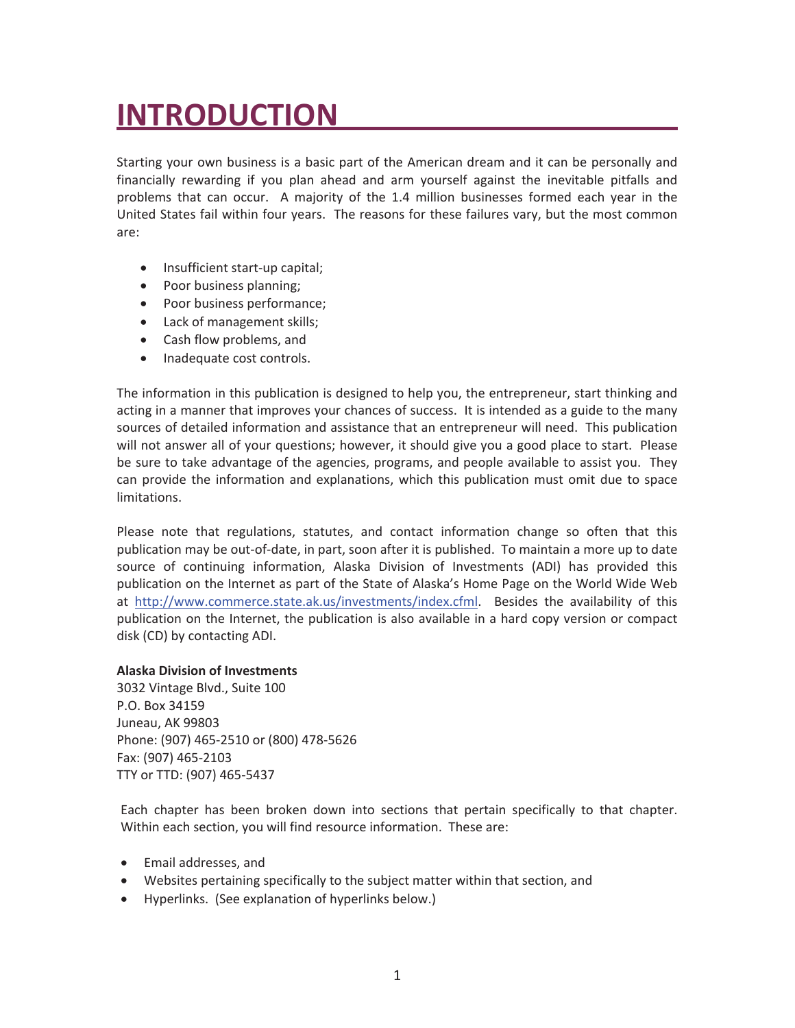# **INTRODUCTION**

Starting your own business is a basic part of the American dream and it can be personally and financially rewarding if you plan ahead and arm yourself against the inevitable pitfalls and problems that can occur. A majority of the 1.4 million businesses formed each year in the United States fail within four years. The reasons for these failures vary, but the most common are:

- Insufficient start-up capital;
- Poor business planning;
- Poor business performance;
- Lack of management skills;
- Cash flow problems, and
- Inadequate cost controls.

The information in this publication is designed to help you, the entrepreneur, start thinking and acting in a manner that improves your chances of success. It is intended as a guide to the many sources of detailed information and assistance that an entrepreneur will need. This publication will not answer all of your questions; however, it should give you a good place to start. Please be sure to take advantage of the agencies, programs, and people available to assist you. They can provide the information and explanations, which this publication must omit due to space limitations.

Please note that regulations, statutes, and contact information change so often that this publication may be out-of-date, in part, soon after it is published. To maintain a more up to date source of continuing information, Alaska Division of Investments (ADI) has provided this publication on the Internet as part of the State of Alaska's Home Page on the World Wide Web at http://www.commerce.state.ak.us/investments/index.cfml. Besides the availability of this publication on the Internet, the publication is also available in a hard copy version or compact disk (CD) by contacting ADI.

## **Alaska Division of Investments**

3032 Vintage Blvd., Suite 100 P.O. Box 34159 Juneau, AK 99803 Phone: (907) 465-2510 or (800) 478-5626 Fax: (907) 465-2103 TTY or TTD: (907) 465-5437

Each chapter has been broken down into sections that pertain specifically to that chapter. Within each section, you will find resource information. These are:

- Email addresses, and
- Websites pertaining specifically to the subject matter within that section, and
- Hyperlinks. (See explanation of hyperlinks below.)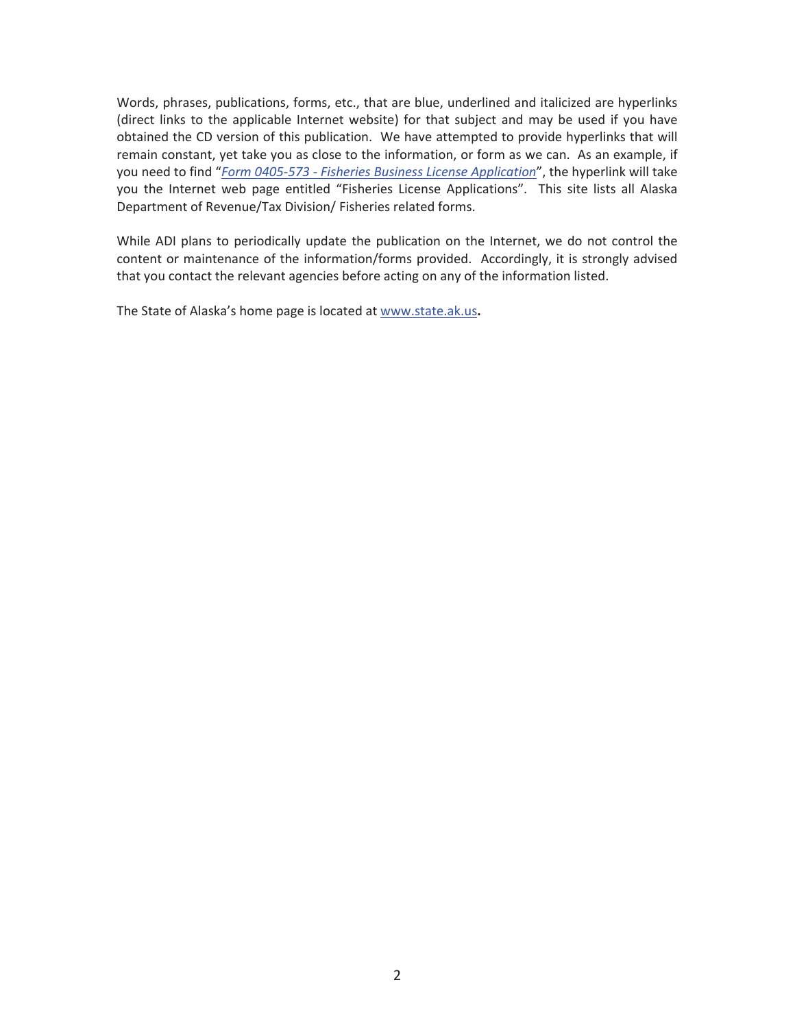Words, phrases, publications, forms, etc., that are blue, underlined and italicized are hyperlinks (direct links to the applicable Internet website) for that subject and may be used if you have obtained the CD version of this publication. We have attempted to provide hyperlinks that will remain constant, yet take you as close to the information, or form as we can. As an example, if you need to find "*Form 0405Ͳ573ͲFisheries Business License Application*", the hyperlink will take you the Internet web page entitled "Fisheries License Applications". This site lists all Alaska Department of Revenue/Tax Division/ Fisheries related forms.

While ADI plans to periodically update the publication on the Internet, we do not control the content or maintenance of the information/forms provided. Accordingly, it is strongly advised that you contact the relevant agencies before acting on any of the information listed.

The State of Alaska's home page is located at www.state.ak.us**.**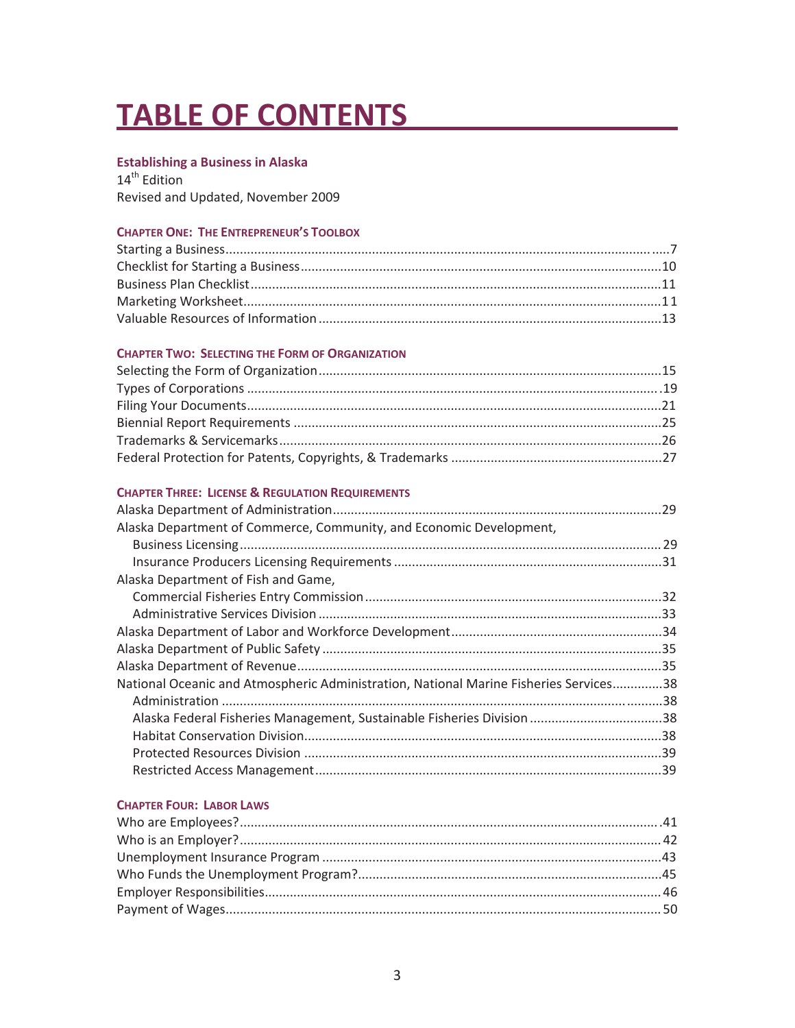# **TABLE OF CONTENTS**

## **Establishing a Business in Alaska**

14<sup>th</sup> Edition Revised and Updated, November 2009

## **CHAPTER ONE: THE ENTREPRENEUR'S TOOLBOX**

## **CHAPTER TWO: SELECTING THE FORM OF ORGANIZATION**

## **CHAPTER THREE: LICENSE & REGULATION REQUIREMENTS**

| Alaska Department of Commerce, Community, and Economic Development,                   |  |
|---------------------------------------------------------------------------------------|--|
|                                                                                       |  |
|                                                                                       |  |
| Alaska Department of Fish and Game,                                                   |  |
|                                                                                       |  |
|                                                                                       |  |
|                                                                                       |  |
|                                                                                       |  |
|                                                                                       |  |
| National Oceanic and Atmospheric Administration, National Marine Fisheries Services38 |  |
|                                                                                       |  |
| Alaska Federal Fisheries Management, Sustainable Fisheries Division 38                |  |
|                                                                                       |  |
|                                                                                       |  |
|                                                                                       |  |

## **CHAPTER FOUR: LABOR LAWS**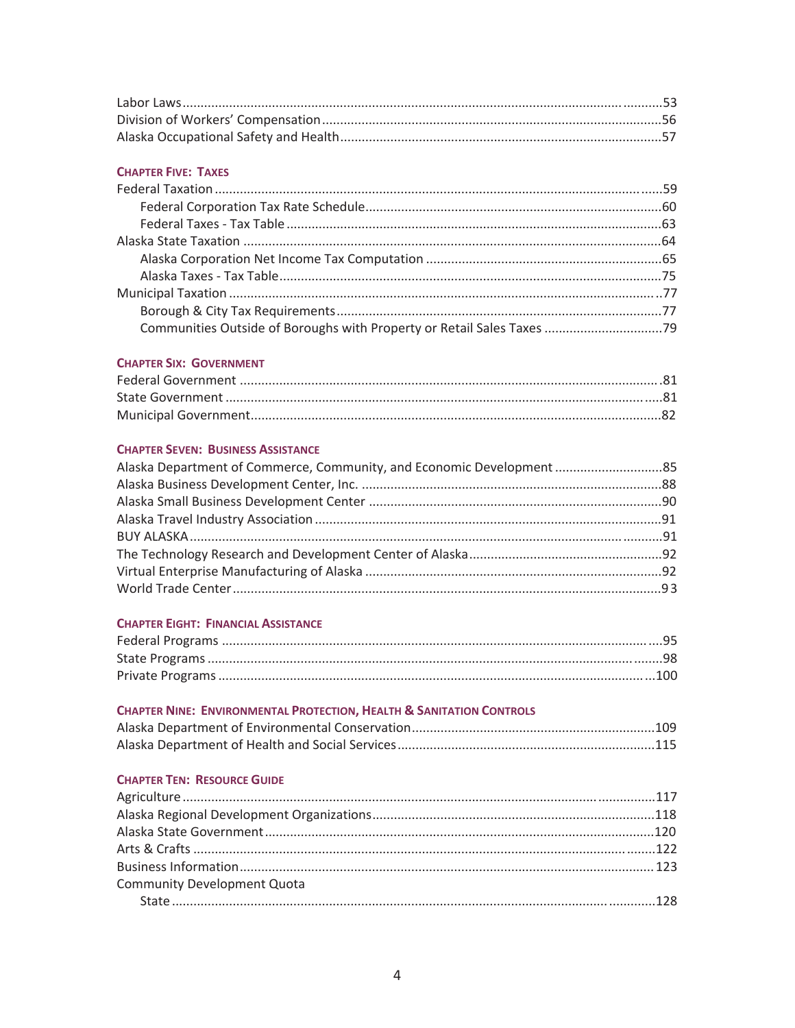## **CHAPTER FIVE: TAXES**

## **CHAPTER SIX: GOVERNMENT**

## **CHAPTER SEVEN: BUSINESS ASSISTANCE**

| Alaska Department of Commerce, Community, and Economic Development  85 |  |
|------------------------------------------------------------------------|--|
|                                                                        |  |
|                                                                        |  |
|                                                                        |  |
|                                                                        |  |
|                                                                        |  |
|                                                                        |  |
|                                                                        |  |

## **CHAPTER EIGHT: FINANCIAL ASSISTANCE**

#### **CHAPTER NINE: ENVIRONMENTAL PROTECTION, HEALTH & SANITATION CONTROLS**

## **CHAPTER TEN: RESOURCE GUIDE**

| <b>Community Development Quota</b> |  |
|------------------------------------|--|
|                                    |  |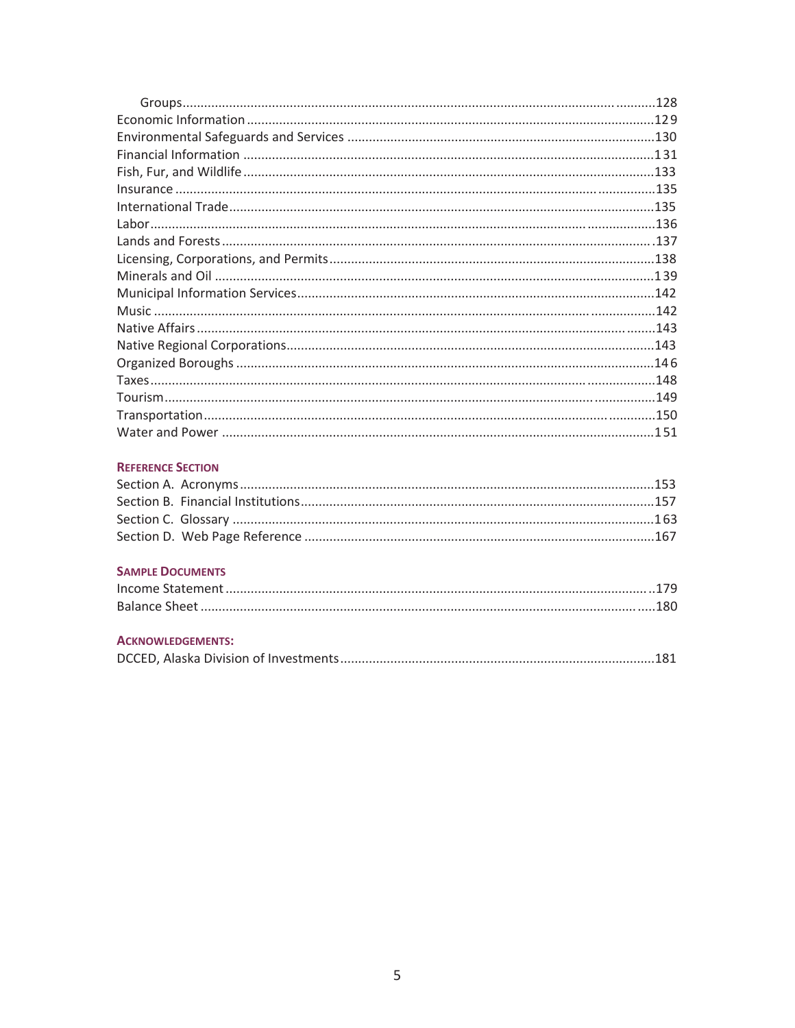#### **REFERENCE SECTION**

## **SAMPLE DOCUMENTS**

## **ACKNOWLEDGEMENTS:**

|--|--|--|--|--|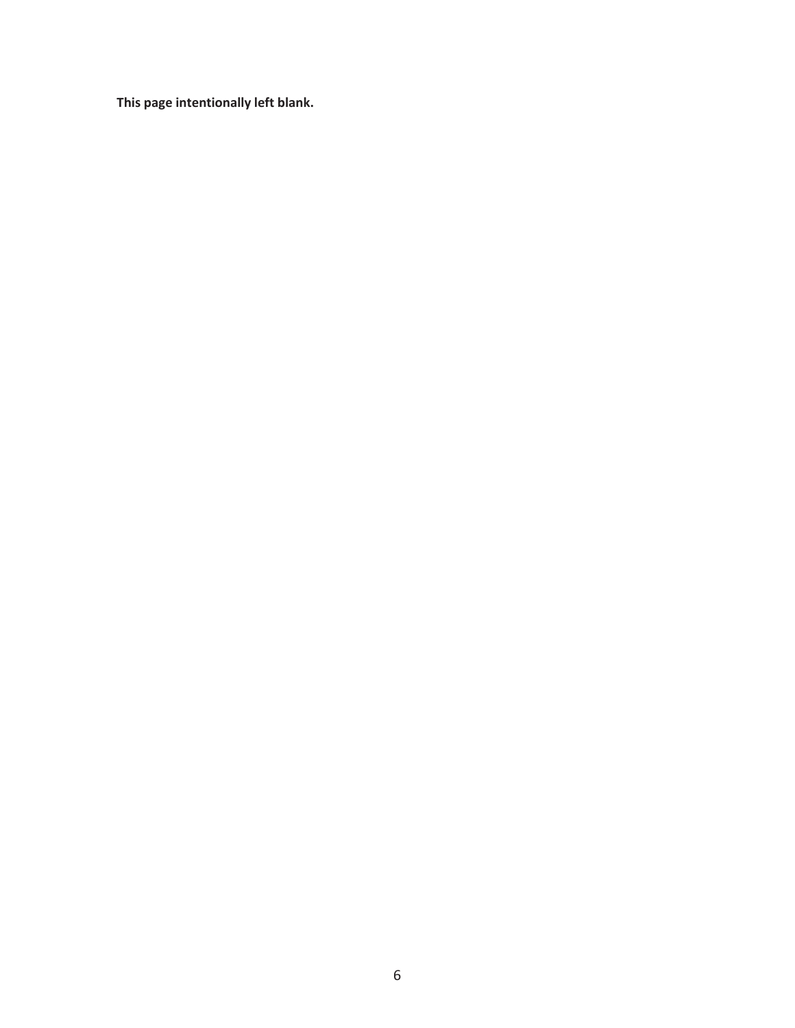**This page intentionally left blank.**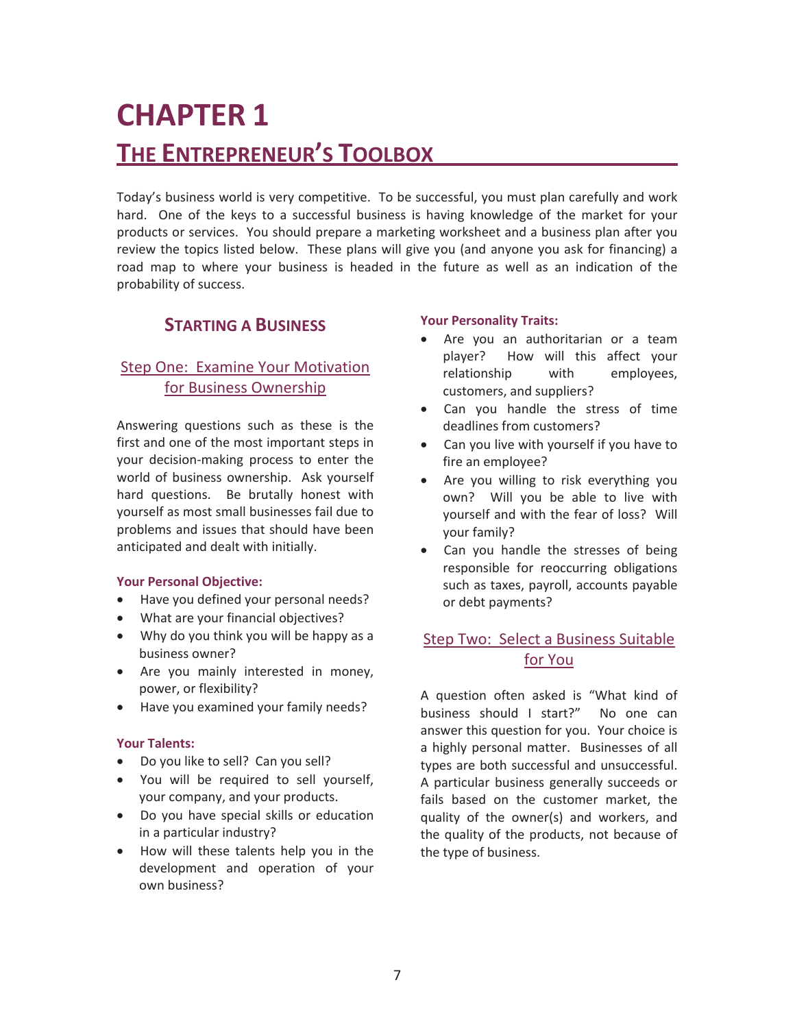# **CHAPTER 1 THE ENTREPRENEUR'S TOOLBOX**

Today's business world is very competitive. To be successful, you must plan carefully and work hard. One of the keys to a successful business is having knowledge of the market for your products or services. You should prepare a marketing worksheet and a business plan after you review the topics listed below. These plans will give you (and anyone you ask for financing) a road map to where your business is headed in the future as well as an indication of the probability of success.

# **STARTING A BUSINESS**

# Step One: Examine Your Motivation for Business Ownership

Answering questions such as these is the first and one of the most important steps in your decision-making process to enter the world of business ownership. Ask yourself hard questions. Be brutally honest with yourself as most small businesses fail due to problems and issues that should have been anticipated and dealt with initially.

## **Your Personal Objective:**

- Have you defined your personal needs?
- What are your financial objectives?
- $\bullet$  Why do you think you will be happy as a business owner?
- Are you mainly interested in money, power, or flexibility?
- Have you examined your family needs?

## **Your Talents:**

- Do you like to sell? Can you sell?
- You will be required to sell yourself, your company, and your products.
- Do you have special skills or education in a particular industry?
- How will these talents help you in the development and operation of your own business?

#### **Your Personality Traits:**

- Are you an authoritarian or a team player? How will this affect your relationship with employees, customers, and suppliers?
- Can you handle the stress of time deadlines from customers?
- Can you live with yourself if you have to fire an employee?
- Are you willing to risk everything you own? Will you be able to live with yourself and with the fear of loss? Will your family?
- Can you handle the stresses of being responsible for reoccurring obligations such as taxes, payroll, accounts payable or debt payments?

# Step Two: Select a Business Suitable for You

A question often asked is "What kind of business should I start?" No one can answer this question for you. Your choice is a highly personal matter. Businesses of all types are both successful and unsuccessful. A particular business generally succeeds or fails based on the customer market, the quality of the owner(s) and workers, and the quality of the products, not because of the type of business.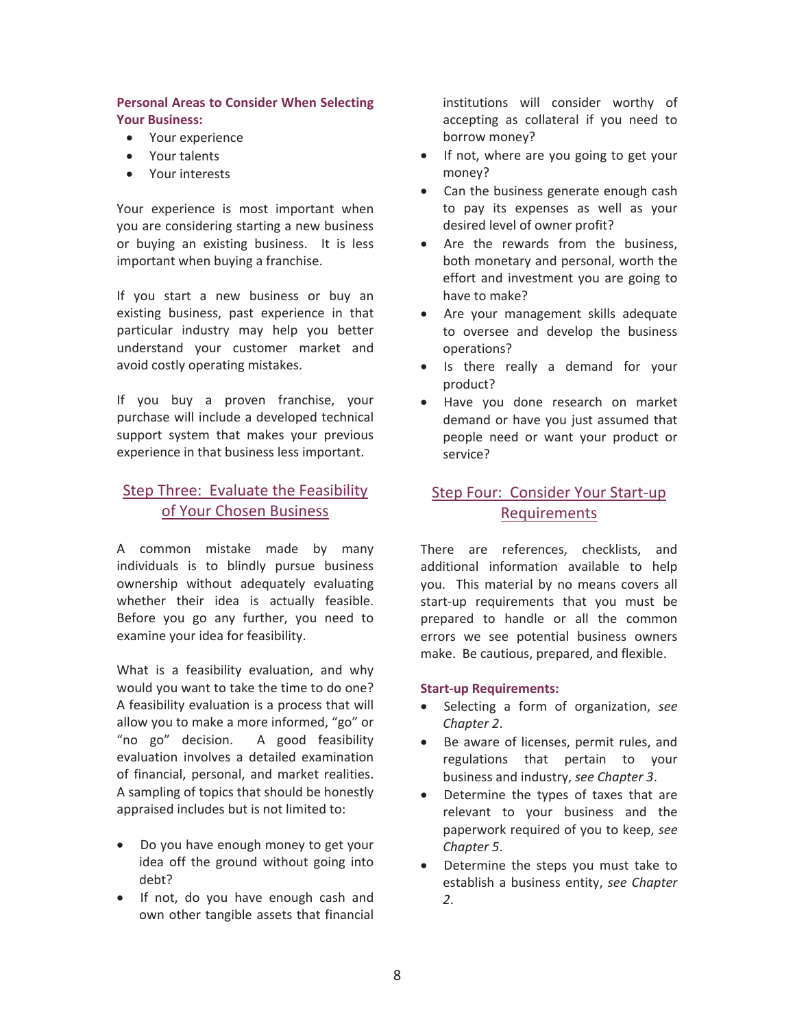## **Personal Areas to Consider When Selecting Your Business:**

- Your experience
- Your talents
- Your interests

Your experience is most important when you are considering starting a new business or buying an existing business. It is less important when buying a franchise.

If you start a new business or buy an existing business, past experience in that particular industry may help you better understand your customer market and avoid costly operating mistakes.

If you buy a proven franchise, your purchase will include a developed technical support system that makes your previous experience in that business less important.

# Step Three: Evaluate the Feasibility of Your Chosen Business

A common mistake made by many individuals is to blindly pursue business ownership without adequately evaluating whether their idea is actually feasible. Before you go any further, you need to examine your idea for feasibility.

What is a feasibility evaluation, and why would you want to take the time to do one? A feasibility evaluation is a process that will allow you to make a more informed, "go" or "no go" decision. A good feasibility evaluation involves a detailed examination of financial, personal, and market realities. A sampling of topics that should be honestly appraised includes but is not limited to:

- Do you have enough money to get your idea off the ground without going into debt?
- If not, do you have enough cash and own other tangible assets that financial

institutions will consider worthy of accepting as collateral if you need to borrow money?

- If not, where are you going to get your money?
- Can the business generate enough cash to pay its expenses as well as your desired level of owner profit?
- Are the rewards from the business, both monetary and personal, worth the effort and investment you are going to have to make?
- Are your management skills adequate to oversee and develop the business operations?
- Is there really a demand for your product?
- Have you done research on market demand or have you just assumed that people need or want your product or service?

# Step Four: Consider Your Start-up Requirements

There are references, checklists, and additional information available to help you. This material by no means covers all start-up requirements that you must be prepared to handle or all the common errors we see potential business owners make. Be cautious, prepared, and flexible.

#### **Start-up Requirements:**

- x Selecting a form of organization, *see Chapter 2*.
- Be aware of licenses, permit rules, and regulations that pertain to your business and industry, *see Chapter 3*.
- Determine the types of taxes that are relevant to your business and the paperwork required of you to keep, *see Chapter 5*.
- Determine the steps you must take to establish a business entity, *see Chapter 2*.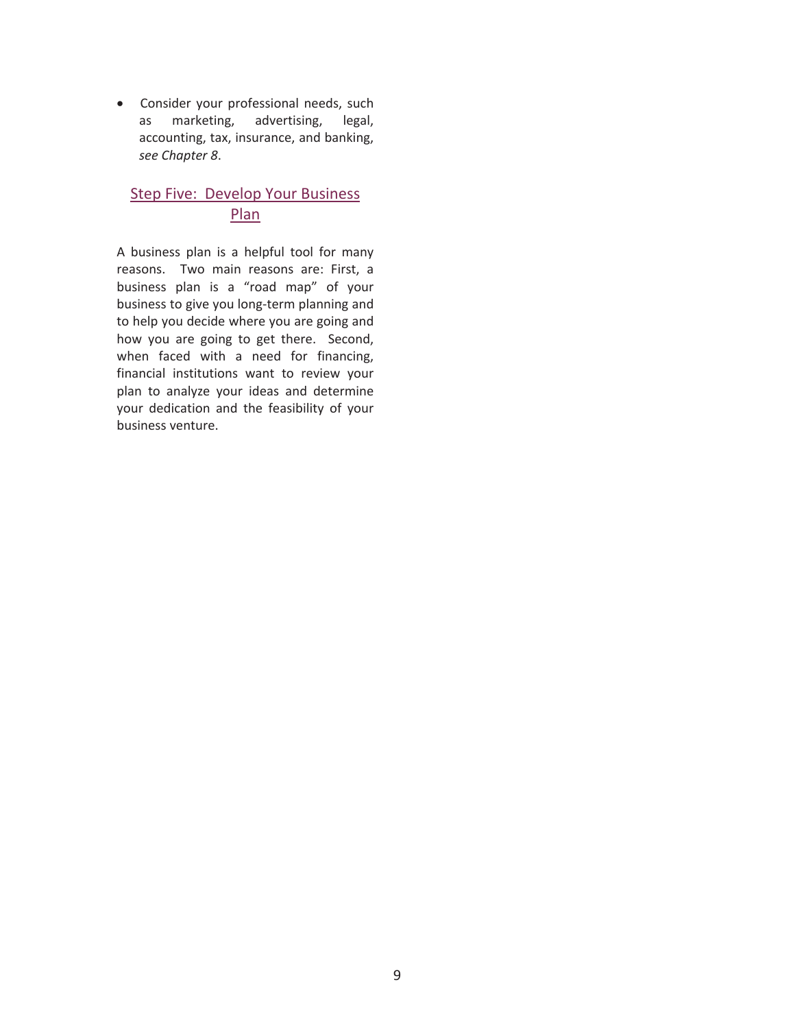• Consider your professional needs, such as marketing, advertising, legal, accounting, tax, insurance, and banking, *see Chapter 8*.

# Step Five: Develop Your Business Plan

A business plan is a helpful tool for many reasons. Two main reasons are: First, a business plan is a "road map" of your business to give you long-term planning and to help you decide where you are going and how you are going to get there. Second, when faced with a need for financing, financial institutions want to review your plan to analyze your ideas and determine your dedication and the feasibility of your business venture.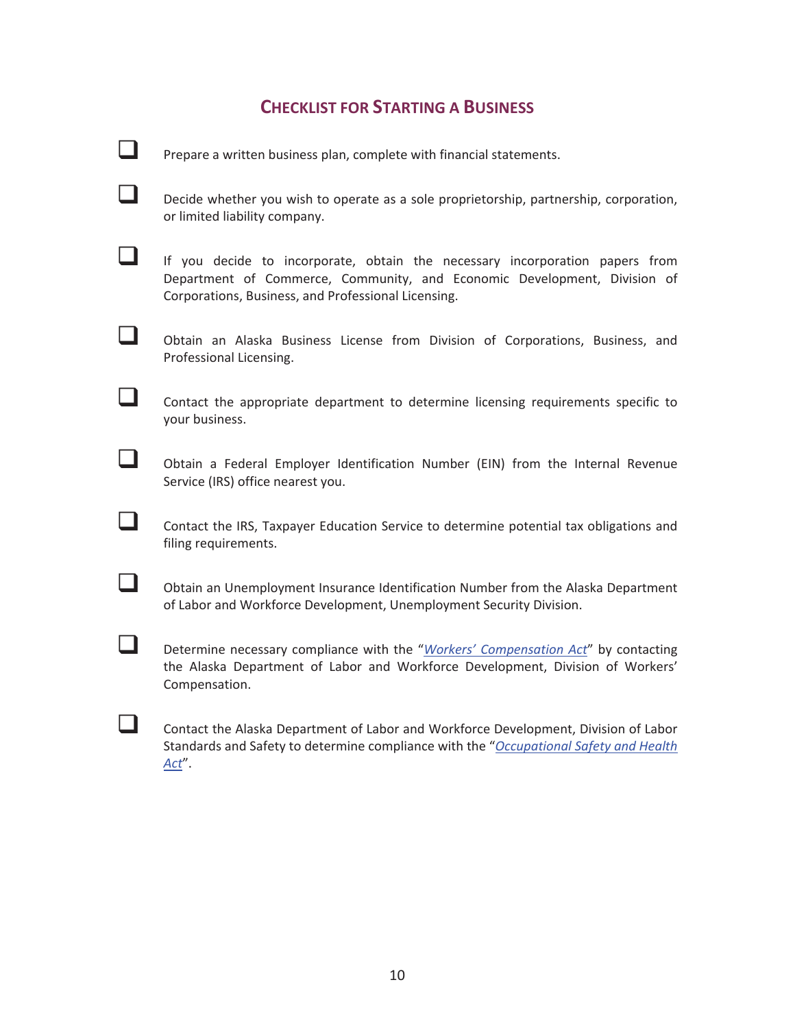# **CHECKLIST FOR STARTING A BUSINESS**

|        | Prepare a written business plan, complete with financial statements.                                                                                                                                            |
|--------|-----------------------------------------------------------------------------------------------------------------------------------------------------------------------------------------------------------------|
| $\Box$ | Decide whether you wish to operate as a sole proprietorship, partnership, corporation,<br>or limited liability company.                                                                                         |
|        | If you decide to incorporate, obtain the necessary incorporation papers from<br>Department of Commerce, Community, and Economic Development, Division of<br>Corporations, Business, and Professional Licensing. |
|        | Obtain an Alaska Business License from Division of Corporations, Business, and<br>Professional Licensing.                                                                                                       |
|        | Contact the appropriate department to determine licensing requirements specific to<br>your business.                                                                                                            |
| $\Box$ | Obtain a Federal Employer Identification Number (EIN) from the Internal Revenue<br>Service (IRS) office nearest you.                                                                                            |
|        | Contact the IRS, Taxpayer Education Service to determine potential tax obligations and<br>filing requirements.                                                                                                  |
|        | Obtain an Unemployment Insurance Identification Number from the Alaska Department<br>of Labor and Workforce Development, Unemployment Security Division.                                                        |
|        | Determine necessary compliance with the "Workers' Compensation Act" by contacting<br>the Alaska Department of Labor and Workforce Development, Division of Workers'<br>Compensation.                            |
|        | Contact the Alaska Department of Labor and Workforce Development, Division of Labor<br>Standards and Safety to determine compliance with the "Occupational Safety and Health<br>$Act''$ .                       |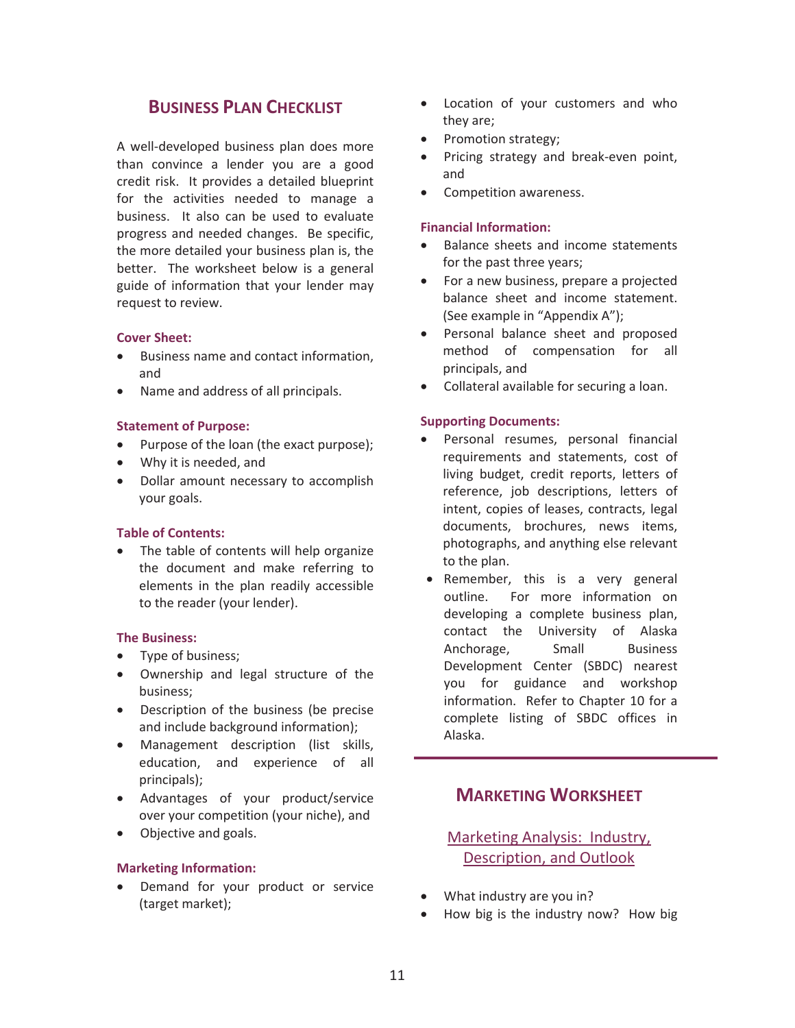# **BUSINESS PLAN CHECKLIST**

A well-developed business plan does more than convince a lender you are a good credit risk. It provides a detailed blueprint for the activities needed to manage a business. It also can be used to evaluate progress and needed changes. Be specific, the more detailed your business plan is, the better. The worksheet below is a general guide of information that your lender may request to review.

#### **Cover Sheet:**

- Business name and contact information, and
- Name and address of all principals.

#### **Statement of Purpose:**

- Purpose of the loan (the exact purpose);
- Why it is needed, and
- Dollar amount necessary to accomplish your goals.

#### **Table of Contents:**

The table of contents will help organize the document and make referring to elements in the plan readily accessible to the reader (your lender).

#### **The Business:**

- Type of business;
- Ownership and legal structure of the business;
- Description of the business (be precise and include background information);
- Management description (list skills, education, and experience of all principals);
- Advantages of your product/service over your competition (your niche), and
- Objective and goals.

#### **Marketing Information:**

• Demand for your product or service (target market);

- Location of your customers and who they are;
- Promotion strategy;
- Pricing strategy and break-even point, and
- Competition awareness.

#### **Financial Information:**

- Balance sheets and income statements for the past three years;
- For a new business, prepare a projected balance sheet and income statement. (See example in "Appendix A");
- Personal balance sheet and proposed method of compensation for all principals, and
- Collateral available for securing a loan.

#### **Supporting Documents:**

- Personal resumes, personal financial requirements and statements, cost of living budget, credit reports, letters of reference, job descriptions, letters of intent, copies of leases, contracts, legal documents, brochures, news items, photographs, and anything else relevant to the plan.
- Remember, this is a very general outline. For more information on developing a complete business plan, contact the University of Alaska Anchorage, Small Business Development Center (SBDC) nearest you for guidance and workshop information. Refer to Chapter 10 for a complete listing of SBDC offices in Alaska.

# **MARKETING WORKSHEET**

## Marketing Analysis: Industry, Description, and Outlook

- What industry are you in?
- How big is the industry now? How big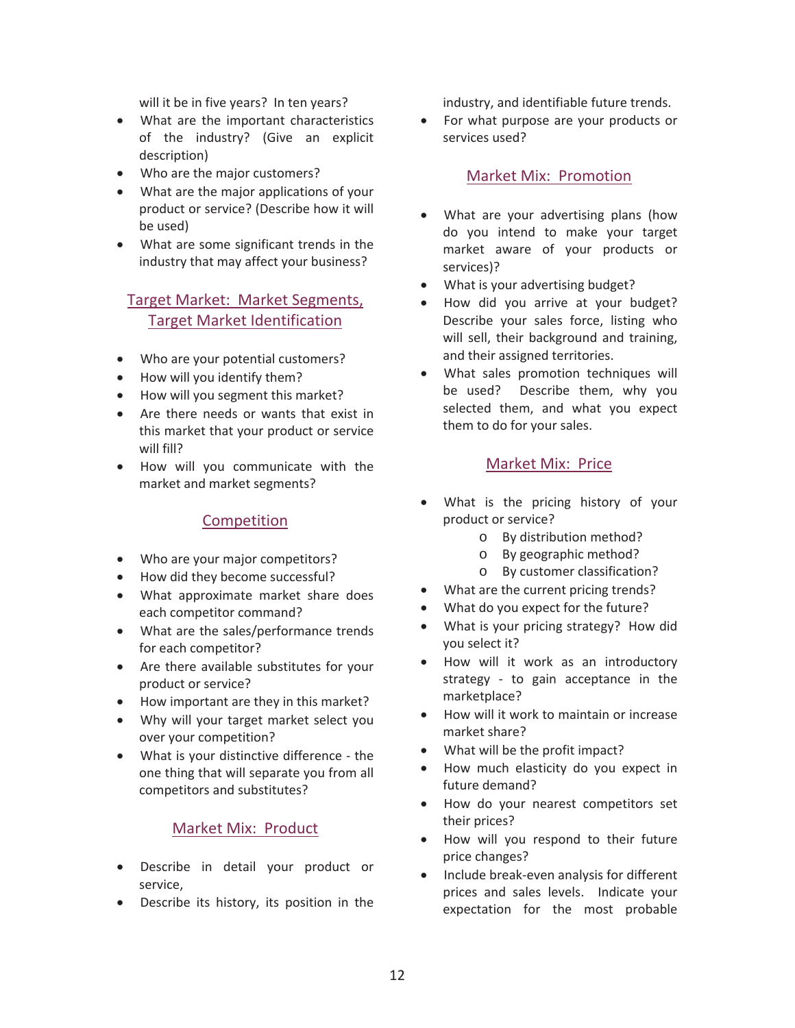will it be in five years? In ten years?

- What are the important characteristics of the industry? (Give an explicit description)
- Who are the major customers?
- What are the major applications of your product or service? (Describe how it will be used)
- What are some significant trends in the industry that may affect your business?

# Target Market: Market Segments, Target Market Identification

- Who are your potential customers?
- How will you identify them?
- How will you segment this market?
- Are there needs or wants that exist in this market that your product or service will fill?
- How will you communicate with the market and market segments?

## **Competition**

- Who are your major competitors?
- How did they become successful?
- What approximate market share does each competitor command?
- What are the sales/performance trends for each competitor?
- Are there available substitutes for your product or service?
- How important are they in this market?
- Why will your target market select you over your competition?
- What is your distinctive difference the one thing that will separate you from all competitors and substitutes?

## Market Mix: Product

- Describe in detail your product or service,
- Describe its history, its position in the

industry, and identifiable future trends.

For what purpose are your products or services used?

## Market Mix: Promotion

- What are your advertising plans (how do you intend to make your target market aware of your products or services)?
- What is your advertising budget?
- How did you arrive at your budget? Describe your sales force, listing who will sell, their background and training, and their assigned territories.
- What sales promotion techniques will be used? Describe them, why you selected them, and what you expect them to do for your sales.

## Market Mix: Price

- What is the pricing history of your product or service?
	- o By distribution method?
	- o By geographic method?
	- o By customer classification?
- What are the current pricing trends?
- What do you expect for the future?
- What is your pricing strategy? How did you select it?
- How will it work as an introductory strategy - to gain acceptance in the marketplace?
- How will it work to maintain or increase market share?
- What will be the profit impact?
- How much elasticity do you expect in future demand?
- How do your nearest competitors set their prices?
- How will you respond to their future price changes?
- Include break-even analysis for different prices and sales levels. Indicate your expectation for the most probable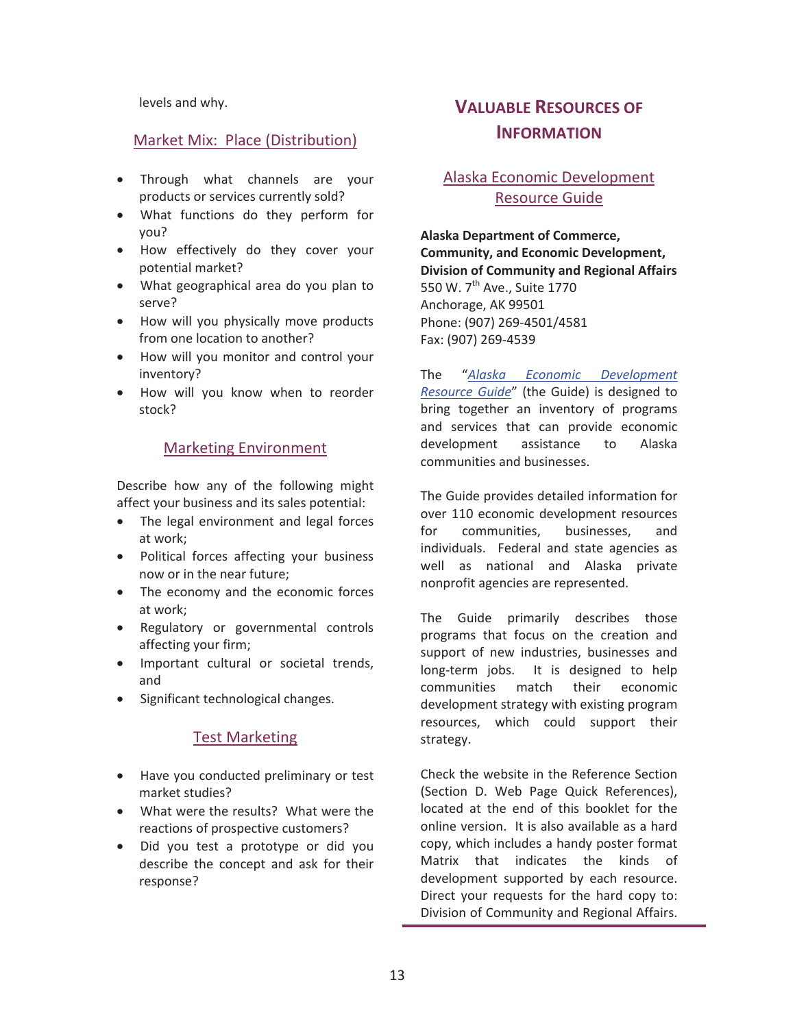levels and why.

## Market Mix: Place (Distribution)

- Through what channels are your products or services currently sold?
- What functions do they perform for you?
- How effectively do they cover your potential market?
- What geographical area do you plan to serve?
- How will you physically move products from one location to another?
- How will you monitor and control your inventory?
- How will you know when to reorder stock?

## Marketing Environment

Describe how any of the following might affect your business and its sales potential:

- The legal environment and legal forces at work;
- Political forces affecting your business now or in the near future;
- The economy and the economic forces at work;
- Regulatory or governmental controls affecting your firm;
- Important cultural or societal trends, and
- Significant technological changes.

## Test Marketing

- Have you conducted preliminary or test market studies?
- What were the results? What were the reactions of prospective customers?
- Did you test a prototype or did you describe the concept and ask for their response?

# **VALUABLE RESOURCES OF INFORMATION**

# Alaska Economic Development Resource Guide

**Alaska Department of Commerce, Community, and Economic Development, Division of Community and Regional Affairs** 550 W. 7<sup>th</sup> Ave., Suite 1770 Anchorage, AK 99501 Phone: (907) 269-4501/4581 Fax: (907) 269-4539

The "*Alaska Economic Development Resource Guide*" (the Guide) is designed to bring together an inventory of programs and services that can provide economic development assistance to Alaska communities and businesses.

The Guide provides detailed information for over 110 economic development resources for communities, businesses, and individuals. Federal and state agencies as well as national and Alaska private nonprofit agencies are represented.

The Guide primarily describes those programs that focus on the creation and support of new industries, businesses and long-term jobs. It is designed to help communities match their economic development strategy with existing program resources, which could support their strategy.

Check the website in the Reference Section (Section D. Web Page Quick References), located at the end of this booklet for the online version. It is also available as a hard copy, which includes a handy poster format Matrix that indicates the kinds of development supported by each resource. Direct your requests for the hard copy to: Division of Community and Regional Affairs.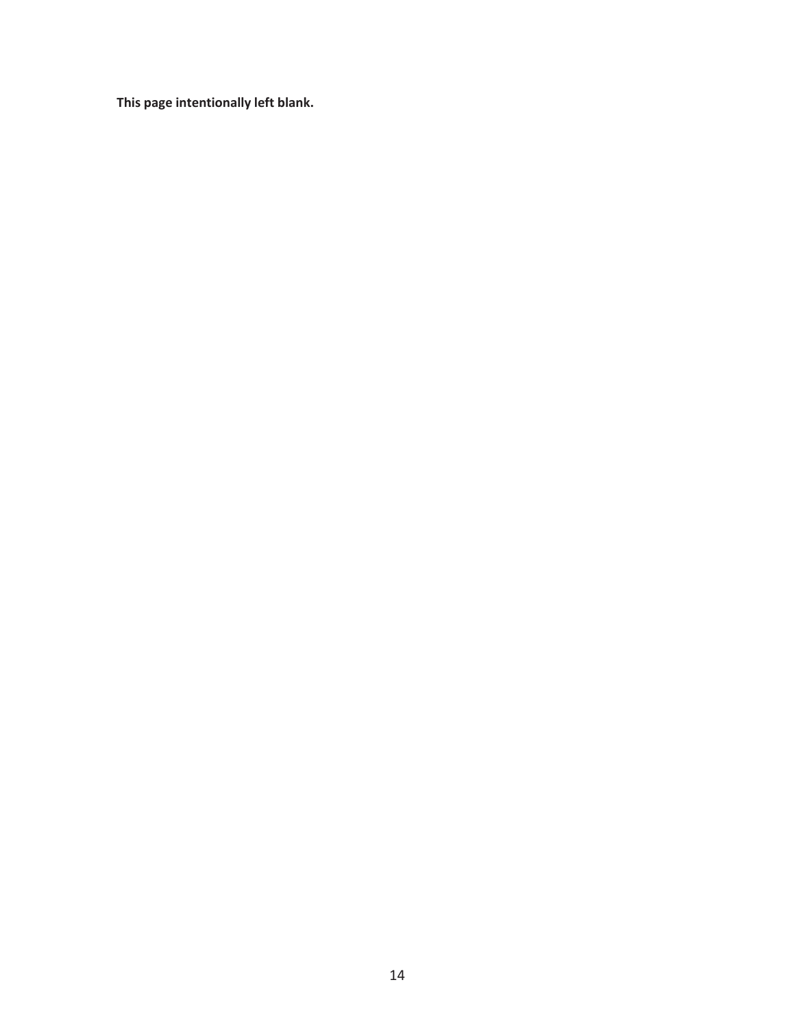**This page intentionally left blank.**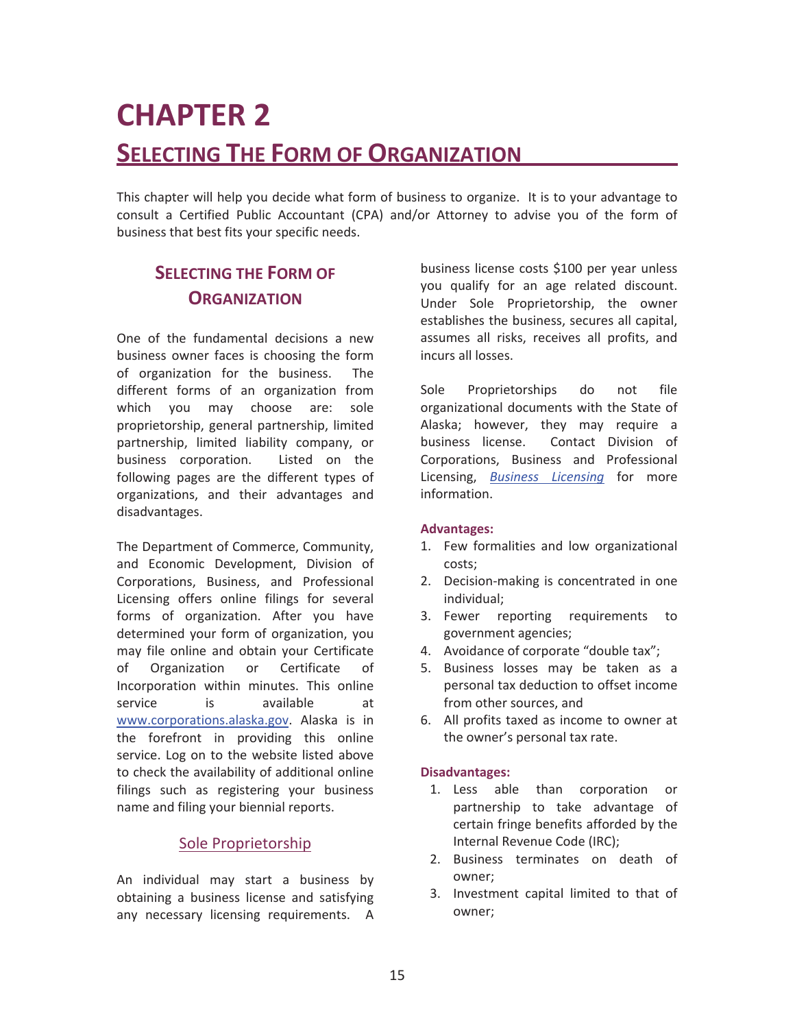# **CHAPTER 2 SELECTING THE FORM OF ORGANIZATION**

This chapter will help you decide what form of business to organize. It is to your advantage to consult a Certified Public Accountant (CPA) and/or Attorney to advise you of the form of business that best fits your specific needs.

# **SELECTING THE FORM OF ORGANIZATION**

One of the fundamental decisions a new business owner faces is choosing the form of organization for the business. The different forms of an organization from which you may choose are: sole proprietorship, general partnership, limited partnership, limited liability company, or business corporation. Listed on the following pages are the different types of organizations, and their advantages and disadvantages.

The Department of Commerce, Community, and Economic Development, Division of Corporations, Business, and Professional Licensing offers online filings for several forms of organization. After you have determined your form of organization, you may file online and obtain your Certificate of Organization or Certificate of Incorporation within minutes. This online service is available at www.corporations.alaska.gov. Alaska is in the forefront in providing this online service. Log on to the website listed above to check the availability of additional online filings such as registering your business name and filing your biennial reports.

# Sole Proprietorship

An individual may start a business by obtaining a business license and satisfying any necessary licensing requirements. A

business license costs \$100 per year unless you qualify for an age related discount. Under Sole Proprietorship, the owner establishes the business, secures all capital, assumes all risks, receives all profits, and incurs all losses.

Sole Proprietorships do not file organizational documents with the State of Alaska; however, they may require a business license. Contact Division of Corporations, Business and Professional Licensing, *Business Licensing* for more information.

## **Advantages:**

- 1. Few formalities and low organizational costs;
- 2. Decision-making is concentrated in one individual;
- 3. Fewer reporting requirements to government agencies;
- 4. Avoidance of corporate "double tax";
- 5. Business losses may be taken as a personal tax deduction to offset income from other sources, and
- 6. All profits taxed as income to owner at the owner's personal tax rate.

## **Disadvantages:**

- 1. Less able than corporation or partnership to take advantage of certain fringe benefits afforded by the Internal Revenue Code (IRC);
- 2. Business terminates on death of owner;
- 3. Investment capital limited to that of owner;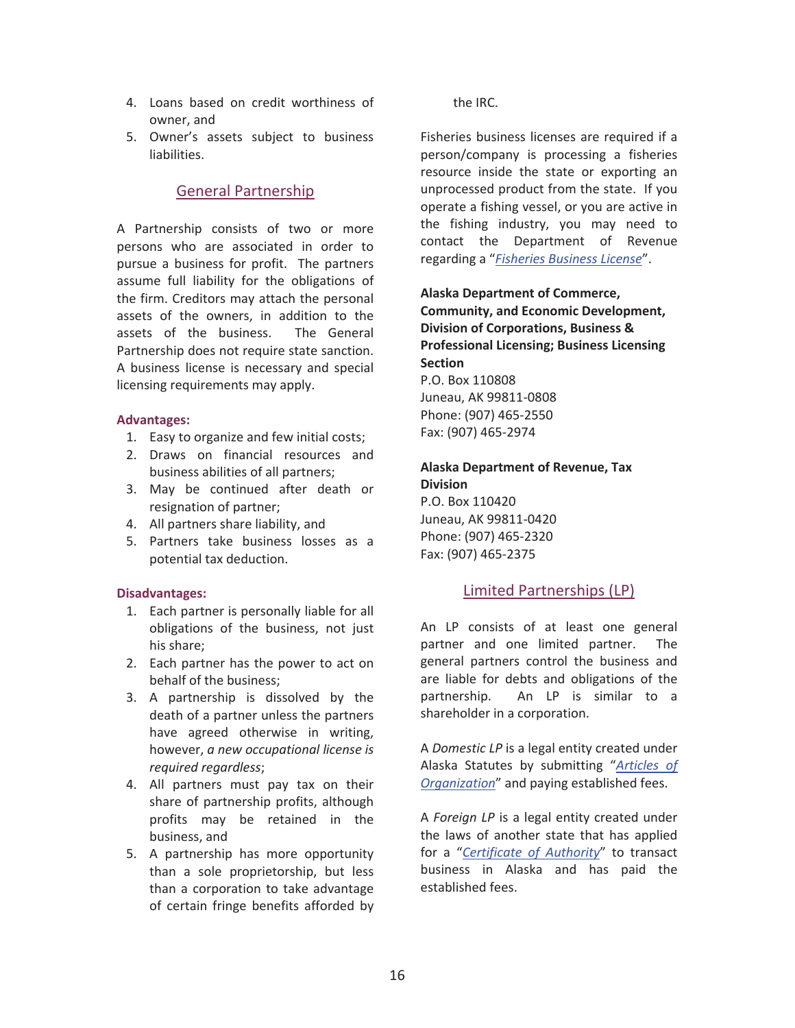- 4. Loans based on credit worthiness of owner, and
- 5. Owner's assets subject to business liabilities.

## General Partnership

A Partnership consists of two or more persons who are associated in order to pursue a business for profit. The partners assume full liability for the obligations of the firm. Creditors may attach the personal assets of the owners, in addition to the assets of the business. The General Partnership does not require state sanction. A business license is necessary and special licensing requirements may apply.

#### **Advantages:**

- 1. Easy to organize and few initial costs;
- 2. Draws on financial resources and business abilities of all partners;
- 3. May be continued after death or resignation of partner;
- 4. All partners share liability, and
- 5. Partners take business losses as a potential tax deduction.

#### **Disadvantages:**

- 1. Each partner is personally liable for all obligations of the business, not just his share;
- 2. Each partner has the power to act on behalf of the business;
- 3. A partnership is dissolved by the death of a partner unless the partners have agreed otherwise in writing, however, *a new occupational license is required regardless*;
- 4. All partners must pay tax on their share of partnership profits, although profits may be retained in the business, and
- 5. A partnership has more opportunity than a sole proprietorship, but less than a corporation to take advantage of certain fringe benefits afforded by

the IRC.

Fisheries business licenses are required if a person/company is processing a fisheries resource inside the state or exporting an unprocessed product from the state. If you operate a fishing vessel, or you are active in the fishing industry, you may need to contact the Department of Revenue regarding a "*Fisheries Business License*".

## **Alaska Department of Commerce, Community, and Economic Development, Division of Corporations, Business & Professional Licensing; Business Licensing Section**

P.O. Box 110808 Juneau, AK 99811-0808 Phone: (907) 465-2550 Fax: (907) 465-2974

#### **Alaska Department of Revenue, Tax Division**

P.O. Box 110420 Juneau, AK 99811-0420 Phone: (907) 465-2320 Fax: (907) 465-2375

## Limited Partnerships (LP)

An LP consists of at least one general partner and one limited partner. The general partners control the business and are liable for debts and obligations of the partnership. An LP is similar to a shareholder in a corporation.

A *Domestic LP* is a legal entity created under Alaska Statutes by submitting "*Articles of Organization*" and paying established fees.

A *Foreign LP* is a legal entity created under the laws of another state that has applied for a "*Certificate of Authority*" to transact business in Alaska and has paid the established fees.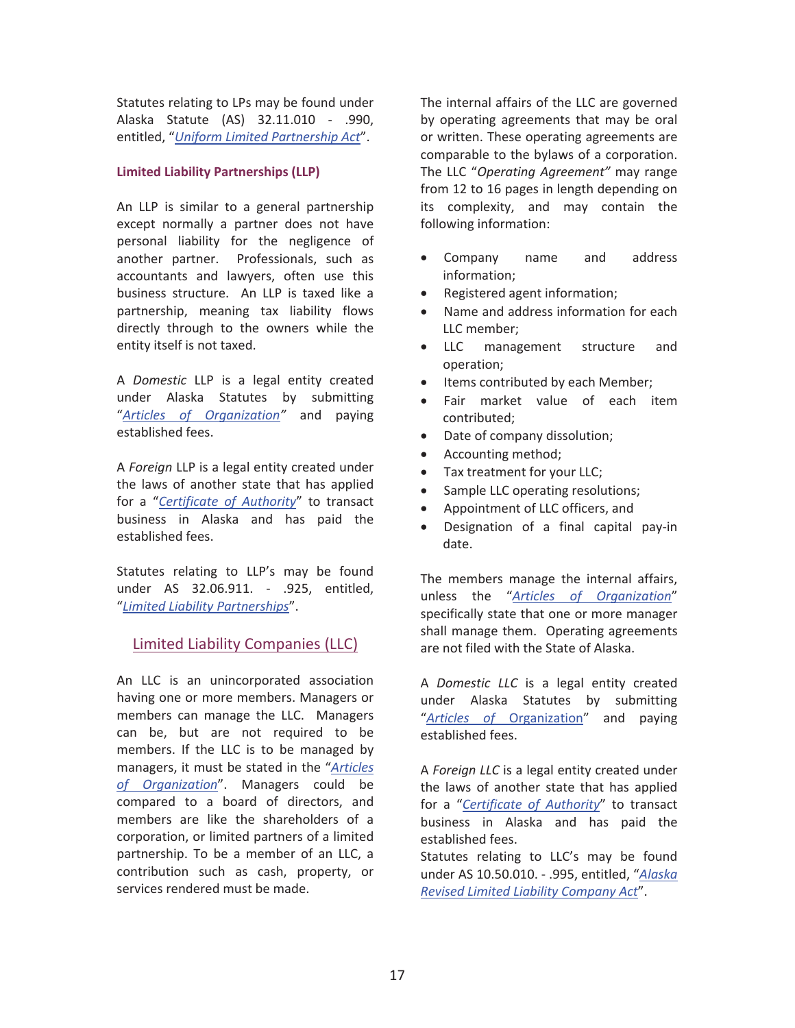Statutes relating to LPs may be found under Alaska Statute (AS) 32.11.010 - .990, entitled, "*Uniform Limited Partnership Act*".

#### **Limited Liability Partnerships (LLP)**

An LLP is similar to a general partnership except normally a partner does not have personal liability for the negligence of another partner. Professionals, such as accountants and lawyers, often use this business structure. An LLP is taxed like a partnership, meaning tax liability flows directly through to the owners while the entity itself is not taxed.

A *Domestic* LLP is a legal entity created under Alaska Statutes by submitting "*Articles of Organization"* and paying established fees.

A *Foreign* LLP is a legal entity created under the laws of another state that has applied for a "*Certificate of Authority*" to transact business in Alaska and has paid the established fees.

Statutes relating to LLP's may be found under AS 32.06.911. - .925, entitled, "*Limited Liability Partnerships*".

## Limited Liability Companies (LLC)

An LLC is an unincorporated association having one or more members. Managers or members can manage the LLC. Managers can be, but are not required to be members. If the LLC is to be managed by managers, it must be stated in the "*Articles of Organization*". Managers could be compared to a board of directors, and members are like the shareholders of a corporation, or limited partners of a limited partnership. To be a member of an LLC, a contribution such as cash, property, or services rendered must be made.

The internal affairs of the LLC are governed by operating agreements that may be oral or written. These operating agreements are comparable to the bylaws of a corporation. The LLC "*Operating Agreement"* may range from 12 to 16 pages in length depending on its complexity, and may contain the following information:

- Company name and address information;
- Registered agent information;
- Name and address information for each LLC member;
- LLC management structure and operation;
- Items contributed by each Member;
- Fair market value of each item contributed;
- Date of company dissolution;
- Accounting method;
- Tax treatment for your LLC;
- Sample LLC operating resolutions;
- Appointment of LLC officers, and
- Designation of a final capital pay-in date.

The members manage the internal affairs, unless the "*Articles of Organization*" specifically state that one or more manager shall manage them. Operating agreements are not filed with the State of Alaska.

A *Domestic LLC* is a legal entity created under Alaska Statutes by submitting "*Articles of* Organization" and paying established fees.

A *Foreign LLC* is a legal entity created under the laws of another state that has applied for a "*Certificate of Authority*" to transact business in Alaska and has paid the established fees.

Statutes relating to LLC's may be found under AS 10.50.010. - .995, entitled, "Alaska *Revised Limited Liability Company Act*".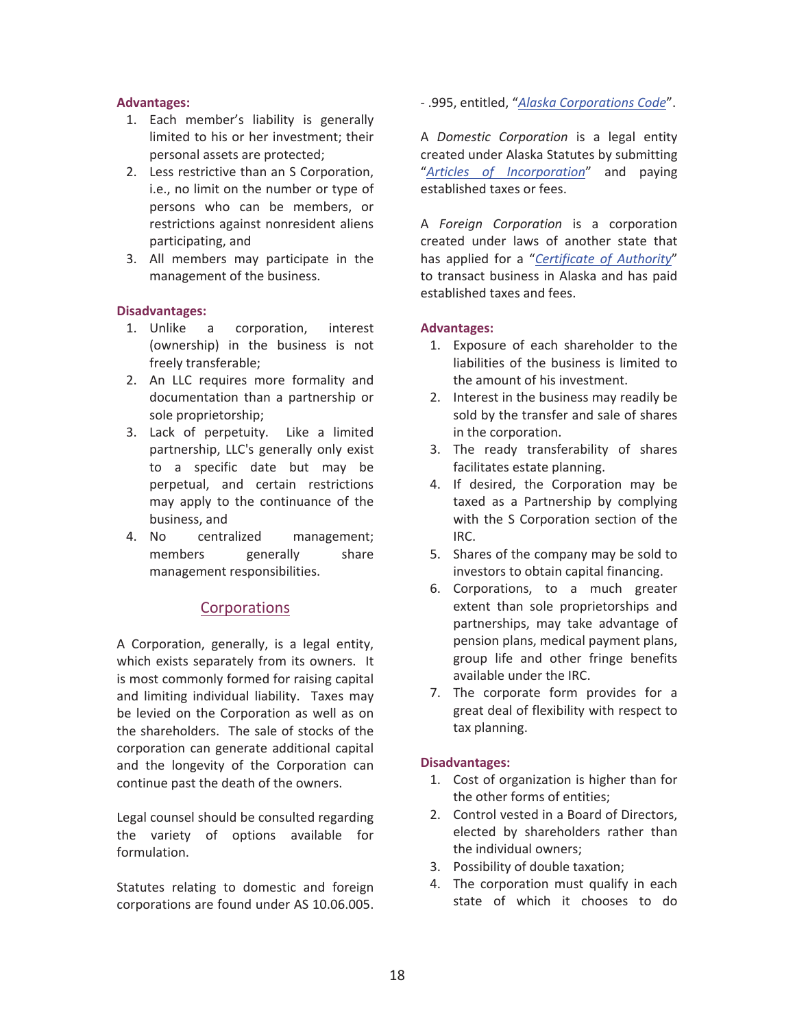#### **Advantages:**

- 1. Each member's liability is generally limited to his or her investment; their personal assets are protected;
- 2. Less restrictive than an S Corporation, i.e., no limit on the number or type of persons who can be members, or restrictions against nonresident aliens participating, and
- 3. All members may participate in the management of the business.

#### **Disadvantages:**

- 1. Unlike a corporation, interest (ownership) in the business is not freely transferable;
- 2. An LLC requires more formality and documentation than a partnership or sole proprietorship;
- 3. Lack of perpetuity. Like a limited partnership, LLC's generally only exist to a specific date but may be perpetual, and certain restrictions may apply to the continuance of the business, and
- 4. No centralized management; members generally share management responsibilities.

## **Corporations**

A Corporation, generally, is a legal entity, which exists separately from its owners. It is most commonly formed for raising capital and limiting individual liability. Taxes may be levied on the Corporation as well as on the shareholders. The sale of stocks of the corporation can generate additional capital and the longevity of the Corporation can continue past the death of the owners.

Legal counsel should be consulted regarding the variety of options available for formulation.

Statutes relating to domestic and foreign corporations are found under AS 10.06.005.

Ͳ.995, entitled, "*Alaska Corporations Code*".

A *Domestic Corporation* is a legal entity created under Alaska Statutes by submitting "*Articles of Incorporation*" and paying established taxes or fees.

A *Foreign Corporation* is a corporation created under laws of another state that has applied for a "*Certificate of Authority*" to transact business in Alaska and has paid established taxes and fees.

#### **Advantages:**

- 1. Exposure of each shareholder to the liabilities of the business is limited to the amount of his investment.
- 2. Interest in the business may readily be sold by the transfer and sale of shares in the corporation.
- 3. The ready transferability of shares facilitates estate planning.
- 4. If desired, the Corporation may be taxed as a Partnership by complying with the S Corporation section of the IRC.
- 5. Shares of the company may be sold to investors to obtain capital financing.
- 6. Corporations, to a much greater extent than sole proprietorships and partnerships, may take advantage of pension plans, medical payment plans, group life and other fringe benefits available under the IRC.
- 7. The corporate form provides for a great deal of flexibility with respect to tax planning.

#### **Disadvantages:**

- 1. Cost of organization is higher than for the other forms of entities;
- 2. Control vested in a Board of Directors, elected by shareholders rather than the individual owners;
- 3. Possibility of double taxation;
- 4. The corporation must qualify in each state of which it chooses to do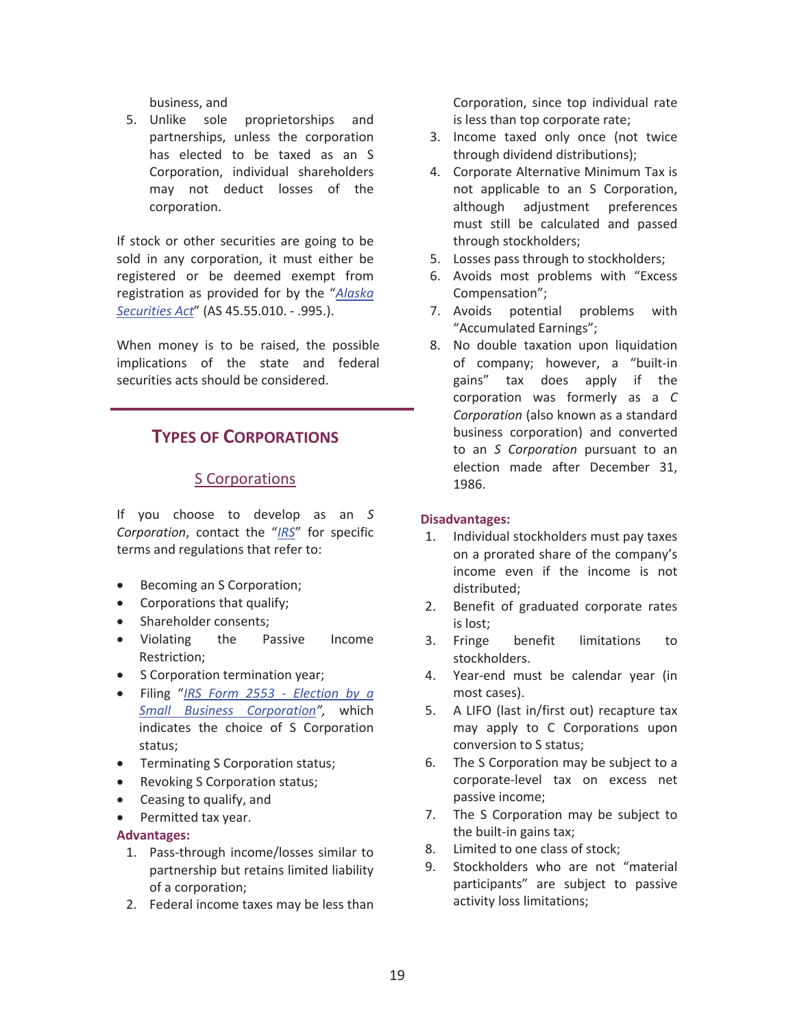business, and

5. Unlike sole proprietorships and partnerships, unless the corporation has elected to be taxed as an S Corporation, individual shareholders may not deduct losses of the corporation.

If stock or other securities are going to be sold in any corporation, it must either be registered or be deemed exempt from registration as provided for by the "*Alaska Securities Act*" (AS 45.55.010. - .995.).

When money is to be raised, the possible implications of the state and federal securities acts should be considered.

# **TYPES OF CORPORATIONS**

## S Corporations

If you choose to develop as an *S Corporation*, contact the "*IRS*" for specific terms and regulations that refer to:

- Becoming an S Corporation;
- Corporations that qualify;
- Shareholder consents;
- Violating the Passive Income Restriction;
- S Corporation termination year;
- **•** Filing "IRS Form 2553 Election by a *Small Business Corporation",* which indicates the choice of S Corporation status;
- Terminating S Corporation status;
- Revoking S Corporation status;
- Ceasing to qualify, and
- Permitted tax year.

#### **Advantages:**

- 1. Pass-through income/losses similar to partnership but retains limited liability of a corporation;
- 2. Federal income taxes may be less than

Corporation, since top individual rate is less than top corporate rate;

- 3. Income taxed only once (not twice through dividend distributions);
- 4. Corporate Alternative Minimum Tax is not applicable to an S Corporation, although adjustment preferences must still be calculated and passed through stockholders;
- 5. Losses pass through to stockholders;
- 6. Avoids most problems with "Excess Compensation";
- 7. Avoids potential problems with "Accumulated Earnings";
- 8. No double taxation upon liquidation of company; however, a "built-in gains" tax does apply if the corporation was formerly as a *C Corporation* (also known as a standard business corporation) and converted to an *S Corporation* pursuant to an election made after December 31, 1986.

#### **Disadvantages:**

- 1. Individual stockholders must pay taxes on a prorated share of the company's income even if the income is not distributed;
- 2. Benefit of graduated corporate rates is lost;
- 3. Fringe benefit limitations to stockholders.
- 4. Year-end must be calendar year (in most cases).
- 5. A LIFO (last in/first out) recapture tax may apply to C Corporations upon conversion to S status;
- 6. The S Corporation may be subject to a corporate-level tax on excess net passive income;
- 7. The S Corporation may be subject to the built-in gains tax;
- 8. Limited to one class of stock;
- 9. Stockholders who are not "material participants" are subject to passive activity loss limitations;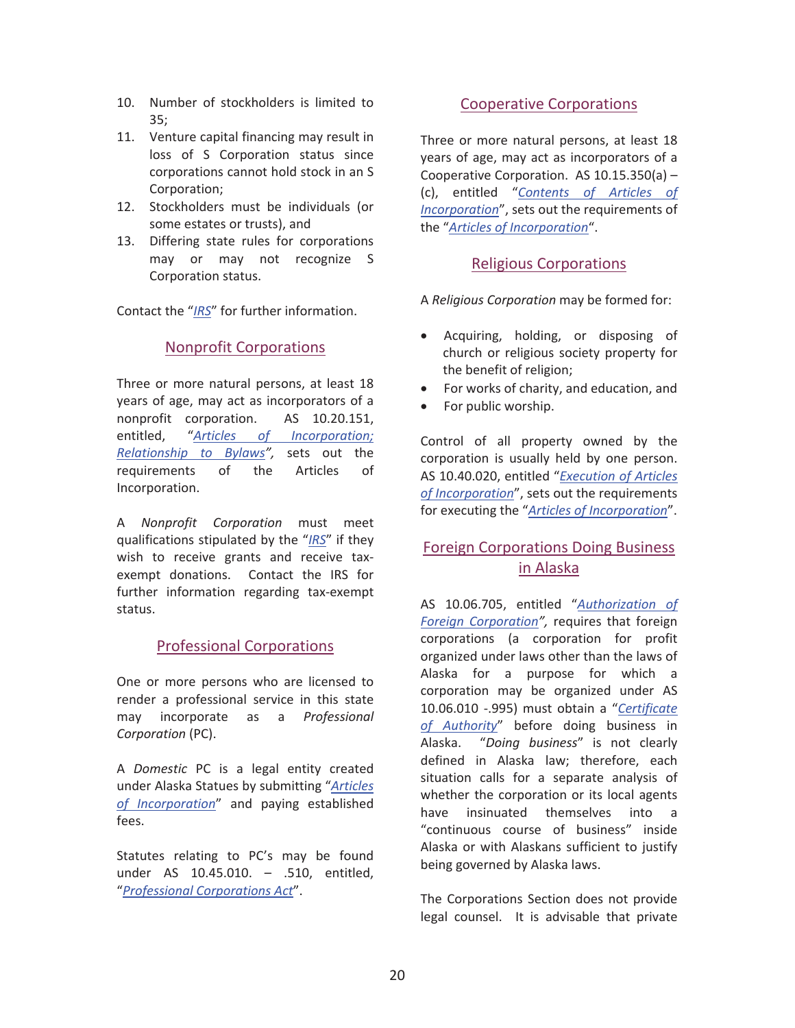- 10. Number of stockholders is limited to  $35$
- 11. Venture capital financing may result in loss of S Corporation status since corporations cannot hold stock in an S Corporation;
- 12. Stockholders must be individuals (or some estates or trusts), and
- 13. Differing state rules for corporations may or may not recognize S Corporation status.

Contact the "*IRS*" for further information.

# Nonprofit Corporations

Three or more natural persons, at least 18 years of age, may act as incorporators of a nonprofit corporation. AS 10.20.151, entitled, "*Articles of Incorporation; Relationship to Bylaws",* sets out the requirements of the Articles of Incorporation.

A *Nonprofit Corporation* must meet qualifications stipulated by the "*IRS*" if they wish to receive grants and receive taxexempt donations. Contact the IRS for further information regarding tax-exempt status.

# Professional Corporations

One or more persons who are licensed to render a professional service in this state may incorporate as a *Professional Corporation* (PC).

A *Domestic* PC is a legal entity created under Alaska Statues by submitting "*Articles of Incorporation*" and paying established fees.

Statutes relating to PC's may be found under AS 10.45.010. – .510, entitled, "*Professional Corporations Act*".

# Cooperative Corporations

Three or more natural persons, at least 18 years of age, may act as incorporators of a Cooperative Corporation. AS  $10.15.350(a)$  -(c), entitled "*Contents of Articles of Incorporation*", sets out the requirements of the "*Articles of Incorporation*".

# Religious Corporations

A *Religious Corporation* may be formed for:

- Acquiring, holding, or disposing of church or religious society property for the benefit of religion;
- For works of charity, and education, and
- For public worship.

Control of all property owned by the corporation is usually held by one person. AS 10.40.020, entitled "*Execution of Articles of Incorporation*", sets out the requirements for executing the "*Articles of Incorporation*".

# Foreign Corporations Doing Business in Alaska

AS 10.06.705, entitled "*Authorization of Foreign Corporation",* requires that foreign corporations (a corporation for profit organized under laws other than the laws of Alaska for a purpose for which a corporation may be organized under AS 10.06.010 Ͳ.995) must obtain a "*Certificate of Authority*" before doing business in Alaska. "*Doing business*" is not clearly defined in Alaska law; therefore, each situation calls for a separate analysis of whether the corporation or its local agents have insinuated themselves into a "continuous course of business" inside Alaska or with Alaskans sufficient to justify being governed by Alaska laws.

The Corporations Section does not provide legal counsel. It is advisable that private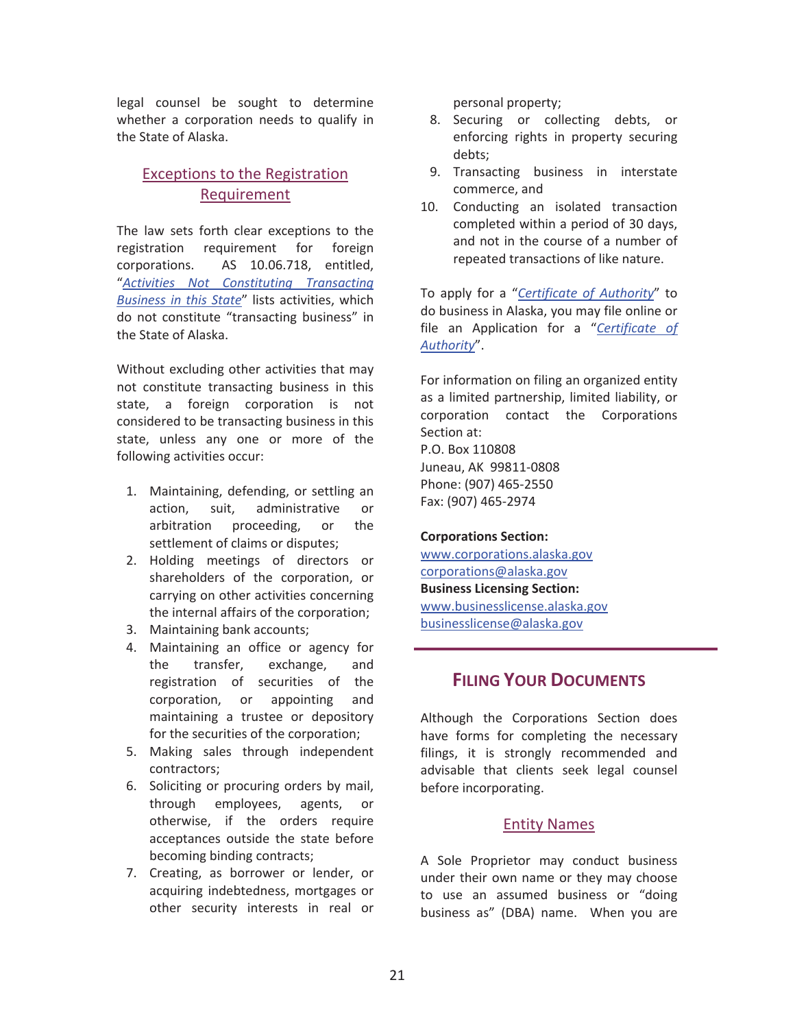legal counsel be sought to determine whether a corporation needs to qualify in the State of Alaska.

# Exceptions to the Registration Requirement

The law sets forth clear exceptions to the registration requirement for foreign corporations. AS 10.06.718, entitled, "*Activities Not Constituting Transacting Business in this State*" lists activities, which do not constitute "transacting business" in the State of Alaska.

Without excluding other activities that may not constitute transacting business in this state, a foreign corporation is not considered to be transacting business in this state, unless any one or more of the following activities occur:

- 1. Maintaining, defending, or settling an action, suit, administrative or arbitration proceeding, or the settlement of claims or disputes;
- 2. Holding meetings of directors or shareholders of the corporation, or carrying on other activities concerning the internal affairs of the corporation;
- 3. Maintaining bank accounts;
- 4. Maintaining an office or agency for the transfer, exchange, and registration of securities of the corporation, or appointing and maintaining a trustee or depository for the securities of the corporation;
- 5. Making sales through independent contractors;
- 6. Soliciting or procuring orders by mail, through employees, agents, or otherwise, if the orders require acceptances outside the state before becoming binding contracts;
- 7. Creating, as borrower or lender, or acquiring indebtedness, mortgages or other security interests in real or

personal property;

- 8. Securing or collecting debts, or enforcing rights in property securing debts;
- 9. Transacting business in interstate commerce, and
- 10. Conducting an isolated transaction completed within a period of 30 days, and not in the course of a number of repeated transactions of like nature.

To apply for a "*Certificate of Authority*" to do business in Alaska, you may file online or file an Application for a "*Certificate of Authority*".

For information on filing an organized entity as a limited partnership, limited liability, or corporation contact the Corporations Section at: P.O. Box 110808 Juneau, AK 99811-0808 Phone: (907) 465-2550 Fax: (907) 465-2974

#### **Corporations Section:**

www.corporations.alaska.gov corporations@alaska.gov **Business Licensing Section:** www.businesslicense.alaska.gov businesslicense@alaska.gov

# **FILING YOUR DOCUMENTS**

Although the Corporations Section does have forms for completing the necessary filings, it is strongly recommended and advisable that clients seek legal counsel before incorporating.

## Entity Names

A Sole Proprietor may conduct business under their own name or they may choose to use an assumed business or "doing business as" (DBA) name. When you are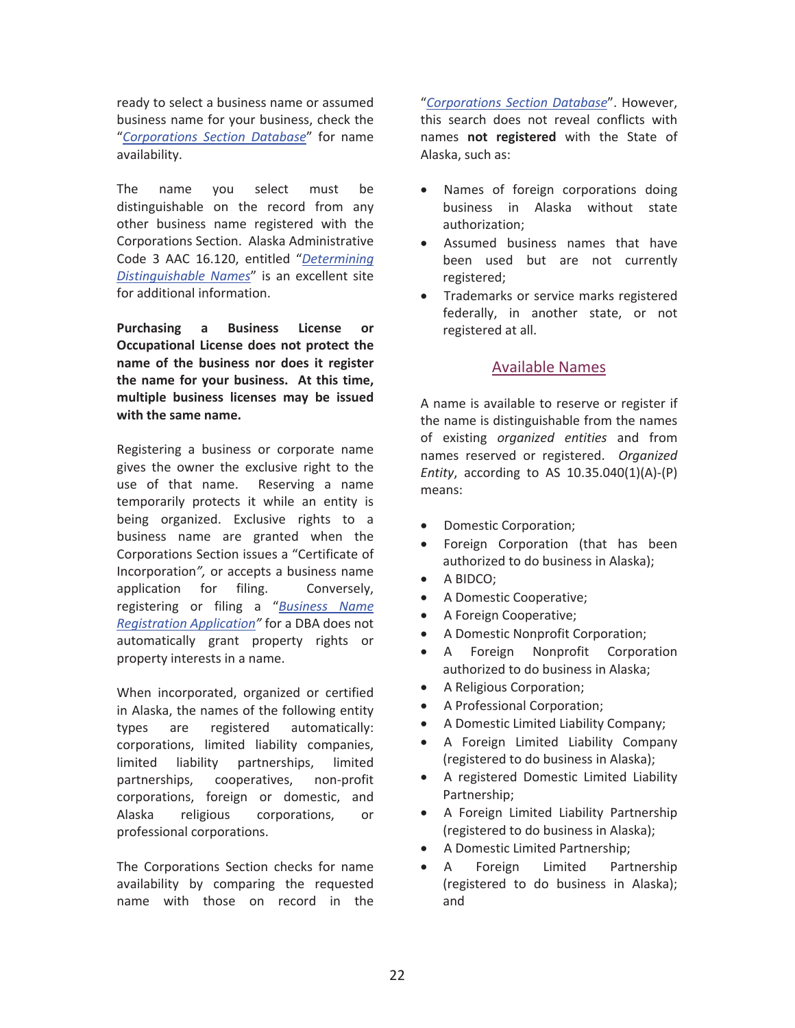ready to select a business name or assumed business name for your business, check the "*Corporations Section Database*" for name availability.

The name you select must be distinguishable on the record from any other business name registered with the Corporations Section. Alaska Administrative Code 3 AAC 16.120, entitled "*Determining Distinguishable Names*" is an excellent site for additional information.

**Purchasing a Business License or Occupational License does not protect the name of the business nor does it register the name for your business. At this time, multiple business licenses may be issued with the same name.**

Registering a business or corporate name gives the owner the exclusive right to the use of that name. Reserving a name temporarily protects it while an entity is being organized. Exclusive rights to a business name are granted when the Corporations Section issues a "Certificate of Incorporation*",* or accepts a business name application for filing. Conversely, registering or filing a "*Business Name Registration Application"* for a DBA does not automatically grant property rights or property interests in a name.

When incorporated, organized or certified in Alaska, the names of the following entity types are registered automatically: corporations, limited liability companies, limited liability partnerships, limited partnerships, cooperatives, non-profit corporations, foreign or domestic, and Alaska religious corporations, or professional corporations.

The Corporations Section checks for name availability by comparing the requested name with those on record in the

"*Corporations Section Database*". However, this search does not reveal conflicts with names **not registered** with the State of Alaska, such as:

- Names of foreign corporations doing business in Alaska without state authorization;
- Assumed business names that have been used but are not currently registered;
- Trademarks or service marks registered federally, in another state, or not registered at all.

## Available Names

A name is available to reserve or register if the name is distinguishable from the names of existing *organized entities* and from names reserved or registered. *Organized Entity*, according to AS 10.35.040(1)(A)-(P) means:

- Domestic Corporation;
- Foreign Corporation (that has been authorized to do business in Alaska);
- A BIDCO:
- A Domestic Cooperative;
- A Foreign Cooperative;
- A Domestic Nonprofit Corporation;
- A Foreign Nonprofit Corporation authorized to do business in Alaska;
- A Religious Corporation;
- A Professional Corporation;
- A Domestic Limited Liability Company;
- A Foreign Limited Liability Company (registered to do business in Alaska);
- A registered Domestic Limited Liability Partnership;
- A Foreign Limited Liability Partnership (registered to do business in Alaska);
- A Domestic Limited Partnership;
- A Foreign Limited Partnership (registered to do business in Alaska); and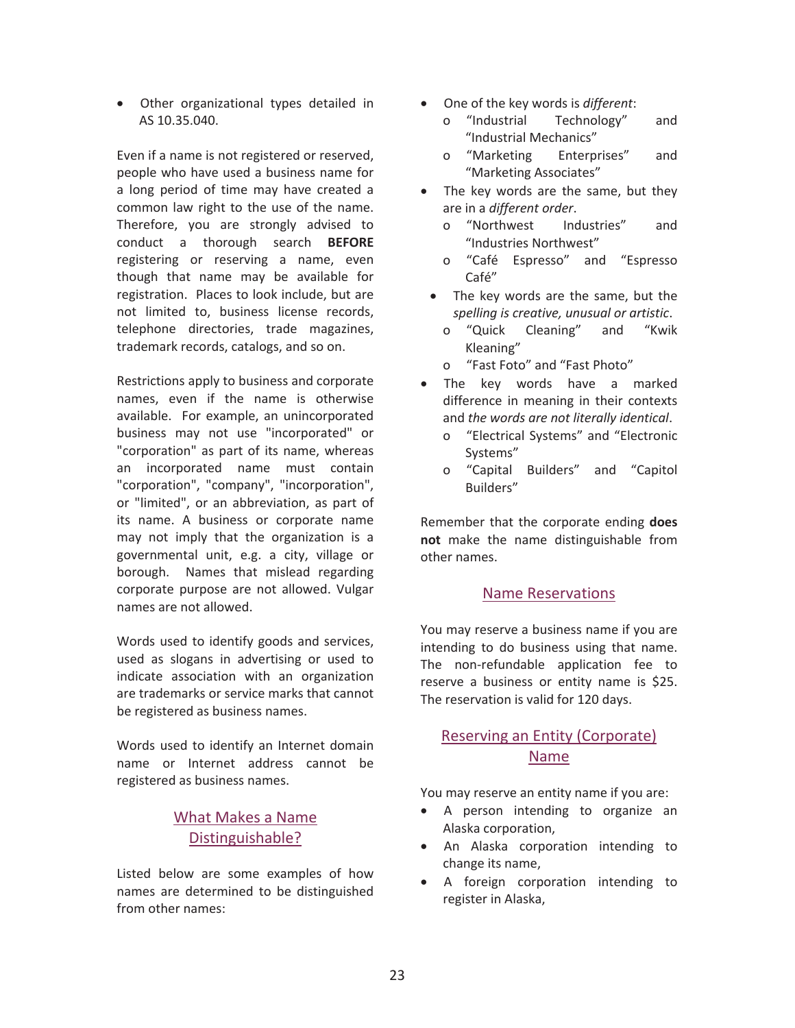• Other organizational types detailed in AS 10.35.040.

Even if a name is not registered or reserved, people who have used a business name for a long period of time may have created a common law right to the use of the name. Therefore, you are strongly advised to conduct a thorough search **BEFORE** registering or reserving a name, even though that name may be available for registration. Places to look include, but are not limited to, business license records, telephone directories, trade magazines, trademark records, catalogs, and so on.

Restrictions apply to business and corporate names, even if the name is otherwise available. For example, an unincorporated business may not use "incorporated" or "corporation" as part of its name, whereas an incorporated name must contain "corporation", "company", "incorporation", or "limited", or an abbreviation, as part of its name. A business or corporate name may not imply that the organization is a governmental unit, e.g. a city, village or borough. Names that mislead regarding corporate purpose are not allowed. Vulgar names are not allowed.

Words used to identify goods and services, used as slogans in advertising or used to indicate association with an organization are trademarks or service marks that cannot be registered as business names.

Words used to identify an Internet domain name or Internet address cannot be registered as business names.

# What Makes a Name Distinguishable?

Listed below are some examples of how names are determined to be distinguished from other names:

- x One of the key words is *different*:
	- o "Industrial Technology" and "Industrial Mechanics"
	- o "Marketing Enterprises" and "Marketing Associates"
- The key words are the same, but they are in a *different order*.
	- o "Northwest Industries" and "Industries Northwest"
	- o "Café Espresso" and "Espresso Café"
- The key words are the same, but the *spelling is creative, unusual or artistic*.
	- o "Quick Cleaning" and "Kwik Kleaning"
	- o "Fast Foto" and "Fast Photo"
- The key words have a marked difference in meaning in their contexts and *the words are not literally identical*.
	- o "Electrical Systems" and "Electronic Systems"
	- o "Capital Builders" and "Capitol Builders"

Remember that the corporate ending **does not** make the name distinguishable from other names.

## Name Reservations

You may reserve a business name if you are intending to do business using that name. The non-refundable application fee to reserve a business or entity name is \$25. The reservation is valid for 120 days.

# Reserving an Entity (Corporate) Name

You may reserve an entity name if you are:

- A person intending to organize an Alaska corporation,
- An Alaska corporation intending to change its name,
- A foreign corporation intending to register in Alaska,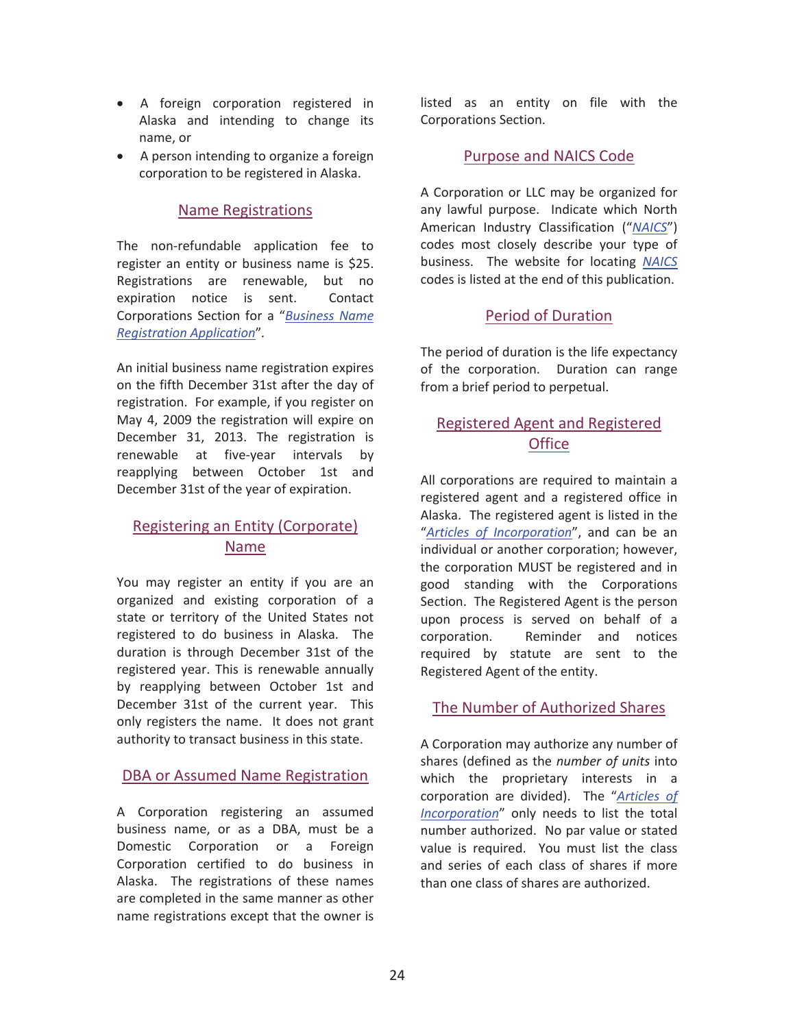- A foreign corporation registered in Alaska and intending to change its name, or
- A person intending to organize a foreign corporation to be registered in Alaska.

## Name Registrations

The non-refundable application fee to register an entity or business name is \$25. Registrations are renewable, but no expiration notice is sent. Contact Corporations Section for a "*Business Name Registration Application*"*.*

An initial business name registration expires on the fifth December 31st after the day of registration. For example, if you register on May 4, 2009 the registration will expire on December 31, 2013. The registration is renewable at five-year intervals by reapplying between October 1st and December 31st of the year of expiration.

# Registering an Entity (Corporate) Name

You may register an entity if you are an organized and existing corporation of a state or territory of the United States not registered to do business in Alaska. The duration is through December 31st of the registered year. This is renewable annually by reapplying between October 1st and December 31st of the current year. This only registers the name. It does not grant authority to transact business in this state.

## DBA or Assumed Name Registration

A Corporation registering an assumed business name, or as a DBA, must be a Domestic Corporation or a Foreign Corporation certified to do business in Alaska. The registrations of these names are completed in the same manner as other name registrations except that the owner is

listed as an entity on file with the Corporations Section.

## Purpose and NAICS Code

A Corporation or LLC may be organized for any lawful purpose. Indicate which North American Industry Classification ("*NAICS*") codes most closely describe your type of business. The website for locating *NAICS* codes is listed at the end of this publication.

## Period of Duration

The period of duration is the life expectancy of the corporation. Duration can range from a brief period to perpetual.

# Registered Agent and Registered **Office**

All corporations are required to maintain a registered agent and a registered office in Alaska. The registered agent is listed in the "*Articles of Incorporation*", and can be an individual or another corporation; however, the corporation MUST be registered and in good standing with the Corporations Section. The Registered Agent is the person upon process is served on behalf of a corporation. Reminder and notices required by statute are sent to the Registered Agent of the entity.

## The Number of Authorized Shares

A Corporation may authorize any number of shares (defined as the *number of units* into which the proprietary interests in a corporation are divided). The "*Articles of Incorporation*" only needs to list the total number authorized. No par value or stated value is required. You must list the class and series of each class of shares if more than one class of shares are authorized.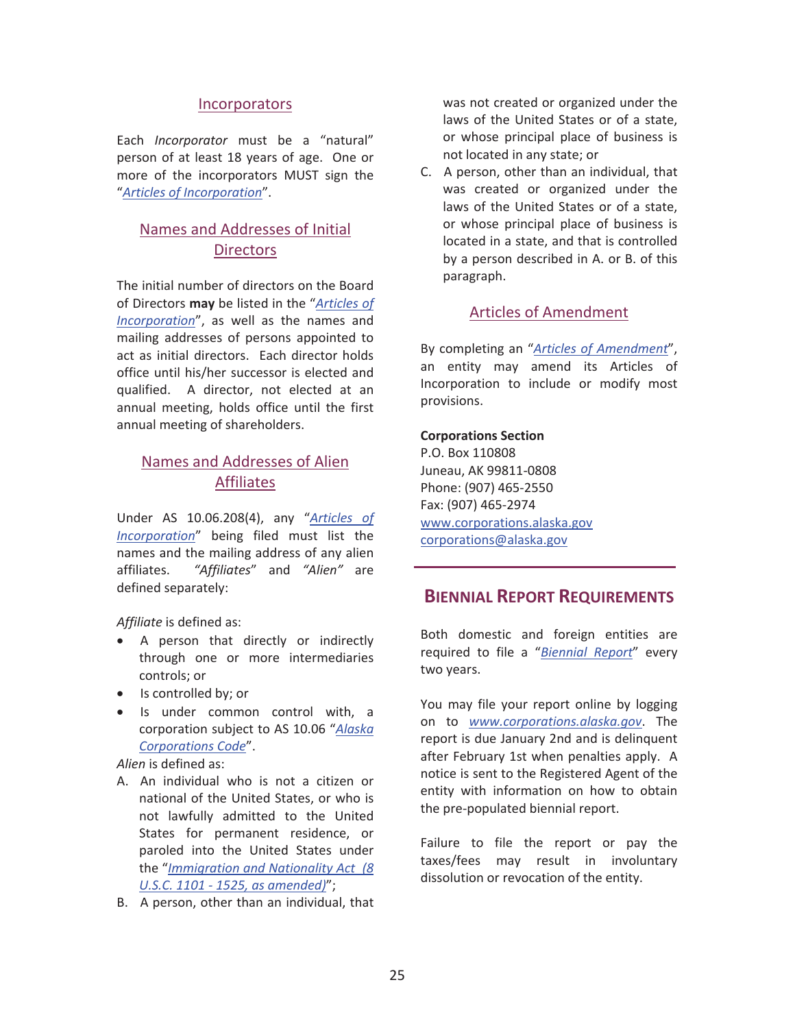## **Incorporators**

Each *Incorporator* must be a "natural" person of at least 18 years of age. One or more of the incorporators MUST sign the "*Articles of Incorporation*".

# Names and Addresses of Initial **Directors**

The initial number of directors on the Board of Directors **may** be listed in the "*Articles of Incorporation*", as well as the names and mailing addresses of persons appointed to act as initial directors. Each director holds office until his/her successor is elected and qualified. A director, not elected at an annual meeting, holds office until the first annual meeting of shareholders.

# Names and Addresses of Alien Affiliates

Under AS 10.06.208(4), any "*Articles of Incorporation*" being filed must list the names and the mailing address of any alien affiliates. *"Affiliates*" and *"Alien"* are defined separately:

*Affiliate* is defined as:

- A person that directly or indirectly through one or more intermediaries controls; or
- Is controlled by; or
- Is under common control with, a corporation subject to AS 10.06 "*Alaska Corporations Code*".

*Alien* is defined as:

- A. An individual who is not a citizen or national of the United States, or who is not lawfully admitted to the United States for permanent residence, or paroled into the United States under the "*Immigration and Nationality Act(8 U.S.C.* 1101 - 1525, as amended)";
- B. A person, other than an individual, that

was not created or organized under the laws of the United States or of a state, or whose principal place of business is not located in any state; or

C. A person, other than an individual, that was created or organized under the laws of the United States or of a state, or whose principal place of business is located in a state, and that is controlled by a person described in A. or B. of this paragraph.

## Articles of Amendment

By completing an "*Articles of Amendment*", an entity may amend its Articles of Incorporation to include or modify most provisions.

#### **Corporations Section**

P.O. Box 110808 Juneau, AK 99811-0808 Phone: (907) 465-2550 Fax: (907) 465-2974 www.corporations.alaska.gov corporations@alaska.gov

## **BIENNIAL REPORT REQUIREMENTS**

Both domestic and foreign entities are required to file a "*Biennial Report*" every two years.

You may file your report online by logging on to *www.corporations.alaska.gov*. The report is due January 2nd and is delinquent after February 1st when penalties apply. A notice is sent to the Registered Agent of the entity with information on how to obtain the pre-populated biennial report.

Failure to file the report or pay the taxes/fees may result in involuntary dissolution or revocation of the entity.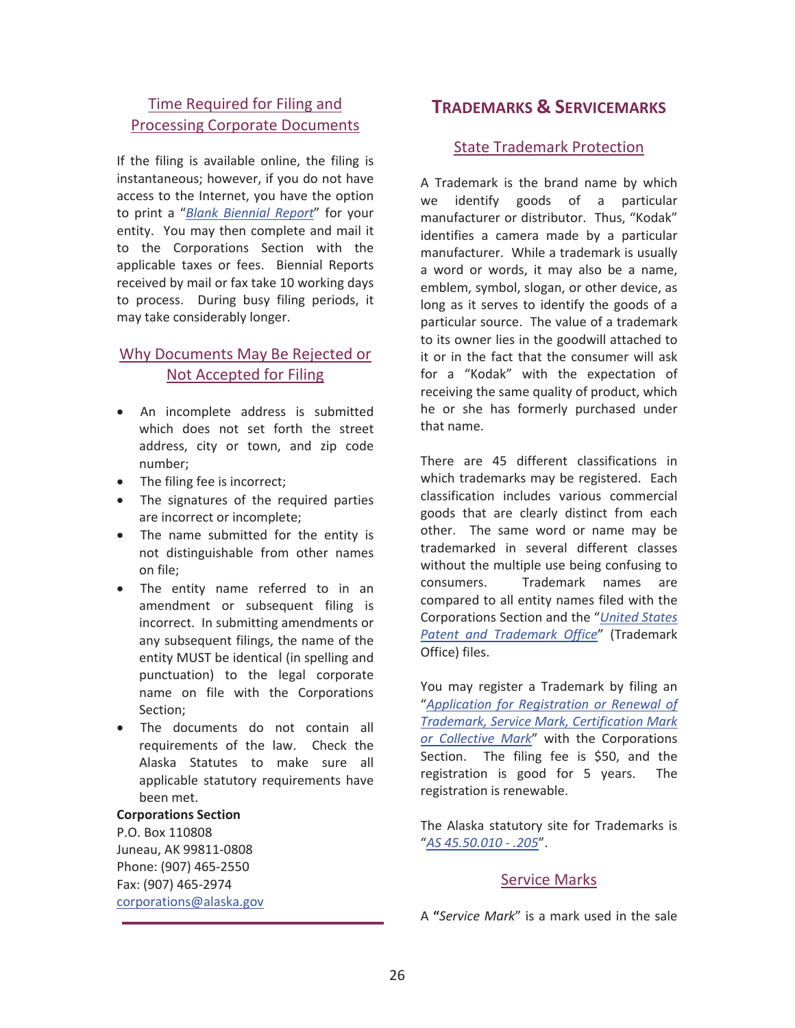# Time Required for Filing and Processing Corporate Documents

If the filing is available online, the filing is instantaneous; however, if you do not have access to the Internet, you have the option to print a "*Blank Biennial Report*" for your entity. You may then complete and mail it to the Corporations Section with the applicable taxes or fees. Biennial Reports received by mail or fax take 10 working days to process. During busy filing periods, it may take considerably longer.

# Why Documents May Be Rejected or Not Accepted for Filing

- An incomplete address is submitted which does not set forth the street address, city or town, and zip code number;
- The filing fee is incorrect;
- The signatures of the required parties are incorrect or incomplete;
- The name submitted for the entity is not distinguishable from other names on file;
- The entity name referred to in an amendment or subsequent filing is incorrect. In submitting amendments or any subsequent filings, the name of the entity MUST be identical (in spelling and punctuation) to the legal corporate name on file with the Corporations Section;
- The documents do not contain all requirements of the law. Check the Alaska Statutes to make sure all applicable statutory requirements have been met.

## **Corporations Section**

P.O. Box 110808 Juneau, AK 99811-0808 Phone: (907) 465-2550 Fax: (907) 465-2974 corporations@alaska.gov

# **TRADEMARKS & SERVICEMARKS**

## State Trademark Protection

A Trademark is the brand name by which we identify goods of a particular manufacturer or distributor. Thus, "Kodak" identifies a camera made by a particular manufacturer. While a trademark is usually a word or words, it may also be a name, emblem, symbol, slogan, or other device, as long as it serves to identify the goods of a particular source. The value of a trademark to its owner lies in the goodwill attached to it or in the fact that the consumer will ask for a "Kodak" with the expectation of receiving the same quality of product, which he or she has formerly purchased under that name.

There are 45 different classifications in which trademarks may be registered. Each classification includes various commercial goods that are clearly distinct from each other. The same word or name may be trademarked in several different classes without the multiple use being confusing to consumers. Trademark names are compared to all entity names filed with the Corporations Section and the "*United States Patent and Trademark Office*" (Trademark Office) files.

You may register a Trademark by filing an "*Application for Registration or Renewal of Trademark, Service Mark, Certification Mark or Collective Mark*" with the Corporations Section. The filing fee is \$50, and the registration is good for 5 years. The registration is renewable.

The Alaska statutory site for Trademarks is "*AS 45.50.010Ͳ.205*".

## Service Marks

A **"***Service Mark*" is a mark used in the sale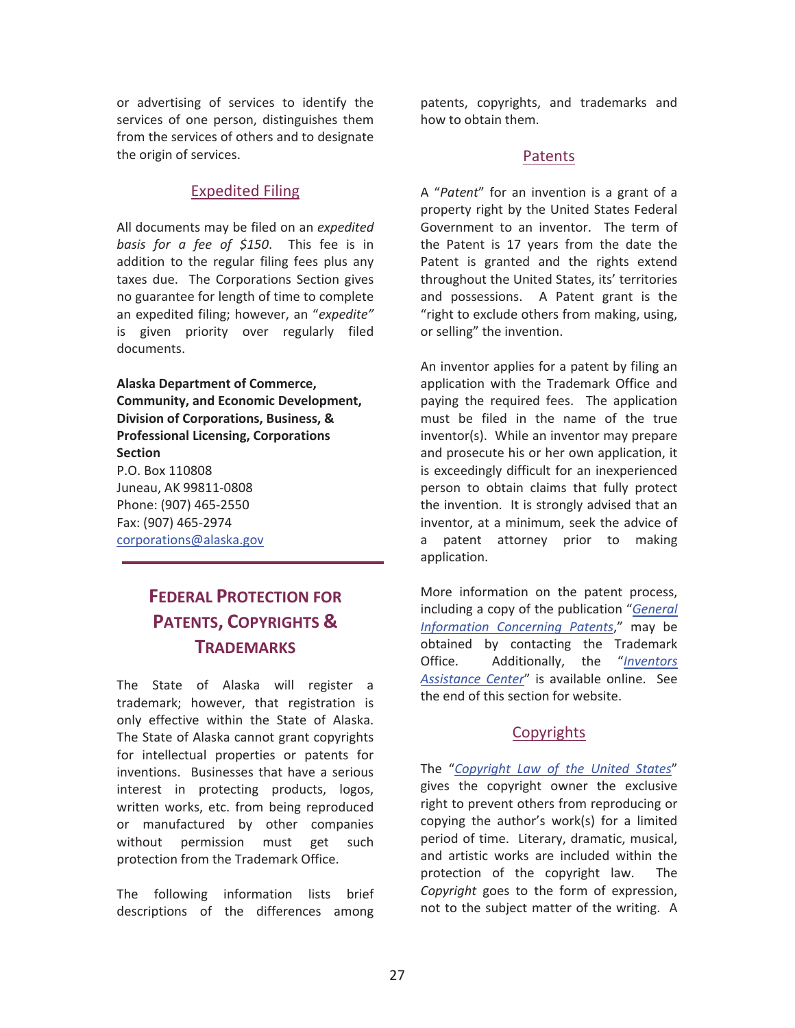or advertising of services to identify the services of one person, distinguishes them from the services of others and to designate the origin of services.

## Expedited Filing

All documents may be filed on an *expedited basis for a fee of \$150*. This fee is in addition to the regular filing fees plus any taxes due. The Corporations Section gives no guarantee for length of time to complete an expedited filing; however, an "*expedite"* is given priority over regularly filed documents.

**Alaska Department of Commerce, Community, and Economic Development, Division of Corporations, Business, & Professional Licensing, Corporations Section** P.O. Box 110808 Juneau, AK 99811-0808 Phone: (907) 465-2550 Fax: (907) 465-2974 corporations@alaska.gov

# **FEDERAL PROTECTION FOR PATENTS, COPYRIGHTS & TRADEMARKS**

The State of Alaska will register a trademark; however, that registration is only effective within the State of Alaska. The State of Alaska cannot grant copyrights for intellectual properties or patents for inventions. Businesses that have a serious interest in protecting products, logos, written works, etc. from being reproduced or manufactured by other companies without permission must get such protection from the Trademark Office.

The following information lists brief descriptions of the differences among

patents, copyrights, and trademarks and how to obtain them.

## Patents

A "*Patent*" for an invention is a grant of a property right by the United States Federal Government to an inventor. The term of the Patent is 17 years from the date the Patent is granted and the rights extend throughout the United States, its' territories and possessions. A Patent grant is the "right to exclude others from making, using, or selling" the invention.

An inventor applies for a patent by filing an application with the Trademark Office and paying the required fees. The application must be filed in the name of the true inventor(s).While an inventor may prepare and prosecute his or her own application, it is exceedingly difficult for an inexperienced person to obtain claims that fully protect the invention. It is strongly advised that an inventor, at a minimum, seek the advice of a patent attorney prior to making application.

More information on the patent process, including a copy of the publication "*General Information Concerning Patents*," may be obtained by contacting the Trademark Office. Additionally, the "*Inventors Assistance Center*" is available online. See the end of this section for website.

# **Copyrights**

The "*Copyright Law of the United States*" gives the copyright owner the exclusive right to prevent others from reproducing or copying the author's work(s) for a limited period of time. Literary, dramatic, musical, and artistic works are included within the protection of the copyright law. The *Copyright* goes to the form of expression, not to the subject matter of the writing. A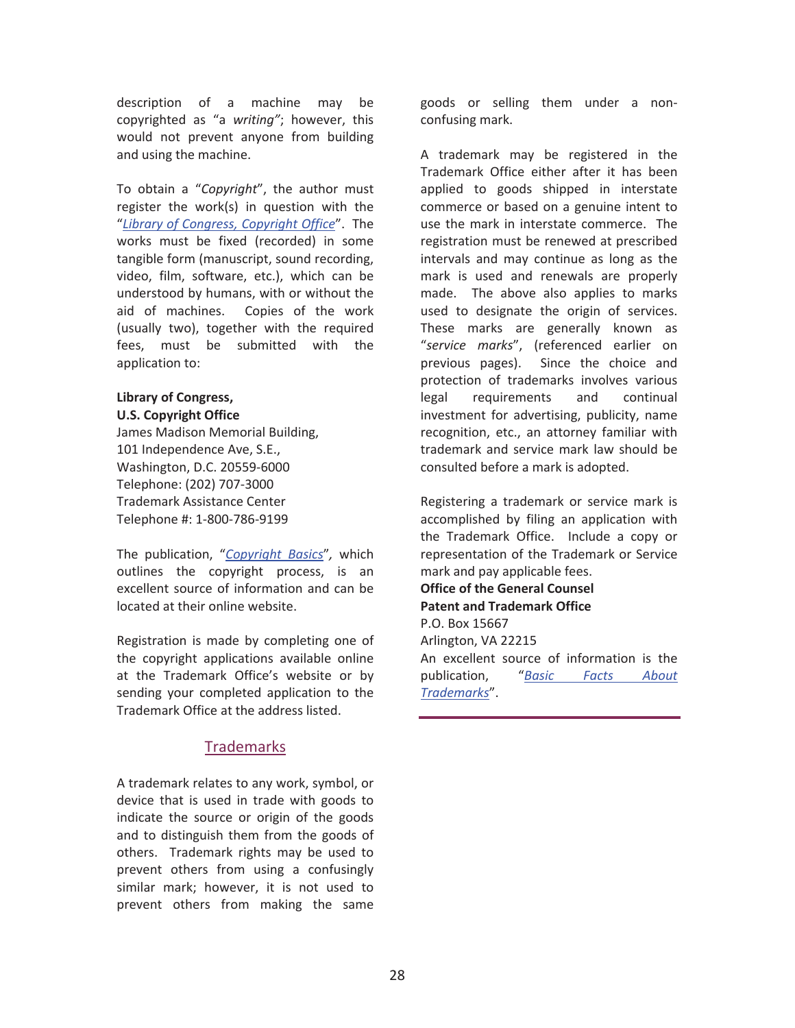description of a machine may be copyrighted as "a *writing"*; however, this would not prevent anyone from building and using the machine.

To obtain a "*Copyright*", the author must register the work(s) in question with the "*Library of Congress, Copyright Office*".The works must be fixed (recorded) in some tangible form (manuscript, sound recording, video, film, software, etc.), which can be understood by humans, with or without the aid of machines. Copies of the work (usually two), together with the required fees, must be submitted with the application to:

#### **Library of Congress, U.S. Copyright Office**

James Madison Memorial Building, 101 Independence Ave, S.E., Washington, D.C. 20559-6000 Telephone: (202) 707-3000 Trademark Assistance Center Telephone #: 1-800-786-9199

The publication, "*Copyright Basics*"*,* which outlines the copyright process, is an excellent source of information and can be located at their online website.

Registration is made by completing one of the copyright applications available online at the Trademark Office's website or by sending your completed application to the Trademark Office at the address listed.

# Trademarks

A trademark relates to any work, symbol, or device that is used in trade with goods to indicate the source or origin of the goods and to distinguish them from the goods of others. Trademark rights may be used to prevent others from using a confusingly similar mark; however, it is not used to prevent others from making the same

goods or selling them under a nonconfusing mark.

A trademark may be registered in the Trademark Office either after it has been applied to goods shipped in interstate commerce or based on a genuine intent to use the mark in interstate commerce. The registration must be renewed at prescribed intervals and may continue as long as the mark is used and renewals are properly made. The above also applies to marks used to designate the origin of services. These marks are generally known as "*service marks*", (referenced earlier on previous pages). Since the choice and protection of trademarks involves various legal requirements and continual investment for advertising, publicity, name recognition, etc., an attorney familiar with trademark and service mark law should be consulted before a mark is adopted.

Registering a trademark or service mark is accomplished by filing an application with the Trademark Office. Include a copy or representation of the Trademark or Service mark and pay applicable fees. **Office of the General Counsel Patent and Trademark Office** P.O. Box 15667 Arlington, VA 22215 An excellent source of information is the publication, "*Basic Facts About Trademarks*".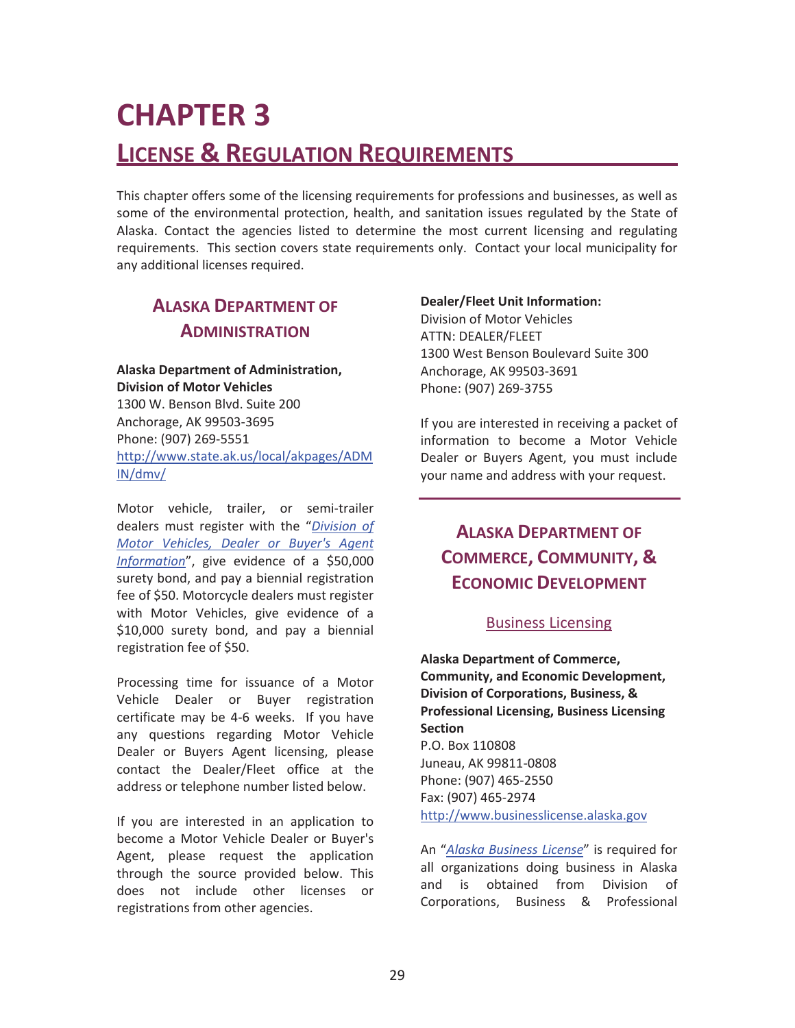# **CHAPTER 3 LICENSE & REGULATION REQUIREMENTS**

This chapter offers some of the licensing requirements for professions and businesses, as well as some of the environmental protection, health, and sanitation issues regulated by the State of Alaska. Contact the agencies listed to determine the most current licensing and regulating requirements. This section covers state requirements only. Contact your local municipality for any additional licenses required.

# **ALASKA DEPARTMENT OF ADMINISTRATION**

## **Alaska Department of Administration, Division of Motor Vehicles**

1300 W. Benson Blvd. Suite 200 Anchorage, AK 99503-3695 Phone: (907) 269-5551 http://www.state.ak.us/local/akpages/ADM IN/dmv/

Motor vehicle, trailer, or semi-trailer dealers must register with the "*Division of Motor Vehicles, Dealer or Buyer's Agent Information*", give evidence of a \$50,000 surety bond, and pay a biennial registration fee of \$50. Motorcycle dealers must register with Motor Vehicles, give evidence of a \$10,000 surety bond, and pay a biennial registration fee of \$50.

Processing time for issuance of a Motor Vehicle Dealer or Buyer registration certificate may be 4-6 weeks. If you have any questions regarding Motor Vehicle Dealer or Buyers Agent licensing, please contact the Dealer/Fleet office at the address or telephone number listed below.

If you are interested in an application to become a Motor Vehicle Dealer or Buyer's Agent, please request the application through the source provided below. This does not include other licenses or registrations from other agencies.

#### **Dealer/Fleet Unit Information:**

Division of Motor Vehicles ATTN: DEALER/FLEET 1300 West Benson Boulevard Suite 300 Anchorage, AK 99503-3691 Phone: (907) 269-3755

If you are interested in receiving a packet of information to become a Motor Vehicle Dealer or Buyers Agent, you must include your name and address with your request.

# **ALASKA DEPARTMENT OF COMMERCE, COMMUNITY, & ECONOMIC DEVELOPMENT**

## Business Licensing

**Alaska Department of Commerce, Community, and Economic Development, Division of Corporations, Business, & Professional Licensing, Business Licensing Section** P.O. Box 110808 Juneau, AK 99811-0808 Phone: (907) 465-2550 Fax: (907) 465-2974 http://www.businesslicense.alaska.gov

An "*Alaska Business License*" is required for all organizations doing business in Alaska and is obtained from Division of Corporations, Business & Professional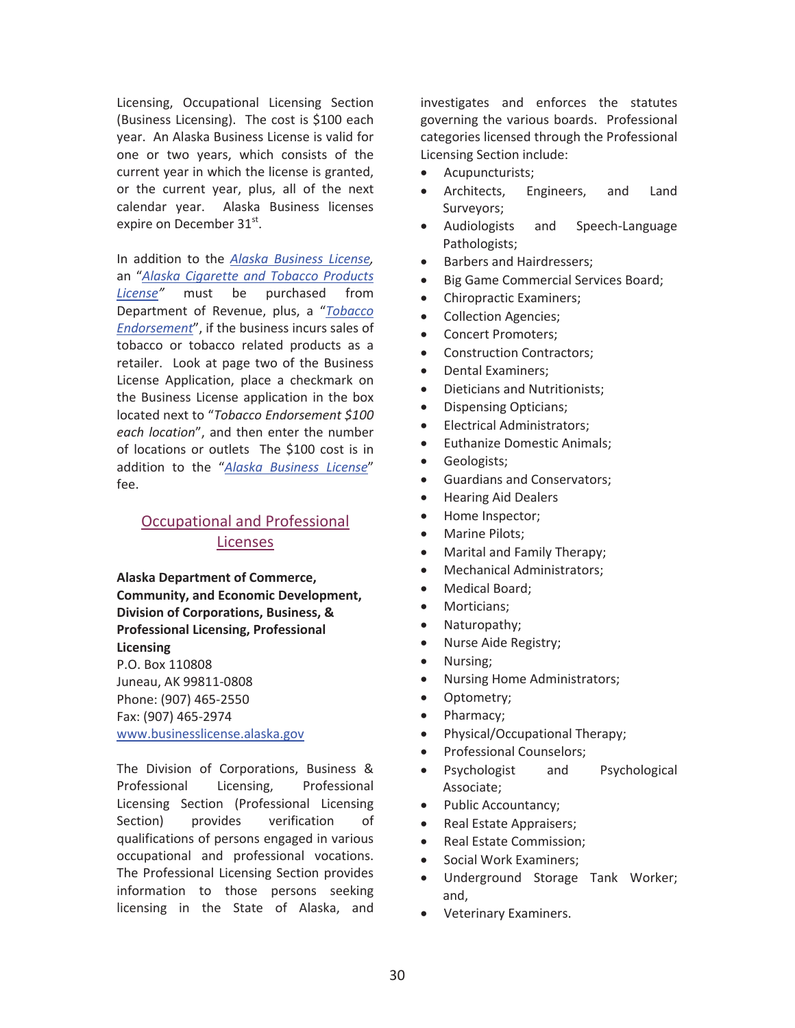Licensing, Occupational Licensing Section (Business Licensing). The cost is \$100 each year. An Alaska Business License is valid for one or two years, which consists of the current year in which the license is granted, or the current year, plus, all of the next calendar year. Alaska Business licenses expire on December 31<sup>st</sup>.

In addition to the *Alaska Business License,* an "*Alaska Cigarette and Tobacco Products License"* must be purchased from Department of Revenue, plus, a "*Tobacco Endorsement*", if the business incurs sales of tobacco or tobacco related products as a retailer. Look at page two of the Business License Application, place a checkmark on the Business License application in the box located next to "*Tobacco Endorsement \$100 each location*", and then enter the number of locations or outlets The \$100 cost is in addition to the "*Alaska Business License*" fee.

# Occupational and Professional **Licenses**

**Alaska Department of Commerce, Community, and Economic Development, Division of Corporations, Business, & Professional Licensing, Professional Licensing**

P.O. Box 110808 Juneau, AK 99811-0808 Phone: (907) 465-2550 Fax: (907) 465-2974 www.businesslicense.alaska.gov

The Division of Corporations, Business & Professional Licensing, Professional Licensing Section (Professional Licensing Section) provides verification of qualifications of persons engaged in various occupational and professional vocations. The Professional Licensing Section provides information to those persons seeking licensing in the State of Alaska, and investigates and enforces the statutes governing the various boards. Professional categories licensed through the Professional Licensing Section include:

- Acupuncturists;
- Architects, Engineers, and Land Surveyors;
- Audiologists and Speech-Language Pathologists;
- Barbers and Hairdressers;
- Big Game Commercial Services Board;
- Chiropractic Examiners;
- Collection Agencies;
- Concert Promoters;
- Construction Contractors:
- Dental Examiners;
- Dieticians and Nutritionists;
- Dispensing Opticians;
- Electrical Administrators;
- **•** Euthanize Domestic Animals;
- Geologists;
- Guardians and Conservators;
- Hearing Aid Dealers
- Home Inspector;
- Marine Pilots;
- Marital and Family Therapy;
- Mechanical Administrators;
- Medical Board:
- Morticians:
- Naturopathy;
- Nurse Aide Registry;
- Nursing;
- Nursing Home Administrators;
- Optometry;
- Pharmacy;
- Physical/Occupational Therapy;
- Professional Counselors;
- Psychologist and Psychological Associate;
- Public Accountancy;
- Real Estate Appraisers;
- Real Estate Commission;
- Social Work Examiners:
- Underground Storage Tank Worker; and,
- Veterinary Examiners.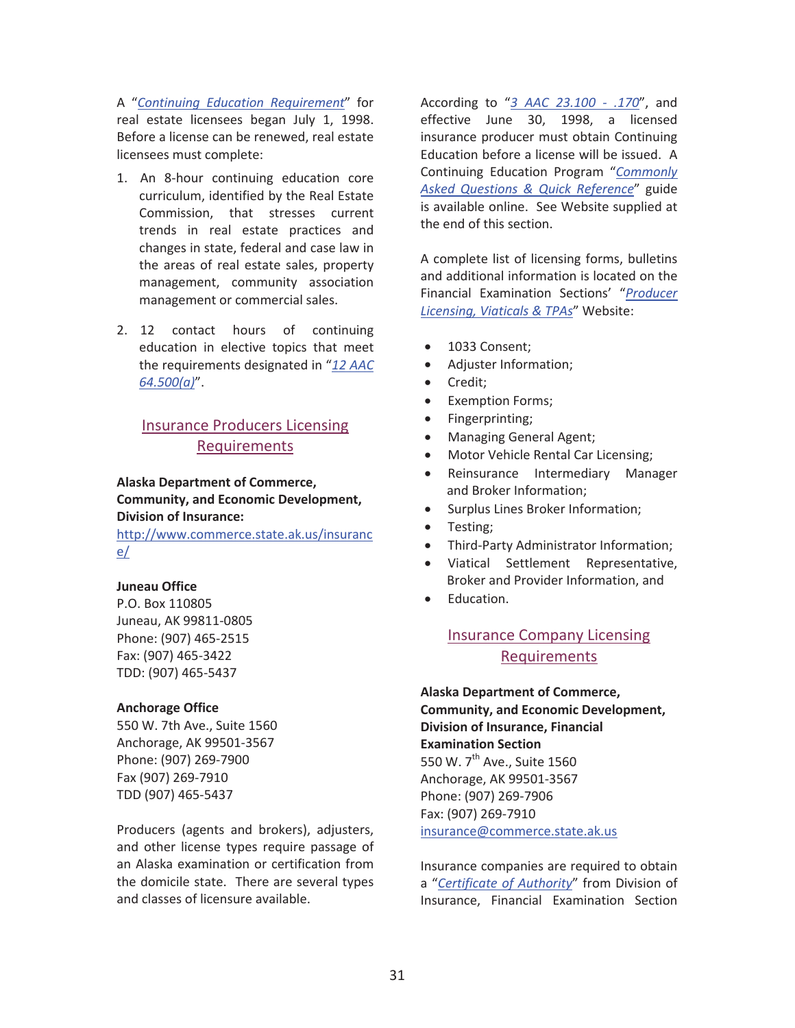A "*Continuing Education Requirement*" for real estate licensees began July 1, 1998. Before a license can be renewed, real estate licensees must complete:

- 1. An 8-hour continuing education core curriculum, identified by the Real Estate Commission, that stresses current trends in real estate practices and changes in state, federal and case law in the areas of real estate sales, property management, community association management or commercial sales.
- 2. 12 contact hours of continuing education in elective topics that meet the requirements designated in "*12 AAC 64.500(a)*".

# Insurance Producers Licensing Requirements

**Alaska Department of Commerce, Community, and Economic Development, Division of Insurance:**

http://www.commerce.state.ak.us/insuranc e/

#### **Juneau Office**

P.O. Box 110805 Juneau, AK 99811-0805 Phone: (907) 465-2515 Fax: (907) 465-3422 TDD: (907) 465-5437

#### **Anchorage Office**

550 W. 7th Ave., Suite 1560 Anchorage, AK 99501-3567 Phone: (907) 269-7900 Fax (907) 269-7910 TDD (907) 465-5437

Producers (agents and brokers), adjusters, and other license types require passage of an Alaska examination or certification from the domicile state. There are several types and classes of licensure available.

According to "3 AAC 23.100  $-$  .170", and effective June 30, 1998, a licensed insurance producer must obtain Continuing Education before a license will be issued. A Continuing Education Program "*Commonly Asked Questions & Quick Reference*" guide is available online. See Website supplied at the end of this section.

A complete list of licensing forms, bulletins and additional information is located on the Financial Examination Sections' "*Producer Licensing, Viaticals & TPAs*" Website:

- 1033 Consent:
- Adjuster Information;
- Credit:
- Exemption Forms;
- Fingerprinting;
- Managing General Agent;
- Motor Vehicle Rental Car Licensing;
- Reinsurance Intermediary Manager and Broker Information;
- Surplus Lines Broker Information;
- Testing;
- Third-Party Administrator Information;
- x Viatical Settlement Representative, Broker and Provider Information, and
- Education.

# Insurance Company Licensing Requirements

**Alaska Department of Commerce, Community, and Economic Development, Division of Insurance, Financial Examination Section** 550 W. 7<sup>th</sup> Ave., Suite 1560 Anchorage, AK 99501-3567 Phone: (907) 269-7906 Fax: (907) 269-7910 insurance@commerce.state.ak.us

Insurance companies are required to obtain a "*Certificate of Authority*" from Division of Insurance, Financial Examination Section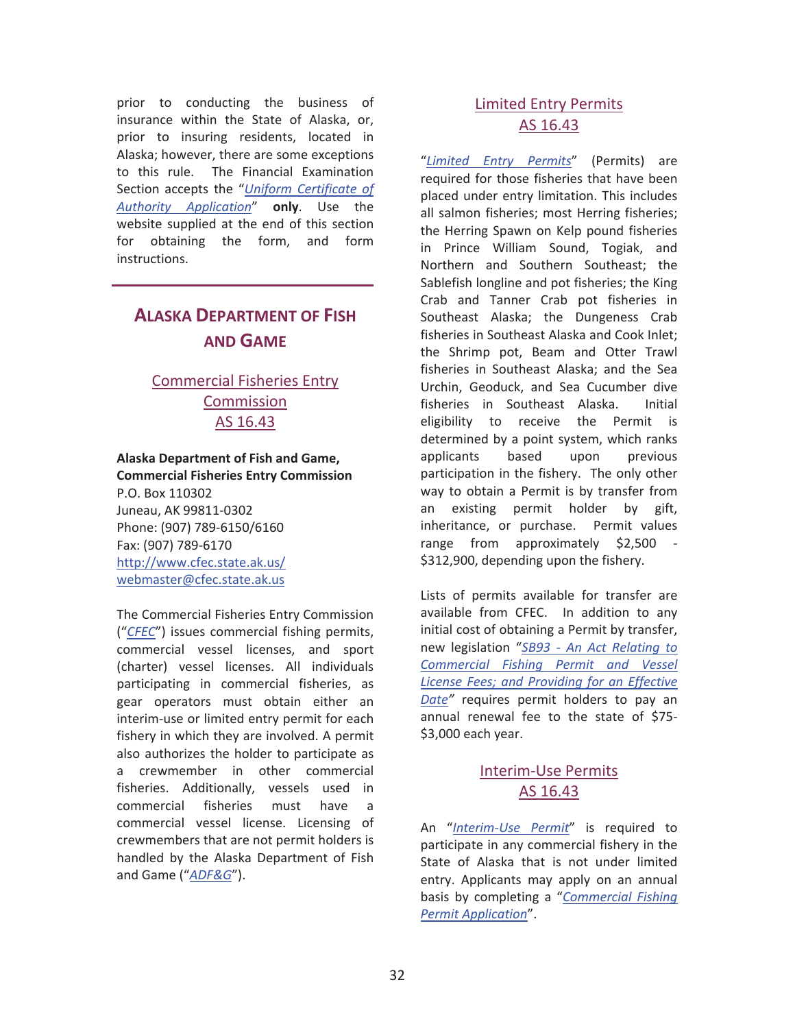prior to conducting the business of insurance within the State of Alaska, or, prior to insuring residents, located in Alaska; however, there are some exceptions to this rule. The Financial Examination Section accepts the "*Uniform Certificate of Authority Application*" **only**. Use the website supplied at the end of this section for obtaining the form, and form instructions.

# **ALASKA DEPARTMENT OF FISH AND GAME**

# Commercial Fisheries Entry **Commission** AS 16.43

#### **Alaska Department of Fish and Game, Commercial Fisheries Entry Commission**

P.O. Box 110302 Juneau, AK 99811-0302 Phone: (907) 789-6150/6160 Fax: (907) 789-6170 http://www.cfec.state.ak.us/ webmaster@cfec.state.ak.us

The Commercial Fisheries Entry Commission ("*CFEC*") issues commercial fishing permits, commercial vessel licenses, and sport (charter) vessel licenses. All individuals participating in commercial fisheries, as gear operators must obtain either an interim-use or limited entry permit for each fishery in which they are involved. A permit also authorizes the holder to participate as a crewmember in other commercial fisheries. Additionally, vessels used in commercial fisheries must have a commercial vessel license. Licensing of crewmembers that are not permit holders is handled by the Alaska Department of Fish and Game ("*ADF&G*").

# Limited Entry Permits AS 16.43

"*Limited Entry Permits*" (Permits) are required for those fisheries that have been placed under entry limitation. This includes all salmon fisheries; most Herring fisheries; the Herring Spawn on Kelp pound fisheries in Prince William Sound, Togiak, and Northern and Southern Southeast; the Sablefish longline and pot fisheries; the King Crab and Tanner Crab pot fisheries in Southeast Alaska; the Dungeness Crab fisheries in Southeast Alaska and Cook Inlet; the Shrimp pot, Beam and Otter Trawl fisheries in Southeast Alaska; and the Sea Urchin, Geoduck, and Sea Cucumber dive fisheries in Southeast Alaska. Initial eligibility to receive the Permit is determined by a point system, which ranks applicants based upon previous participation in the fishery. The only other way to obtain a Permit is by transfer from an existing permit holder by gift, inheritance, or purchase. Permit values range from approximately \$2,500 -\$312,900, depending upon the fishery.

Lists of permits available for transfer are available from CFEC. In addition to any initial cost of obtaining a Permit by transfer, new legislation "*SB93 Ͳ An Act Relating to Commercial Fishing Permit and Vessel License Fees; and Providing for an Effective Date"* requires permit holders to pay an annual renewal fee to the state of \$75-\$3,000 each year.

# Interim-Use Permits AS 16.43

An "*InterimͲUse Permit*" is required to participate in any commercial fishery in the State of Alaska that is not under limited entry. Applicants may apply on an annual basis by completing a "*Commercial Fishing Permit Application*".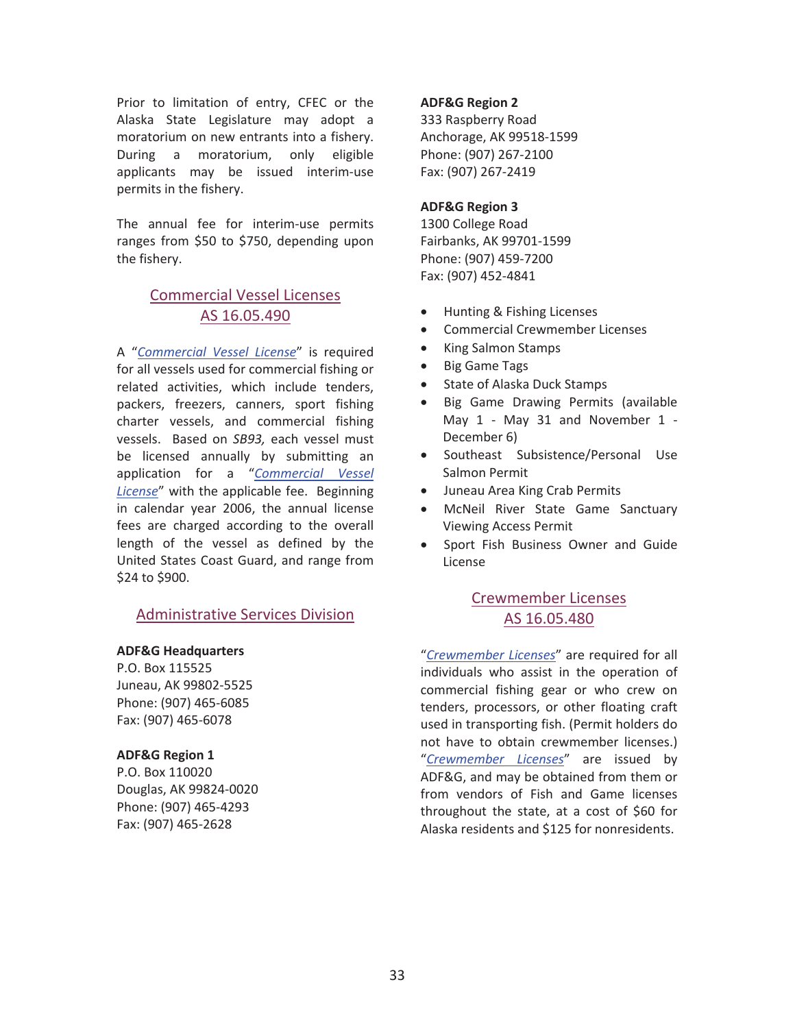Prior to limitation of entry, CFEC or the Alaska State Legislature may adopt a moratorium on new entrants into a fishery. During a moratorium, only eligible applicants may be issued interim-use permits in the fishery.

The annual fee for interim-use permits ranges from \$50 to \$750, depending upon the fishery.

# Commercial Vessel Licenses AS 16.05.490

A "*Commercial Vessel License*" is required for all vessels used for commercial fishing or related activities, which include tenders, packers, freezers, canners, sport fishing charter vessels, and commercial fishing vessels. Based on *SB93,* each vessel must be licensed annually by submitting an application for a "*Commercial Vessel* License" with the applicable fee. Beginning in calendar year 2006, the annual license fees are charged according to the overall length of the vessel as defined by the United States Coast Guard, and range from \$24 to \$900.

## Administrative Services Division

#### **ADF&G Headquarters**

P.O. Box 115525 Juneau, AK 99802-5525 Phone: (907) 465-6085 Fax: (907) 465-6078

## **ADF&G Region 1**

P.O. Box 110020 Douglas, AK 99824Ͳ0020 Phone: (907) 465-4293 Fax: (907) 465-2628

#### **ADF&G Region 2**

333 Raspberry Road Anchorage, AK 99518-1599 Phone: (907) 267-2100 Fax: (907) 267-2419

#### **ADF&G Region 3**

1300 College Road Fairbanks, AK 99701-1599 Phone: (907) 459-7200 Fax: (907) 452-4841

- Hunting & Fishing Licenses
- x Commercial Crewmember Licenses
- King Salmon Stamps
- Big Game Tags
- State of Alaska Duck Stamps
- Big Game Drawing Permits (available May  $1$  - May 31 and November  $1$  -December 6)
- Southeast Subsistence/Personal Use Salmon Permit
- Juneau Area King Crab Permits
- McNeil River State Game Sanctuary Viewing Access Permit
- Sport Fish Business Owner and Guide License

# Crewmember Licenses AS 16.05.480

"*Crewmember Licenses*" are required for all individuals who assist in the operation of commercial fishing gear or who crew on tenders, processors, or other floating craft used in transporting fish. (Permit holders do not have to obtain crewmember licenses.) "*Crewmember Licenses*" are issued by ADF&G, and may be obtained from them or from vendors of Fish and Game licenses throughout the state, at a cost of \$60 for Alaska residents and \$125 for nonresidents.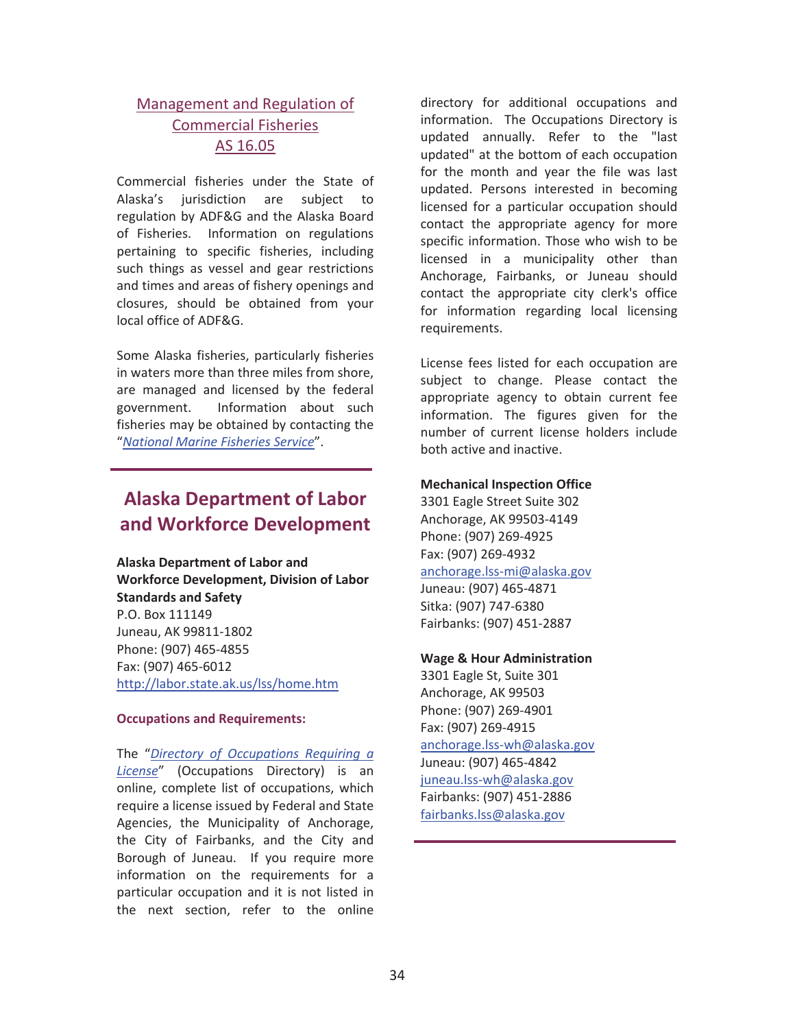# Management and Regulation of Commercial Fisheries AS 16.05

Commercial fisheries under the State of Alaska's jurisdiction are subject to regulation by ADF&G and the Alaska Board of Fisheries. Information on regulations pertaining to specific fisheries, including such things as vessel and gear restrictions and times and areas of fishery openings and closures, should be obtained from your local office of ADF&G.

Some Alaska fisheries, particularly fisheries in waters more than three miles from shore, are managed and licensed by the federal government. Information about such fisheries may be obtained by contacting the "*National Marine Fisheries Service*".

# **Alaska Department of Labor and Workforce Development**

## **Alaska Department of Labor and Workforce Development, Division of Labor Standards and Safety** P.O. Box 111149 Juneau, AK 99811-1802 Phone: (907) 465-4855 Fax: (907) 465-6012 http://labor.state.ak.us/lss/home.htm

#### **Occupations and Requirements:**

The "*Directory of Occupations Requiring a License*" (Occupations Directory) is an online, complete list of occupations, which require a license issued by Federal and State Agencies, the Municipality of Anchorage, the City of Fairbanks, and the City and Borough of Juneau. If you require more information on the requirements for a particular occupation and it is not listed in the next section, refer to the online

directory for additional occupations and information. The Occupations Directory is updated annually. Refer to the "last updated" at the bottom of each occupation for the month and year the file was last updated. Persons interested in becoming licensed for a particular occupation should contact the appropriate agency for more specific information. Those who wish to be licensed in a municipality other than Anchorage, Fairbanks, or Juneau should contact the appropriate city clerk's office for information regarding local licensing requirements.

License fees listed for each occupation are subject to change. Please contact the appropriate agency to obtain current fee information. The figures given for the number of current license holders include both active and inactive.

#### **Mechanical Inspection Office**

3301 Eagle Street Suite 302 Anchorage, AK 99503-4149 Phone: (907) 269-4925 Fax: (907) 269-4932 anchorage.lss-mi@alaska.gov Juneau: (907) 465-4871 Sitka: (907) 747-6380 Fairbanks: (907) 451-2887

#### **Wage & Hour Administration**

3301 Eagle St, Suite 301 Anchorage, AK 99503 Phone: (907) 269-4901 Fax: (907) 269-4915 anchorage.lss-wh@alaska.gov Juneau: (907) 465-4842 juneau.lss-wh@alaska.gov Fairbanks: (907) 451-2886 fairbanks.lss@alaska.gov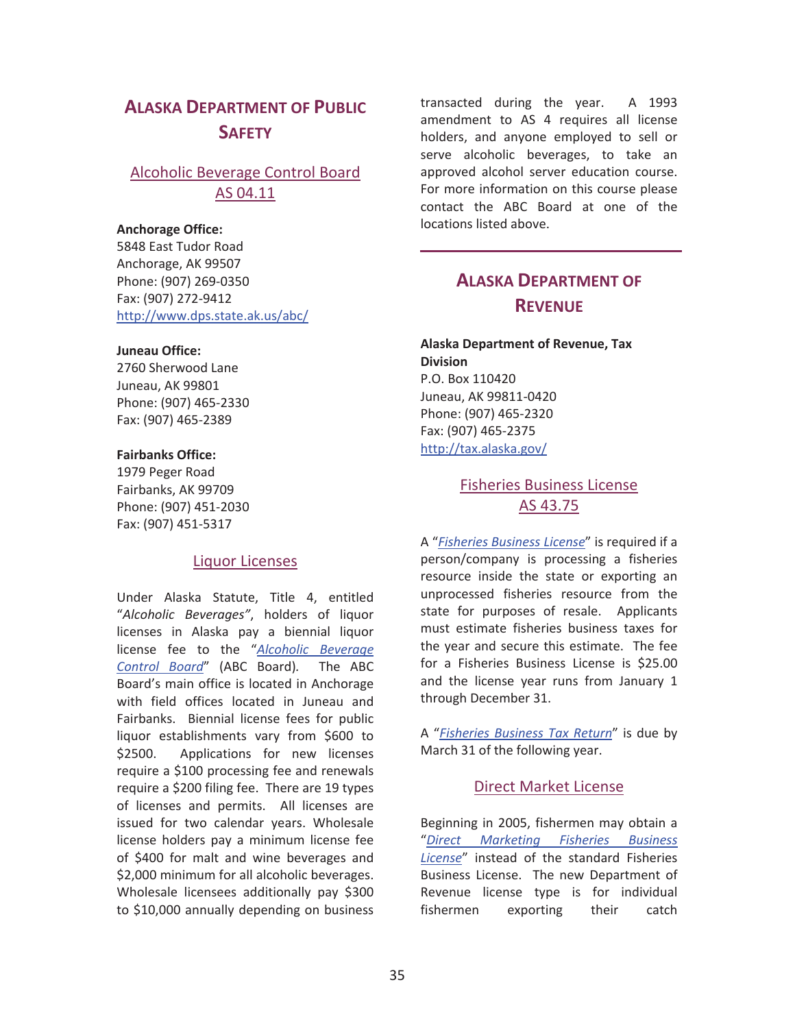# **ALASKA DEPARTMENT OF PUBLIC SAFETY**

# Alcoholic Beverage Control Board AS 04.11

#### **Anchorage Office:**

5848 East Tudor Road Anchorage, AK 99507 Phone: (907) 269-0350 Fax: (907) 272-9412 http://www.dps.state.ak.us/abc/

## **Juneau Office:**

2760 Sherwood Lane Juneau, AK 99801 Phone: (907) 465-2330 Fax: (907) 465-2389

#### **Fairbanks Office:**

1979 Peger Road Fairbanks, AK 99709 Phone: (907) 451-2030 Fax: (907) 451-5317

## Liquor Licenses

Under Alaska Statute, Title 4, entitled "*Alcoholic Beverages"*, holders of liquor licenses in Alaska pay a biennial liquor license fee to the "*Alcoholic Beverage Control Board*" (ABC Board)*.* The ABC Board's main office is located in Anchorage with field offices located in Juneau and Fairbanks. Biennial license fees for public liquor establishments vary from \$600 to \$2500. Applications for new licenses require a \$100 processing fee and renewals require a \$200 filing fee. There are 19 types of licenses and permits. All licenses are issued for two calendar years. Wholesale license holders pay a minimum license fee of \$400 for malt and wine beverages and \$2,000 minimum for all alcoholic beverages. Wholesale licensees additionally pay \$300 to \$10,000 annually depending on business

transacted during the year. A 1993 amendment to AS 4 requires all license holders, and anyone employed to sell or serve alcoholic beverages, to take an approved alcohol server education course. For more information on this course please contact the ABC Board at one of the locations listed above.

# **ALASKA DEPARTMENT OF REVENUE**

**Alaska Department of Revenue, Tax Division** P.O. Box 110420 Juneau, AK 99811-0420 Phone: (907) 465-2320 Fax: (907) 465-2375 http://tax.alaska.gov/

# Fisheries Business License AS 43.75

A "*Fisheries Business License*" is required if a person/company is processing a fisheries resource inside the state or exporting an unprocessed fisheries resource from the state for purposes of resale. Applicants must estimate fisheries business taxes for the year and secure this estimate. The fee for a Fisheries Business License is \$25.00 and the license year runs from January 1 through December 31.

A "*Fisheries Business Tax Return*" is due by March 31 of the following year.

## Direct Market License

Beginning in 2005, fishermen may obtain a "*Direct Marketing Fisheries Business License*" instead of the standard Fisheries Business License. The new Department of Revenue license type is for individual fishermen exporting their catch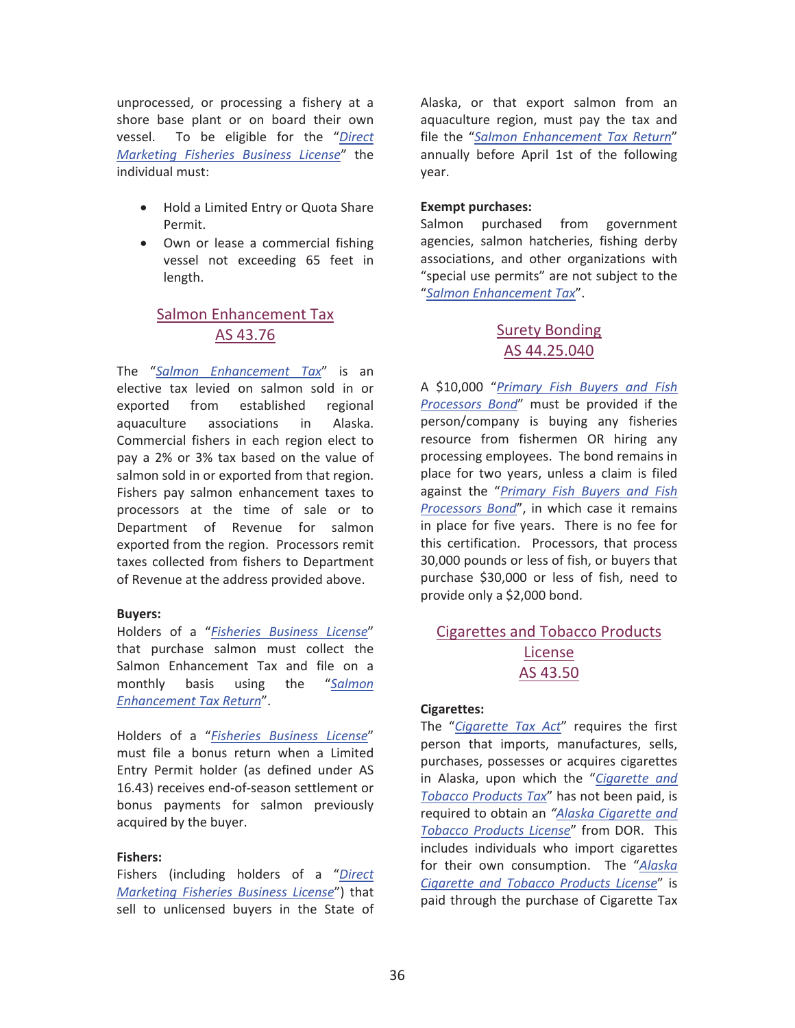unprocessed, or processing a fishery at a shore base plant or on board their own vessel. To be eligible for the "*Direct Marketing Fisheries Business License*" the individual must:

- Hold a Limited Entry or Quota Share Permit.
- Own or lease a commercial fishing vessel not exceeding 65 feet in length.

# Salmon Enhancement Tax AS 43.76

The "*Salmon Enhancement Tax*" is an elective tax levied on salmon sold in or exported from established regional aquaculture associations in Alaska. Commercial fishers in each region elect to pay a 2% or 3% tax based on the value of salmon sold in or exported from that region. Fishers pay salmon enhancement taxes to processors at the time of sale or to Department of Revenue for salmon exported from the region. Processors remit taxes collected from fishers to Department of Revenue at the address provided above.

## **Buyers:**

Holders of a "*Fisheries Business License*" that purchase salmon must collect the Salmon Enhancement Tax and file on a monthly basis using the "*Salmon Enhancement Tax Return*".

Holders of a "*Fisheries Business License*" must file a bonus return when a Limited Entry Permit holder (as defined under AS 16.43) receives end-of-season settlement or bonus payments for salmon previously acquired by the buyer.

## **Fishers:**

Fishers (including holders of a "*Direct Marketing Fisheries Business License*") that sell to unlicensed buyers in the State of Alaska, or that export salmon from an aquaculture region, must pay the tax and file the "*Salmon Enhancement Tax Return*" annually before April 1st of the following year.

#### **Exempt purchases:**

Salmon purchased from government agencies, salmon hatcheries, fishing derby associations, and other organizations with "special use permits" are not subject to the "*Salmon Enhancement Tax*".

# Surety Bonding AS 44.25.040

A \$10,000 "*Primary Fish Buyers and Fish Processors Bond*" must be provided if the person/company is buying any fisheries resource from fishermen OR hiring any processing employees. The bond remains in place for two years, unless a claim is filed against the "*Primary Fish Buyers and Fish Processors Bond*", in which case it remains in place for five years. There is no fee for this certification. Processors, that process 30,000 pounds or less of fish, or buyers that purchase \$30,000 or less of fish, need to provide only a \$2,000 bond.

# Cigarettes and Tobacco Products License AS 43.50

## **Cigarettes:**

The "*Cigarette Tax Act*" requires the first person that imports, manufactures, sells, purchases, possesses or acquires cigarettes in Alaska, upon which the "*Cigarette and Tobacco Products Tax*" has not been paid, is required to obtain an *"Alaska Cigarette and Tobacco Products License*" from DOR. This includes individuals who import cigarettes for their own consumption. The "*Alaska Cigarette and Tobacco Products License*" is paid through the purchase of Cigarette Tax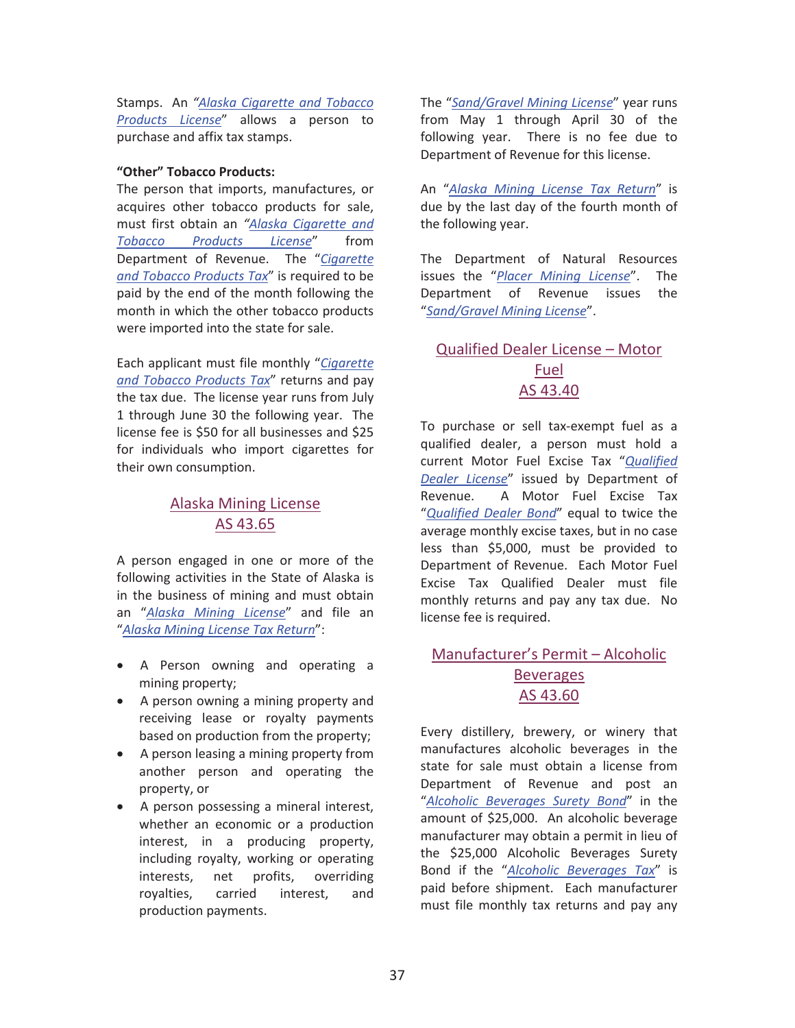Stamps.An *"Alaska Cigarette and Tobacco Products License*" allows a person to purchase and affix tax stamps.

#### **"Other" Tobacco Products:**

The person that imports, manufactures, or acquires other tobacco products for sale, must first obtain an *"Alaska Cigarette and Tobacco Products License*" from Department of Revenue. The "*Cigarette and Tobacco Products Tax*" is required to be paid by the end of the month following the month in which the other tobacco products were imported into the state for sale.

Each applicant must file monthly "*Cigarette and Tobacco Products Tax*" returns and pay the tax due. The license year runs from July 1 through June 30 the following year. The license fee is \$50 for all businesses and \$25 for individuals who import cigarettes for their own consumption.

## Alaska Mining License AS 43.65

A person engaged in one or more of the following activities in the State of Alaska is in the business of mining and must obtain an "*Alaska Mining License*" and file an "*Alaska Mining License Tax Return*":

- A Person owning and operating a mining property;
- A person owning a mining property and receiving lease or royalty payments based on production from the property;
- A person leasing a mining property from another person and operating the property, or
- A person possessing a mineral interest, whether an economic or a production interest, in a producing property, including royalty, working or operating interests, net profits, overriding royalties, carried interest, and production payments.

The "*Sand/Gravel Mining License*" year runs from May 1 through April 30 of the following year. There is no fee due to Department of Revenue for this license.

An "*Alaska Mining License Tax Return*" is due by the last day of the fourth month of the following year.

The Department of Natural Resources issues the "*Placer Mining License*". The Department of Revenue issues the "*Sand/Gravel Mining License*".

## Qualified Dealer License – Motor Fuel AS 43.40

To purchase or sell tax-exempt fuel as a qualified dealer, a person must hold a current Motor Fuel Excise Tax "*Qualified Dealer License*" issued by Department of Revenue. A Motor Fuel Excise Tax "*Qualified Dealer Bond*" equal to twice the average monthly excise taxes, but in no case less than \$5,000, must be provided to Department of Revenue. Each Motor Fuel Excise Tax Qualified Dealer must file monthly returns and pay any tax due. No license fee is required.

## Manufacturer's Permit – Alcoholic Beverages AS 43.60

Every distillery, brewery, or winery that manufactures alcoholic beverages in the state for sale must obtain a license from Department of Revenue and post an "*Alcoholic Beverages Surety Bond*" in the amount of \$25,000. An alcoholic beverage manufacturer may obtain a permit in lieu of the \$25,000 Alcoholic Beverages Surety Bond if the "*Alcoholic Beverages Tax*" is paid before shipment. Each manufacturer must file monthly tax returns and pay any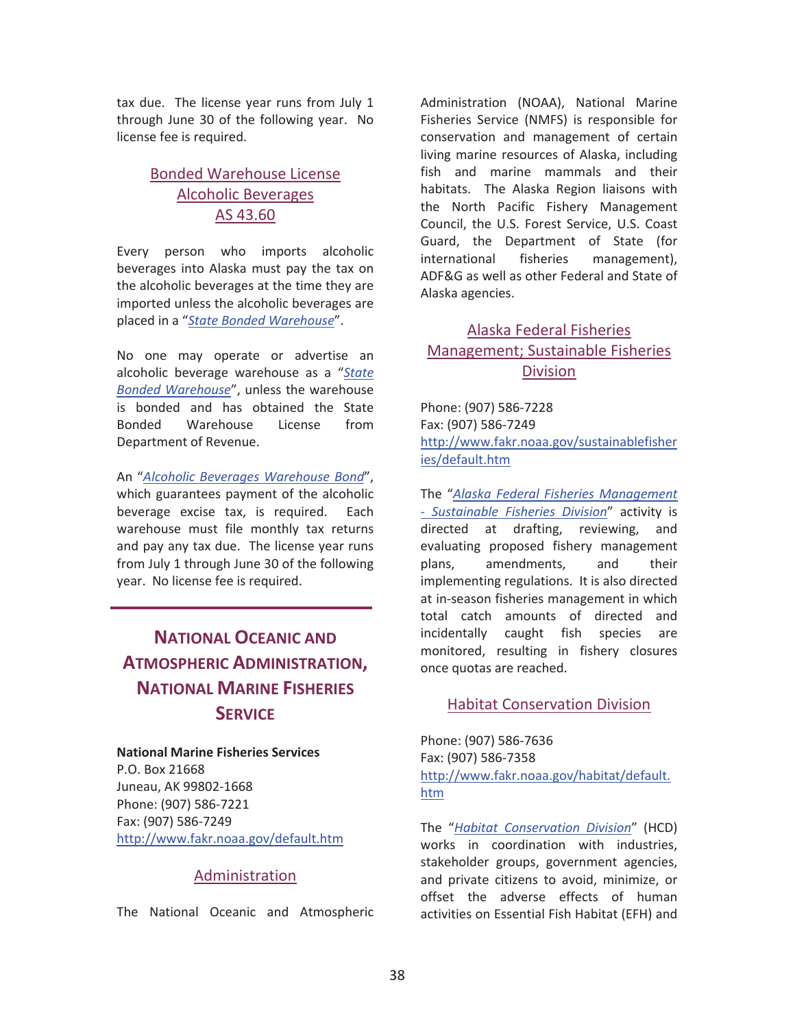tax due. The license year runs from July 1 through June 30 of the following year. No license fee is required.

## Bonded Warehouse License Alcoholic Beverages AS 43.60

Every person who imports alcoholic beverages into Alaska must pay the tax on the alcoholic beverages at the time they are imported unless the alcoholic beverages are placed in a "*State Bonded Warehouse*".

No one may operate or advertise an alcoholic beverage warehouse as a "*State Bonded Warehouse*", unless the warehouse is bonded and has obtained the State Bonded Warehouse License from Department of Revenue.

An "*Alcoholic Beverages Warehouse Bond*", which guarantees payment of the alcoholic beverage excise tax, is required. Each warehouse must file monthly tax returns and pay any tax due. The license year runs from July 1 through June 30 of the following year. No license fee is required.

# **NATIONAL OCEANIC AND ATMOSPHERIC ADMINISTRATION, NATIONAL MARINE FISHERIES SERVICE**

#### **National Marine Fisheries Services**

P.O. Box 21668 Juneau, AK 99802-1668 Phone: (907) 586-7221 Fax: (907) 586-7249 http://www.fakr.noaa.gov/default.htm

#### Administration

The National Oceanic and Atmospheric

Administration (NOAA), National Marine Fisheries Service (NMFS) is responsible for conservation and management of certain living marine resources of Alaska, including fish and marine mammals and their habitats. The Alaska Region liaisons with the North Pacific Fishery Management Council, the U.S. Forest Service, U.S. Coast Guard, the Department of State (for international fisheries management), ADF&G as well as other Federal and State of Alaska agencies.

## Alaska Federal Fisheries Management; Sustainable Fisheries Division

Phone: (907) 586-7228 Fax: (907) 586-7249 http://www.fakr.noaa.gov/sustainablefisher ies/default.htm

The "*Alaska Federal Fisheries Management Ͳ Sustainable Fisheries Division*" activity is directed at drafting, reviewing, and evaluating proposed fishery management plans, amendments, and their implementing regulations. It is also directed at in-season fisheries management in which total catch amounts of directed and incidentally caught fish species are monitored, resulting in fishery closures once quotas are reached.

#### Habitat Conservation Division

Phone: (907) 586-7636 Fax: (907) 586-7358 http://www.fakr.noaa.gov/habitat/default. htm

The "*Habitat Conservation Division*" (HCD) works in coordination with industries, stakeholder groups, government agencies, and private citizens to avoid, minimize, or offset the adverse effects of human activities on Essential Fish Habitat (EFH) and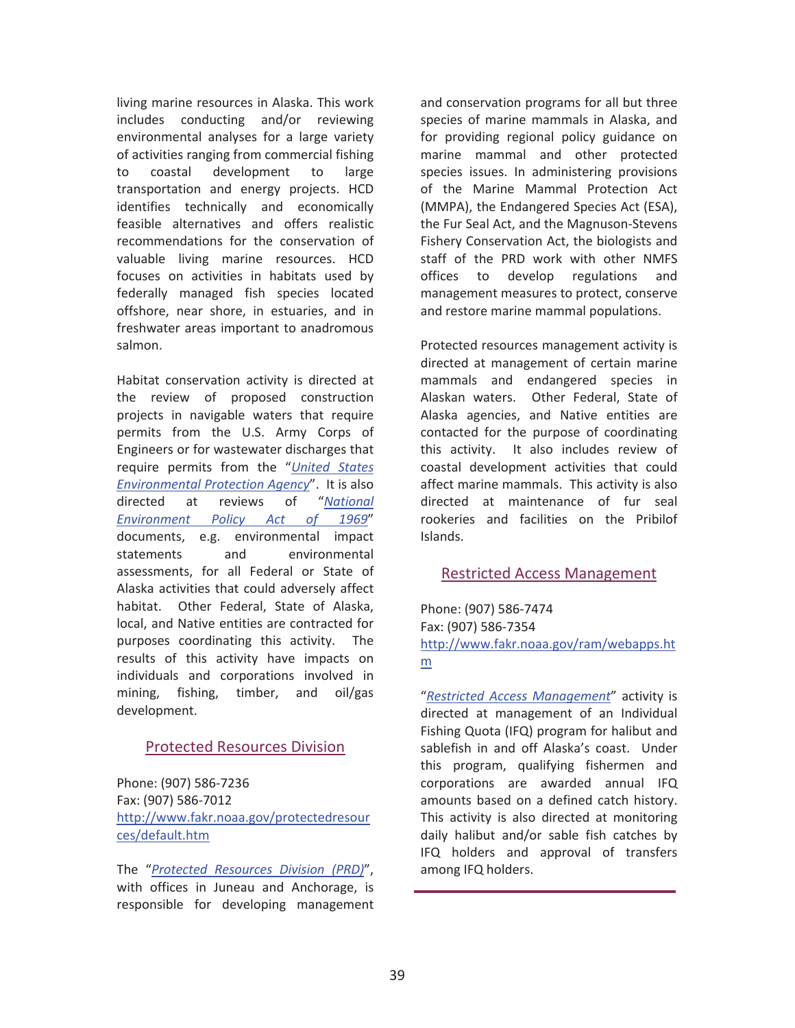living marine resources in Alaska. This work includes conducting and/or reviewing environmental analyses for a large variety of activities ranging from commercial fishing to coastal development to large transportation and energy projects. HCD identifies technically and economically feasible alternatives and offers realistic recommendations for the conservation of valuable living marine resources. HCD focuses on activities in habitats used by federally managed fish species located offshore, near shore, in estuaries, and in freshwater areas important to anadromous salmon.

Habitat conservation activity is directed at the review of proposed construction projects in navigable waters that require permits from the U.S. Army Corps of Engineers or for wastewater discharges that require permits from the "*United States Environmental Protection Agency*. It is also directed at reviews of "*National Environment Policy Act of 1969*" documents, e.g. environmental impact statements and environmental assessments, for all Federal or State of Alaska activities that could adversely affect habitat. Other Federal, State of Alaska, local, and Native entities are contracted for purposes coordinating this activity. The results of this activity have impacts on individuals and corporations involved in mining, fishing, timber, and oil/gas development.

#### Protected Resources Division

Phone: (907) 586-7236 Fax: (907) 586-7012 http://www.fakr.noaa.gov/protectedresour ces/default.htm

The "*Protected Resources Division (PRD)*", with offices in Juneau and Anchorage, is responsible for developing management and conservation programs for all but three species of marine mammals in Alaska, and for providing regional policy guidance on marine mammal and other protected species issues. In administering provisions of the Marine Mammal Protection Act (MMPA), the Endangered Species Act (ESA), the Fur Seal Act, and the Magnuson-Stevens Fishery Conservation Act, the biologists and staff of the PRD work with other NMFS offices to develop regulations and management measures to protect, conserve and restore marine mammal populations.

Protected resources management activity is directed at management of certain marine mammals and endangered species in Alaskan waters. Other Federal, State of Alaska agencies, and Native entities are contacted for the purpose of coordinating this activity. It also includes review of coastal development activities that could affect marine mammals. This activity is also directed at maintenance of fur seal rookeries and facilities on the Pribilof Islands.

#### Restricted Access Management

Phone: (907) 586-7474 Fax: (907) 586-7354 http://www.fakr.noaa.gov/ram/webapps.ht m

"*Restricted Access Management*" activity is directed at management of an Individual Fishing Quota (IFQ) program for halibut and sablefish in and off Alaska's coast. Under this program, qualifying fishermen and corporations are awarded annual IFQ amounts based on a defined catch history. This activity is also directed at monitoring daily halibut and/or sable fish catches by IFQ holders and approval of transfers among IFQ holders.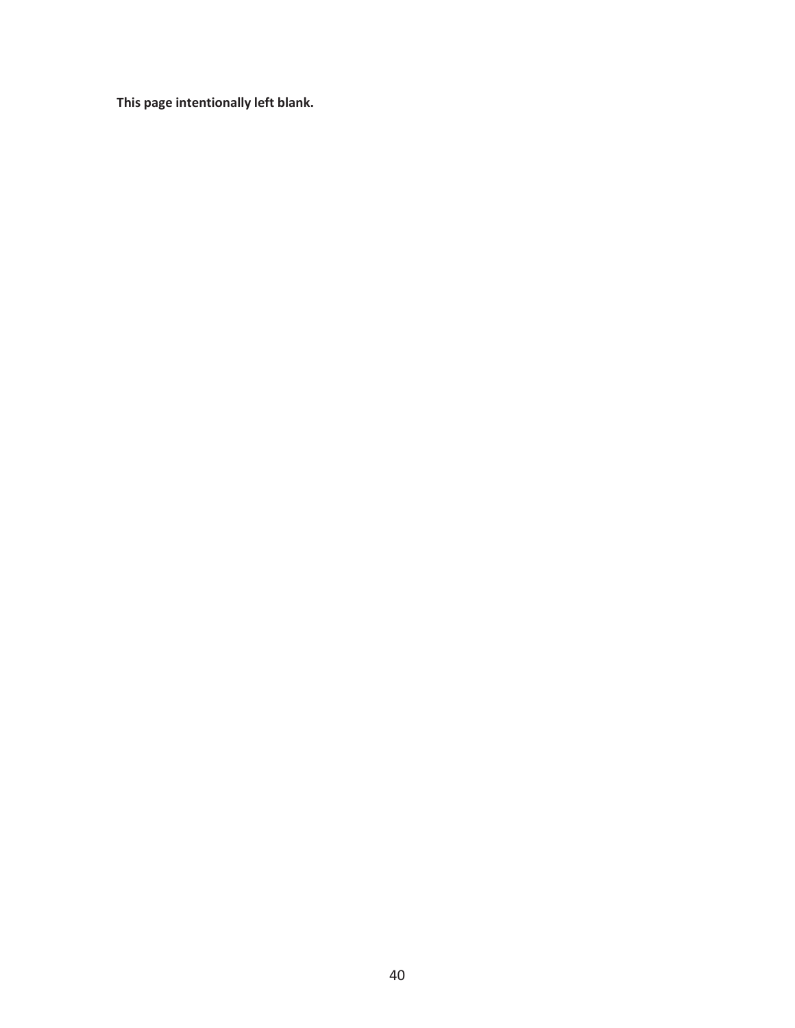**This page intentionally left blank.**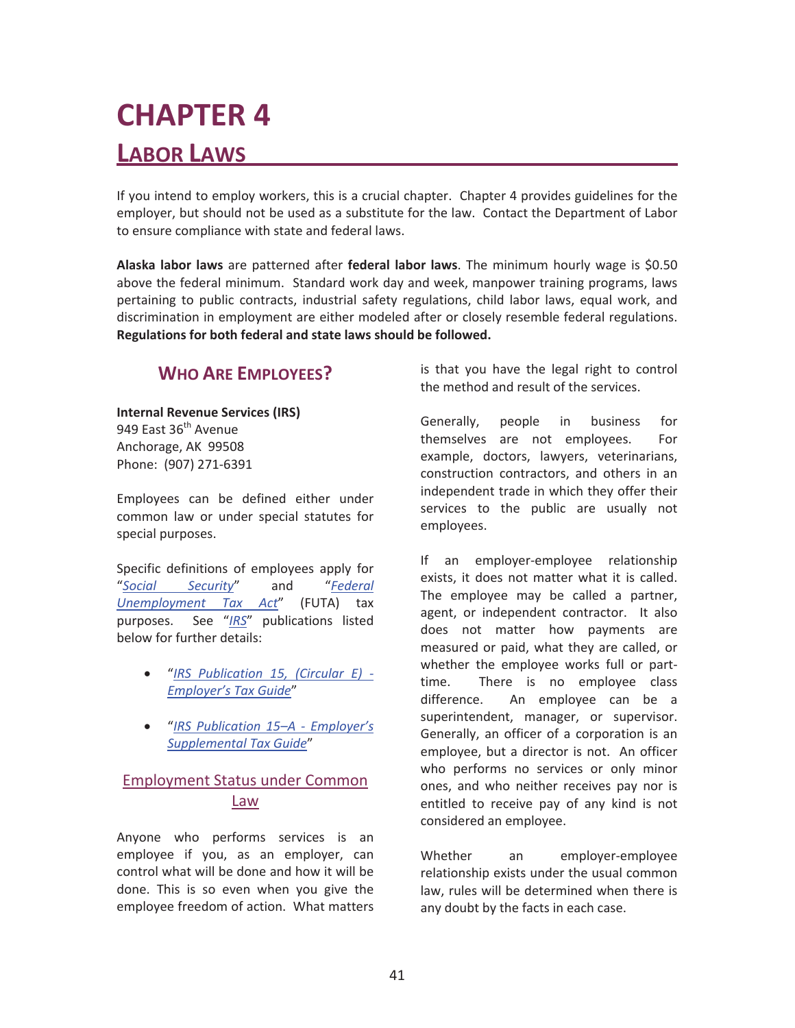# **CHAPTER 4 LABOR LAWS**

If you intend to employ workers, this is a crucial chapter. Chapter 4 provides guidelines for the employer, but should not be used as a substitute for the law.Contact the Department of Labor to ensure compliance with state and federal laws.

**Alaska labor laws** are patterned after **federal labor laws**. The minimum hourly wage is \$0.50 above the federal minimum. Standard work day and week, manpower training programs, laws pertaining to public contracts, industrial safety regulations, child labor laws, equal work, and discrimination in employment are either modeled after or closely resemble federal regulations. **Regulations for both federal and state laws should be followed.**

# **WHO ARE EMPLOYEES?**

**Internal Revenue Services (IRS)** 949 East 36<sup>th</sup> Avenue Anchorage, AK99508 Phone: (907) 271-6391

Employees can be defined either under common law or under special statutes for special purposes.

Specific definitions of employees apply for "*Social Security*" and "*Federal Unemployment Tax Act*" (FUTA) tax purposes. See "*IRS*" publications listed below for further details:

- *"IRS Publication 15, (Circular E)* -*Employer's Tax Guide*"
- **•** "IRS Publication 15–A Employer's *Supplemental Tax Guide*"

## Employment Status under Common Law

Anyone who performs services is an employee if you, as an employer, can control what will be done and how it will be done. This is so even when you give the employee freedom of action. What matters is that you have the legal right to control the method and result of the services.

Generally, people in business for themselves are not employees. For example, doctors, lawyers, veterinarians, construction contractors, and others in an independent trade in which they offer their services to the public are usually not employees.

If an employer-employee relationship exists, it does not matter what it is called. The employee may be called a partner, agent, or independent contractor. It also does not matter how payments are measured or paid, what they are called, or whether the employee works full or parttime. There is no employee class difference. An employee can be a superintendent, manager, or supervisor. Generally, an officer of a corporation is an employee, but a director is not. An officer who performs no services or only minor ones, and who neither receives pay nor is entitled to receive pay of any kind is not considered an employee.

Whether an employer-employee relationship exists under the usual common law, rules will be determined when there is any doubt by the facts in each case.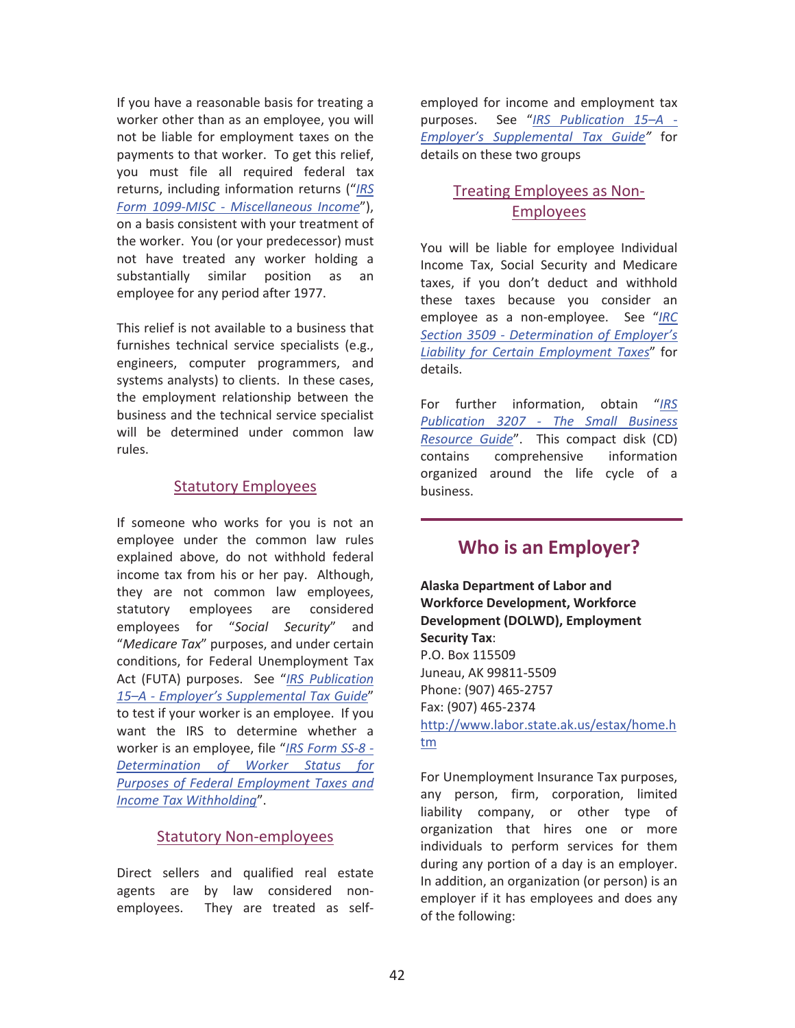If you have a reasonable basis for treating a worker other than as an employee, you will not be liable for employment taxes on the payments to that worker. To get this relief, you must file all required federal tax returns, including information returns ("*IRS Form 1099ͲMISC Ͳ Miscellaneous Income*"), on a basis consistent with your treatment of the worker. You (or your predecessor) must not have treated any worker holding a substantially similar position as an employee for any period after 1977.

This relief is not available to a business that furnishes technical service specialists (e.g., engineers, computer programmers, and systems analysts) to clients. In these cases, the employment relationship between the business and the technical service specialist will be determined under common law rules.

## Statutory Employees

If someone who works for you is not an employee under the common law rules explained above, do not withhold federal income tax from his or her pay. Although, they are not common law employees, statutory employees are considered employees for "*Social Security*" and "*Medicare Tax*" purposes, and under certain conditions, for Federal Unemployment Tax Act (FUTA) purposes. See "*IRS Publication 15–AͲEmployer's Supplemental Tax Guide*" to test if your worker is an employee. If you want the IRS to determine whether a  $i$  worker is an employee, file "IRS Form SS-8 -*Determination of Worker Status for Purposes of Federal Employment Taxes and Income Tax Withholding*".

#### Statutory Non-employees

Direct sellers and qualified real estate agents are by law considered nonemployees. They are treated as selfemployed for income and employment tax purposes. See "IRS Publication 15-A -*Employer's Supplemental Tax Guide"* for details on these two groups

## Treating Employees as Non-Employees

You will be liable for employee Individual Income Tax, Social Security and Medicare taxes, if you don't deduct and withhold these taxes because you consider an employee as a nonͲemployee. See "*IRC Section 3509 ͲDetermination of Employer's Liability for Certain Employment Taxes*" for details.

For further information, obtain "*IRS Publication 3207 Ͳ The Small Business Resource Guide*". This compact disk (CD) contains comprehensive information organized around the life cycle of a business.

# **Who is an Employer?**

**Alaska Department of Labor and Workforce Development, Workforce Development (DOLWD), Employment Security Tax**: P.O. Box 115509 Juneau, AK 99811-5509 Phone: (907) 465-2757 Fax: (907) 465-2374 http://www.labor.state.ak.us/estax/home.h tm

For Unemployment Insurance Tax purposes, any person, firm, corporation, limited liability company, or other type of organization that hires one or more individuals to perform services for them during any portion of a day is an employer. In addition, an organization (or person) is an employer if it has employees and does any of the following: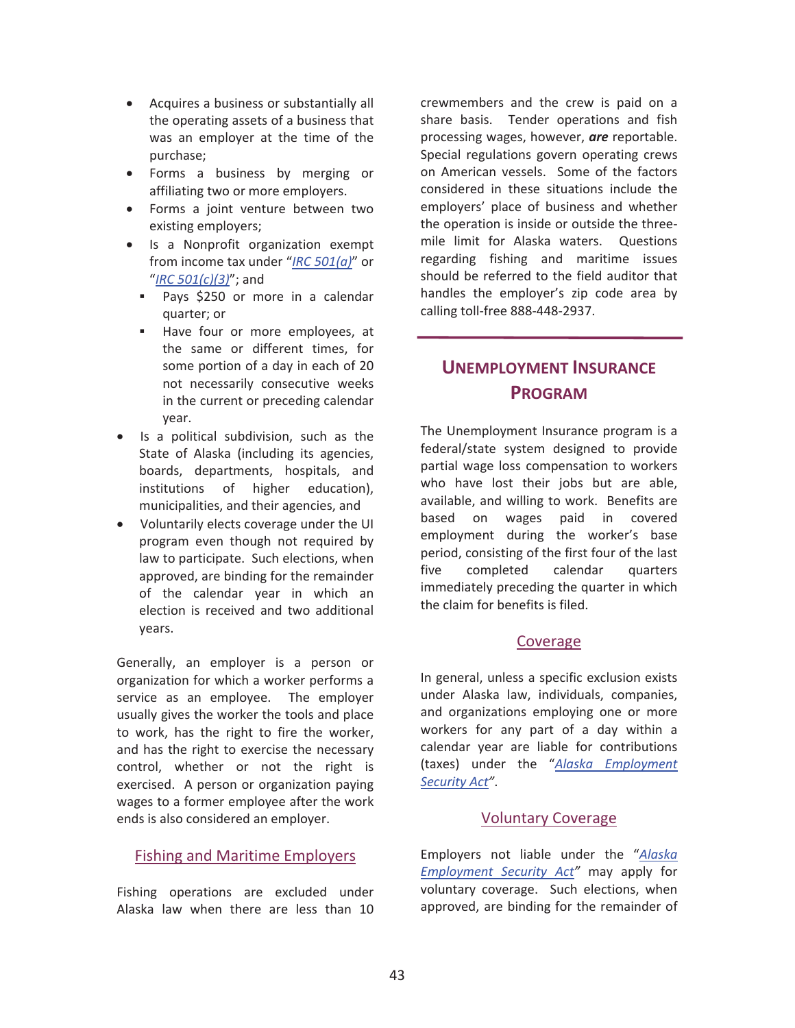- Acquires a business or substantially all the operating assets of a business that was an employer at the time of the purchase;
- Forms a business by merging or affiliating two or more employers.
- Forms a joint venture between two existing employers;
- Is a Nonprofit organization exempt from income tax under "*IRC 501(a)*" or "*IRC 501(c)(3)*"; and
	- Pays \$250 or more in a calendar quarter; or
	- Have four or more employees, at the same or different times, for some portion of a day in each of 20 not necessarily consecutive weeks in the current or preceding calendar year.
- Is a political subdivision, such as the State of Alaska (including its agencies, boards, departments, hospitals, and institutions of higher education), municipalities, and their agencies, and
- x Voluntarily elects coverage under the UI program even though not required by law to participate. Such elections, when approved, are binding for the remainder of the calendar year in which an election is received and two additional years.

Generally, an employer is a person or organization for which a worker performs a service as an employee. The employer usually gives the worker the tools and place to work, has the right to fire the worker, and has the right to exercise the necessary control, whether or not the right is exercised. A person or organization paying wages to a former employee after the work ends is also considered an employer.

#### Fishing and Maritime Employers

Fishing operations are excluded under Alaska law when there are less than 10

crewmembers and the crew is paid on a share basis. Tender operations and fish processing wages, however, *are* reportable. Special regulations govern operating crews on American vessels. Some of the factors considered in these situations include the employers' place of business and whether the operation is inside or outside the threemile limit for Alaska waters. Questions regarding fishing and maritime issues should be referred to the field auditor that handles the employer's zip code area by calling toll-free 888-448-2937.

# **UNEMPLOYMENT INSURANCE PROGRAM**

The Unemployment Insurance program is a federal/state system designed to provide partial wage loss compensation to workers who have lost their jobs but are able, available, and willing to work. Benefits are based on wages paid in covered employment during the worker's base period, consisting of the first four of the last five completed calendar quarters immediately preceding the quarter in which the claim for benefits is filed.

#### Coverage

In general, unless a specific exclusion exists under Alaska law, individuals, companies, and organizations employing one or more workers for any part of a day within a calendar year are liable for contributions (taxes) under the "*Alaska Employment Security Act"*.

#### Voluntary Coverage

Employers not liable under the "*Alaska Employment Security Act"* may apply for voluntary coverage. Such elections, when approved, are binding for the remainder of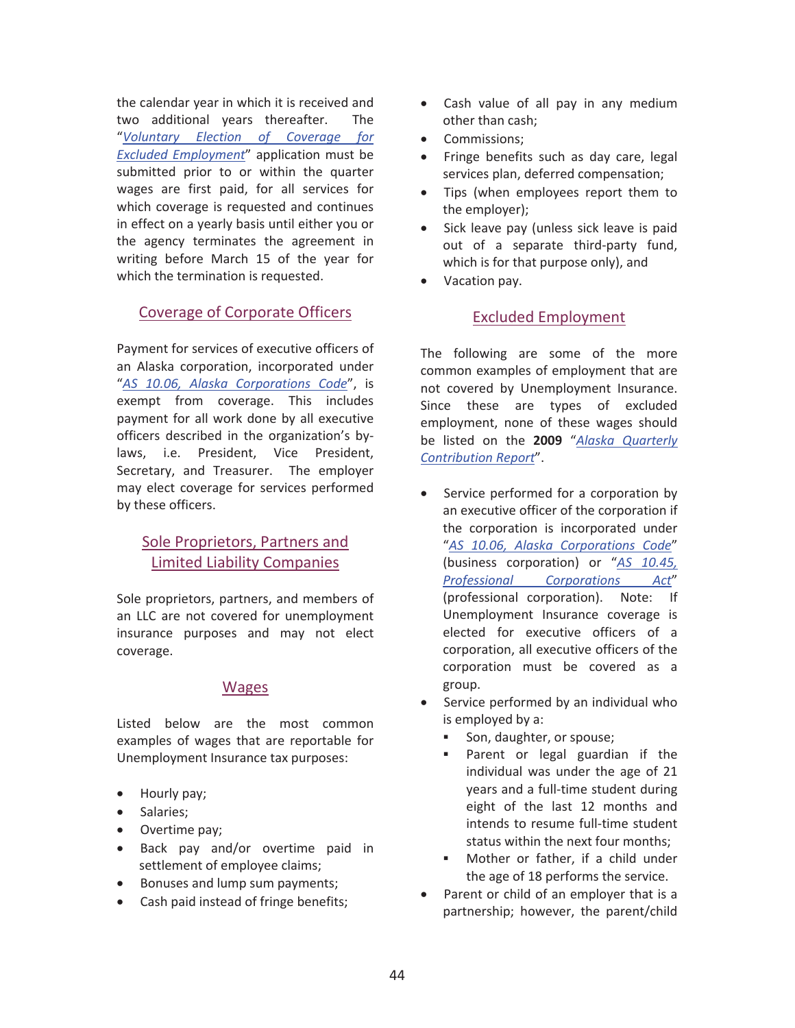the calendar year in which it is received and two additional years thereafter. The "*Voluntary Election of Coverage for Excluded Employment*" application must be submitted prior to or within the quarter wages are first paid, for all services for which coverage is requested and continues in effect on a yearly basis until either you or the agency terminates the agreement in writing before March 15 of the year for which the termination is requested.

## Coverage of Corporate Officers

Payment for services of executive officers of an Alaska corporation, incorporated under "*AS 10.06, Alaska Corporations Code*", is exempt from coverage. This includes payment for all work done by all executive officers described in the organization's bylaws, i.e. President, Vice President, Secretary, and Treasurer. The employer may elect coverage for services performed by these officers.

## Sole Proprietors, Partners and Limited Liability Companies

Sole proprietors, partners, and members of an LLC are not covered for unemployment insurance purposes and may not elect coverage.

#### Wages

Listed below are the most common examples of wages that are reportable for Unemployment Insurance tax purposes:

- $\bullet$  Hourly pay;
- Salaries;
- $\bullet$  Overtime pay;
- Back pay and/or overtime paid in settlement of employee claims;
- Bonuses and lump sum payments;
- Cash paid instead of fringe benefits;
- Cash value of all pay in any medium other than cash;
- Commissions:
- Fringe benefits such as day care, legal services plan, deferred compensation;
- Tips (when employees report them to the employer);
- Sick leave pay (unless sick leave is paid out of a separate third-party fund, which is for that purpose only), and
- Vacation pay.

## Excluded Employment

The following are some of the more common examples of employment that are not covered by Unemployment Insurance. Since these are types of excluded employment, none of these wages should be listed on the **2009** "*Alaska Quarterly Contribution Report*".

- Service performed for a corporation by an executive officer of the corporation if the corporation is incorporated under "*AS 10.06, Alaska Corporations Code*" (business corporation) or "*AS 10.45, Professional Corporations Act*" (professional corporation). Note: If Unemployment Insurance coverage is elected for executive officers of a corporation, all executive officers of the corporation must be covered as a group.
- Service performed by an individual who is employed by a:
	- Son, daughter, or spouse;
	- Parent or legal guardian if the individual was under the age of 21 years and a full-time student during eight of the last 12 months and intends to resume full-time student status within the next four months;
	- Mother or father, if a child under the age of 18 performs the service.
- Parent or child of an employer that is a partnership; however, the parent/child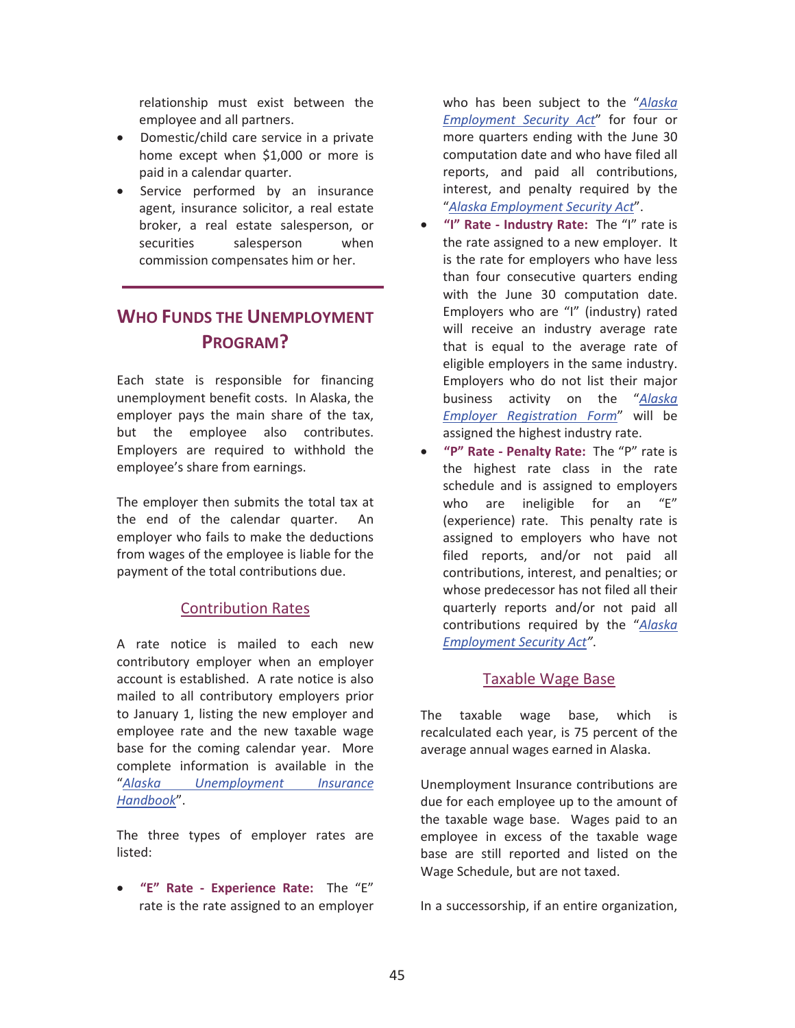relationship must exist between the employee and all partners.

- Domestic/child care service in a private home except when \$1,000 or more is paid in a calendar quarter.
- Service performed by an insurance agent, insurance solicitor, a real estate broker, a real estate salesperson, or securities salesperson when commission compensates him or her.

# **WHO FUNDS THE UNEMPLOYMENT PROGRAM?**

Each state is responsible for financing unemployment benefit costs. In Alaska, the employer pays the main share of the tax, but the employee also contributes. Employers are required to withhold the employee's share from earnings.

The employer then submits the total tax at the end of the calendar quarter. An employer who fails to make the deductions from wages of the employee is liable for the payment of the total contributions due.

## Contribution Rates

A rate notice is mailed to each new contributory employer when an employer account is established. A rate notice is also mailed to all contributory employers prior to January 1, listing the new employer and employee rate and the new taxable wage base for the coming calendar year. More complete information is available in the "*Alaska Unemployment Insurance Handbook*".

The three types of employer rates are listed:

**•** "E" Rate - Experience Rate: The "E" rate is the rate assigned to an employer

who has been subject to the "*Alaska Employment Security Act*" for four or more quarters ending with the June 30 computation date and who have filed all reports, and paid all contributions, interest, and penalty required by the "*Alaska Employment Security Act*".

- **•** "I" Rate Industry Rate: The "I" rate is the rate assigned to a new employer. It is the rate for employers who have less than four consecutive quarters ending with the June 30 computation date. Employers who are "I" (industry) rated will receive an industry average rate that is equal to the average rate of eligible employers in the same industry. Employers who do not list their major business activity on the "*Alaska Employer Registration Form*" will be assigned the highest industry rate.
- **"P"** Rate Penalty Rate: The "P" rate is the highest rate class in the rate schedule and is assigned to employers who are ineligible for an "E" (experience) rate. This penalty rate is assigned to employers who have not filed reports, and/or not paid all contributions, interest, and penalties; or whose predecessor has not filed all their quarterly reports and/or not paid all contributions required by the "*Alaska Employment Security Act"*.

## Taxable Wage Base

The taxable wage base, which is recalculated each year, is 75 percent of the average annual wages earned in Alaska.

Unemployment Insurance contributions are due for each employee up to the amount of the taxable wage base. Wages paid to an employee in excess of the taxable wage base are still reported and listed on the Wage Schedule, but are not taxed.

In a successorship, if an entire organization,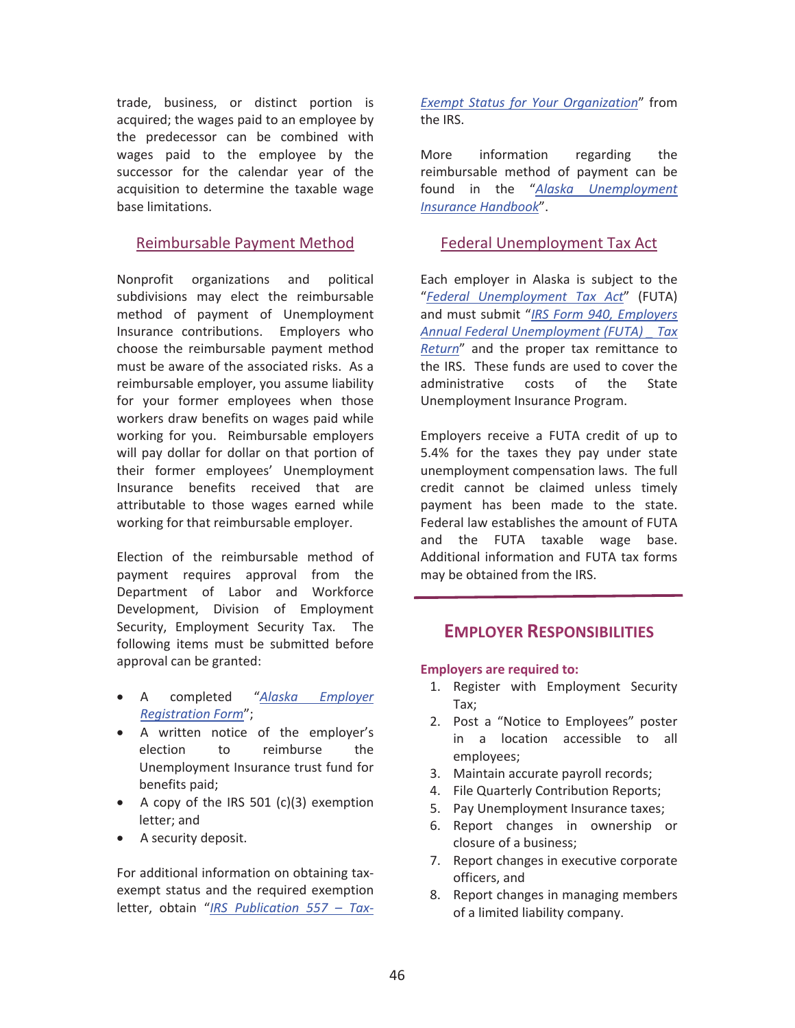trade, business, or distinct portion is acquired; the wages paid to an employee by the predecessor can be combined with wages paid to the employee by the successor for the calendar year of the acquisition to determine the taxable wage base limitations.

## Reimbursable Payment Method

Nonprofit organizations and political subdivisions may elect the reimbursable method of payment of Unemployment Insurance contributions. Employers who choose the reimbursable payment method must be aware of the associated risks. As a reimbursable employer, you assume liability for your former employees when those workers draw benefits on wages paid while working for you. Reimbursable employers will pay dollar for dollar on that portion of their former employees' Unemployment Insurance benefits received that are attributable to those wages earned while working for that reimbursable employer.

Election of the reimbursable method of payment requires approval from the Department of Labor and Workforce Development, Division of Employment Security, Employment Security Tax. The following items must be submitted before approval can be granted:

- x A completed "*Alaska Employer Registration Form*";
- A written notice of the employer's election to reimburse the Unemployment Insurance trust fund for benefits paid;
- A copy of the IRS 501  $(c)(3)$  exemption letter; and
- A security deposit.

For additional information on obtaining taxexempt status and the required exemption letter, obtain "IRS Publication 557 - Tax*Exempt Status for Your Organization*" from the IRS.

More information regarding the reimbursable method of payment can be found in the "*Alaska Unemployment Insurance Handbook*".

## Federal Unemployment Tax Act

Each employer in Alaska is subject to the "*Federal Unemployment Tax Act*" (FUTA) and must submit "*IRS Form 940, Employers Annual Federal Unemployment (FUTA) \_ Tax Return*" and the proper tax remittance to the IRS. These funds are used to cover the administrative costs of the State Unemployment Insurance Program.

Employers receive a FUTA credit of up to 5.4% for the taxes they pay under state unemployment compensation laws. The full credit cannot be claimed unless timely payment has been made to the state. Federal law establishes the amount of FUTA and the FUTA taxable wage base. Additional information and FUTA tax forms may be obtained from the IRS.

## **EMPLOYER RESPONSIBILITIES**

#### **Employers are required to:**

- 1. Register with Employment Security Tax;
- 2. Post a "Notice to Employees" poster in a location accessible to all employees;
- 3. Maintain accurate payroll records;
- 4. File Quarterly Contribution Reports;
- 5. Pay Unemployment Insurance taxes;
- 6. Report changes in ownership or closure of a business;
- 7. Report changes in executive corporate officers, and
- 8. Report changes in managing members of a limited liability company.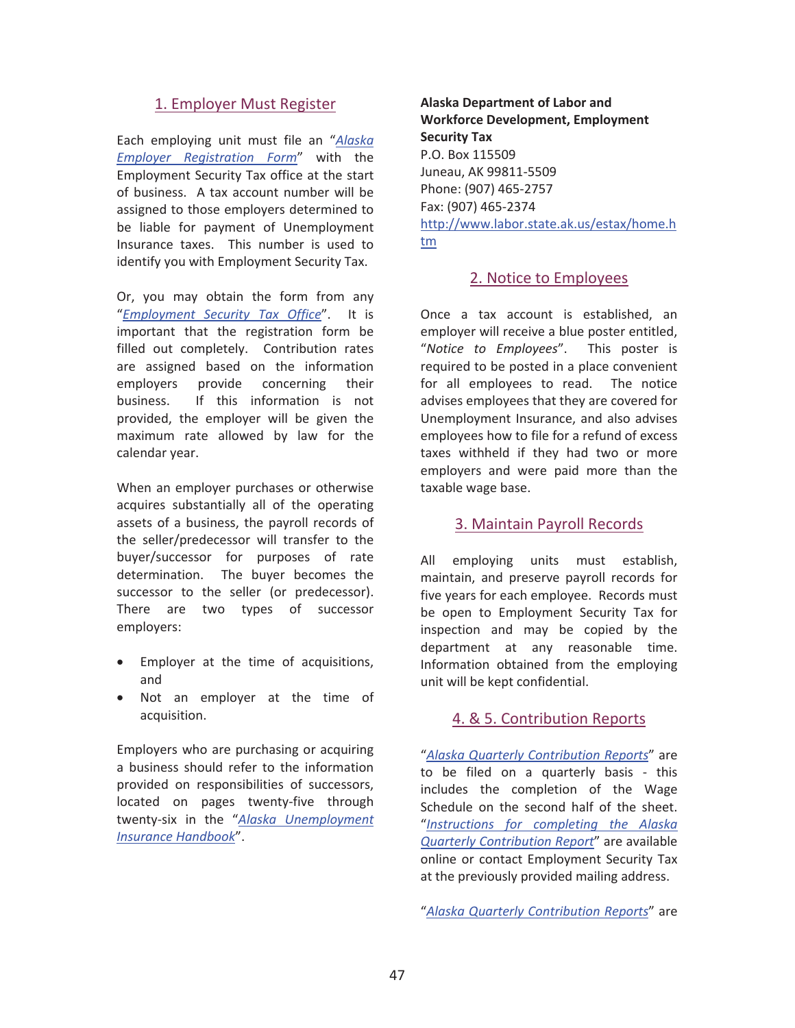### 1. Employer Must Register

Each employing unit must file an "*Alaska Employer Registration Form*" with the Employment Security Tax office at the start of business. A tax account number will be assigned to those employers determined to be liable for payment of Unemployment Insurance taxes. This number is used to identify you with Employment Security Tax.

Or, you may obtain the form from any "*Employment Security Tax Office*". It is important that the registration form be filled out completely. Contribution rates are assigned based on the information employers provide concerning their business. If this information is not provided, the employer will be given the maximum rate allowed by law for the calendar year.

When an employer purchases or otherwise acquires substantially all of the operating assets of a business, the payroll records of the seller/predecessor will transfer to the buyer/successor for purposes of rate determination. The buyer becomes the successor to the seller (or predecessor). There are two types of successor employers:

- Employer at the time of acquisitions, and
- Not an employer at the time of acquisition.

Employers who are purchasing or acquiring a business should refer to the information provided on responsibilities of successors, located on pages twenty-five through twentyͲsix in the "*Alaska Unemployment Insurance Handbook*".

**Alaska Department of Labor and Workforce Development, Employment Security Tax** P.O. Box 115509 Juneau, AK 99811-5509 Phone: (907) 465-2757 Fax: (907) 465-2374 http://www.labor.state.ak.us/estax/home.h tm

## 2. Notice to Employees

Once a tax account is established, an employer will receive a blue poster entitled, "*Notice to Employees*". This poster is required to be posted in a place convenient for all employees to read. The notice advises employees that they are covered for Unemployment Insurance, and also advises employees how to file for a refund of excess taxes withheld if they had two or more employers and were paid more than the taxable wage base.

## 3. Maintain Payroll Records

All employing units must establish, maintain, and preserve payroll records for five years for each employee. Records must be open to Employment Security Tax for inspection and may be copied by the department at any reasonable time. Information obtained from the employing unit will be kept confidential.

## 4. & 5. Contribution Reports

"*Alaska Quarterly Contribution Reports*" are to be filed on a quarterly basis - this includes the completion of the Wage Schedule on the second half of the sheet. "*Instructions for completing the Alaska Quarterly Contribution Report*" are available online or contact Employment Security Tax at the previously provided mailing address.

"*Alaska Quarterly Contribution Reports*" are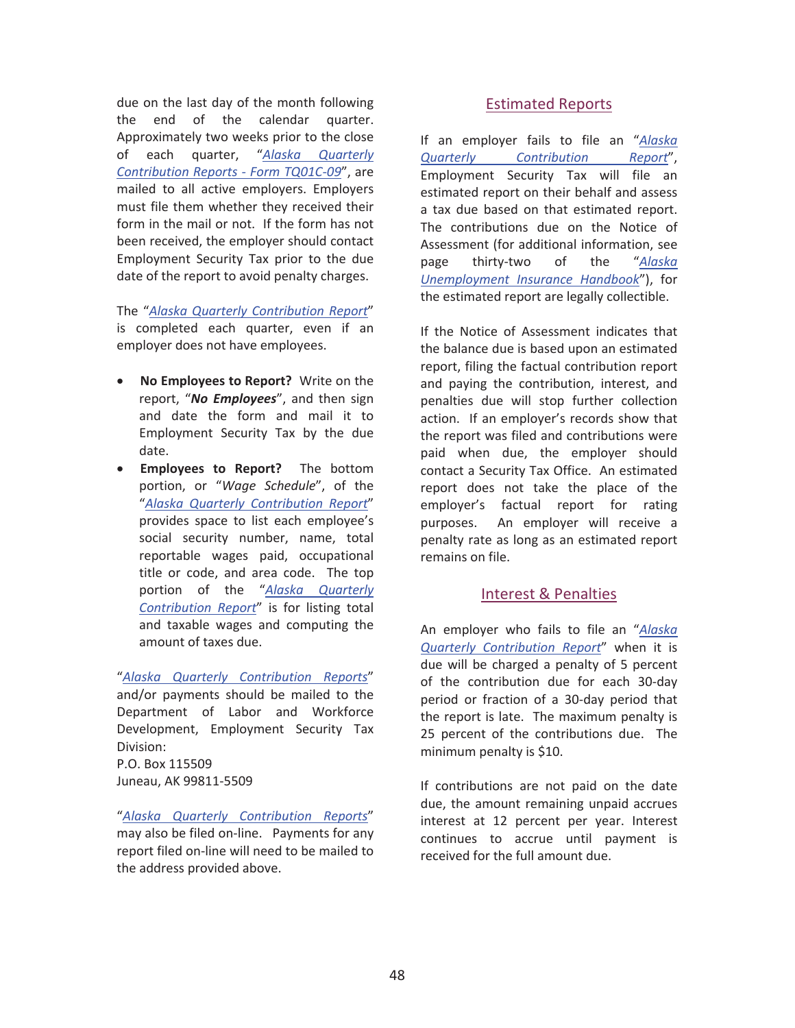due on the last day of the month following the end of the calendar quarter. Approximately two weeks prior to the close of each quarter, "*Alaska Quarterly Contribution ReportsͲForm TQ01CͲ09*", are mailed to all active employers. Employers must file them whether they received their form in the mail or not. If the form has not been received, the employer should contact Employment Security Tax prior to the due date of the report to avoid penalty charges.

The "*Alaska Quarterly Contribution Report*" is completed each quarter, even if an employer does not have employees.

- **No Employees to Report?** Write on the report, "*No Employees*", and then sign and date the form and mail it to Employment Security Tax by the due date.
- x **Employees to Report?**  The bottom portion, or "*Wage Schedule*", of the "*Alaska Quarterly Contribution Report*" provides space to list each employee's social security number, name, total reportable wages paid, occupational title or code, and area code. The top portion of the "*Alaska Quarterly Contribution Report*" is for listing total and taxable wages and computing the amount of taxes due.

"*Alaska Quarterly Contribution Reports*" and/or payments should be mailed to the Department of Labor and Workforce Development, Employment Security Tax Division: P.O. Box 115509 Juneau, AK 99811-5509

"*Alaska Quarterly Contribution Reports*" may also be filed on-line. Payments for any report filed on-line will need to be mailed to the address provided above.

## Estimated Reports

If an employer fails to file an "*Alaska Quarterly Contribution Report*", Employment Security Tax will file an estimated report on their behalf and assess a tax due based on that estimated report. The contributions due on the Notice of Assessment (for additional information, see page thirty-two of the "Alaska *Unemployment Insurance Handbook*"), for the estimated report are legally collectible.

If the Notice of Assessment indicates that the balance due is based upon an estimated report, filing the factual contribution report and paying the contribution, interest, and penalties due will stop further collection action. If an employer's records show that the report was filed and contributions were paid when due, the employer should contact a Security Tax Office. An estimated report does not take the place of the employer's factual report for rating purposes. An employer will receive a penalty rate as long as an estimated report remains on file.

#### Interest & Penalties

An employer who fails to file an "*Alaska Quarterly Contribution Report*" when it is due will be charged a penalty of 5 percent of the contribution due for each 30-day period or fraction of a 30-day period that the report is late. The maximum penalty is 25 percent of the contributions due. The minimum penalty is \$10.

If contributions are not paid on the date due, the amount remaining unpaid accrues interest at 12 percent per year. Interest continues to accrue until payment is received for the full amount due.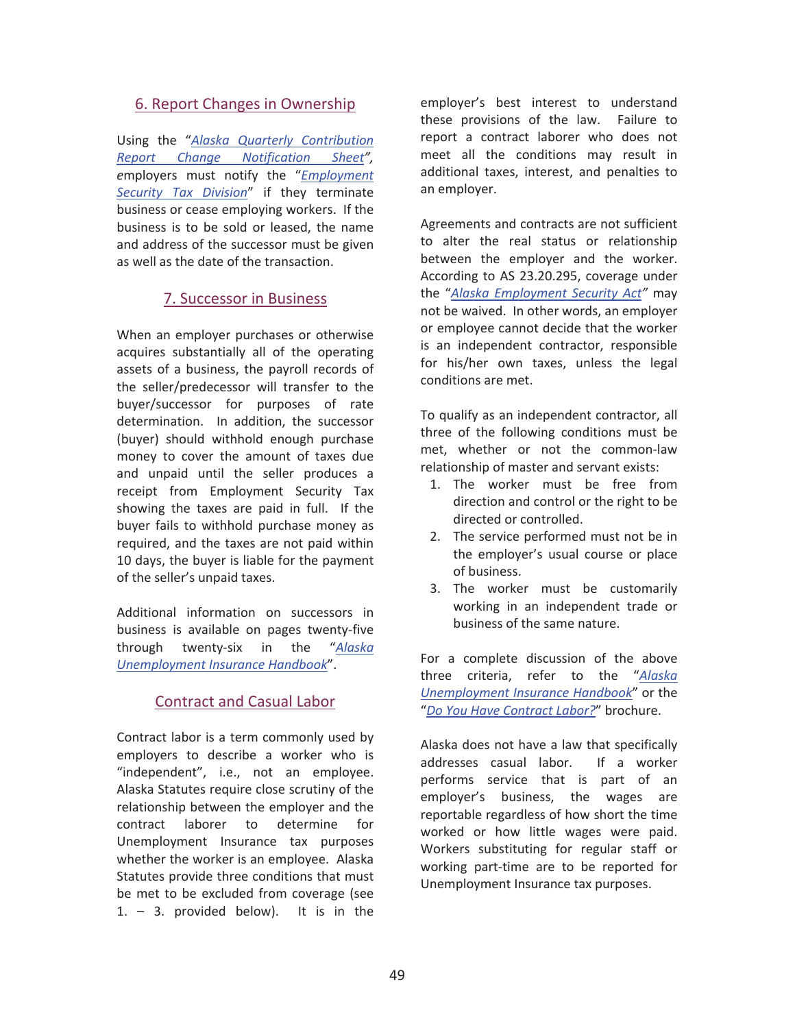## 6. Report Changes in Ownership

Using the "*Alaska Quarterly Contribution Report Change Notification Sheet", e*mployers must notify the "*Employment Security Tax Division*" if they terminate business or cease employing workers. If the business is to be sold or leased, the name and address of the successor must be given as well as the date of the transaction.

## 7. Successor in Business

When an employer purchases or otherwise acquires substantially all of the operating assets of a business, the payroll records of the seller/predecessor will transfer to the buyer/successor for purposes of rate determination. In addition, the successor (buyer) should withhold enough purchase money to cover the amount of taxes due and unpaid until the seller produces a receipt from Employment Security Tax showing the taxes are paid in full. If the buyer fails to withhold purchase money as required, and the taxes are not paid within 10 days, the buyer is liable for the payment of the seller's unpaid taxes.

Additional information on successors in business is available on pages twenty-five through twenty-six in the "*Alaska Unemployment Insurance Handbook*".

## Contract and Casual Labor

Contract labor is a term commonly used by employers to describe a worker who is "independent", i.e., not an employee. Alaska Statutes require close scrutiny of the relationship between the employer and the contract laborer to determine for Unemployment Insurance tax purposes whether the worker is an employee. Alaska Statutes provide three conditions that must be met to be excluded from coverage (see 1. – 3. provided below). It is in the

employer's best interest to understand these provisions of the law. Failure to report a contract laborer who does not meet all the conditions may result in additional taxes, interest, and penalties to an employer.

Agreements and contracts are not sufficient to alter the real status or relationship between the employer and the worker. According to AS 23.20.295, coverage under the "*Alaska Employment Security Act"* may not be waived. In other words, an employer or employee cannot decide that the worker is an independent contractor, responsible for his/her own taxes, unless the legal conditions are met.

To qualify as an independent contractor, all three of the following conditions must be met, whether or not the common-law relationship of master and servant exists:

- 1. The worker must be free from direction and control or the right to be directed or controlled.
- 2. The service performed must not be in the employer's usual course or place of business.
- 3. The worker must be customarily working in an independent trade or business of the same nature.

For a complete discussion of the above three criteria, refer to the "*Alaska Unemployment Insurance Handbook*" or the "*Do You Have Contract Labor?*" brochure.

Alaska does not have a law that specifically addresses casual labor. If a worker performs service that is part of an employer's business, the wages are reportable regardless of how short the time worked or how little wages were paid. Workers substituting for regular staff or working part-time are to be reported for Unemployment Insurance tax purposes.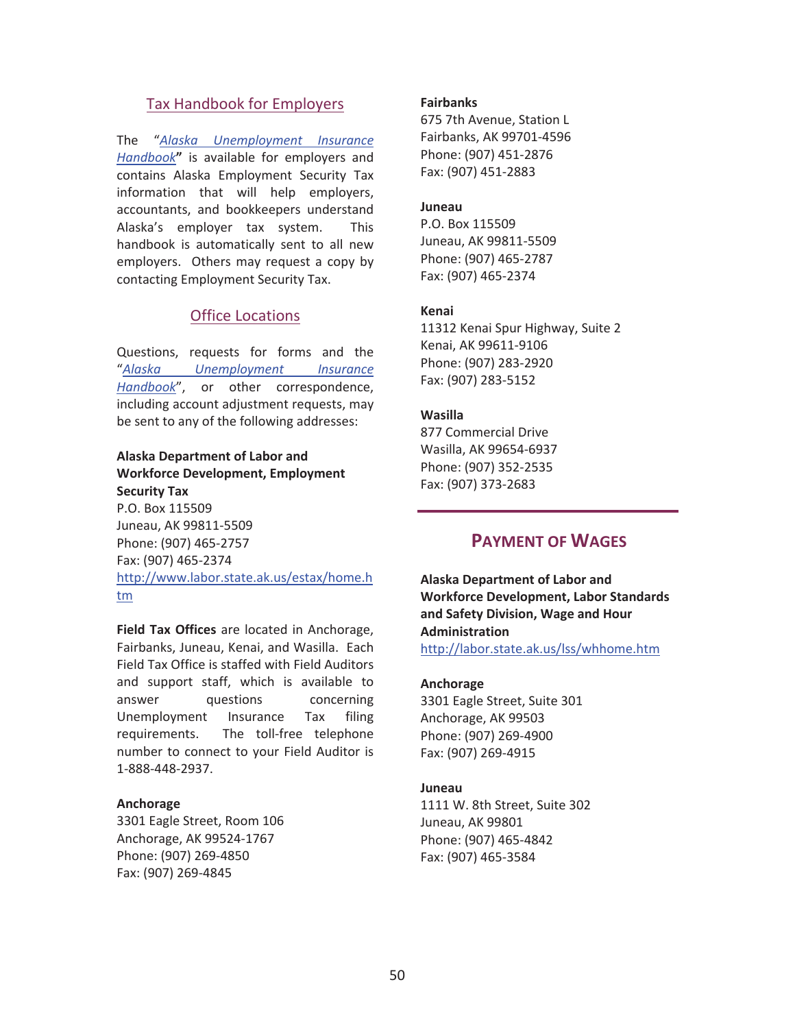#### Tax Handbook for Employers

The "*Alaska Unemployment Insurance Handbook***"** is available for employers and contains Alaska Employment Security Tax information that will help employers, accountants, and bookkeepers understand Alaska's employer tax system. This handbook is automatically sent to all new employers. Others may request a copy by contacting Employment Security Tax.

## Office Locations

Questions, requests for forms and the "*Alaska Unemployment Insurance Handbook*", or other correspondence, including account adjustment requests, may be sent to any of the following addresses:

#### **Alaska Department of Labor and Workforce Development, Employment Security Tax**

P.O. Box 115509 Juneau, AK 99811-5509 Phone: (907) 465-2757 Fax: (907) 465-2374 http://www.labor.state.ak.us/estax/home.h tm

**Field Tax Offices** are located in Anchorage, Fairbanks, Juneau, Kenai, and Wasilla. Each Field Tax Office is staffed with Field Auditors and support staff, which is available to answer questions concerning Unemployment Insurance Tax filing requirements. The toll-free telephone number to connect to your Field Auditor is 1-888-448-2937.

#### **Anchorage**

3301 Eagle Street, Room 106 Anchorage, AK 99524-1767 Phone: (907) 269-4850 Fax: (907) 269-4845

#### **Fairbanks**

675 7th Avenue, Station L Fairbanks, AK 99701-4596 Phone: (907) 451-2876 Fax: (907) 451-2883

#### **Juneau**

P.O. Box 115509 Juneau, AK 99811-5509 Phone: (907) 465-2787 Fax: (907) 465-2374

#### **Kenai**

11312 Kenai Spur Highway, Suite 2 Kenai, AK 99611-9106 Phone: (907) 283-2920 Fax: (907) 283-5152

#### **Wasilla**

877 Commercial Drive Wasilla, AK 99654-6937 Phone: (907) 352-2535 Fax: (907) 373-2683

## **PAYMENT OF WAGES**

**Alaska Department of Labor and Workforce Development, Labor Standards and Safety Division, Wage and Hour Administration** http://labor.state.ak.us/lss/whhome.htm

#### **Anchorage**

3301 Eagle Street, Suite 301 Anchorage, AK 99503 Phone: (907) 269-4900 Fax: (907) 269-4915

#### **Juneau**

1111 W. 8th Street, Suite 302 Juneau, AK 99801 Phone: (907) 465-4842 Fax: (907) 465-3584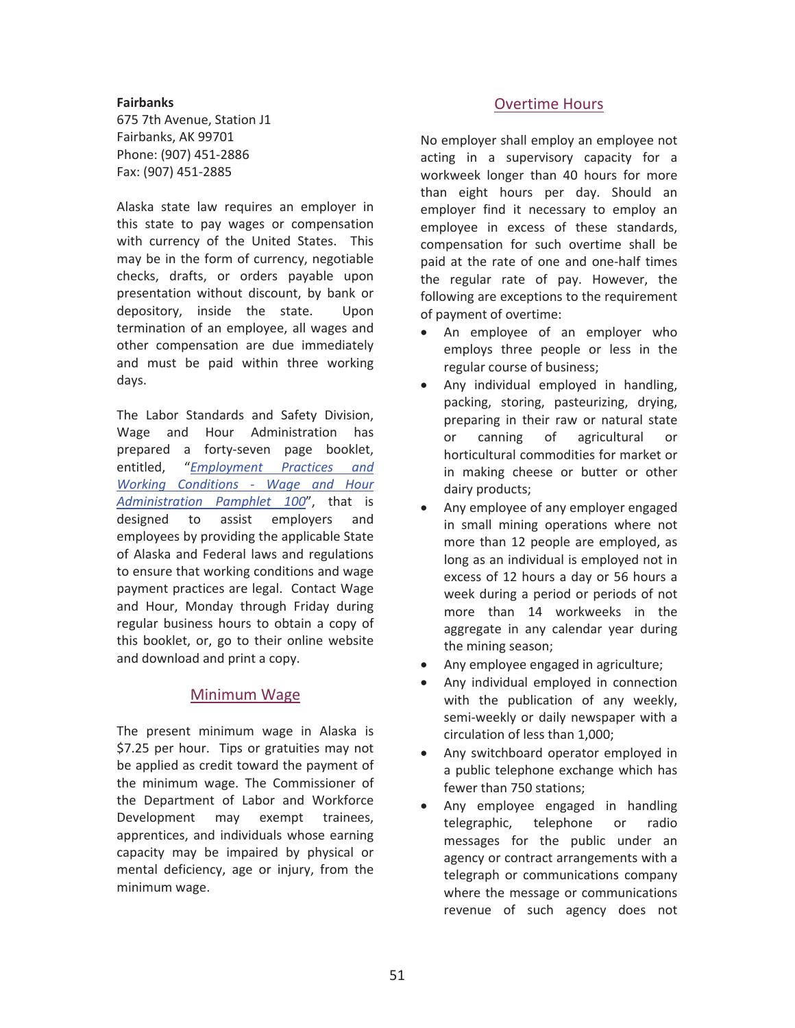#### **Fairbanks**

675 7th Avenue, Station J1 Fairbanks, AK 99701 Phone: (907) 451-2886 Fax: (907) 451-2885

Alaska state law requires an employer in this state to pay wages or compensation with currency of the United States. This may be in the form of currency, negotiable checks, drafts, or orders payable upon presentation without discount, by bank or depository, inside the state. Upon termination of an employee, all wages and other compensation are due immediately and must be paid within three working days.

The Labor Standards and Safety Division, Wage and Hour Administration has prepared a forty-seven page booklet, entitled, "*Employment Practices and Working Conditions - Wage and Hour Administration Pamphlet 100*", that is designed to assist employers and employees by providing the applicable State of Alaska and Federal laws and regulations to ensure that working conditions and wage payment practices are legal. Contact Wage and Hour, Monday through Friday during regular business hours to obtain a copy of this booklet, or, go to their online website and download and print a copy.

## Minimum Wage

The present minimum wage in Alaska is \$7.25 per hour. Tips or gratuities may not be applied as credit toward the payment of the minimum wage. The Commissioner of the Department of Labor and Workforce Development may exempt trainees, apprentices, and individuals whose earning capacity may be impaired by physical or mental deficiency, age or injury, from the minimum wage.

### Overtime Hours

No employer shall employ an employee not acting in a supervisory capacity for a workweek longer than 40 hours for more than eight hours per day. Should an employer find it necessary to employ an employee in excess of these standards, compensation for such overtime shall be paid at the rate of one and one-half times the regular rate of pay. However, the following are exceptions to the requirement of payment of overtime:

- An employee of an employer who employs three people or less in the regular course of business;
- Any individual employed in handling, packing, storing, pasteurizing, drying, preparing in their raw or natural state or canning of agricultural or horticultural commodities for market or in making cheese or butter or other dairy products;
- Any employee of any employer engaged in small mining operations where not more than 12 people are employed, as long as an individual is employed not in excess of 12 hours a day or 56 hours a week during a period or periods of not more than 14 workweeks in the aggregate in any calendar year during the mining season;
- Any employee engaged in agriculture;
- Any individual employed in connection with the publication of any weekly, semi-weekly or daily newspaper with a circulation of less than 1,000;
- Any switchboard operator employed in a public telephone exchange which has fewer than 750 stations;
- Any employee engaged in handling telegraphic, telephone or radio messages for the public under an agency or contract arrangements with a telegraph or communications company where the message or communications revenue of such agency does not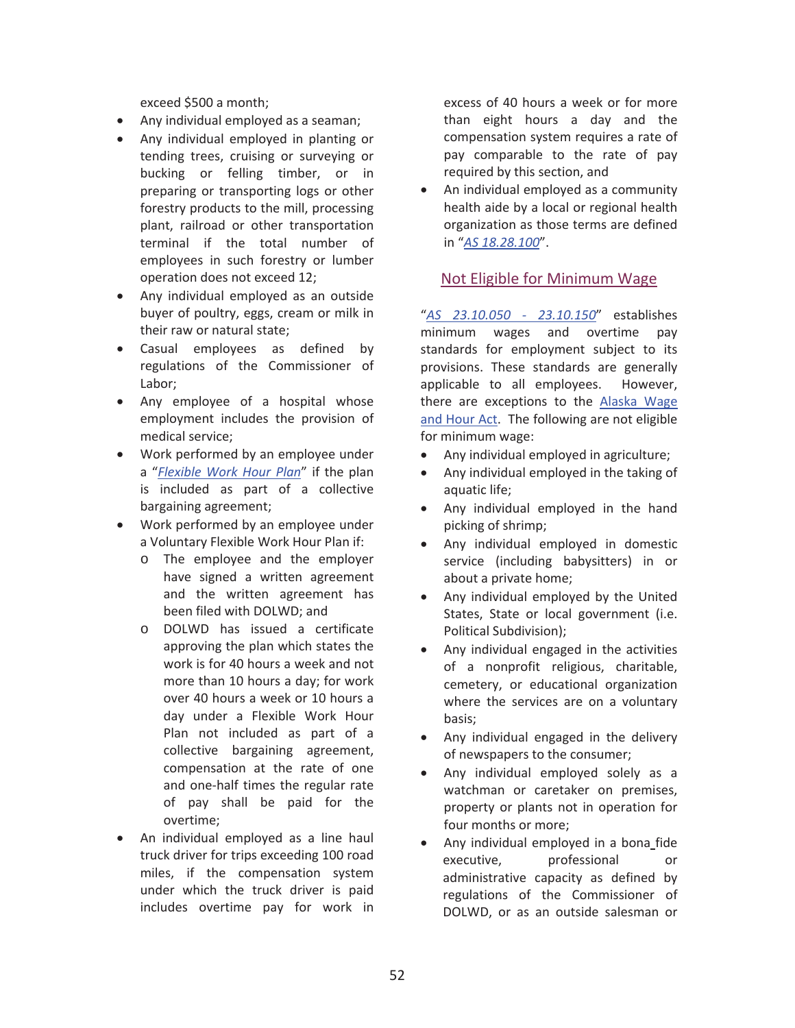exceed \$500 a month;

- Any individual employed as a seaman;
- Any individual employed in planting or tending trees, cruising or surveying or bucking or felling timber, or in preparing or transporting logs or other forestry products to the mill, processing plant, railroad or other transportation terminal if the total number of employees in such forestry or lumber operation does not exceed 12;
- Any individual employed as an outside buyer of poultry, eggs, cream or milk in their raw or natural state;
- Casual employees as defined by regulations of the Commissioner of Labor;
- Any employee of a hospital whose employment includes the provision of medical service;
- Work performed by an employee under a "*Flexible Work Hour Plan*" if the plan is included as part of a collective bargaining agreement;
- Work performed by an employee under a Voluntary Flexible Work Hour Plan if:
	- o The employee and the employer have signed a written agreement and the written agreement has been filed with DOLWD; and
	- o DOLWD has issued a certificate approving the plan which states the work is for 40 hours a week and not more than 10 hours a day; for work over 40 hours a week or 10 hours a day under a Flexible Work Hour Plan not included as part of a collective bargaining agreement, compensation at the rate of one and one-half times the regular rate of pay shall be paid for the overtime;
- An individual employed as a line haul truck driver for trips exceeding 100 road miles, if the compensation system under which the truck driver is paid includes overtime pay for work in

excess of 40 hours a week or for more than eight hours a day and the compensation system requires a rate of pay comparable to the rate of pay required by this section, and

An individual employed as a community health aide by a local or regional health organization as those terms are defined in "*AS 18.28.100*".

## Not Eligible for Minimum Wage

"*AS 23.10.050 Ͳ 23.10.150*" establishes minimum wages and overtime pay standards for employment subject to its provisions. These standards are generally applicable to all employees. However, there are exceptions to the Alaska Wage and Hour Act. The following are not eligible for minimum wage:

- Any individual employed in agriculture;
- $\bullet$  Any individual employed in the taking of aquatic life;
- Any individual employed in the hand picking of shrimp;
- Any individual employed in domestic service (including babysitters) in or about a private home;
- Any individual employed by the United States, State or local government (i.e. Political Subdivision);
- Any individual engaged in the activities of a nonprofit religious, charitable, cemetery, or educational organization where the services are on a voluntary basis;
- Any individual engaged in the delivery of newspapers to the consumer;
- Any individual employed solely as a watchman or caretaker on premises, property or plants not in operation for four months or more;
- Any individual employed in a bona fide executive, professional or administrative capacity as defined by regulations of the Commissioner of DOLWD, or as an outside salesman or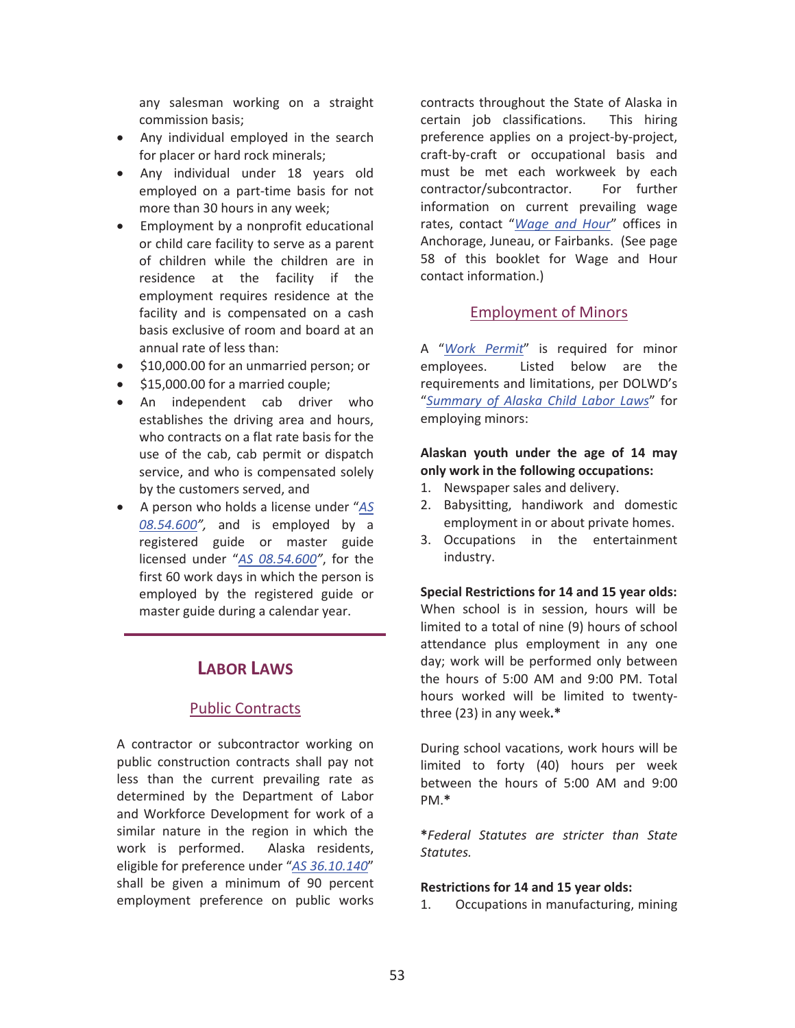any salesman working on a straight commission basis;

- Any individual employed in the search for placer or hard rock minerals;
- Any individual under 18 years old employed on a part-time basis for not more than 30 hours in any week;
- Employment by a nonprofit educational or child care facility to serve as a parent of children while the children are in residence at the facility if the employment requires residence at the facility and is compensated on a cash basis exclusive of room and board at an annual rate of less than:
- $\bullet$  \$10,000.00 for an unmarried person; or
- $\bullet$  \$15,000.00 for a married couple;
- An independent cab driver who establishes the driving area and hours, who contracts on a flat rate basis for the use of the cab, cab permit or dispatch service, and who is compensated solely by the customers served, and
- x A person who holds a license under "*AS 08.54.600",* and is employed by a registered guide or master guide licensed under "*AS 08.54.600"*, for the first 60 work days in which the person is employed by the registered guide or master guide during a calendar year.

## **LABOR LAWS**

#### Public Contracts

A contractor or subcontractor working on public construction contracts shall pay not less than the current prevailing rate as determined by the Department of Labor and Workforce Development for work of a similar nature in the region in which the work is performed. Alaska residents, eligible for preference under "*AS 36.10.140*" shall be given a minimum of 90 percent employment preference on public works

contracts throughout the State of Alaska in certain job classifications. This hiring preference applies on a project-by-project, craft-by-craft or occupational basis and must be met each workweek by each contractor/subcontractor. For further information on current prevailing wage rates, contact "*Wage and Hour*" offices in Anchorage, Juneau, or Fairbanks.(See page 58 of this booklet for Wage and Hour contact information.)

#### Employment of Minors

A "*Work Permit*" is required for minor employees. Listed below are the requirements and limitations, per DOLWD's "*Summary of Alaska Child Labor Laws*" for employing minors:

### **Alaskan youth under the age of 14 may only work in the following occupations:**

- 1. Newspaper sales and delivery.
- 2. Babysitting, handiwork and domestic employment in or about private homes.
- 3. Occupations in the entertainment industry.

**Special Restrictions for 14 and 15 year olds:** When school is in session, hours will be limited to a total of nine (9) hours of school attendance plus employment in any one day; work will be performed only between the hours of 5:00 AM and 9:00 PM. Total hours worked will be limited to twentythree (23) in any week**.\***

During school vacations, work hours will be limited to forty (40) hours per week between the hours of 5:00 AM and 9:00 PM.**\***

**\****Federal Statutes are stricter than State Statutes.*

#### **Restrictions for 14 and 15 year olds:**

1. Occupations in manufacturing, mining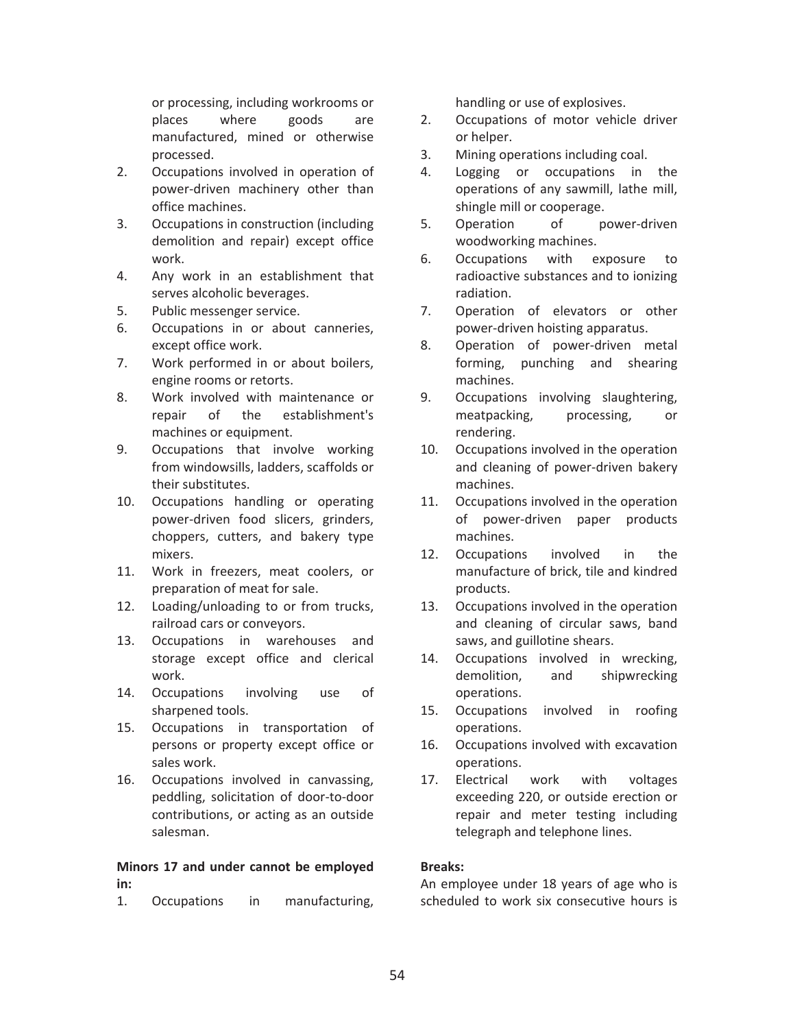or processing, including workrooms or places where goods are manufactured, mined or otherwise processed.

- 2. Occupations involved in operation of power-driven machinery other than office machines.
- 3. Occupations in construction (including demolition and repair) except office work.
- 4. Any work in an establishment that serves alcoholic beverages.
- 5. Public messenger service.
- 6. Occupations in or about canneries, except office work.
- 7. Work performed in or about boilers, engine rooms or retorts.
- 8. Work involved with maintenance or repair of the establishment's machines or equipment.
- 9. Occupations that involve working from windowsills, ladders, scaffolds or their substitutes.
- 10. Occupations handling or operating power-driven food slicers, grinders, choppers, cutters, and bakery type mixers.
- 11. Work in freezers, meat coolers, or preparation of meat for sale.
- 12. Loading/unloading to or from trucks, railroad cars or conveyors.
- 13. Occupations in warehouses and storage except office and clerical work.
- 14. Occupations involving use of sharpened tools.
- 15. Occupations in transportation of persons or property except office or sales work.
- 16. Occupations involved in canvassing, peddling, solicitation of door-to-door contributions, or acting as an outside salesman.

#### **Minors 17 and under cannot be employed in:**

1. Occupations in manufacturing,

handling or use of explosives.

- 2. Occupations of motor vehicle driver or helper.
- 3. Mining operations including coal.
- 4. Logging or occupations in the operations of any sawmill, lathe mill, shingle mill or cooperage.
- 5. Operation of power-driven woodworking machines.
- 6. Occupations with exposure to radioactive substances and to ionizing radiation.
- 7. Operation of elevators or other power-driven hoisting apparatus.
- 8. Operation of power-driven metal forming, punching and shearing machines.
- 9. Occupations involving slaughtering, meatpacking, processing, or rendering.
- 10. Occupations involved in the operation and cleaning of power-driven bakery machines.
- 11. Occupations involved in the operation of power-driven paper products machines.
- 12. Occupations involved in the manufacture of brick, tile and kindred products.
- 13. Occupations involved in the operation and cleaning of circular saws, band saws, and guillotine shears.
- 14. Occupations involved in wrecking, demolition, and shipwrecking operations.
- 15. Occupations involved in roofing operations.
- 16. Occupations involved with excavation operations.
- 17. Electrical work with voltages exceeding 220, or outside erection or repair and meter testing including telegraph and telephone lines.

#### **Breaks:**

An employee under 18 years of age who is scheduled to work six consecutive hours is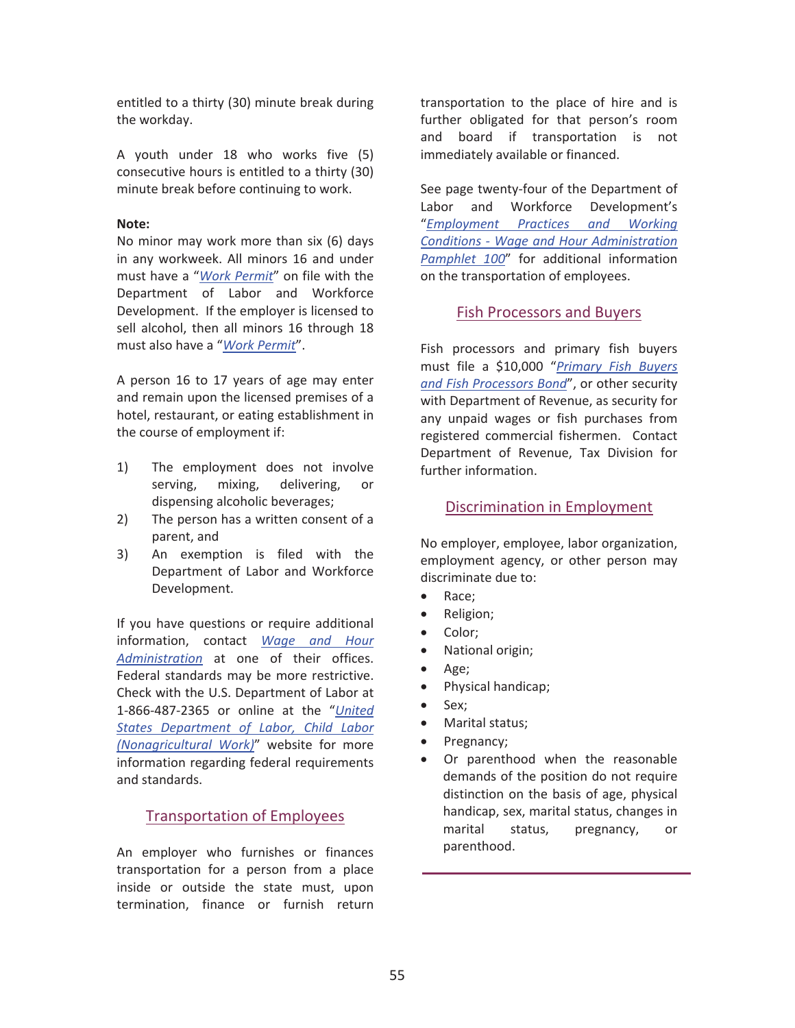entitled to a thirty (30) minute break during the workday.

A youth under 18 who works five (5) consecutive hours is entitled to a thirty (30) minute break before continuing to work.

#### **Note:**

No minor may work more than six (6) days in any workweek. All minors 16 and under must have a "*Work Permit*" on file with the Department of Labor and Workforce Development. If the employer is licensed to sell alcohol, then all minors 16 through 18 must also have a "*Work Permit*".

A person 16 to 17 years of age may enter and remain upon the licensed premises of a hotel, restaurant, or eating establishment in the course of employment if:

- 1) The employment does not involve serving, mixing, delivering, or dispensing alcoholic beverages;
- 2) The person has a written consent of a parent, and
- 3) An exemption is filed with the Department of Labor and Workforce Development.

If you have questions or require additional information, contact *Wage and Hour Administration* at one of their offices. Federal standards may be more restrictive. Check with the U.S. Department of Labor at 1-866-487-2365 or online at the "United *States Department of Labor, Child Labor (Nonagricultural Work)*" website for more information regarding federal requirements and standards.

#### Transportation of Employees

An employer who furnishes or finances transportation for a person from a place inside or outside the state must, upon termination, finance or furnish return

transportation to the place of hire and is further obligated for that person's room and board if transportation is not immediately available or financed.

See page twenty-four of the Department of Labor and Workforce Development's "*Employment Practices and Working ConditionsͲWage and Hour Administration Pamphlet 100*" for additional information on the transportation of employees.

#### Fish Processors and Buyers

Fish processors and primary fish buyers must file a \$10,000 "*Primary Fish Buyers and Fish Processors Bond*", or other security with Department of Revenue, as security for any unpaid wages or fish purchases from registered commercial fishermen. Contact Department of Revenue, Tax Division for further information.

#### Discrimination in Employment

No employer, employee, labor organization, employment agency, or other person may discriminate due to:

- Race:
- Religion;
- Color;
- National origin;
- $\bullet$  Age;
- Physical handicap;
- $\bullet$  Sex:
- Marital status;
- Pregnancy;
- Or parenthood when the reasonable demands of the position do not require distinction on the basis of age, physical handicap, sex, marital status, changes in marital status, pregnancy, or parenthood.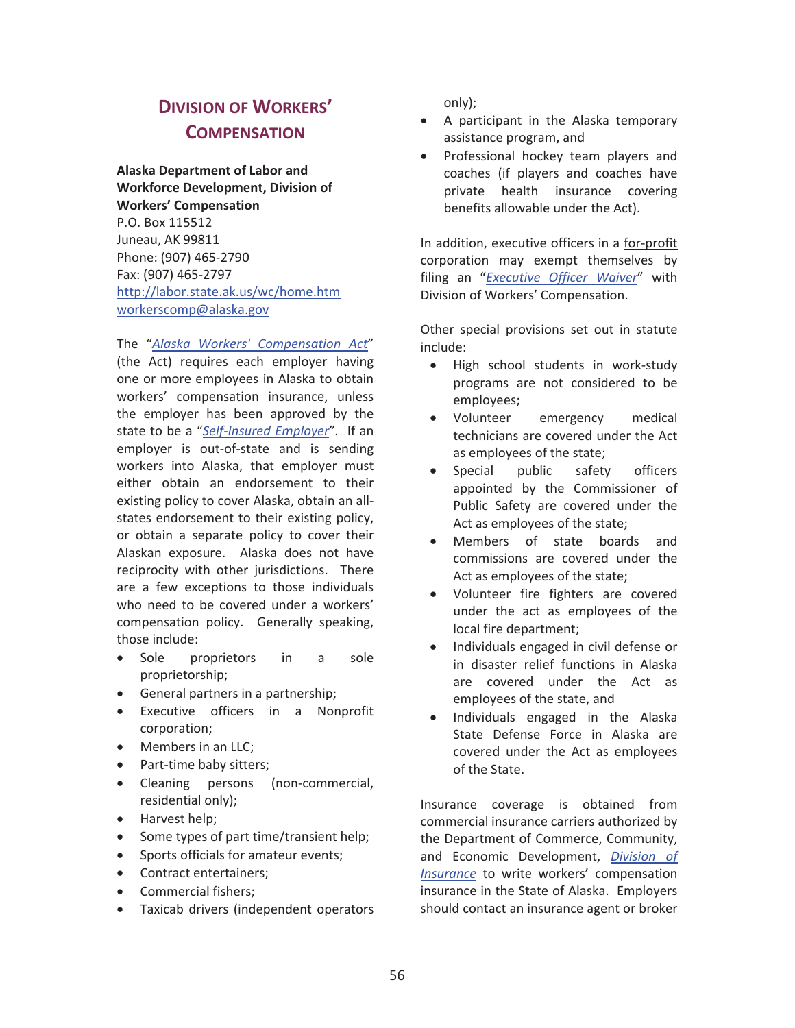# **DIVISION OF WORKERS' COMPENSATION**

**Alaska Department of Labor and Workforce Development, Division of Workers' Compensation**

P.O. Box 115512 Juneau, AK 99811 Phone: (907) 465-2790 Fax: (907) 465-2797 http://labor.state.ak.us/wc/home.htm workerscomp@alaska.gov

The "*Alaska Workers' Compensation Act*" (the Act) requires each employer having one or more employees in Alaska to obtain workers' compensation insurance, unless the employer has been approved by the state to be a "*SelfͲInsured Employer*"*.*If an employer is out-of-state and is sending workers into Alaska, that employer must either obtain an endorsement to their existing policy to cover Alaska, obtain an allstates endorsement to their existing policy, or obtain a separate policy to cover their Alaskan exposure. Alaska does not have reciprocity with other jurisdictions. There are a few exceptions to those individuals who need to be covered under a workers' compensation policy. Generally speaking, those include:

- Sole proprietors in a sole proprietorship;
- General partners in a partnership;
- Executive officers in a Nonprofit corporation;
- $\bullet$  Members in an LLC:
- Part-time baby sitters;
- Cleaning persons (non-commercial, residential only);
- Harvest help;
- Some types of part time/transient help;
- Sports officials for amateur events;
- Contract entertainers;
- Commercial fishers;
- Taxicab drivers (independent operators

only);

- A participant in the Alaska temporary assistance program, and
- Professional hockey team players and coaches (if players and coaches have private health insurance covering benefits allowable under the Act).

In addition, executive officers in a for-profit corporation may exempt themselves by filing an "*Executive Officer Waiver*" with Division of Workers' Compensation.

Other special provisions set out in statute include:

- High school students in work-study programs are not considered to be employees;
- Volunteer emergency medical technicians are covered under the Act as employees of the state;
- Special public safety officers appointed by the Commissioner of Public Safety are covered under the Act as employees of the state;
- Members of state boards and commissions are covered under the Act as employees of the state;
- Volunteer fire fighters are covered under the act as employees of the local fire department;
- x Individuals engaged in civil defense or in disaster relief functions in Alaska are covered under the Act as employees of the state, and
- Individuals engaged in the Alaska State Defense Force in Alaska are covered under the Act as employees of the State.

Insurance coverage is obtained from commercial insurance carriers authorized by the Department of Commerce, Community, and Economic Development, *Division of Insurance* to write workers' compensation insurance in the State of Alaska. Employers should contact an insurance agent or broker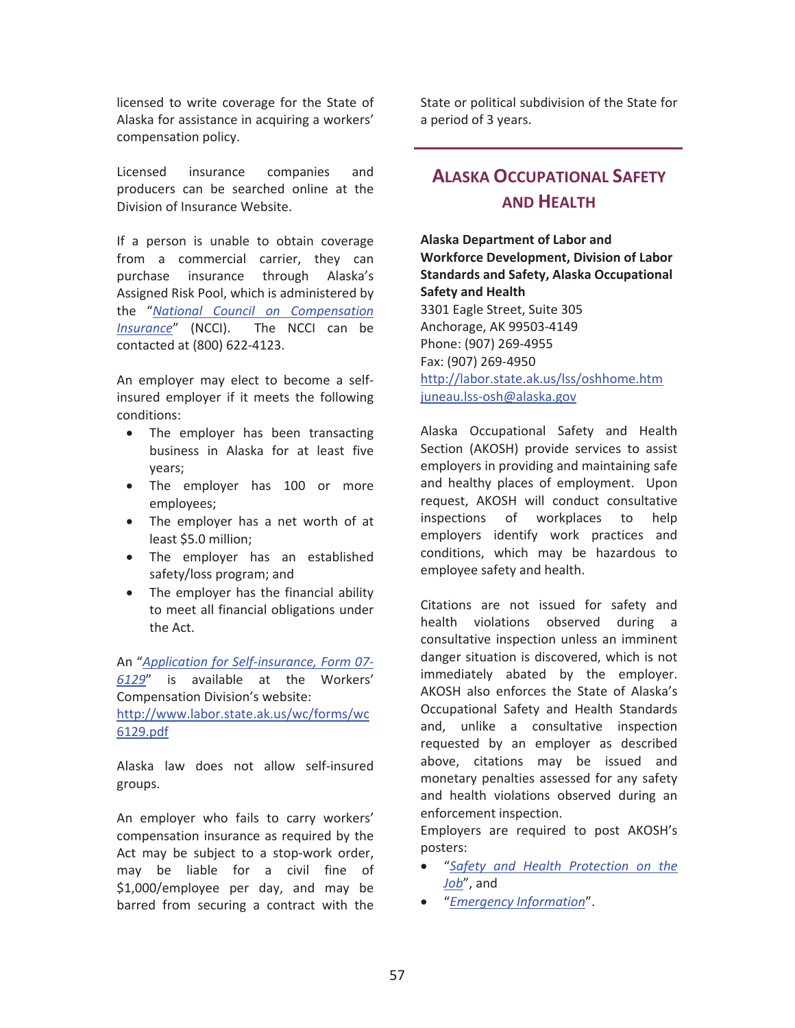licensed to write coverage for the State of Alaska for assistance in acquiring a workers' compensation policy.

Licensed insurance companies and producers can be searched online at the Division of Insurance Website.

If a person is unable to obtain coverage from a commercial carrier, they can purchase insurance through Alaska's Assigned Risk Pool, which is administered by the "*National Council on Compensation Insurance*" (NCCI). The NCCI can be contacted at (800) 622-4123.

An employer may elect to become a selfinsured employer if it meets the following conditions:

- The employer has been transacting business in Alaska for at least five years;
- The employer has 100 or more employees;
- The employer has a net worth of at least \$5.0 million;
- The employer has an established safety/loss program; and
- The employer has the financial ability to meet all financial obligations under the Act.

An "*Application for SelfͲinsurance, Form 07Ͳ 6129*" is available at the Workers' Compensation Division's website: http://www.labor.state.ak.us/wc/forms/wc 6129.pdf

Alaska law does not allow self-insured groups.

An employer who fails to carry workers' compensation insurance as required by the Act may be subject to a stop-work order, may be liable for a civil fine of \$1,000/employee per day, and may be barred from securing a contract with the

State or political subdivision of the State for a period of 3 years.

# **ALASKA OCCUPATIONAL SAFETY AND HEALTH**

**Alaska Department of Labor and Workforce Development, Division of Labor Standards and Safety, Alaska Occupational Safety and Health** 3301 Eagle Street, Suite 305 Anchorage, AK 99503-4149 Phone: (907) 269-4955 Fax: (907) 269-4950 http://labor.state.ak.us/lss/oshhome.htm juneau.lss-osh@alaska.gov

Alaska Occupational Safety and Health Section (AKOSH) provide services to assist employers in providing and maintaining safe and healthy places of employment. Upon request, AKOSH will conduct consultative inspections of workplaces to help employers identify work practices and conditions, which may be hazardous to employee safety and health.

Citations are not issued for safety and health violations observed during a consultative inspection unless an imminent danger situation is discovered, which is not immediately abated by the employer. AKOSH also enforces the State of Alaska's Occupational Safety and Health Standards and, unlike a consultative inspection requested by an employer as described above, citations may be issued and monetary penalties assessed for any safety and health violations observed during an enforcement inspection.

Employers are required to post AKOSH's posters:

- x "*Safety and Health Protection on the Job*", and
- x "*Emergency Information*".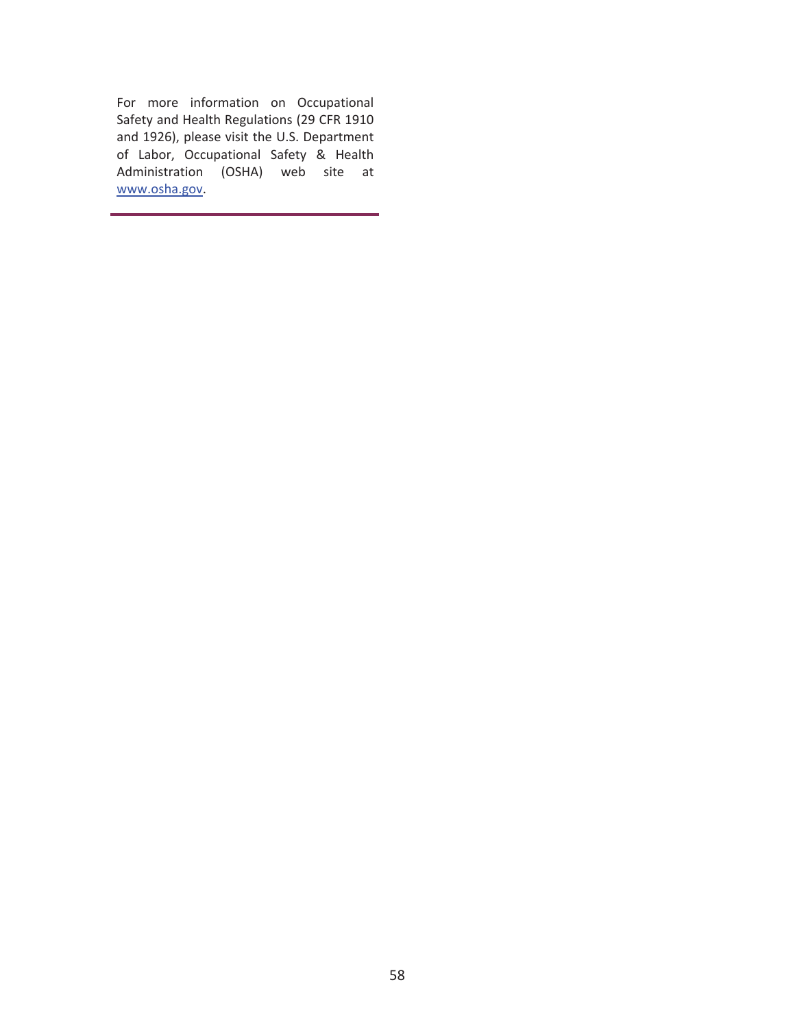For more information on Occupational Safety and Health Regulations (29 CFR 1910 and 1926), please visit the U.S. Department of Labor, Occupational Safety & Health Administration (OSHA) web site at www.osha.gov.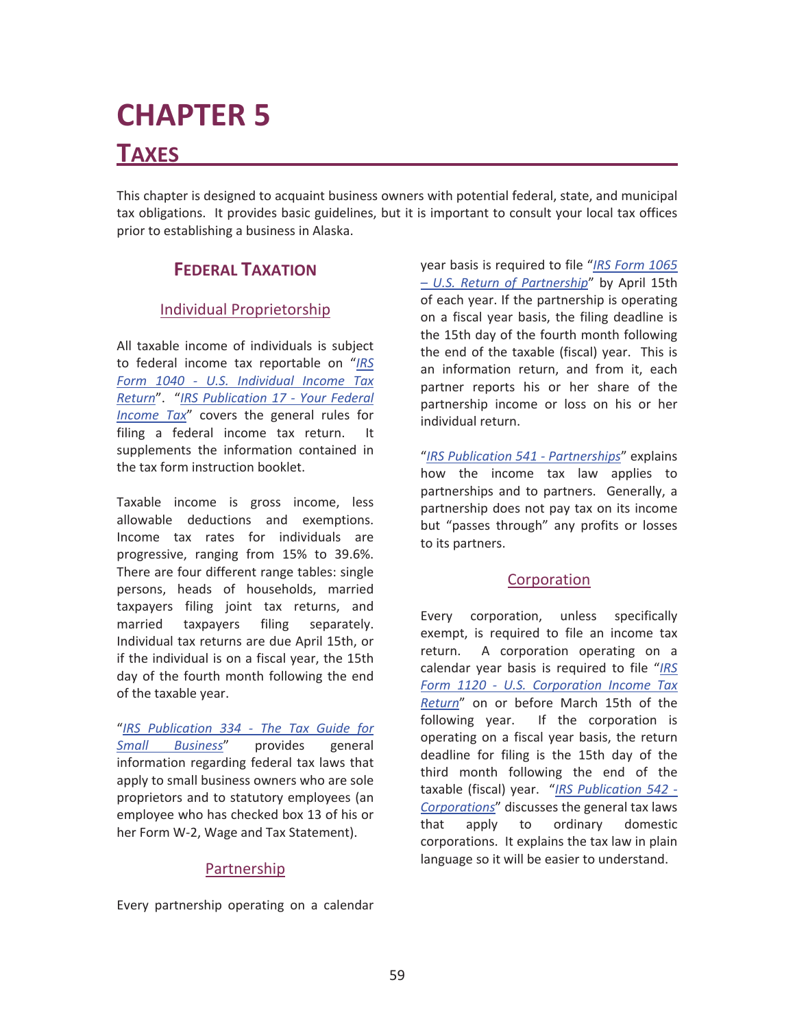# **CHAPTER 5 TAXES**

This chapter is designed to acquaint business owners with potential federal, state, and municipal tax obligations. It provides basic guidelines, but it is important to consult your local tax offices prior to establishing a business in Alaska.

## **FEDERAL TAXATION**

## Individual Proprietorship

All taxable income of individuals is subject to federal income tax reportable on "*IRS Form*  $1040 - U.S.$  *Individual Income Tax Return*"."*IRS Publication 17 ͲYour Federal Income Tax*" covers the general rules for filing a federal income tax return. It supplements the information contained in the tax form instruction booklet.

Taxable income is gross income, less allowable deductions and exemptions. Income tax rates for individuals are progressive, ranging from 15% to 39.6%. There are four different range tables: single persons, heads of households, married taxpayers filing joint tax returns, and married taxpayers filing separately. Individual tax returns are due April 15th, or if the individual is on a fiscal year, the 15th day of the fourth month following the end of the taxable year.

"*IRS Publication 334 Ͳ The Tax Guide for Small Business*" provides general information regarding federal tax laws that apply to small business owners who are sole proprietors and to statutory employees (an employee who has checked box 13 of his or her Form W-2, Wage and Tax Statement).

## Partnership

Every partnership operating on a calendar

year basis is required to file "*IRS Form 1065 – U.S. Return of Partnership*" by April 15th of each year. If the partnership is operating on a fiscal year basis, the filing deadline is the 15th day of the fourth month following the end of the taxable (fiscal) year. This is an information return, and from it, each partner reports his or her share of the partnership income or loss on his or her individual return.

"*IRS Publication 541ͲPartnerships*" explains how the income tax law applies to partnerships and to partners. Generally, a partnership does not pay tax on its income but "passes through" any profits or losses to its partners.

## **Corporation**

Every corporation, unless specifically exempt, is required to file an income tax return. A corporation operating on a calendar year basis is required to file "*IRS Form 1120 Ͳ U.S. Corporation Income Tax Return*" on or before March 15th of the following year. If the corporation is operating on a fiscal year basis, the return deadline for filing is the 15th day of the third month following the end of the taxable (fiscal) year. "IRS Publication 542 -*Corporations*" discusses the general tax laws that apply to ordinary domestic corporations. It explains the tax law in plain language so it will be easier to understand.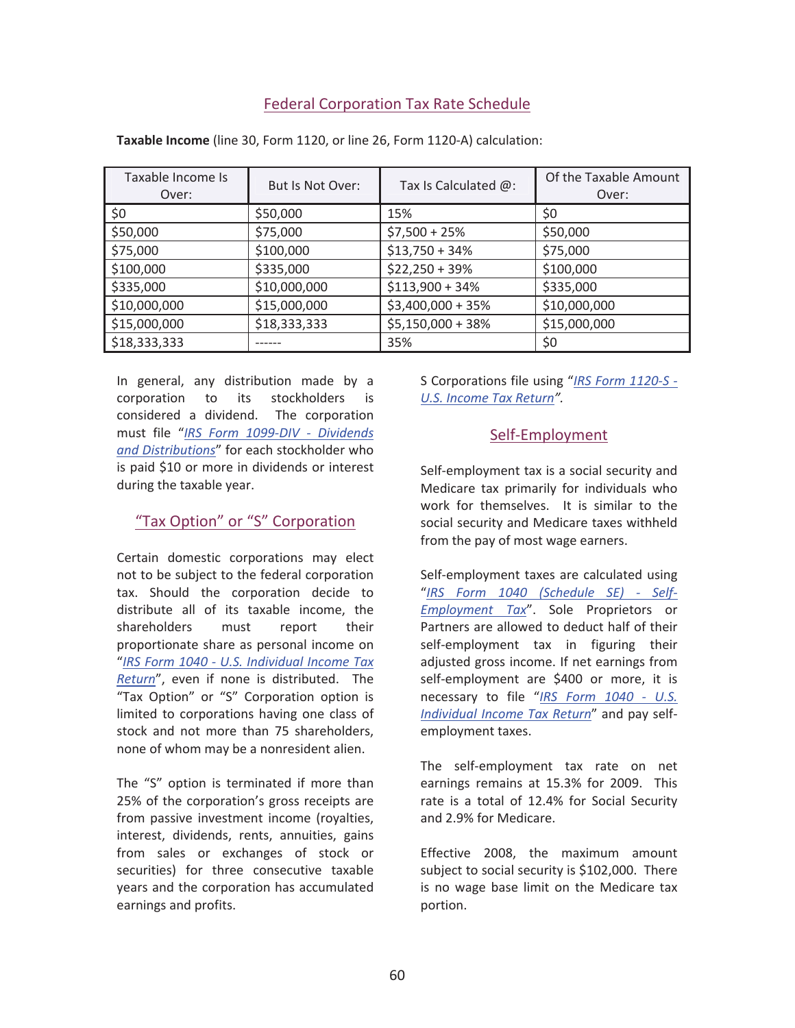## Federal Corporation Tax Rate Schedule

| Taxable Income Is<br>Over: | But Is Not Over: | Tax Is Calculated @: | Of the Taxable Amount<br>Over: |
|----------------------------|------------------|----------------------|--------------------------------|
| \$0                        | \$50,000         | 15%                  | \$0                            |
| \$50,000                   | \$75,000         | $$7,500 + 25\%$      | \$50,000                       |
| \$75,000                   | \$100,000        | $$13,750 + 34\%$     | \$75,000                       |
| \$100,000                  | \$335,000        | $$22,250 + 39\%$     | \$100,000                      |
| \$335,000                  | \$10,000,000     | $$113,900 + 34\%$    | \$335,000                      |
| \$10,000,000               | \$15,000,000     | $$3,400,000 + 35\%$  | \$10,000,000                   |
| \$15,000,000               | \$18,333,333     | $$5,150,000 + 38\%$  | \$15,000,000                   |
| \$18,333,333               |                  | 35%                  | \$0                            |

**Taxable Income** (line 30, Form 1120, or line 26, Form 1120-A) calculation:

In general, any distribution made by a corporation to its stockholders is considered a dividend. The corporation must file "*IRS Form 1099ͲDIV Ͳ Dividends and Distributions*" for each stockholder who is paid \$10 or more in dividends or interest during the taxable year.

## "Tax Option" or "S" Corporation

Certain domestic corporations may elect not to be subject to the federal corporation tax. Should the corporation decide to distribute all of its taxable income, the shareholders must report their proportionate share as personal income on "*IRS Form 1040ͲU.S. Individual Income Tax Return*", even if none is distributed. The "Tax Option" or "S" Corporation option is limited to corporations having one class of stock and not more than 75 shareholders, none of whom may be a nonresident alien.

The "S" option is terminated if more than 25% of the corporation's gross receipts are from passive investment income (royalties, interest, dividends, rents, annuities, gains from sales or exchanges of stock or securities) for three consecutive taxable years and the corporation has accumulated earnings and profits.

S Corporations file using "IRS Form 1120-S -*U.S. Income Tax Return".*

## Self-Employment

Self-employment tax is a social security and Medicare tax primarily for individuals who work for themselves. It is similar to the social security and Medicare taxes withheld from the pay of most wage earners.

Self-employment taxes are calculated using  $"IRS Form 1040 (Schedule SE) - Self-$ *Employment Tax*". Sole Proprietors or Partners are allowed to deduct half of their self-employment tax in figuring their adjusted gross income. If net earnings from self-employment are \$400 or more, it is necessary to file "IRS Form  $1040 - U.S.$ *Individual Income Tax Return*" and pay selfemployment taxes.

The self-employment tax rate on net earnings remains at 15.3% for 2009. This rate is a total of 12.4% for Social Security and 2.9% for Medicare.

Effective 2008, the maximum amount subject to social security is \$102,000. There is no wage base limit on the Medicare tax portion.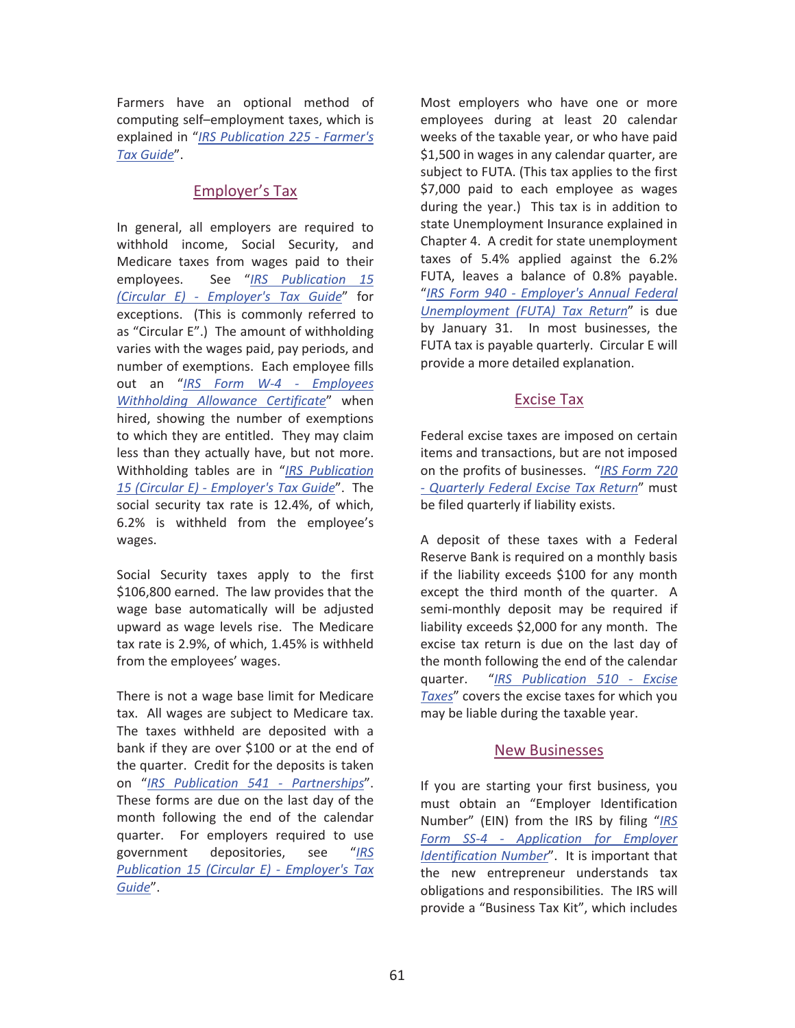Farmers have an optional method of computing self–employment taxes, which is **explained in "IRS Publication 225 - Farmer's** *Tax Guide*".

## Employer's Tax

In general, all employers are required to withhold income, Social Security, and Medicare taxes from wages paid to their employees. See "*IRS Publication 15 (Circular E)* - *Employer's Tax Guide*" for exceptions. (This is commonly referred to as "Circular  $E$ ".) The amount of withholding varies with the wages paid, pay periods, and number of exemptions. Each employee fills **out an "IRS Form W-4 - Employees** *Withholding Allowance Certificate*" when hired, showing the number of exemptions to which they are entitled. They may claim less than they actually have, but not more. Withholding tables are in "*IRS Publication 15 (Circular E) - Employer's Tax Guide".* The social security tax rate is 12.4%, of which, 6.2% is withheld from the employee's wages.

Social Security taxes apply to the first \$106,800 earned. The law provides that the wage base automatically will be adjusted upward as wage levels rise. The Medicare tax rate is 2.9%, of which, 1.45% is withheld from the employees' wages.

There is not a wage base limit for Medicare tax. All wages are subject to Medicare tax. The taxes withheld are deposited with a bank if they are over \$100 or at the end of the quarter. Credit for the deposits is taken on "*IRS Publication 541 - Partnerships"*. These forms are due on the last day of the month following the end of the calendar quarter. For employers required to use government depositories, see "*IRS Publication 15 (Circular E) - Employer's Tax Guide*".

Most employers who have one or more employees during at least 20 calendar weeks of the taxable year, or who have paid \$1,500 in wages in any calendar quarter, are subject to FUTA. (This tax applies to the first \$7,000 paid to each employee as wages during the year.) This tax is in addition to state Unemployment Insurance explained in Chapter 4. A credit for state unemployment taxes of 5.4% applied against the 6.2% FUTA, leaves a balance of 0.8% payable. "*IRS Form 940 Ͳ Employer's Annual Federal Unemployment (FUTA) Tax Return*" is due by January 31. In most businesses, the FUTA tax is payable quarterly. Circular E will provide a more detailed explanation.

## Excise Tax

Federal excise taxes are imposed on certain items and transactions, but are not imposed on the profits of businesses."*IRS Form 720 ͲQuarterly Federal Excise Tax Return*" must be filed quarterly if liability exists.

A deposit of these taxes with a Federal Reserve Bank is required on a monthly basis if the liability exceeds \$100 for any month except the third month of the quarter. A semi-monthly deposit may be required if liability exceeds \$2,000 for any month. The excise tax return is due on the last day of the month following the end of the calendar **quarter.** "IRS Publication 510 - Excise *Taxes*" covers the excise taxes for which you may be liable during the taxable year.

## New Businesses

If you are starting your first business, you must obtain an "Employer Identification Number" (EIN) from the IRS by filing "*IRS Form SSͲ4 Ͳ Application for Employer Identification Number*". It is important that the new entrepreneur understands tax obligations and responsibilities. The IRS will provide a "Business Tax Kit", which includes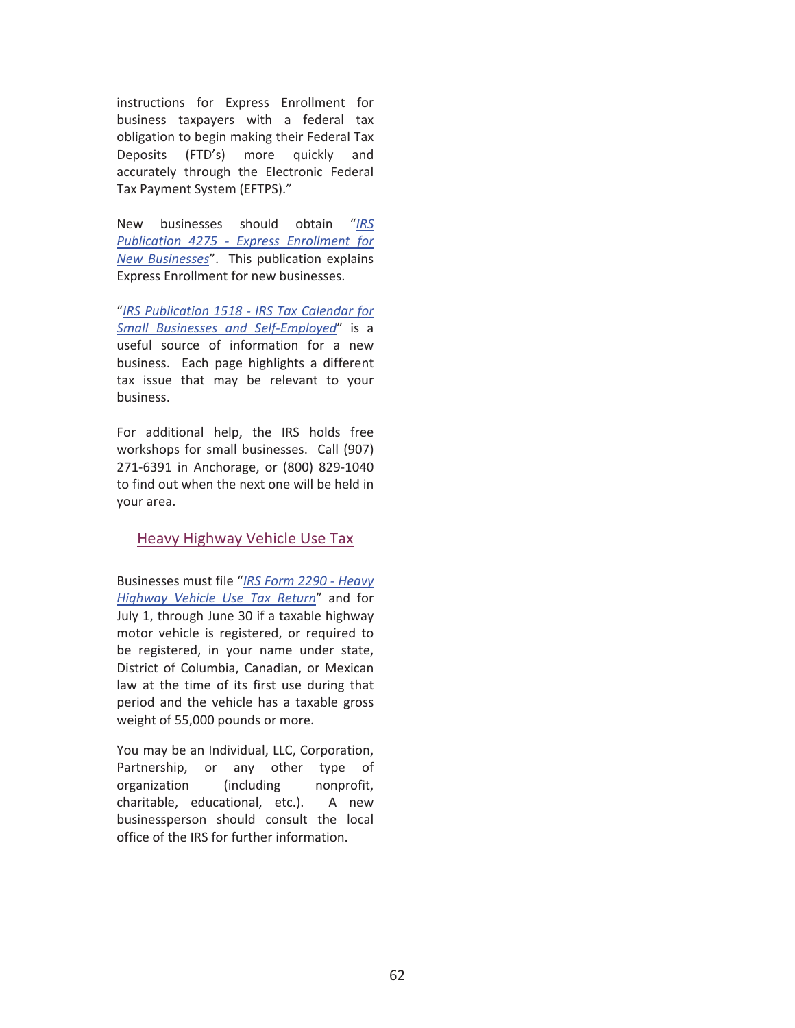instructions for Express Enrollment for business taxpayers with a federal tax obligation to begin making their Federal Tax Deposits (FTD's) more quickly and accurately through the Electronic Federal Tax Payment System (EFTPS)."

New businesses should obtain "*IRS Publication 4275 Ͳ Express Enrollment for New Businesses*". This publication explains Express Enrollment for new businesses.

"*IRS Publication 1518ͲIRS Tax Calendar for <u>Small Businesses and Self-Employed"</u>* is a useful source of information for a new business. Each page highlights a different tax issue that may be relevant to your business.

For additional help, the IRS holds free workshops for small businesses. Call (907) 271-6391 in Anchorage, or (800) 829-1040 to find out when the next one will be held in your area.

## Heavy Highway Vehicle Use Tax

Businesses must file "IRS Form 2290 - Heavy *Highway Vehicle Use Tax Return*" and for July 1, through June 30 if a taxable highway motor vehicle is registered, or required to be registered, in your name under state, District of Columbia, Canadian, or Mexican law at the time of its first use during that period and the vehicle has a taxable gross weight of 55,000 pounds or more.

You may be an Individual, LLC, Corporation, Partnership, or any other type of organization (including nonprofit, charitable, educational, etc.). A new businessperson should consult the local office of the IRS for further information.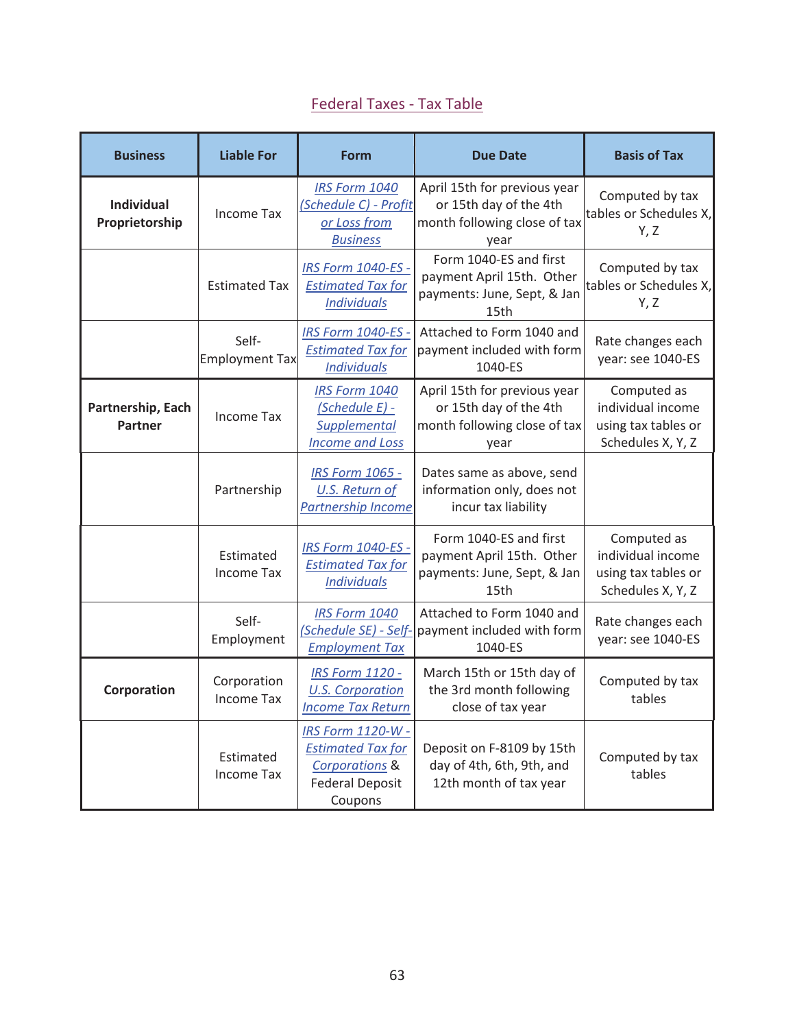| <b>Business</b>                     | <b>Liable For</b>                | <b>Form</b>                                                                                          | <b>Due Date</b>                                                                                | <b>Basis of Tax</b>                                                          |
|-------------------------------------|----------------------------------|------------------------------------------------------------------------------------------------------|------------------------------------------------------------------------------------------------|------------------------------------------------------------------------------|
| <b>Individual</b><br>Proprietorship | <b>Income Tax</b>                | IRS Form 1040<br>(Schedule C) - Profit<br>or Loss from<br><b>Business</b>                            | April 15th for previous year<br>or 15th day of the 4th<br>month following close of tax<br>year | Computed by tax<br>tables or Schedules X,<br>Y, Z                            |
|                                     | <b>Estimated Tax</b>             | <b>IRS Form 1040-ES -</b><br><b>Estimated Tax for</b><br><b>Individuals</b>                          | Form 1040-ES and first<br>payment April 15th. Other<br>payments: June, Sept, & Jan<br>15th     | Computed by tax<br>tables or Schedules X,<br>Y, Z                            |
|                                     | Self-<br><b>Employment Tax</b>   | IRS Form 1040-ES -<br><b>Estimated Tax for</b><br><b>Individuals</b>                                 | Attached to Form 1040 and<br>payment included with form<br>1040-ES                             | Rate changes each<br>year: see 1040-ES                                       |
| Partnership, Each<br><b>Partner</b> | <b>Income Tax</b>                | IRS Form 1040<br>(Schedule E) -<br>Supplemental<br><b>Income and Loss</b>                            | April 15th for previous year<br>or 15th day of the 4th<br>month following close of tax<br>year | Computed as<br>individual income<br>using tax tables or<br>Schedules X, Y, Z |
|                                     | Partnership                      | <b>IRS Form 1065 -</b><br><b>U.S. Return of</b><br>Partnership Income                                | Dates same as above, send<br>information only, does not<br>incur tax liability                 |                                                                              |
|                                     | Estimated<br><b>Income Tax</b>   | <b>IRS Form 1040-ES -</b><br><b>Estimated Tax for</b><br><b>Individuals</b>                          | Form 1040-ES and first<br>payment April 15th. Other<br>payments: June, Sept, & Jan<br>15th     | Computed as<br>individual income<br>using tax tables or<br>Schedules X, Y, Z |
|                                     | Self-<br>Employment              | IRS Form 1040<br>(Schedule SE) - Self-<br><b>Employment Tax</b>                                      | Attached to Form 1040 and<br>payment included with form<br>1040-ES                             | Rate changes each<br>year: see 1040-ES                                       |
| Corporation                         | Corporation<br><b>Income Tax</b> | <b>IRS Form 1120 -</b><br><b>U.S. Corporation</b><br><b>Income Tax Return</b>                        | March 15th or 15th day of<br>the 3rd month following<br>close of tax year                      | Computed by tax<br>tables                                                    |
|                                     | Estimated<br><b>Income Tax</b>   | IRS Form 1120-W -<br><b>Estimated Tax for</b><br>Corporations &<br><b>Federal Deposit</b><br>Coupons | Deposit on F-8109 by 15th<br>day of 4th, 6th, 9th, and<br>12th month of tax year               | Computed by tax<br>tables                                                    |

# Federal Taxes - Tax Table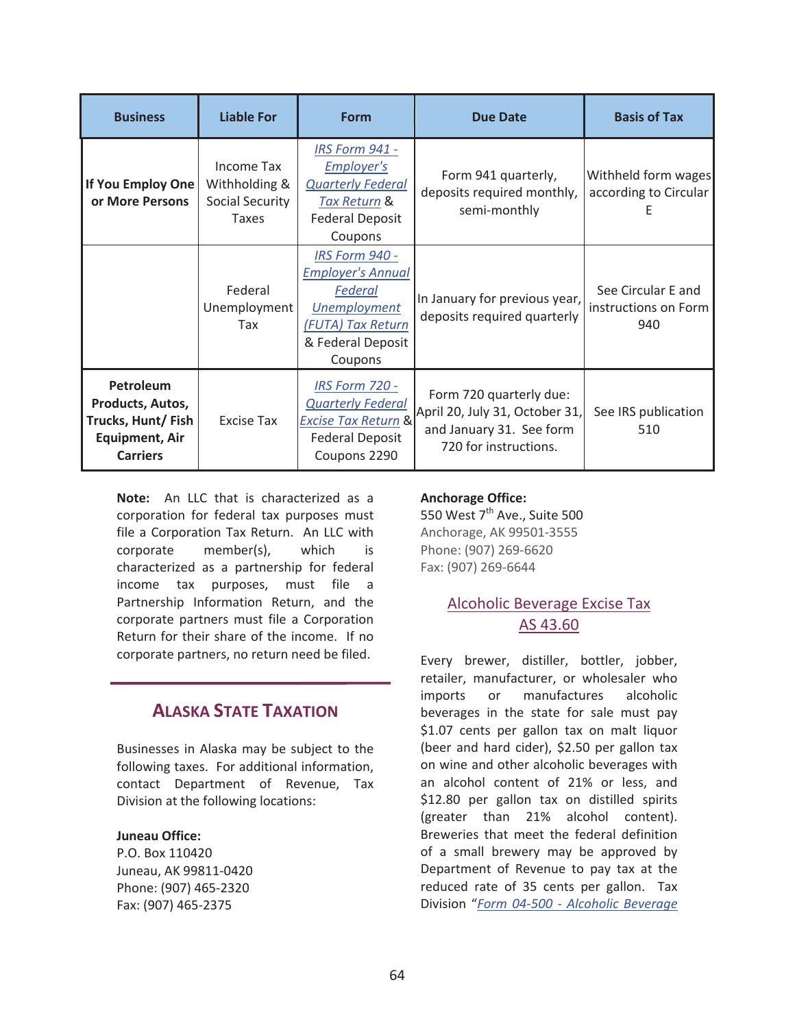| <b>Business</b>                                                                                | <b>Liable For</b>                                                     | <b>Form</b>                                                                                                                | <b>Due Date</b>                                                                                                | <b>Basis of Tax</b>                               |
|------------------------------------------------------------------------------------------------|-----------------------------------------------------------------------|----------------------------------------------------------------------------------------------------------------------------|----------------------------------------------------------------------------------------------------------------|---------------------------------------------------|
| If You Employ One<br>or More Persons                                                           | Income Tax<br>Withholding &<br><b>Social Security</b><br><b>Taxes</b> | IRS Form 941 -<br><b>Employer's</b><br><b>Quarterly Federal</b><br>Tax Return &<br><b>Federal Deposit</b><br>Coupons       | Form 941 quarterly,<br>deposits required monthly,<br>semi-monthly                                              | Withheld form wages<br>according to Circular<br>F |
|                                                                                                | Federal<br>Unemployment<br>Tax                                        | IRS Form 940 -<br><b>Employer's Annual</b><br>Federal<br>Unemployment<br>(FUTA) Tax Return<br>& Federal Deposit<br>Coupons | In January for previous year,<br>deposits required quarterly                                                   | See Circular E and<br>instructions on Form<br>940 |
| Petroleum<br>Products, Autos,<br>Trucks, Hunt/Fish<br><b>Equipment, Air</b><br><b>Carriers</b> | <b>Excise Tax</b>                                                     | IRS Form 720 -<br><b>Quarterly Federal</b><br><b>Excise Tax Return &amp;</b><br><b>Federal Deposit</b><br>Coupons 2290     | Form 720 quarterly due:<br>April 20, July 31, October 31,<br>and January 31. See form<br>720 for instructions. | See IRS publication<br>510                        |

**Note:** An LLC that is characterized as a corporation for federal tax purposes must file a Corporation Tax Return. An LLC with corporate member(s), which is characterized as a partnership for federal income tax purposes, must file a Partnership Information Return, and the corporate partners must file a Corporation Return for their share of the income. If no corporate partners, no return need be filed.

## **ALASKA STATE TAXATION**

Businesses in Alaska may be subject to the following taxes. For additional information, contact Department of Revenue, Tax Division at the following locations:

#### **Juneau Office:**

P.O. Box 110420 Juneau, AK 99811-0420 Phone: (907) 465-2320 Fax: (907) 465-2375

#### **Anchorage Office:**

550 West 7<sup>th</sup> Ave., Suite 500 Anchorage, AK 99501-3555 Phone: (907) 269-6620 Fax: (907) 269-6644

## Alcoholic Beverage Excise Tax AS 43.60

Every brewer, distiller, bottler, jobber, retailer, manufacturer, or wholesaler who imports or manufactures alcoholic beverages in the state for sale must pay \$1.07 cents per gallon tax on malt liquor (beer and hard cider), \$2.50 per gallon tax on wine and other alcoholic beverages with an alcohol content of 21% or less, and \$12.80 per gallon tax on distilled spirits (greater than 21% alcohol content). Breweries that meet the federal definition of a small brewery may be approved by Department of Revenue to pay tax at the reduced rate of 35 cents per gallon. Tax **Division "Form 04-500 - Alcoholic Beverage**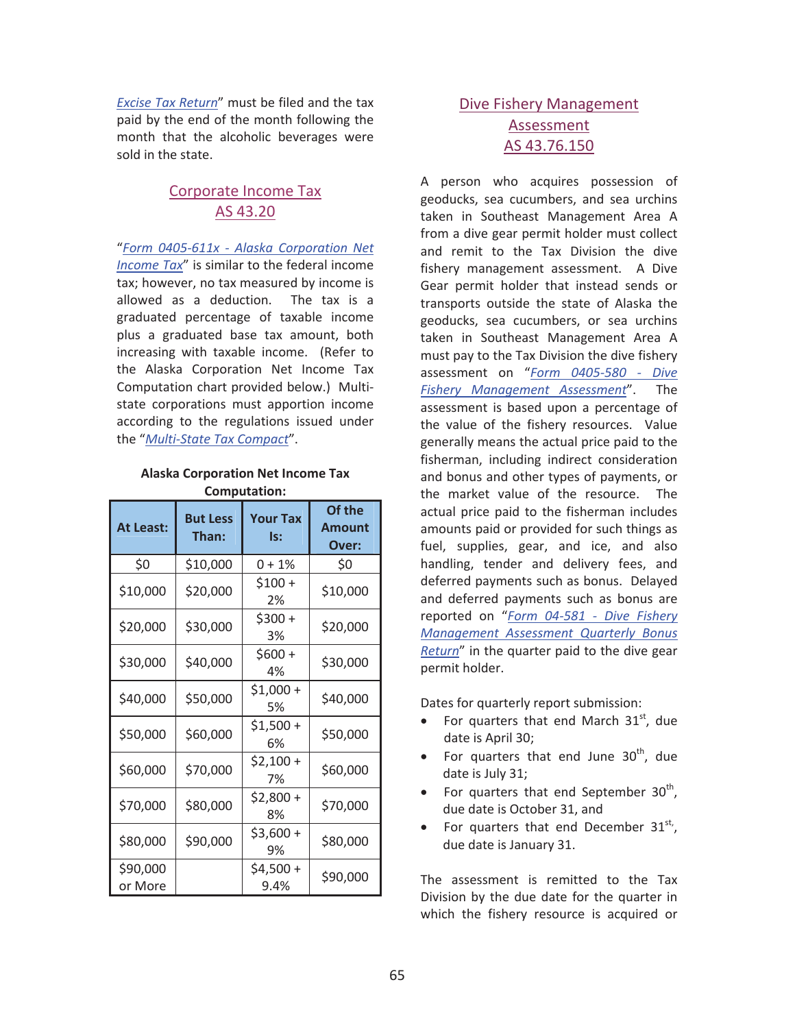*Excise Tax Return*" must be filed and the tax paid by the end of the month following the month that the alcoholic beverages were sold in the state.

## Corporate Income Tax AS 43.20

"*Form 0405Ͳ611x Ͳ Alaska Corporation Net Income Tax*" is similar to the federal income tax; however, no tax measured by income is allowed as a deduction. The tax is a graduated percentage of taxable income plus a graduated base tax amount, both increasing with taxable income. (Refer to the Alaska Corporation Net Income Tax Computation chart provided below.) Multistate corporations must apportion income according to the regulations issued under the "*MultiͲState Tax Compact*".

#### **Alaska Corporation Net Income Tax Computation:**

| <b>At Least:</b>    | <b>But Less</b><br>Than: | <b>Your Tax</b><br>Is: | Of the<br>Amount<br>Over: |
|---------------------|--------------------------|------------------------|---------------------------|
| \$0                 | \$10,000                 | $0 + 1%$               | \$0                       |
| \$10,000            | \$20,000                 | $$100 +$<br>2%         | \$10,000                  |
| \$20,000            | \$30,000                 | $$300 +$<br>3%         | \$20,000                  |
| \$30,000            | \$40,000                 | $$600 +$<br>4%         | \$30,000                  |
| \$40,000            | \$50,000                 | $$1,000+$<br>5%        | \$40,000                  |
| \$50,000            | \$60,000                 | $$1,500+$<br>6%        | \$50,000                  |
| \$60,000            | \$70,000                 | \$2,100 +<br>7%        | \$60,000                  |
| \$70,000            | \$80,000                 | $$2,800+$<br>8%        | \$70,000                  |
| \$80,000            | \$90,000                 | $$3,600 +$<br>9%       | \$80,000                  |
| \$90,000<br>or More |                          | \$4,500 +<br>9.4%      | \$90,000                  |

## Dive Fishery Management Assessment AS 43.76.150

A person who acquires possession of geoducks, sea cucumbers, and sea urchins taken in Southeast Management Area A from a dive gear permit holder must collect and remit to the Tax Division the dive fishery management assessment. A Dive Gear permit holder that instead sends or transports outside the state of Alaska the geoducks, sea cucumbers, or sea urchins taken in Southeast Management Area A must pay to the Tax Division the dive fishery assessment on "*Form 0405Ͳ580 Ͳ Dive Fishery Management Assessment*". The assessment is based upon a percentage of the value of the fishery resources. Value generally means the actual price paid to the fisherman, including indirect consideration and bonus and other types of payments, or the market value of the resource. The actual price paid to the fisherman includes amounts paid or provided for such things as fuel, supplies, gear, and ice, and also handling, tender and delivery fees, and deferred payments such as bonus. Delayed and deferred payments such as bonus are reported on "*Form 04Ͳ581 Ͳ Dive Fishery Management Assessment Quarterly Bonus Return*" in the quarter paid to the dive gear permit holder.

Dates for quarterly report submission:

- For quarters that end March  $31<sup>st</sup>$ , due date is April 30;
- For quarters that end June  $30<sup>th</sup>$ , due date is July 31;
- For quarters that end September  $30<sup>th</sup>$ , due date is October 31, and
- For quarters that end December  $31^{st}$ , due date is January 31.

The assessment is remitted to the Tax Division by the due date for the quarter in which the fishery resource is acquired or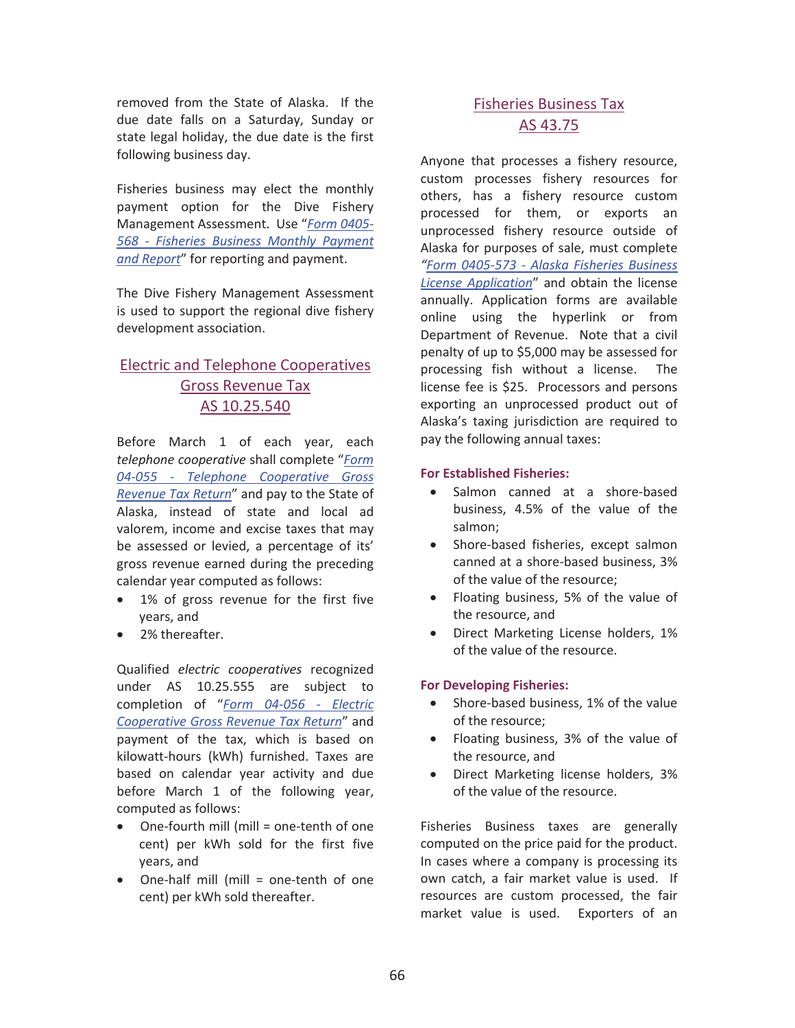removed from the State of Alaska. If the due date falls on a Saturday, Sunday or state legal holiday, the due date is the first following business day.

Fisheries business may elect the monthly payment option for the Dive Fishery Management Assessment. Use "Form 0405-*568 Ͳ Fisheries Business Monthly Payment and Report*" for reporting and payment.

The Dive Fishery Management Assessment is used to support the regional dive fishery development association.

## Electric and Telephone Cooperatives Gross Revenue Tax AS 10.25.540

Before March 1 of each year, each *telephone cooperative* shall complete "*Form 04Ͳ055 Ͳ Telephone Cooperative Gross Revenue Tax Return*" and pay to the State of Alaska, instead of state and local ad valorem, income and excise taxes that may be assessed or levied, a percentage of its' gross revenue earned during the preceding calendar year computed as follows:

- 1% of gross revenue for the first five years, and
- 2% thereafter.

Qualified *electric cooperatives* recognized under AS 10.25.555 are subject to completion of "Form 04-056 - Electric *Cooperative Gross Revenue Tax Return*" and payment of the tax, which is based on kilowatt-hours (kWh) furnished. Taxes are based on calendar year activity and due before March 1 of the following year, computed as follows:

- $\bullet$  One-fourth mill (mill = one-tenth of one cent) per kWh sold for the first five years, and
- One-half mill (mill = one-tenth of one cent) per kWh sold thereafter.

## Fisheries Business Tax AS 43.75

Anyone that processes a fishery resource, custom processes fishery resources for others, has a fishery resource custom processed for them, or exports an unprocessed fishery resource outside of Alaska for purposes of sale, must complete *"Form 0405Ͳ573 ͲAlaska Fisheries Business License Application*" and obtain the license annually. Application forms are available online using the hyperlink or from Department of Revenue. Note that a civil penalty of up to \$5,000 may be assessed for processing fish without a license. The license fee is \$25. Processors and persons exporting an unprocessed product out of Alaska's taxing jurisdiction are required to pay the following annual taxes:

#### **For Established Fisheries:**

- Salmon canned at a shore-based business, 4.5% of the value of the salmon;
- Shore-based fisheries, except salmon canned at a shore-based business, 3% of the value of the resource;
- Floating business, 5% of the value of the resource, and
- Direct Marketing License holders, 1% of the value of the resource.

#### **For Developing Fisheries:**

- Shore-based business, 1% of the value of the resource;
- Floating business, 3% of the value of the resource, and
- Direct Marketing license holders, 3% of the value of the resource.

Fisheries Business taxes are generally computed on the price paid for the product. In cases where a company is processing its own catch, a fair market value is used. If resources are custom processed, the fair market value is used. Exporters of an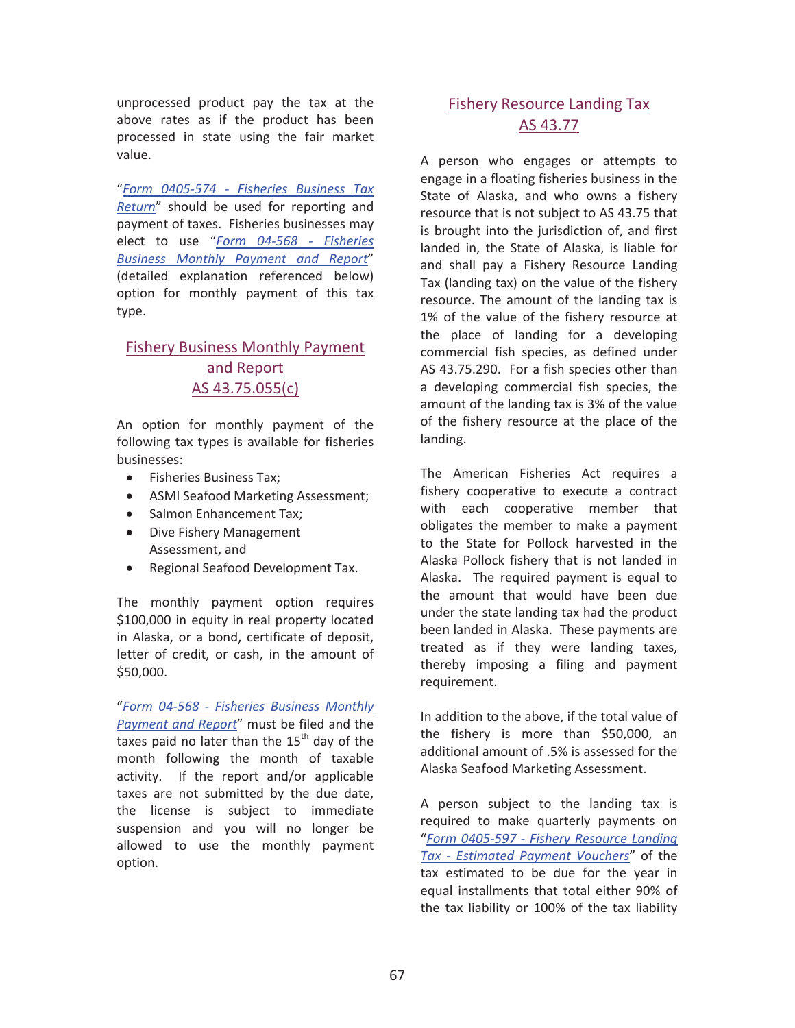unprocessed product pay the tax at the above rates as if the product has been processed in state using the fair market value.

"*Form 0405Ͳ574 Ͳ Fisheries Business Tax Return*" should be used for reporting and payment of taxes. Fisheries businesses may elect to use "*Form 04Ͳ568 Ͳ Fisheries Business Monthly Payment and Report*" (detailed explanation referenced below) option for monthly payment of this tax type.

## Fishery Business Monthly Payment and Report AS 43.75.055(c)

An option for monthly payment of the following tax types is available for fisheries businesses:

- Fisheries Business Tax:
- ASMI Seafood Marketing Assessment;
- Salmon Enhancement Tax;
- Dive Fishery Management Assessment, and
- x Regional Seafood Development Tax.

The monthly payment option requires \$100,000 in equity in real property located in Alaska, or a bond, certificate of deposit, letter of credit, or cash, in the amount of \$50,000.

"*Form 04Ͳ568 Ͳ Fisheries Business Monthly Payment and Report*" must be filed and the taxes paid no later than the  $15<sup>th</sup>$  day of the month following the month of taxable activity. If the report and/or applicable taxes are not submitted by the due date, the license is subject to immediate suspension and you will no longer be allowed to use the monthly payment option.

## Fishery Resource Landing Tax AS 43.77

A person who engages or attempts to engage in a floating fisheries business in the State of Alaska, and who owns a fishery resource that is not subject to AS 43.75 that is brought into the jurisdiction of, and first landed in, the State of Alaska, is liable for and shall pay a Fishery Resource Landing Tax (landing tax) on the value of the fishery resource. The amount of the landing tax is 1% of the value of the fishery resource at the place of landing for a developing commercial fish species, as defined under AS 43.75.290. For a fish species other than a developing commercial fish species, the amount of the landing tax is 3% of the value of the fishery resource at the place of the landing.

The American Fisheries Act requires a fishery cooperative to execute a contract with each cooperative member that obligates the member to make a payment to the State for Pollock harvested in the Alaska Pollock fishery that is not landed in Alaska. The required payment is equal to the amount that would have been due under the state landing tax had the product been landed in Alaska. These payments are treated as if they were landing taxes, thereby imposing a filing and payment requirement.

In addition to the above, if the total value of the fishery is more than \$50,000, an additional amount of .5% is assessed for the Alaska Seafood Marketing Assessment.

A person subject to the landing tax is required to make quarterly payments on "*Form 0405Ͳ597 ͲFishery Resource Landing Tax* - *Estimated Payment Vouchers*" of the tax estimated to be due for the year in equal installments that total either 90% of the tax liability or 100% of the tax liability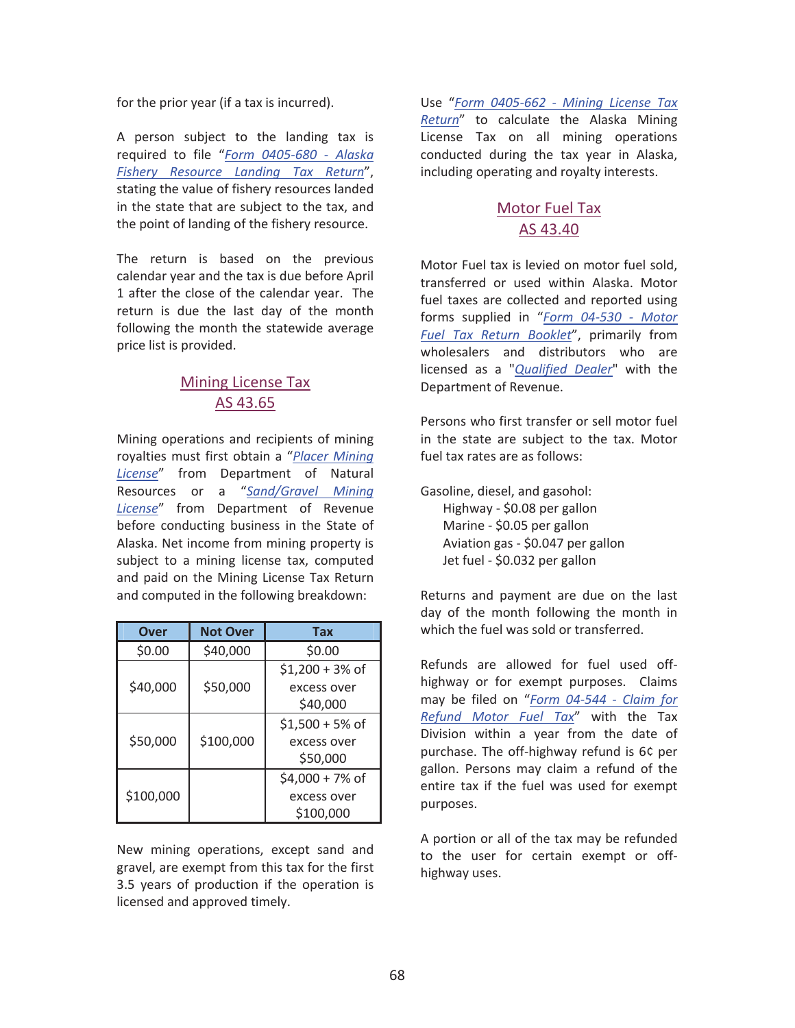for the prior year (if a tax is incurred).

A person subject to the landing tax is required to file "*Form 0405Ͳ680 Ͳ Alaska Fishery Resource Landing Tax Return*", stating the value of fishery resources landed in the state that are subject to the tax, and the point of landing of the fishery resource.

The return is based on the previous calendar year and the tax is due before April 1 after the close of the calendar year. The return is due the last day of the month following the month the statewide average price list is provided.

## Mining License Tax AS 43.65

Mining operations and recipients of mining royalties must first obtain a "*Placer Mining License*" from Department of Natural Resources or a "*Sand/Gravel Mining License*" from Department of Revenue before conducting business in the State of Alaska. Net income from mining property is subject to a mining license tax, computed and paid on the Mining License Tax Return and computed in the following breakdown:

| <b>Over</b> | <b>Not Over</b> | Tax               |
|-------------|-----------------|-------------------|
| \$0.00      | \$40,000        | \$0.00            |
|             |                 | $$1,200 + 3\%$ of |
| \$40,000    | \$50,000        | excess over       |
|             |                 | \$40,000          |
|             |                 | $$1,500 + 5\%$ of |
| \$50,000    | \$100,000       | excess over       |
|             |                 | \$50,000          |
|             |                 | \$4,000 + 7% of   |
| \$100,000   |                 | excess over       |
|             |                 | \$100,000         |

New mining operations, except sand and gravel, are exempt from this tax for the first 3.5 years of production if the operation is licensed and approved timely.

Use "Form 0405-662 - Mining License Tax *Return*" to calculate the Alaska Mining License Tax on all mining operations conducted during the tax year in Alaska, including operating and royalty interests.

## Motor Fuel Tax AS 43.40

Motor Fuel tax is levied on motor fuel sold, transferred or used within Alaska. Motor fuel taxes are collected and reported using forms supplied in "Form 04-530 - Motor *Fuel Tax Return Booklet*", primarily from wholesalers and distributors who are licensed as a "*Qualified Dealer*" with the Department of Revenue.

Persons who first transfer or sell motor fuel in the state are subject to the tax. Motor fuel tax rates are as follows:

Gasoline, diesel, and gasohol: Highway - \$0.08 per gallon Marine - \$0.05 per gallon Aviation gas - \$0.047 per gallon Jet fuel - \$0.032 per gallon

Returns and payment are due on the last day of the month following the month in which the fuel was sold or transferred.

Refunds are allowed for fuel used offhighway or for exempt purposes. Claims may be filed on "*Form 04-544 - Claim for Refund Motor Fuel Tax*" with the Tax Division within a year from the date of purchase. The off-highway refund is 6¢ per gallon. Persons may claim a refund of the entire tax if the fuel was used for exempt purposes.

A portion or all of the tax may be refunded to the user for certain exempt or offhighway uses.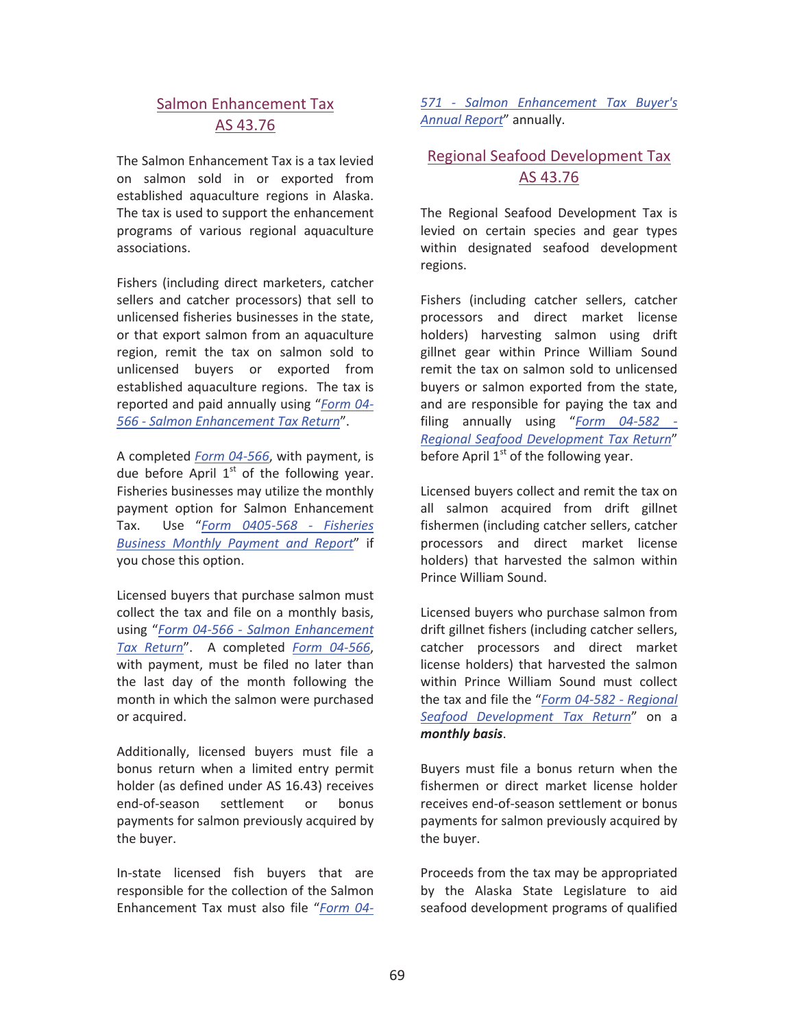## Salmon Enhancement Tax AS 43.76

The Salmon Enhancement Tax is a tax levied on salmon sold in or exported from established aquaculture regions in Alaska. The tax is used to support the enhancement programs of various regional aquaculture associations.

Fishers (including direct marketers, catcher sellers and catcher processors) that sell to unlicensed fisheries businesses in the state, or that export salmon from an aquaculture region, remit the tax on salmon sold to unlicensed buyers or exported from established aquaculture regions. The tax is *reported and paid annually using "Form 04-566ͲSalmon Enhancement Tax Return*".

A completed *Form 04Ͳ566*, with payment, is due before April  $1<sup>st</sup>$  of the following year. Fisheries businesses may utilize the monthly payment option for Salmon Enhancement **Tax.** Use "Form 0405-568 - Fisheries *Business Monthly Payment and Report*" if you chose this option.

Licensed buyers that purchase salmon must collect the tax and file on a monthly basis, using "*Form 04Ͳ566 ͲSalmon Enhancement Tax Return*". A completed *Form 04Ͳ566*, with payment, must be filed no later than the last day of the month following the month in which the salmon were purchased or acquired.

Additionally, licensed buyers must file a bonus return when a limited entry permit holder (as defined under AS 16.43) receives end-of-season settlement or bonus payments for salmon previously acquired by the buyer.

In-state licensed fish buyers that are responsible for the collection of the Salmon Enhancement Tax must also file "Form 04*571 Ͳ Salmon Enhancement Tax Buyer's Annual Report*" annually.

## Regional Seafood Development Tax AS 43.76

The Regional Seafood Development Tax is levied on certain species and gear types within designated seafood development regions.

Fishers (including catcher sellers, catcher processors and direct market license holders) harvesting salmon using drift gillnet gear within Prince William Sound remit the tax on salmon sold to unlicensed buyers or salmon exported from the state, and are responsible for paying the tax and *filing annually using "Form 04-582 -Regional Seafood Development Tax Return*" before April  $1<sup>st</sup>$  of the following year.

Licensed buyers collect and remit the tax on all salmon acquired from drift gillnet fishermen (including catcher sellers, catcher processors and direct market license holders) that harvested the salmon within Prince William Sound.

Licensed buyers who purchase salmon from drift gillnet fishers (including catcher sellers, catcher processors and direct market license holders) that harvested the salmon within Prince William Sound must collect the tax and file the "Form 04-582 - Regional *Seafood Development Tax Return*" on a *monthly basis*.

Buyers must file a bonus return when the fishermen or direct market license holder receives end-of-season settlement or bonus payments for salmon previously acquired by the buyer.

Proceeds from the tax may be appropriated by the Alaska State Legislature to aid seafood development programs of qualified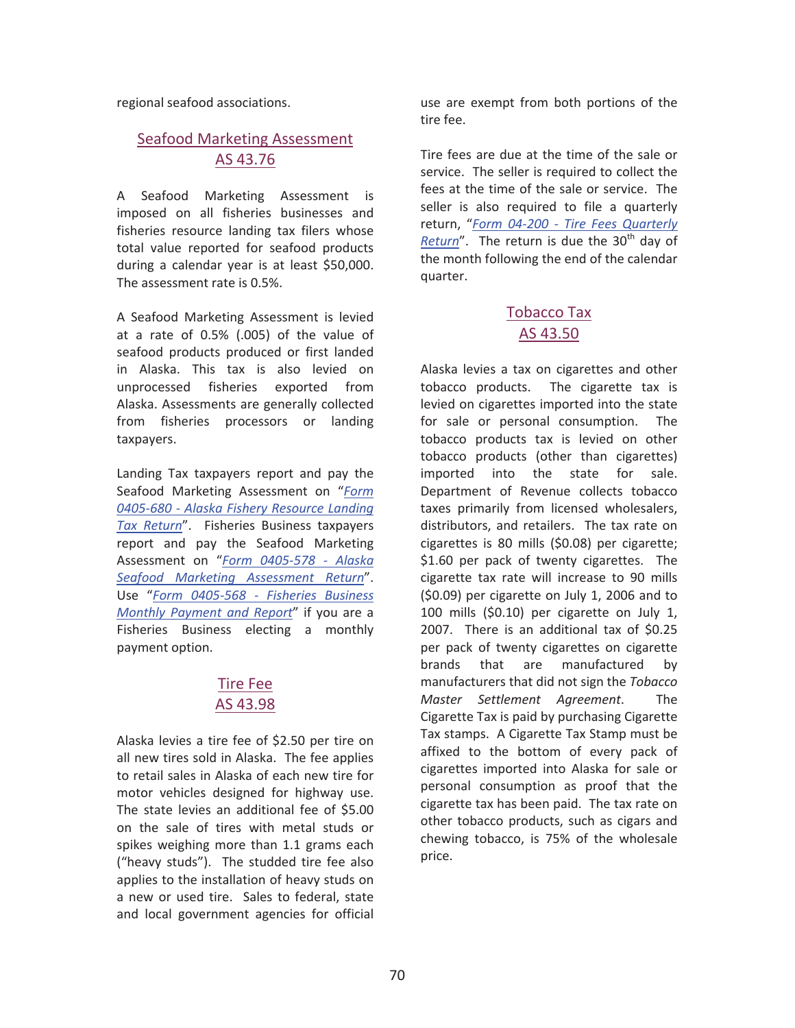regional seafood associations.

## Seafood Marketing Assessment AS 43.76

A Seafood Marketing Assessment is imposed on all fisheries businesses and fisheries resource landing tax filers whose total value reported for seafood products during a calendar year is at least \$50,000. The assessment rate is 0.5%.

A Seafood Marketing Assessment is levied at a rate of 0.5% (.005) of the value of seafood products produced or first landed in Alaska. This tax is also levied on unprocessed fisheries exported from Alaska. Assessments are generally collected from fisheries processors or landing taxpayers.

Landing Tax taxpayers report and pay the Seafood Marketing Assessment on "*Form 0405Ͳ680ͲAlaska Fishery Resource Landing Tax Return*". Fisheries Business taxpayers report and pay the Seafood Marketing Assessment on "*Form 0405Ͳ578 Ͳ Alaska Seafood Marketing Assessment Return*". Use "Form 0405-568 - Fisheries Business *Monthly Payment and Report*" if you are a Fisheries Business electing a monthly payment option.

## Tire Fee AS 43.98

Alaska levies a tire fee of \$2.50 per tire on all new tires sold in Alaska. The fee applies to retail sales in Alaska of each new tire for motor vehicles designed for highway use. The state levies an additional fee of \$5.00 on the sale of tires with metal studs or spikes weighing more than 1.1 grams each ("heavy studs"). The studded tire fee also applies to the installation of heavy studs on a new or used tire. Sales to federal, state and local government agencies for official

use are exempt from both portions of the tire fee.

Tire fees are due at the time of the sale or service. The seller is required to collect the fees at the time of the sale or service. The seller is also required to file a quarterly return, "*Form 04Ͳ200 Ͳ Tire Fees Quarterly Return*". The return is due the 30<sup>th</sup> day of the month following the end of the calendar quarter.

## Tobacco Tax AS 43.50

Alaska levies a tax on cigarettes and other tobacco products. The cigarette tax is levied on cigarettes imported into the state for sale or personal consumption. The tobacco products tax is levied on other tobacco products (other than cigarettes) imported into the state for sale. Department of Revenue collects tobacco taxes primarily from licensed wholesalers, distributors, and retailers. The tax rate on cigarettes is 80 mills (\$0.08) per cigarette; \$1.60 per pack of twenty cigarettes. The cigarette tax rate will increase to 90 mills (\$0.09) per cigarette on July 1, 2006 and to 100 mills (\$0.10) per cigarette on July 1, 2007. There is an additional tax of \$0.25 per pack of twenty cigarettes on cigarette brands that are manufactured by manufacturers that did not sign the *Tobacco Master Settlement Agreement*. The Cigarette Tax is paid by purchasing Cigarette Tax stamps. A Cigarette Tax Stamp must be affixed to the bottom of every pack of cigarettes imported into Alaska for sale or personal consumption as proof that the cigarette tax has been paid. The tax rate on other tobacco products, such as cigars and chewing tobacco, is 75% of the wholesale price.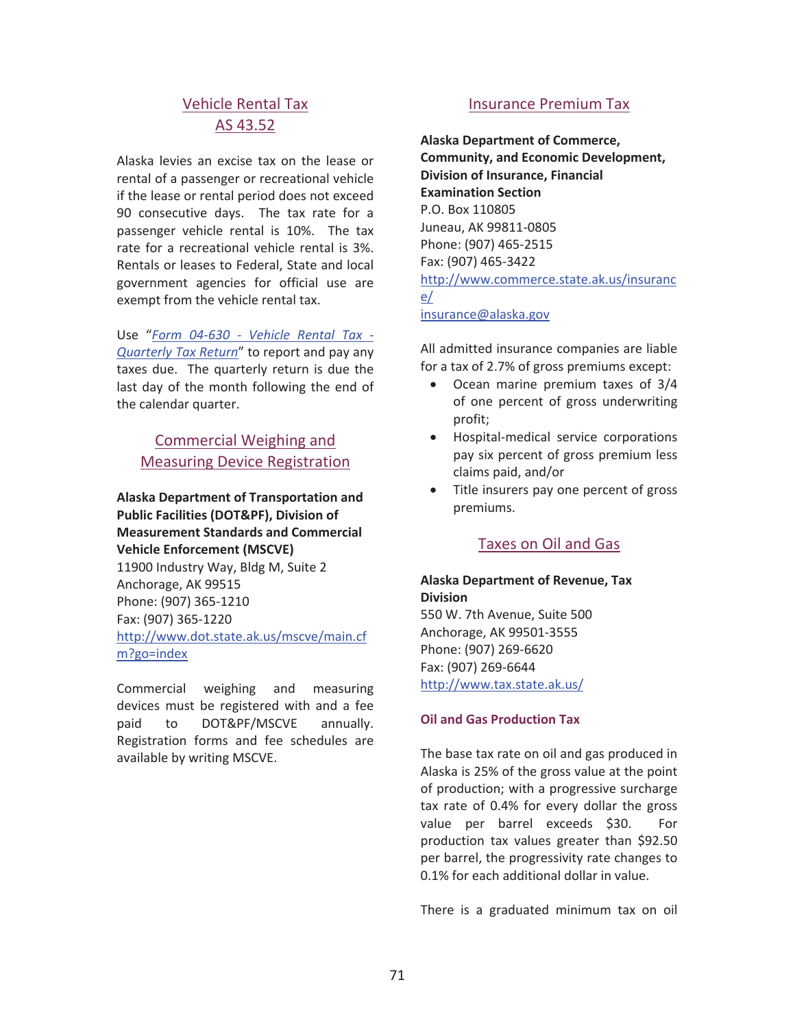## Vehicle Rental Tax AS 43.52

Alaska levies an excise tax on the lease or rental of a passenger or recreational vehicle if the lease or rental period does not exceed 90 consecutive days. The tax rate for a passenger vehicle rental is 10%. The tax rate for a recreational vehicle rental is 3%. Rentals or leases to Federal, State and local government agencies for official use are exempt from the vehicle rental tax.

Use "Form 04-630 - Vehicle Rental Tax -*Quarterly Tax Return*" to report and pay any taxes due. The quarterly return is due the last day of the month following the end of the calendar quarter.

## Commercial Weighing and Measuring Device Registration

**Alaska Department of Transportation and Public Facilities (DOT&PF), Division of Measurement Standards and Commercial Vehicle Enforcement (MSCVE)** 11900 Industry Way, Bldg M, Suite 2 Anchorage, AK 99515 Phone: (907) 365-1210 Fax: (907) 365-1220 http://www.dot.state.ak.us/mscve/main.cf m?go=index

Commercial weighing and measuring devices must be registered with and a fee paid to DOT&PF/MSCVE annually. Registration forms and fee schedules are available by writing MSCVE.

## Insurance Premium Tax

**Alaska Department of Commerce, Community, and Economic Development, Division of Insurance, Financial Examination Section** P.O. Box 110805 Juneau, AK 99811-0805 Phone: (907) 465-2515 Fax: (907) 465-3422 http://www.commerce.state.ak.us/insuranc e/ insurance@alaska.gov

All admitted insurance companies are liable for a tax of 2.7% of gross premiums except:

- Ocean marine premium taxes of 3/4 of one percent of gross underwriting profit;
- Hospital-medical service corporations pay six percent of gross premium less claims paid, and/or
- Title insurers pay one percent of gross premiums.

## Taxes on Oil and Gas

**Alaska Department of Revenue, Tax Division** 550 W. 7th Avenue, Suite 500

Anchorage, AK 99501-3555 Phone: (907) 269-6620 Fax: (907) 269-6644 http://www.tax.state.ak.us/

#### **Oil and Gas Production Tax**

The base tax rate on oil and gas produced in Alaska is 25% of the gross value at the point of production; with a progressive surcharge tax rate of 0.4% for every dollar the gross value per barrel exceeds \$30. For production tax values greater than \$92.50 per barrel, the progressivity rate changes to 0.1% for each additional dollar in value.

There is a graduated minimum tax on oil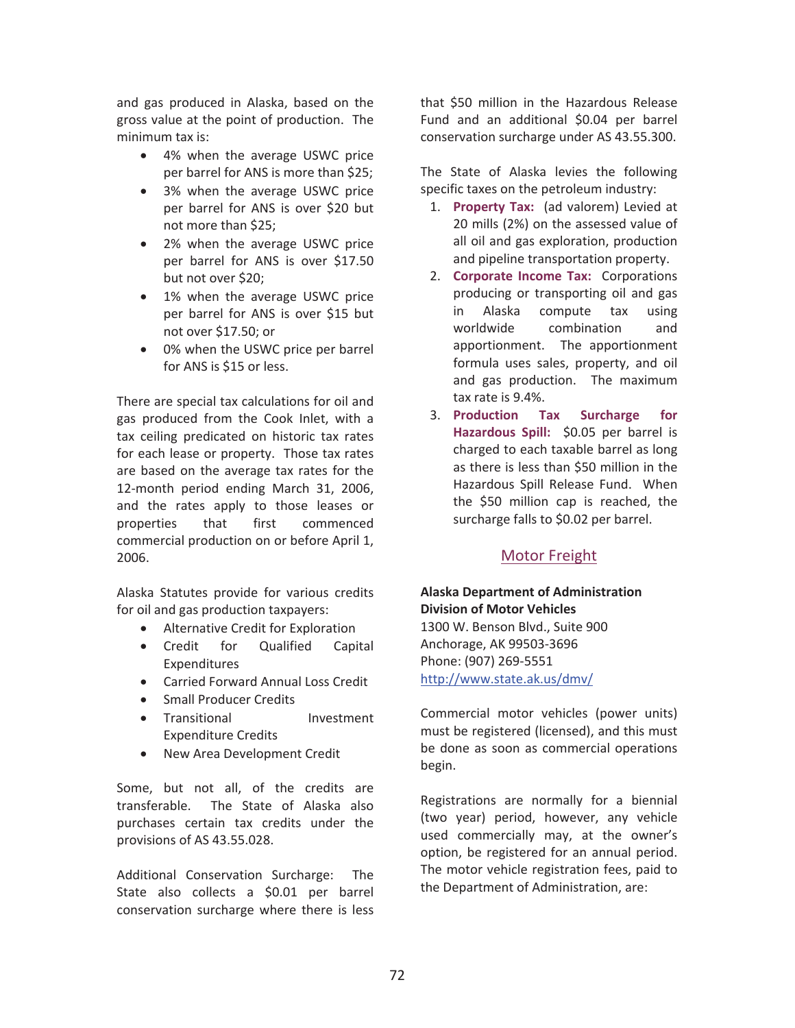and gas produced in Alaska, based on the gross value at the point of production. The minimum tax is:

- 4% when the average USWC price per barrel for ANS is more than \$25;
- 3% when the average USWC price per barrel for ANS is over \$20 but not more than \$25;
- 2% when the average USWC price per barrel for ANS is over \$17.50 but not over \$20;
- 1% when the average USWC price per barrel for ANS is over \$15 but not over \$17.50; or
- 0% when the USWC price per barrel for ANS is \$15 or less.

There are special tax calculations for oil and gas produced from the Cook Inlet, with a tax ceiling predicated on historic tax rates for each lease or property. Those tax rates are based on the average tax rates for the 12-month period ending March 31, 2006, and the rates apply to those leases or properties that first commenced commercial production on or before April 1, 2006.

Alaska Statutes provide for various credits for oil and gas production taxpayers:

- Alternative Credit for Exploration
- Credit for Qualified Capital Expenditures
- Carried Forward Annual Loss Credit
- Small Producer Credits
- Transitional **Investment** Expenditure Credits
- New Area Development Credit

Some, but not all, of the credits are transferable. The State of Alaska also purchases certain tax credits under the provisions of AS 43.55.028.

Additional Conservation Surcharge: The State also collects a \$0.01 per barrel conservation surcharge where there is less that \$50 million in the Hazardous Release Fund and an additional \$0.04 per barrel conservation surcharge under AS 43.55.300.

The State of Alaska levies the following specific taxes on the petroleum industry:

- 1. **Property Tax:** (ad valorem) Levied at 20 mills (2%) on the assessed value of all oil and gas exploration, production and pipeline transportation property.
- 2. **Corporate Income Tax:** Corporations producing or transporting oil and gas in Alaska compute tax using worldwide combination and apportionment. The apportionment formula uses sales, property, and oil and gas production. The maximum tax rate is 9.4%.
- 3. **Production Tax Surcharge for** Hazardous Spill: \$0.05 per barrel is charged to each taxable barrel as long as there is less than \$50 million in the Hazardous Spill Release Fund. When the \$50 million cap is reached, the surcharge falls to \$0.02 per barrel.

## Motor Freight

#### **Alaska Department of Administration Division of Motor Vehicles** 1300 W. Benson Blvd., Suite 900

Anchorage, AK 99503-3696 Phone: (907) 269-5551 http://www.state.ak.us/dmv/

Commercial motor vehicles (power units) must be registered (licensed), and this must be done as soon as commercial operations begin.

Registrations are normally for a biennial (two year) period, however, any vehicle used commercially may, at the owner's option, be registered for an annual period. The motor vehicle registration fees, paid to the Department of Administration, are: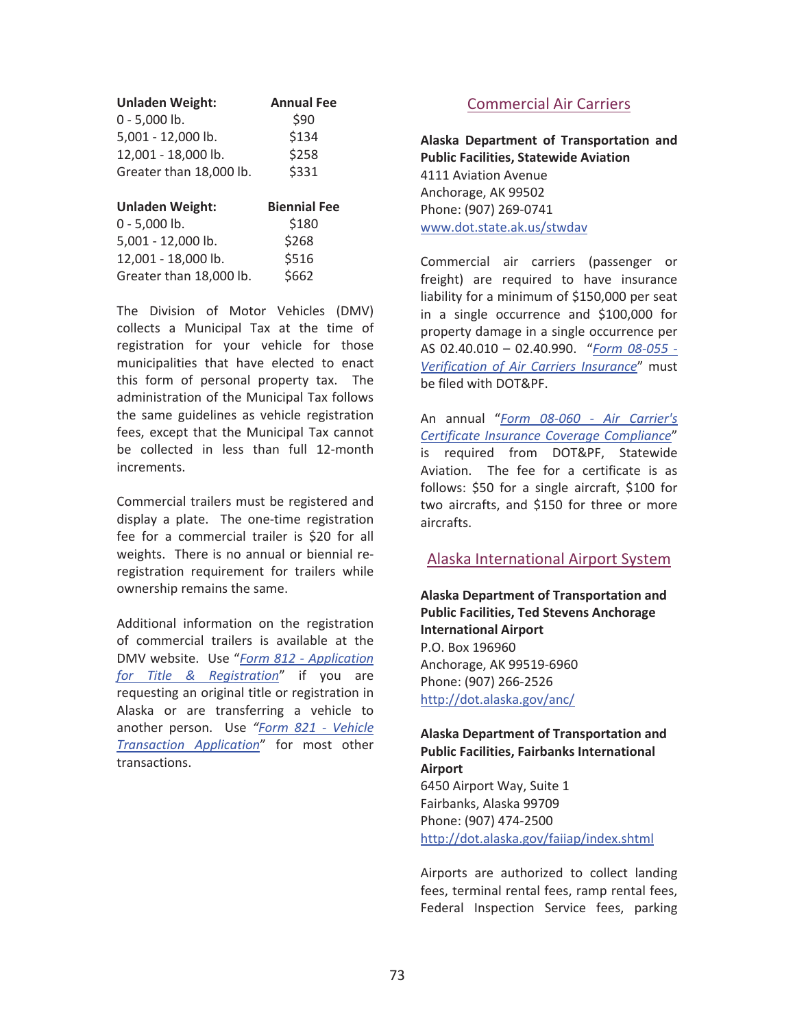| <b>Unladen Weight:</b>  | <b>Annual Fee</b>   |
|-------------------------|---------------------|
| $0 - 5,000$ lb.         | \$90                |
| 5,001 - 12,000 lb.      | \$134               |
| 12,001 - 18,000 lb.     | \$258               |
| Greater than 18,000 lb. | \$331               |
|                         |                     |
| <b>Unladen Weight:</b>  | <b>Biennial Fee</b> |
| $0 - 5,000$ lb.         | \$180               |
| 5,001 - 12,000 lb.      | \$268               |
| 12,001 - 18,000 lb.     | \$516               |

Greater than  $18,000$  lb.  $$662$ 

The Division of Motor Vehicles (DMV) collects a Municipal Tax at the time of registration for your vehicle for those municipalities that have elected to enact this form of personal property tax. The administration of the Municipal Tax follows the same guidelines as vehicle registration fees, except that the Municipal Tax cannot be collected in less than full 12-month increments.

Commercial trailers must be registered and display a plate. The one-time registration fee for a commercial trailer is \$20 for all weights. There is no annual or biennial reregistration requirement for trailers while ownership remains the same.

Additional information on the registration of commercial trailers is available at the DMV website. Use "Form 812 - Application *for Title & Registration*" if you are requesting an original title or registration in Alaska or are transferring a vehicle to another person. Use "Form 821 - Vehicle *Transaction Application*" for most other transactions.

### Commercial Air Carriers

**Alaska Department of Transportation and Public Facilities, Statewide Aviation** 4111 Aviation Avenue Anchorage, AK 99502 Phone: (907) 269-0741 www.dot.state.ak.us/stwdav

Commercial air carriers (passenger or freight) are required to have insurance liability for a minimum of \$150,000 per seat in a single occurrence and \$100,000 for property damage in a single occurrence per  $AS$  02.40.010 – 02.40.990. "Form 08-055 -*Verification of Air Carriers Insurance*" must be filed with DOT&PF.

An annual "*Form 08Ͳ060 Ͳ Air Carrier's Certificate Insurance Coverage Compliance*" is required from DOT&PF, Statewide Aviation. The fee for a certificate is as follows: \$50 for a single aircraft, \$100 for two aircrafts, and \$150 for three or more aircrafts.

### Alaska International Airport System

**Alaska Department of Transportation and Public Facilities, Ted Stevens Anchorage International Airport** P.O. Box 196960 Anchorage, AK 99519-6960 Phone: (907) 266-2526 http://dot.alaska.gov/anc/

### **Alaska Department of Transportation and Public Facilities, Fairbanks International Airport**

6450 Airport Way, Suite 1 Fairbanks, Alaska 99709 Phone: (907) 474-2500 http://dot.alaska.gov/faiiap/index.shtml

Airports are authorized to collect landing fees, terminal rental fees, ramp rental fees, Federal Inspection Service fees, parking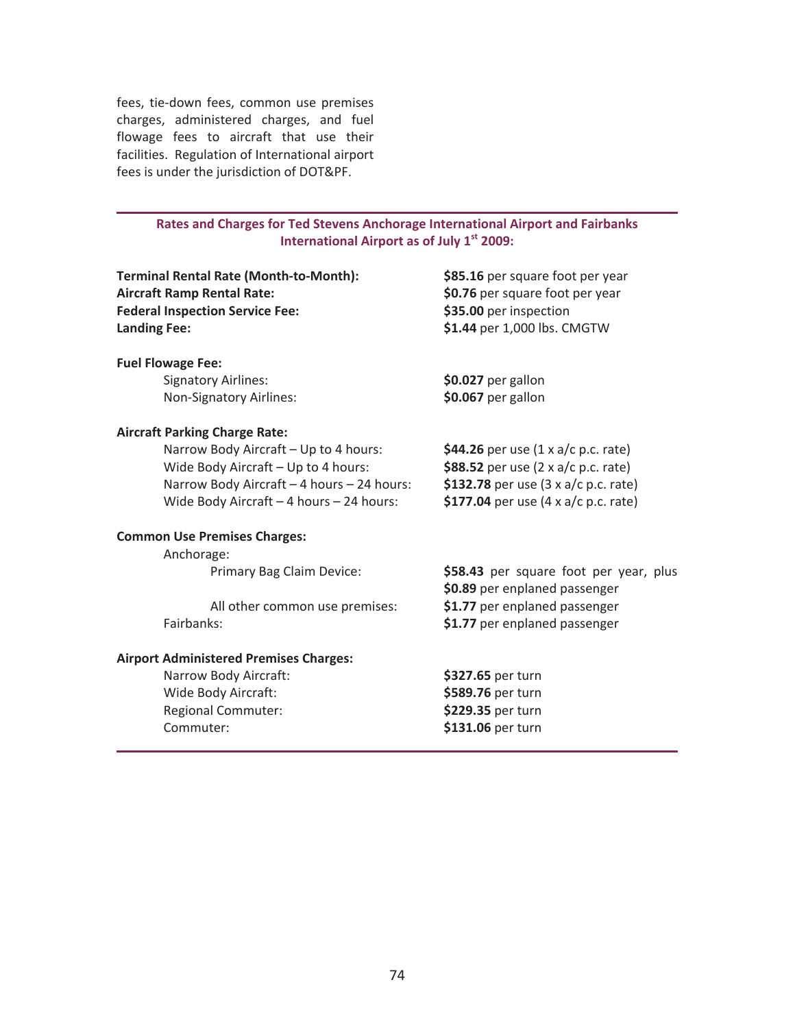fees, tie-down fees, common use premises charges, administered charges, and fuel flowage fees to aircraft that use their facilities. Regulation of International airport fees is under the jurisdiction of DOT&PF.

### **Rates and Charges for Ted Stevens Anchorage International Airport and Fairbanks International Airport as of July 1st 2009:**

<u> 1989 - Andrea Santa Alemania, amerikana amerikana amerikana amerikana amerikana amerikana amerikana amerikan</u>

| Terminal Rental Rate (Month-to-Month):<br><b>Aircraft Ramp Rental Rate:</b><br><b>Federal Inspection Service Fee:</b><br><b>Landing Fee:</b> | \$85.16 per square foot per year<br>\$0.76 per square foot per year<br>\$35.00 per inspection<br>\$1.44 per 1,000 lbs. CMGTW |
|----------------------------------------------------------------------------------------------------------------------------------------------|------------------------------------------------------------------------------------------------------------------------------|
| <b>Fuel Flowage Fee:</b>                                                                                                                     |                                                                                                                              |
| <b>Signatory Airlines:</b>                                                                                                                   | \$0.027 per gallon                                                                                                           |
| Non-Signatory Airlines:                                                                                                                      | \$0.067 per gallon                                                                                                           |
| <b>Aircraft Parking Charge Rate:</b>                                                                                                         |                                                                                                                              |
| Narrow Body Aircraft - Up to 4 hours:                                                                                                        | \$44.26 per use (1 x a/c p.c. rate)                                                                                          |
| Wide Body Aircraft - Up to 4 hours:                                                                                                          | \$88.52 per use (2 x a/c p.c. rate)                                                                                          |
| Narrow Body Aircraft - 4 hours - 24 hours:                                                                                                   | \$132.78 per use (3 x a/c p.c. rate)                                                                                         |
| Wide Body Aircraft - 4 hours - 24 hours:                                                                                                     | \$177.04 per use $(4 \times a/c$ p.c. rate)                                                                                  |
| <b>Common Use Premises Charges:</b>                                                                                                          |                                                                                                                              |
| Anchorage:                                                                                                                                   |                                                                                                                              |
| Primary Bag Claim Device:                                                                                                                    | \$58.43 per square foot per year, plus<br>\$0.89 per enplaned passenger                                                      |
| All other common use premises:                                                                                                               | \$1.77 per enplaned passenger                                                                                                |
| Fairbanks:                                                                                                                                   | \$1.77 per enplaned passenger                                                                                                |
| <b>Airport Administered Premises Charges:</b>                                                                                                |                                                                                                                              |
| Narrow Body Aircraft:                                                                                                                        | \$327.65 per turn                                                                                                            |
| Wide Body Aircraft:                                                                                                                          | \$589.76 per turn                                                                                                            |
| <b>Regional Commuter:</b>                                                                                                                    | \$229.35 per turn                                                                                                            |
| Commuter:                                                                                                                                    | \$131.06 per turn                                                                                                            |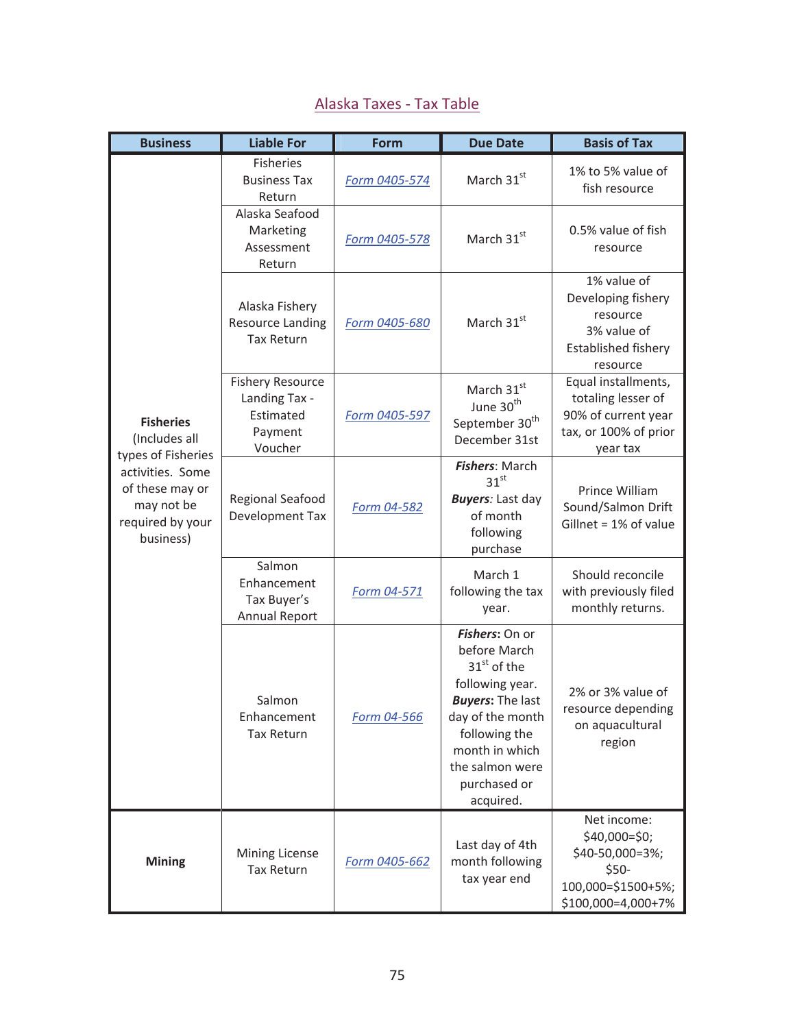| <b>Business</b>                                                                                          | <b>Liable For</b>                                                           | <b>Form</b>   | <b>Due Date</b>                                                                                                                                                                                      | <b>Basis of Tax</b>                                                                                   |
|----------------------------------------------------------------------------------------------------------|-----------------------------------------------------------------------------|---------------|------------------------------------------------------------------------------------------------------------------------------------------------------------------------------------------------------|-------------------------------------------------------------------------------------------------------|
|                                                                                                          | <b>Fisheries</b><br><b>Business Tax</b><br>Return                           | Form 0405-574 | March 31 <sup>st</sup>                                                                                                                                                                               | 1% to 5% value of<br>fish resource                                                                    |
|                                                                                                          | Alaska Seafood<br>Marketing<br>Assessment<br>Return                         | Form 0405-578 | March 31 <sup>st</sup>                                                                                                                                                                               | 0.5% value of fish<br>resource                                                                        |
|                                                                                                          | Alaska Fishery<br><b>Resource Landing</b><br><b>Tax Return</b>              | Form 0405-680 | March 31st                                                                                                                                                                                           | 1% value of<br>Developing fishery<br>resource<br>3% value of<br>Established fishery<br>resource       |
| <b>Fisheries</b><br>(Includes all                                                                        | <b>Fishery Resource</b><br>Landing Tax -<br>Estimated<br>Payment<br>Voucher | Form 0405-597 | March 31st<br>June 30 <sup>th</sup><br>September 30 <sup>th</sup><br>December 31st                                                                                                                   | Equal installments,<br>totaling lesser of<br>90% of current year<br>tax, or 100% of prior<br>year tax |
| types of Fisheries<br>activities. Some<br>of these may or<br>may not be<br>required by your<br>business) | Regional Seafood<br>Development Tax                                         | Form 04-582   | Fishers: March<br>31 <sup>st</sup><br>Buyers: Last day<br>of month<br>following<br>purchase                                                                                                          | Prince William<br>Sound/Salmon Drift<br>Gillnet = $1\%$ of value                                      |
|                                                                                                          | Salmon<br>Enhancement<br>Tax Buyer's<br>Annual Report                       | Form 04-571   | March 1<br>following the tax<br>year.                                                                                                                                                                | Should reconcile<br>with previously filed<br>monthly returns.                                         |
|                                                                                                          | Salmon<br>Enhancement<br><b>Tax Return</b>                                  | Form 04-566   | Fishers: On or<br>before March<br>$31st$ of the<br>following year.<br><b>Buyers: The last</b><br>day of the month<br>following the<br>month in which<br>the salmon were<br>purchased or<br>acquired. | 2% or 3% value of<br>resource depending<br>on aquacultural<br>region                                  |
| <b>Mining</b>                                                                                            | Mining License<br><b>Tax Return</b>                                         | Form 0405-662 | Last day of 4th<br>month following<br>tax year end                                                                                                                                                   | Net income:<br>$$40,000=$0;$<br>\$40-50,000=3%;<br>\$50-<br>100,000=\$1500+5%;<br>\$100,000=4,000+7%  |

# Alaska Taxes - Tax Table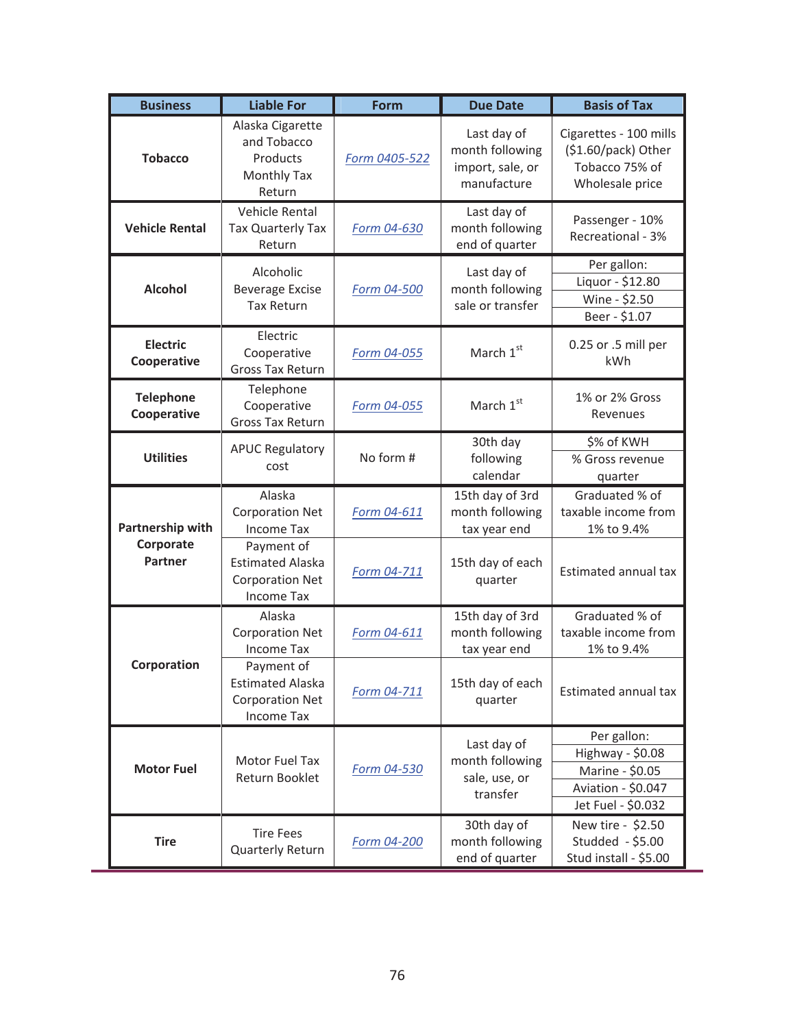| <b>Business</b>                 | <b>Liable For</b>                                                                    | <b>Form</b>   | <b>Due Date</b>                                                   | <b>Basis of Tax</b>                                                                            |
|---------------------------------|--------------------------------------------------------------------------------------|---------------|-------------------------------------------------------------------|------------------------------------------------------------------------------------------------|
| <b>Tobacco</b>                  | Alaska Cigarette<br>and Tobacco<br>Products<br>Monthly Tax<br>Return                 | Form 0405-522 | Last day of<br>month following<br>import, sale, or<br>manufacture | Cigarettes - 100 mills<br>(\$1.60/pack) Other<br>Tobacco 75% of<br>Wholesale price             |
| <b>Vehicle Rental</b>           | Vehicle Rental<br>Tax Quarterly Tax<br>Return                                        | Form 04-630   | Last day of<br>month following<br>end of quarter                  | Passenger - 10%<br>Recreational - 3%                                                           |
| <b>Alcohol</b>                  | Alcoholic<br><b>Beverage Excise</b><br><b>Tax Return</b>                             | Form 04-500   | Last day of<br>month following<br>sale or transfer                | Per gallon:<br>Liquor - \$12.80<br>Wine - \$2.50<br>Beer - \$1.07                              |
| <b>Electric</b><br>Cooperative  | Electric<br>Cooperative<br><b>Gross Tax Return</b>                                   | Form 04-055   | March 1 <sup>st</sup>                                             | 0.25 or .5 mill per<br>kWh                                                                     |
| <b>Telephone</b><br>Cooperative | Telephone<br>Cooperative<br><b>Gross Tax Return</b>                                  | Form 04-055   | March 1 <sup>st</sup>                                             | 1% or 2% Gross<br>Revenues                                                                     |
| <b>Utilities</b>                | <b>APUC Regulatory</b><br>cost                                                       | No form #     | 30th day<br>following<br>calendar                                 | \$% of KWH<br>% Gross revenue<br>quarter                                                       |
| Partnership with                | Alaska<br><b>Corporation Net</b><br><b>Income Tax</b>                                | Form 04-611   | 15th day of 3rd<br>month following<br>tax year end                | Graduated % of<br>taxable income from<br>1% to 9.4%                                            |
| Corporate<br>Partner            | Payment of<br><b>Estimated Alaska</b><br><b>Corporation Net</b><br><b>Income Tax</b> | Form 04-711   | 15th day of each<br>quarter                                       | Estimated annual tax                                                                           |
|                                 | Alaska<br><b>Corporation Net</b><br><b>Income Tax</b>                                | Form 04-611   | 15th day of 3rd<br>month following<br>tax year end                | Graduated % of<br>taxable income from<br>1% to 9.4%                                            |
| Corporation                     | Payment of<br><b>Estimated Alaska</b><br>Corporation Net<br><b>Income Tax</b>        | Form 04-711   | 15th day of each<br>quarter                                       | Estimated annual tax                                                                           |
| <b>Motor Fuel</b>               | Motor Fuel Tax<br>Return Booklet                                                     | Form 04-530   | Last day of<br>month following<br>sale, use, or<br>transfer       | Per gallon:<br>Highway - \$0.08<br>Marine - \$0.05<br>Aviation - \$0.047<br>Jet Fuel - \$0.032 |
| <b>Tire</b>                     | <b>Tire Fees</b><br>Quarterly Return                                                 | Form 04-200   | 30th day of<br>month following<br>end of quarter                  | New tire - \$2.50<br>Studded $-$ \$5.00<br>Stud install - \$5.00                               |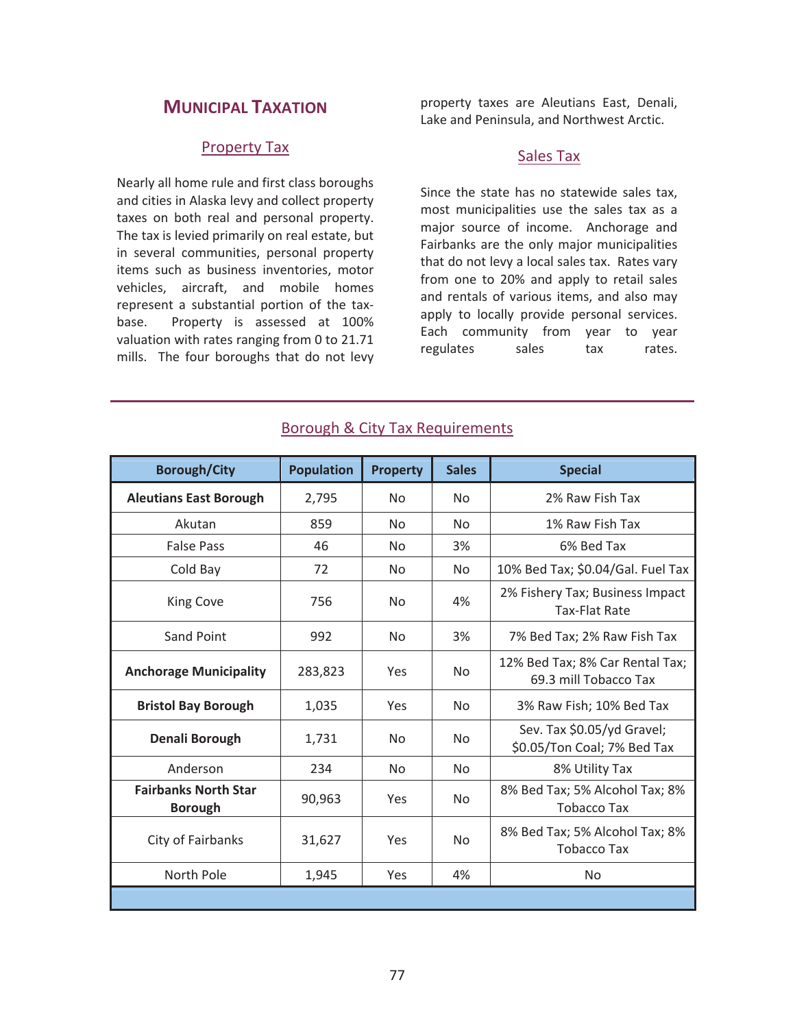### **MUNICIPAL TAXATION**

### Property Tax

Nearly all home rule and first class boroughs and cities in Alaska levy and collect property taxes on both real and personal property. The tax is levied primarily on real estate, but in several communities, personal property items such as business inventories, motor vehicles, aircraft, and mobile homes represent a substantial portion of the taxbase. Property is assessed at 100% valuation with rates ranging from 0 to 21.71 mills. The four boroughs that do not levy

property taxes are Aleutians East, Denali, Lake and Peninsula, and Northwest Arctic.

### Sales Tax

Since the state has no statewide sales tax, most municipalities use the sales tax as a major source of income. Anchorage and Fairbanks are the only major municipalities that do not levy a local sales tax. Rates vary from one to 20% and apply to retail sales and rentals of various items, and also may apply to locally provide personal services. Each community from year to year regulates sales tax rates.

| <b>Borough/City</b>                           | <b>Population</b> | <b>Property</b> | <b>Sales</b>   | <b>Special</b>                                            |
|-----------------------------------------------|-------------------|-----------------|----------------|-----------------------------------------------------------|
| <b>Aleutians East Borough</b>                 | 2,795             | <b>No</b>       | <b>No</b>      | 2% Raw Fish Tax                                           |
| Akutan                                        | 859               | <b>No</b>       | <b>No</b>      | 1% Raw Fish Tax                                           |
| <b>False Pass</b>                             | 46                | No              | 3%             | 6% Bed Tax                                                |
| Cold Bay                                      | 72                | <b>No</b>       | <b>No</b>      | 10% Bed Tax; \$0.04/Gal. Fuel Tax                         |
| <b>King Cove</b>                              | 756               | <b>No</b>       | 4%             | 2% Fishery Tax; Business Impact<br>Tax-Flat Rate          |
| <b>Sand Point</b>                             | 992               | <b>No</b>       | 3%             | 7% Bed Tax; 2% Raw Fish Tax                               |
| <b>Anchorage Municipality</b>                 | 283,823           | Yes             | N <sub>0</sub> | 12% Bed Tax; 8% Car Rental Tax;<br>69.3 mill Tobacco Tax  |
| <b>Bristol Bay Borough</b>                    | 1,035             | Yes             | <b>No</b>      | 3% Raw Fish; 10% Bed Tax                                  |
| Denali Borough                                | 1,731             | <b>No</b>       | N <sub>0</sub> | Sev. Tax \$0.05/yd Gravel;<br>\$0.05/Ton Coal; 7% Bed Tax |
| Anderson                                      | 234               | <b>No</b>       | N <sub>0</sub> | 8% Utility Tax                                            |
| <b>Fairbanks North Star</b><br><b>Borough</b> | 90,963            | Yes             | <b>No</b>      | 8% Bed Tax; 5% Alcohol Tax; 8%<br><b>Tobacco Tax</b>      |
| City of Fairbanks                             | 31,627            | Yes             | N <sub>0</sub> | 8% Bed Tax; 5% Alcohol Tax; 8%<br><b>Tobacco Tax</b>      |
| North Pole                                    | 1,945             | Yes             | 4%             | <b>No</b>                                                 |
|                                               |                   |                 |                |                                                           |

### Borough & City Tax Requirements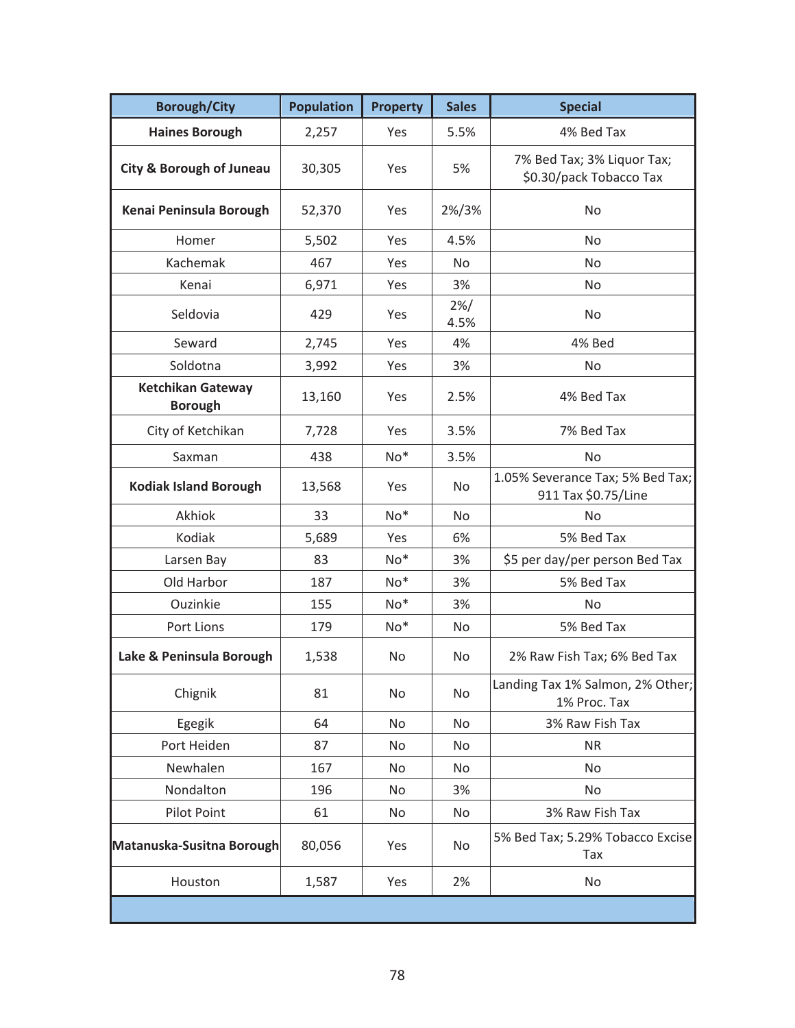| <b>Borough/City</b>                        | <b>Population</b> | <b>Property</b> | <b>Sales</b> | <b>Special</b>                                          |
|--------------------------------------------|-------------------|-----------------|--------------|---------------------------------------------------------|
| <b>Haines Borough</b>                      | 2,257             | Yes             | 5.5%         | 4% Bed Tax                                              |
| <b>City &amp; Borough of Juneau</b>        | 30,305            | Yes             | 5%           | 7% Bed Tax; 3% Liquor Tax;<br>\$0.30/pack Tobacco Tax   |
| Kenai Peninsula Borough                    | 52,370            | Yes             | 2%/3%        | No                                                      |
| Homer                                      | 5,502             | Yes             | 4.5%         | No                                                      |
| Kachemak                                   | 467               | Yes             | No           | No                                                      |
| Kenai                                      | 6,971             | Yes             | 3%           | <b>No</b>                                               |
| Seldovia                                   | 429               | Yes             | 2%/<br>4.5%  | No                                                      |
| Seward                                     | 2,745             | Yes             | 4%           | 4% Bed                                                  |
| Soldotna                                   | 3,992             | Yes             | 3%           | <b>No</b>                                               |
| <b>Ketchikan Gateway</b><br><b>Borough</b> | 13,160            | Yes             | 2.5%         | 4% Bed Tax                                              |
| City of Ketchikan                          | 7,728             | Yes             | 3.5%         | 7% Bed Tax                                              |
| Saxman                                     | 438               | $No*$           | 3.5%         | No                                                      |
| <b>Kodiak Island Borough</b>               | 13,568            | Yes             | No           | 1.05% Severance Tax; 5% Bed Tax;<br>911 Tax \$0.75/Line |
| Akhiok                                     | 33                | $No*$           | <b>No</b>    | No                                                      |
| Kodiak                                     | 5,689             | Yes             | 6%           | 5% Bed Tax                                              |
| Larsen Bay                                 | 83                | $No*$           | 3%           | \$5 per day/per person Bed Tax                          |
| Old Harbor                                 | 187               | $No*$           | 3%           | 5% Bed Tax                                              |
| Ouzinkie                                   | 155               | $No*$           | 3%           | No                                                      |
| Port Lions                                 | 179               | $No*$           | <b>No</b>    | 5% Bed Tax                                              |
| Lake & Peninsula Borough                   | 1,538             | N <sub>o</sub>  | <b>No</b>    | 2% Raw Fish Tax; 6% Bed Tax                             |
| Chignik                                    | 81                | No              | No           | Landing Tax 1% Salmon, 2% Other;<br>1% Proc. Tax        |
| Egegik                                     | 64                | No              | No           | 3% Raw Fish Tax                                         |
| Port Heiden                                | 87                | No              | No           | <b>NR</b>                                               |
| Newhalen                                   | 167               | No              | No           | No                                                      |
| Nondalton                                  | 196               | No              | 3%           | No                                                      |
| Pilot Point                                | 61                | No              | No           | 3% Raw Fish Tax                                         |
| Matanuska-Susitna Borough                  | 80,056            | Yes             | No           | 5% Bed Tax; 5.29% Tobacco Excise<br>Tax                 |
| Houston                                    | 1,587             | Yes             | 2%           | No                                                      |
|                                            |                   |                 |              |                                                         |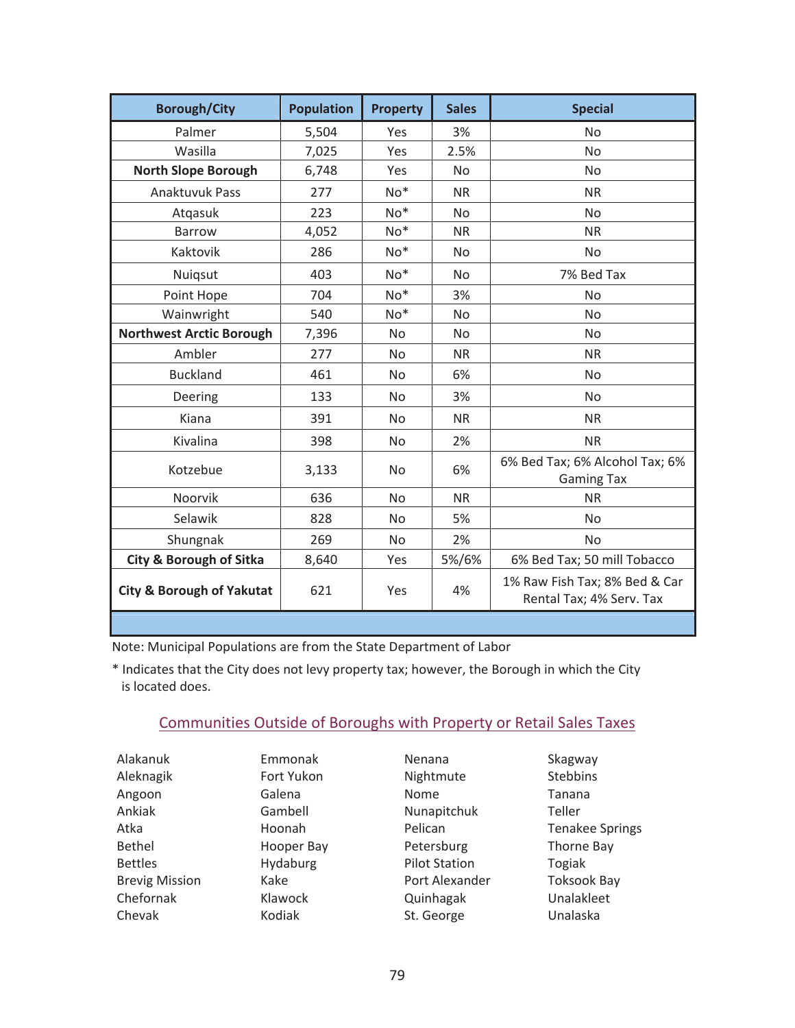| <b>Borough/City</b>                  | <b>Population</b> | <b>Property</b> | <b>Sales</b> | <b>Special</b>                                            |
|--------------------------------------|-------------------|-----------------|--------------|-----------------------------------------------------------|
| Palmer                               | 5,504             | Yes             | 3%           | No                                                        |
| Wasilla                              | 7,025             | Yes             | 2.5%         | <b>No</b>                                                 |
| <b>North Slope Borough</b>           | 6,748             | Yes             | <b>No</b>    | No                                                        |
| <b>Anaktuvuk Pass</b>                | 277               | $No*$           | <b>NR</b>    | <b>NR</b>                                                 |
| Atgasuk                              | 223               | $No*$           | <b>No</b>    | No                                                        |
| Barrow                               | 4,052             | $No*$           | <b>NR</b>    | <b>NR</b>                                                 |
| Kaktovik                             | 286               | $No*$           | <b>No</b>    | No                                                        |
| Nuiqsut                              | 403               | $No*$           | <b>No</b>    | 7% Bed Tax                                                |
| Point Hope                           | 704               | $No*$           | 3%           | No                                                        |
| Wainwright                           | 540               | $No*$           | No           | No                                                        |
| <b>Northwest Arctic Borough</b>      | 7,396             | <b>No</b>       | <b>No</b>    | No                                                        |
| Ambler                               | 277               | <b>No</b>       | <b>NR</b>    | <b>NR</b>                                                 |
| <b>Buckland</b>                      | 461               | <b>No</b>       | 6%           | No                                                        |
| Deering                              | 133               | <b>No</b>       | 3%           | <b>No</b>                                                 |
| Kiana                                | 391               | N <sub>o</sub>  | <b>NR</b>    | <b>NR</b>                                                 |
| Kivalina                             | 398               | <b>No</b>       | 2%           | <b>NR</b>                                                 |
| Kotzebue                             | 3,133             | No              | 6%           | 6% Bed Tax; 6% Alcohol Tax; 6%<br><b>Gaming Tax</b>       |
| Noorvik                              | 636               | <b>No</b>       | <b>NR</b>    | <b>NR</b>                                                 |
| Selawik                              | 828               | <b>No</b>       | 5%           | <b>No</b>                                                 |
| Shungnak                             | 269               | <b>No</b>       | 2%           | <b>No</b>                                                 |
| <b>City &amp; Borough of Sitka</b>   | 8,640             | Yes             | 5%/6%        | 6% Bed Tax; 50 mill Tobacco                               |
| <b>City &amp; Borough of Yakutat</b> | 621               | Yes             | 4%           | 1% Raw Fish Tax; 8% Bed & Car<br>Rental Tax; 4% Serv. Tax |

Note: Municipal Populations are from the State Department of Labor

\* Indicates that the City does not levy property tax; however, the Borough in which the City is located does.

### Communities Outside of Boroughs with Property or Retail Sales Taxes

| Emmonak    | Nenana               | Skagway                |
|------------|----------------------|------------------------|
| Fort Yukon | Nightmute            | <b>Stebbins</b>        |
| Galena     | <b>Nome</b>          | Tanana                 |
| Gambell    | Nunapitchuk          | Teller                 |
| Hoonah     | Pelican              | <b>Tenakee Springs</b> |
| Hooper Bay | Petersburg           | Thorne Bay             |
| Hydaburg   | <b>Pilot Station</b> | Togiak                 |
| Kake       | Port Alexander       | <b>Toksook Bay</b>     |
| Klawock    | Quinhagak            | Unalakleet             |
| Kodiak     | St. George           | Unalaska               |
|            |                      |                        |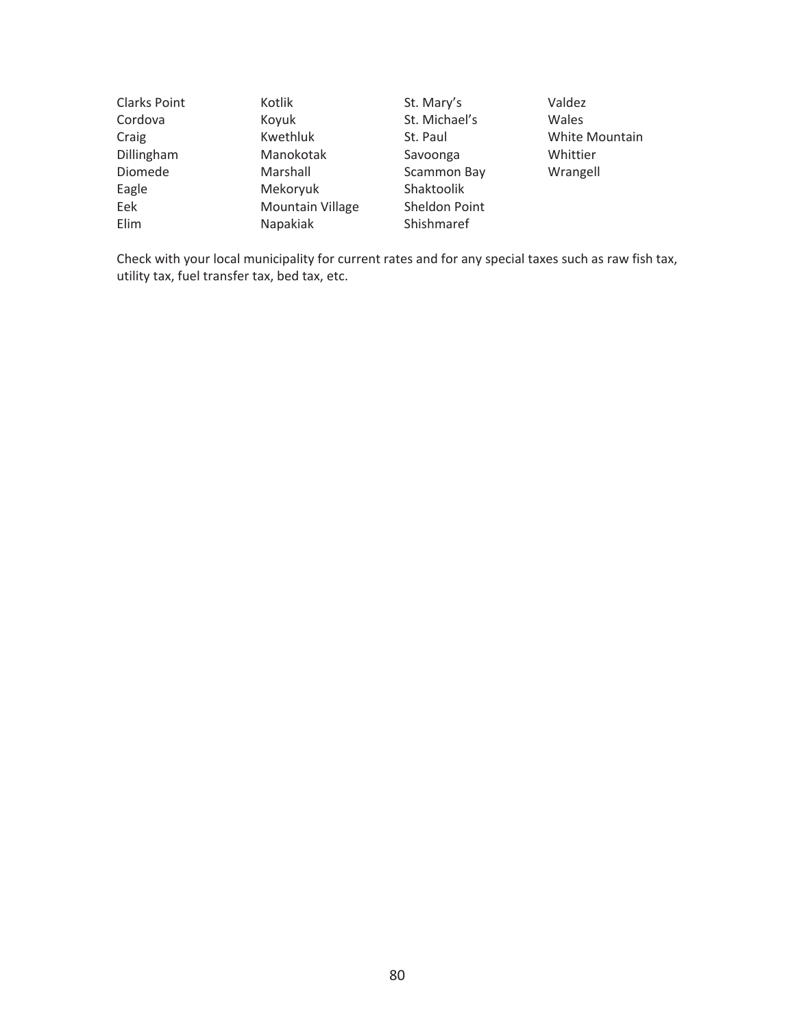| Clarks Point      | Kotlik           | St. Mary's    | Valdez         |
|-------------------|------------------|---------------|----------------|
| Cordova           | Koyuk            | St. Michael's | Wales          |
| Craig             | Kwethluk         | St. Paul      | White Mountain |
| <b>Dillingham</b> | Manokotak        | Savoonga      | Whittier       |
| Diomede           | Marshall         | Scammon Bay   | Wrangell       |
| Eagle             | Mekoryuk         | Shaktoolik    |                |
| Eek               | Mountain Village | Sheldon Point |                |
| Elim              | Napakiak         | Shishmaref    |                |
|                   |                  |               |                |

Check with your local municipality for current rates and for any special taxes such as raw fish tax, utility tax, fuel transfer tax, bed tax, etc.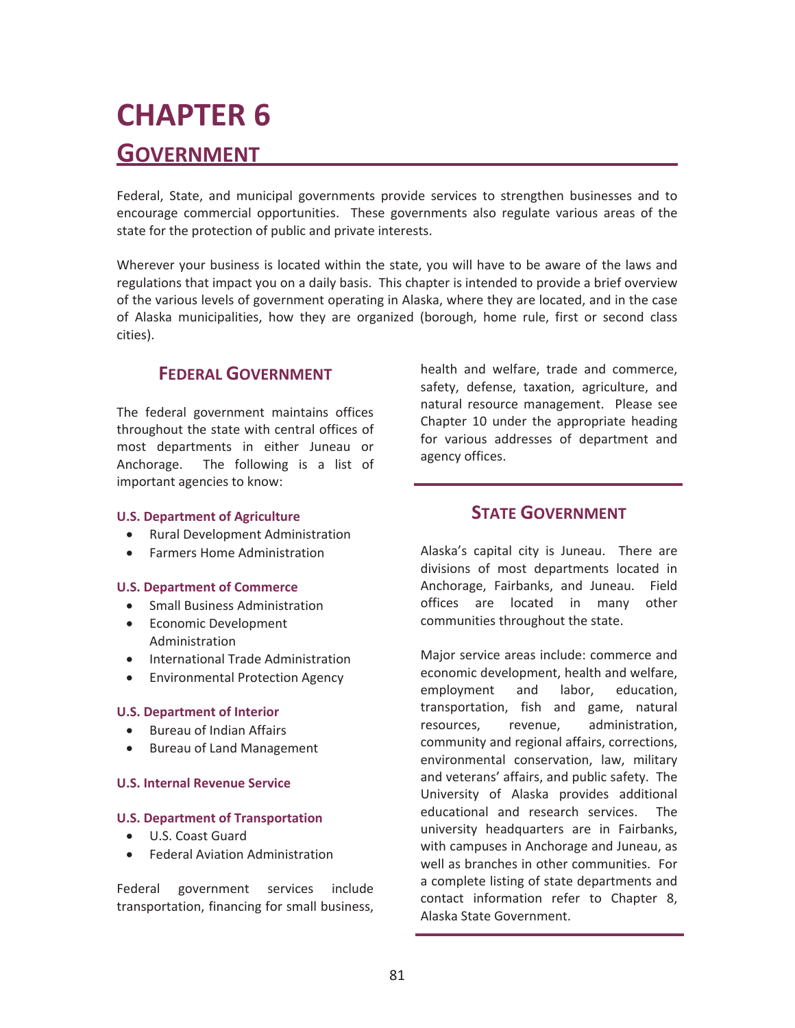# **CHAPTER 6 GOVERNMENT**

Federal, State, and municipal governments provide services to strengthen businesses and to encourage commercial opportunities. These governments also regulate various areas of the state for the protection of public and private interests.

Wherever your business is located within the state, you will have to be aware of the laws and regulations that impact you on a daily basis. This chapter is intended to provide a brief overview of the various levels of government operating in Alaska, where they are located, and in the case of Alaska municipalities, how they are organized (borough, home rule, first or second class cities).

### **FEDERAL GOVERNMENT**

The federal government maintains offices throughout the state with central offices of most departments in either Juneau or Anchorage. The following is a list of important agencies to know:

### **U.S. Department of Agriculture**

- x Rural Development Administration
- Farmers Home Administration

#### **U.S. Department of Commerce**

- Small Business Administration
- Economic Development Administration
- International Trade Administration
- Environmental Protection Agency

#### **U.S. Department of Interior**

- Bureau of Indian Affairs
- Bureau of Land Management

#### **U.S. Internal Revenue Service**

### **U.S. Department of Transportation**

- U.S. Coast Guard
- Federal Aviation Administration

Federal government services include transportation, financing for small business, health and welfare, trade and commerce, safety, defense, taxation, agriculture, and natural resource management. Please see Chapter 10 under the appropriate heading for various addresses of department and agency offices.

### **STATE GOVERNMENT**

Alaska's capital city is Juneau. There are divisions of most departments located in Anchorage, Fairbanks, and Juneau. Field offices are located in many other communities throughout the state.

Major service areas include: commerce and economic development, health and welfare, employment and labor, education, transportation, fish and game, natural resources, revenue, administration, community and regional affairs, corrections, environmental conservation, law, military and veterans' affairs, and public safety. The University of Alaska provides additional educational and research services. The university headquarters are in Fairbanks, with campuses in Anchorage and Juneau, as well as branches in other communities. For a complete listing of state departments and contact information refer to Chapter 8, Alaska State Government.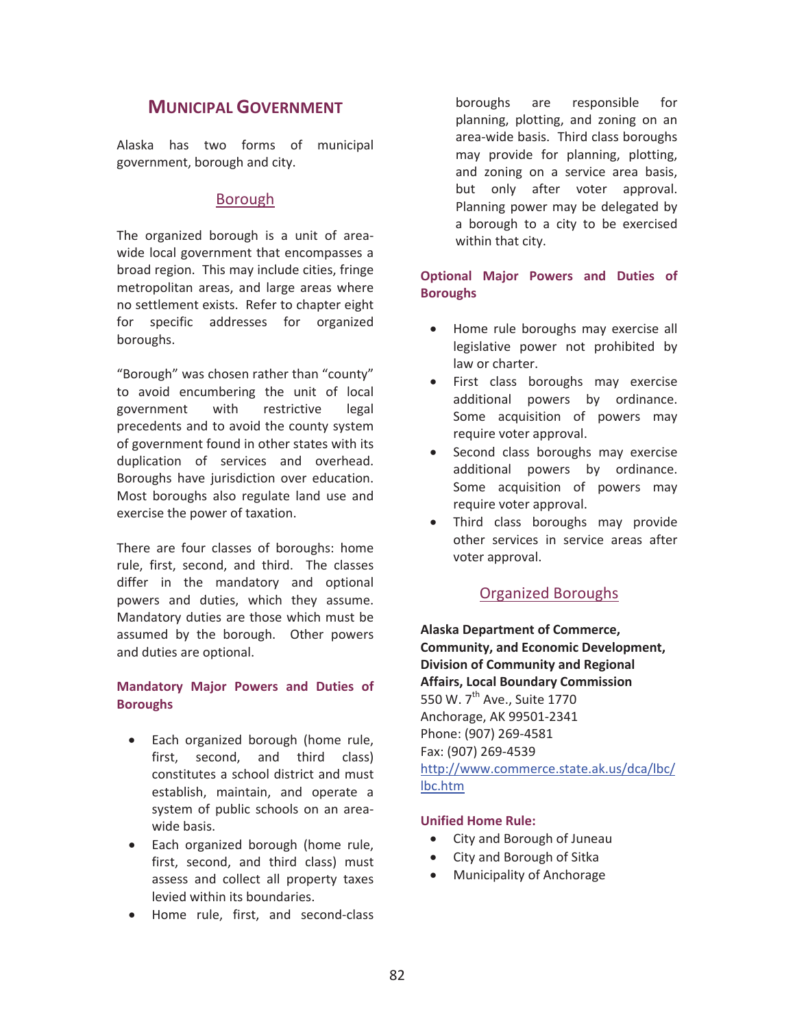### **MUNICIPAL GOVERNMENT**

Alaska has two forms of municipal government, borough and city.

### Borough

The organized borough is a unit of areawide local government that encompasses a broad region. This may include cities, fringe metropolitan areas, and large areas where no settlement exists. Refer to chapter eight for specific addresses for organized boroughs.

"Borough" was chosen rather than "county" to avoid encumbering the unit of local government with restrictive legal precedents and to avoid the county system of government found in other states with its duplication of services and overhead. Boroughs have jurisdiction over education. Most boroughs also regulate land use and exercise the power of taxation.

There are four classes of boroughs: home rule, first, second, and third. The classes differ in the mandatory and optional powers and duties, which they assume. Mandatory duties are those which must be assumed by the borough. Other powers and duties are optional.

### **Mandatory Major Powers and Duties of Boroughs**

- Each organized borough (home rule, first, second, and third class) constitutes a school district and must establish, maintain, and operate a system of public schools on an areawide basis.
- Each organized borough (home rule, first, second, and third class) must assess and collect all property taxes levied within its boundaries.
- Home rule, first, and second-class

boroughs are responsible for planning, plotting, and zoning on an area-wide basis. Third class boroughs may provide for planning, plotting, and zoning on a service area basis, but only after voter approval. Planning power may be delegated by a borough to a city to be exercised within that city.

### **Optional Major Powers and Duties of Boroughs**

- Home rule boroughs may exercise all legislative power not prohibited by law or charter.
- First class boroughs may exercise additional powers by ordinance. Some acquisition of powers may require voter approval.
- Second class boroughs may exercise additional powers by ordinance. Some acquisition of powers may require voter approval.
- Third class boroughs may provide other services in service areas after voter approval.

### Organized Boroughs

**Alaska Department of Commerce, Community, and Economic Development, Division of Community and Regional Affairs, Local Boundary Commission** 550 W. 7<sup>th</sup> Ave., Suite 1770 Anchorage, AK 99501-2341 Phone: (907) 269-4581 Fax: (907) 269-4539 http://www.commerce.state.ak.us/dca/lbc/ lbc.htm

### **Unified Home Rule:**

- City and Borough of Juneau
- City and Borough of Sitka
- Municipality of Anchorage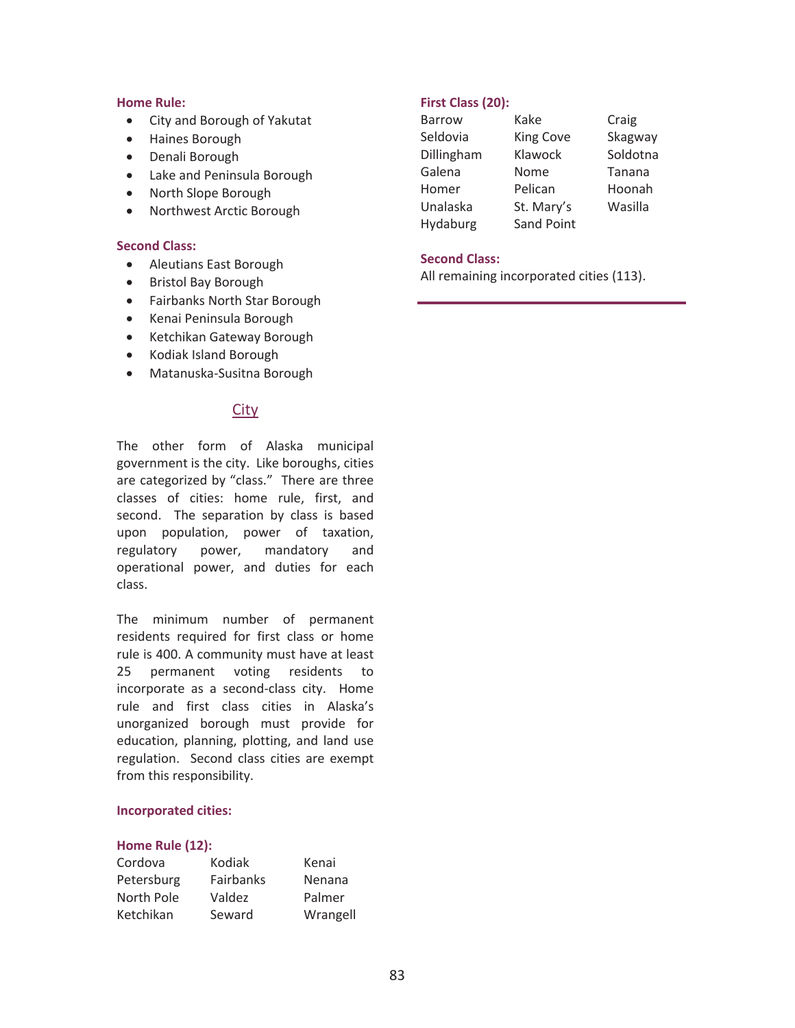### **Home Rule:**

- City and Borough of Yakutat
- Haines Borough
- Denali Borough
- Lake and Peninsula Borough
- North Slope Borough
- Northwest Arctic Borough

### **Second Class:**

- Aleutians East Borough
- Bristol Bay Borough
- Fairbanks North Star Borough
- Kenai Peninsula Borough
- Ketchikan Gateway Borough
- Kodiak Island Borough
- Matanuska-Susitna Borough

### **City**

The other form of Alaska municipal government is the city. Like boroughs, cities are categorized by "class." There are three classes of cities: home rule, first, and second. The separation by class is based upon population, power of taxation, regulatory power, mandatory and operational power, and duties for each class.

The minimum number of permanent residents required for first class or home rule is 400. A community must have at least 25 permanent voting residents to incorporate as a second-class city. Home rule and first class cities in Alaska's unorganized borough must provide for education, planning, plotting, and land use regulation. Second class cities are exempt from this responsibility.

### **Incorporated cities:**

### **Home Rule (12):**

| Cordova    | Kodiak    | Kenai    |
|------------|-----------|----------|
| Petersburg | Fairbanks | Nenana   |
| North Pole | Valdez    | Palmer   |
| Ketchikan  | Seward    | Wrangell |

### **First Class (20):**

| <b>Barrow</b> | Kake              | Craig    |
|---------------|-------------------|----------|
| Seldovia      | <b>King Cove</b>  | Skagway  |
| Dillingham    | Klawock           | Soldotna |
| Galena        | Nome              | Tanana   |
| Homer         | Pelican           | Hoonah   |
| Unalaska      | St. Mary's        | Wasilla  |
| Hydaburg      | <b>Sand Point</b> |          |

### **Second Class:**

All remaining incorporated cities (113).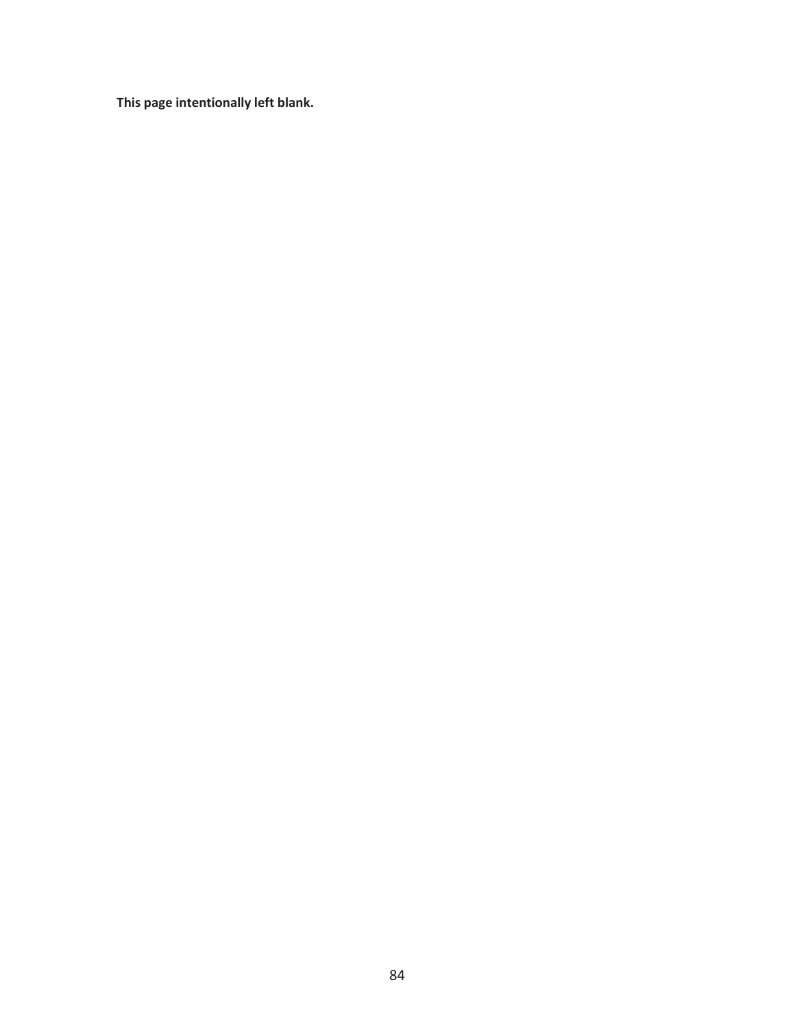**This page intentionally left blank.**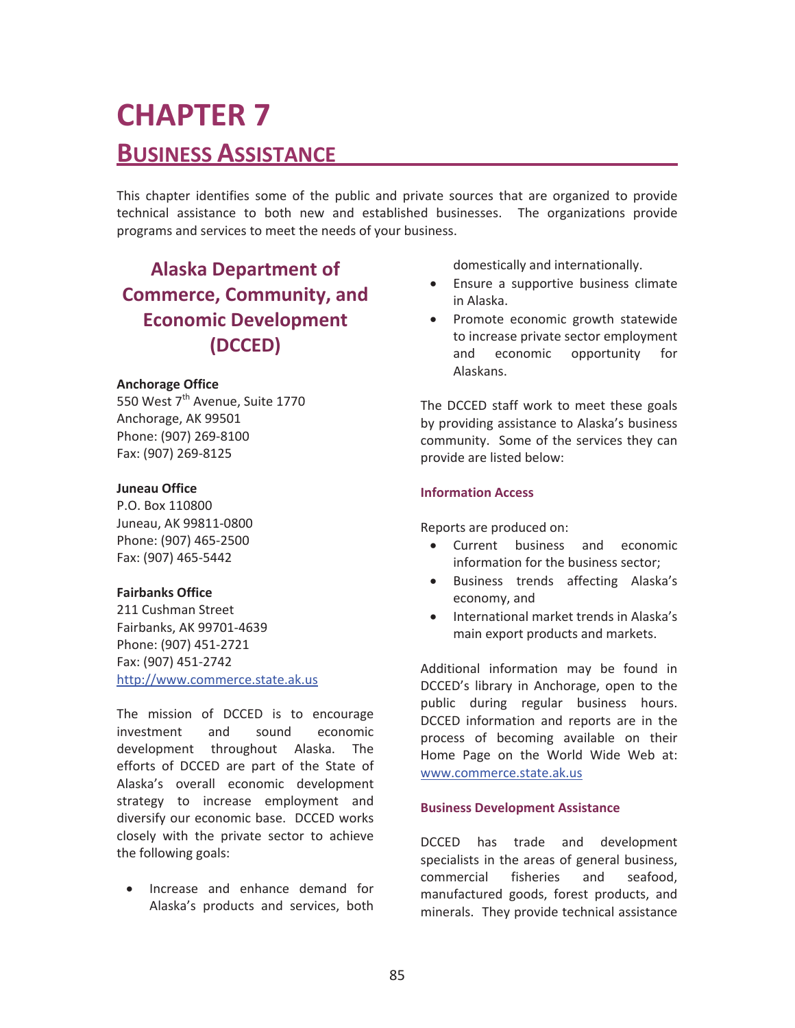# **CHAPTER 7 BUSINESS ASSISTANCE**

This chapter identifies some of the public and private sources that are organized to provide technical assistance to both new and established businesses. The organizations provide programs and services to meet the needs of your business.

# **Alaska Department of Commerce, Community, and Economic Development (DCCED)**

#### **Anchorage Office**

550 West 7<sup>th</sup> Avenue, Suite 1770 Anchorage, AK 99501 Phone: (907) 269-8100 Fax: (907) 269-8125

#### **Juneau Office**

P.O. Box 110800 Juneau, AK 99811-0800 Phone: (907) 465-2500 Fax: (907) 465-5442

#### **Fairbanks Office**

211 Cushman Street Fairbanks, AK 99701-4639 Phone: (907) 451-2721 Fax: (907) 451-2742 http://www.commerce.state.ak.us

The mission of DCCED is to encourage investment and sound economic development throughout Alaska. The efforts of DCCED are part of the State of Alaska's overall economic development strategy to increase employment and diversify our economic base. DCCED works closely with the private sector to achieve the following goals:

• Increase and enhance demand for Alaska's products and services, both domestically and internationally.

- Ensure a supportive business climate in Alaska.
- Promote economic growth statewide to increase private sector employment and economic opportunity for Alaskans.

The DCCED staff work to meet these goals by providing assistance to Alaska's business community. Some of the services they can provide are listed below:

### **Information Access**

Reports are produced on:

- $\bullet$  Current business and economic information for the business sector;
- Business trends affecting Alaska's economy, and
- x International market trends in Alaska's main export products and markets.

Additional information may be found in DCCED's library in Anchorage, open to the public during regular business hours. DCCED information and reports are in the process of becoming available on their Home Page on the World Wide Web at: www.commerce.state.ak.us

#### **Business Development Assistance**

DCCED has trade and development specialists in the areas of general business, commercial fisheries and seafood, manufactured goods, forest products, and minerals. They provide technical assistance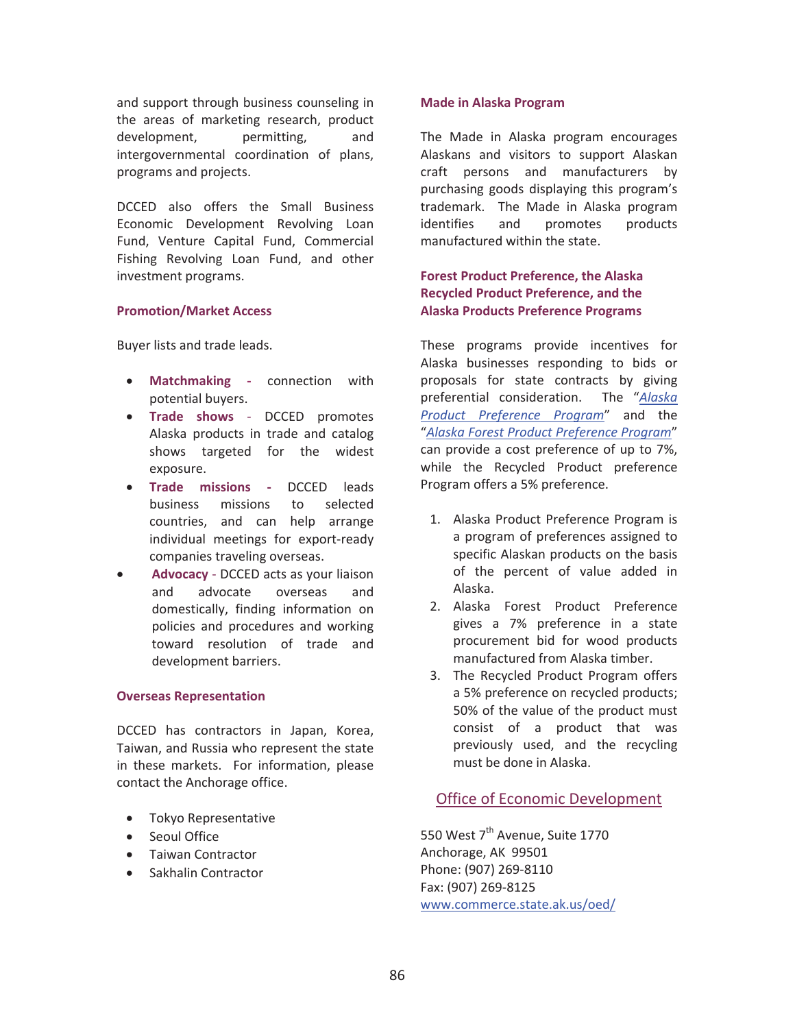and support through business counseling in the areas of marketing research, product development, permitting, and intergovernmental coordination of plans, programs and projects.

DCCED also offers the Small Business Economic Development Revolving Loan Fund, Venture Capital Fund, Commercial Fishing Revolving Loan Fund, and other investment programs.

### **Promotion/Market Access**

Buyer lists and trade leads.

- **Matchmaking -** connection with potential buyers.
- **Trade shows** DCCED promotes Alaska products in trade and catalog shows targeted for the widest exposure.
- **Trade missions DCCED leads** business missions to selected countries, and can help arrange individual meetings for export-ready companies traveling overseas.
- **Advocacy** DCCED acts as your liaison and advocate overseas and domestically, finding information on policies and procedures and working toward resolution of trade and development barriers.

#### **Overseas Representation**

DCCED has contractors in Japan, Korea, Taiwan, and Russia who represent the state in these markets. For information, please contact the Anchorage office.

- Tokyo Representative
- Seoul Office
- Taiwan Contractor
- Sakhalin Contractor

#### **Made in Alaska Program**

The Made in Alaska program encourages Alaskans and visitors to support Alaskan craft persons and manufacturers by purchasing goods displaying this program's trademark. The Made in Alaska program identifies and promotes products manufactured within the state.

### **Forest Product Preference, the Alaska Recycled Product Preference, and the Alaska Products Preference Programs**

These programs provide incentives for Alaska businesses responding to bids or proposals for state contracts by giving preferential consideration. The "*Alaska Product Preference Program*" and the "*Alaska Forest Product Preference Program*" can provide a cost preference of up to 7%, while the Recycled Product preference Program offers a 5% preference.

- 1. Alaska Product Preference Program is a program of preferences assigned to specific Alaskan products on the basis of the percent of value added in Alaska.
- 2. Alaska Forest Product Preference gives a 7% preference in a state procurement bid for wood products manufactured from Alaska timber.
- 3. The Recycled Product Program offers a 5% preference on recycled products; 50% of the value of the product must consist of a product that was previously used, and the recycling must be done in Alaska.

### Office of Economic Development

550 West 7<sup>th</sup> Avenue, Suite 1770 Anchorage, AK99501 Phone: (907) 269-8110 Fax: (907) 269-8125 www.commerce.state.ak.us/oed/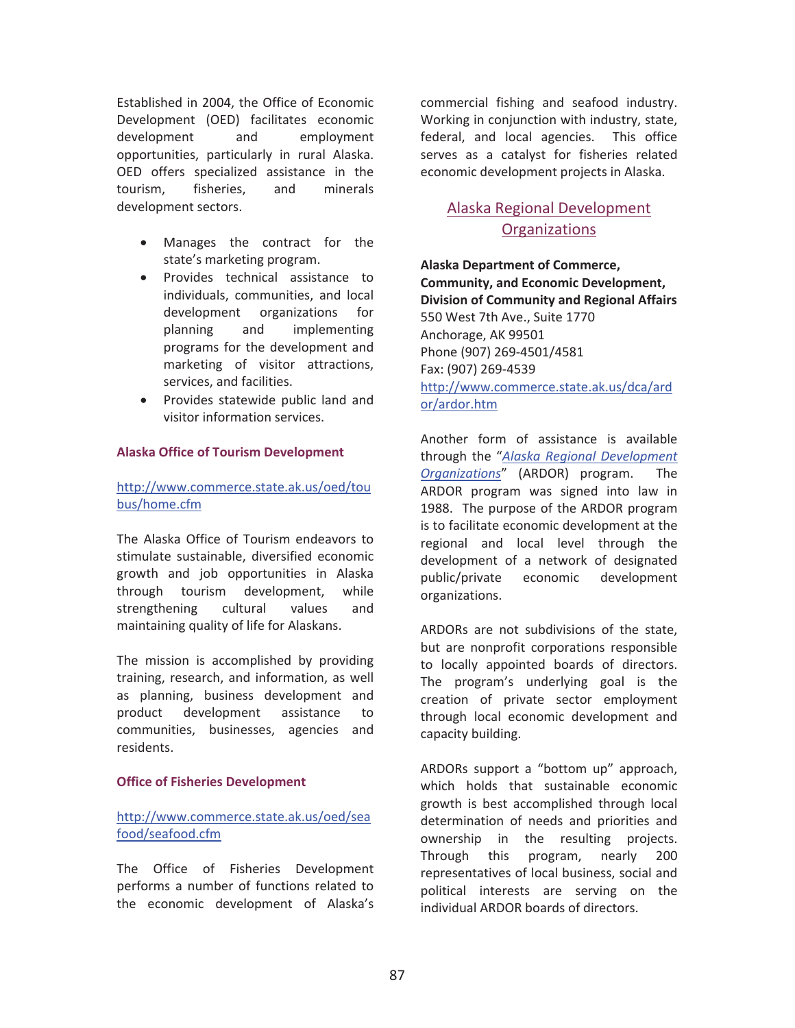Established in 2004, the Office of Economic Development (OED) facilitates economic development and employment opportunities, particularly in rural Alaska. OED offers specialized assistance in the tourism, fisheries, and minerals development sectors.

- Manages the contract for the state's marketing program.
- Provides technical assistance to individuals, communities, and local development organizations for planning and implementing programs for the development and marketing of visitor attractions, services, and facilities.
- Provides statewide public land and visitor information services.

### **Alaska Office of Tourism Development**

### http://www.commerce.state.ak.us/oed/tou bus/home.cfm

The Alaska Office of Tourism endeavors to stimulate sustainable, diversified economic growth and job opportunities in Alaska through tourism development, while strengthening cultural values and maintaining quality of life for Alaskans.

The mission is accomplished by providing training, research, and information, as well as planning, business development and product development assistance to communities, businesses, agencies and residents.

### **Office of Fisheries Development**

### http://www.commerce.state.ak.us/oed/sea food/seafood.cfm

The Office of Fisheries Development performs a number of functions related to the economic development of Alaska's commercial fishing and seafood industry. Working in conjunction with industry, state, federal, and local agencies. This office serves as a catalyst for fisheries related economic development projects in Alaska.

### Alaska Regional Development **Organizations**

**Alaska Department of Commerce, Community, and Economic Development, Division of Community and Regional Affairs** 550 West 7th Ave., Suite 1770 Anchorage, AK 99501 Phone (907) 269-4501/4581 Fax: (907) 269-4539 http://www.commerce.state.ak.us/dca/ard or/ardor.htm

Another form of assistance is available through the "*Alaska Regional Development Organizations*" (ARDOR) program. The ARDOR program was signed into law in 1988. The purpose of the ARDOR program is to facilitate economic development at the regional and local level through the development of a network of designated public/private economic development organizations.

ARDORs are not subdivisions of the state, but are nonprofit corporations responsible to locally appointed boards of directors. The program's underlying goal is the creation of private sector employment through local economic development and capacity building.

ARDORs support a "bottom up" approach, which holds that sustainable economic growth is best accomplished through local determination of needs and priorities and ownership in the resulting projects. Through this program, nearly 200 representatives of local business, social and political interests are serving on the individual ARDOR boards of directors.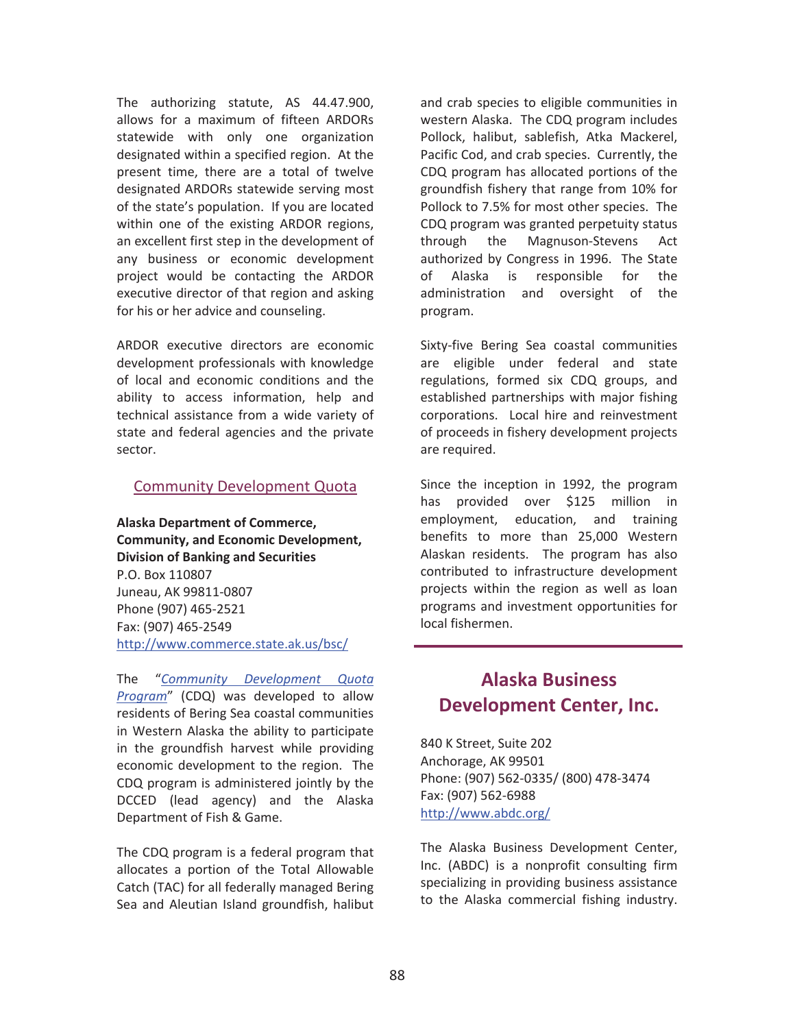The authorizing statute, AS 44.47.900, allows for a maximum of fifteen ARDORs statewide with only one organization designated within a specified region. At the present time, there are a total of twelve designated ARDORs statewide serving most of the state's population. If you are located within one of the existing ARDOR regions, an excellent first step in the development of any business or economic development project would be contacting the ARDOR executive director of that region and asking for his or her advice and counseling.

ARDOR executive directors are economic development professionals with knowledge of local and economic conditions and the ability to access information, help and technical assistance from a wide variety of state and federal agencies and the private sector.

### Community Development Quota

**Alaska Department of Commerce, Community, and Economic Development, Division of Banking and Securities** P.O. Box 110807 Juneau, AK 99811-0807 Phone (907) 465-2521 Fax: (907) 465-2549 http://www.commerce.state.ak.us/bsc/

The "*Community Development Quota Program*" (CDQ) was developed to allow residents of Bering Sea coastal communities in Western Alaska the ability to participate in the groundfish harvest while providing economic development to the region. The CDQ program is administered jointly by the DCCED (lead agency) and the Alaska Department of Fish & Game.

The CDQ program is a federal program that allocates a portion of the Total Allowable Catch (TAC) for all federally managed Bering Sea and Aleutian Island groundfish, halibut

and crab species to eligible communities in western Alaska. The CDQ program includes Pollock, halibut, sablefish, Atka Mackerel, Pacific Cod, and crab species. Currently, the CDQ program has allocated portions of the groundfish fishery that range from 10% for Pollock to 7.5% for most other species. The CDQ program was granted perpetuity status through the Magnuson-Stevens Act authorized by Congress in 1996. The State of Alaska is responsible for the administration and oversight of the program.

Sixty-five Bering Sea coastal communities are eligible under federal and state regulations, formed six CDQ groups, and established partnerships with major fishing corporations. Local hire and reinvestment of proceeds in fishery development projects are required.

Since the inception in 1992, the program has provided over \$125 million in employment, education, and training benefits to more than 25,000 Western Alaskan residents. The program has also contributed to infrastructure development projects within the region as well as loan programs and investment opportunities for local fishermen.

## **Alaska Business Development Center, Inc.**

840 K Street, Suite 202 Anchorage, AK 99501 Phone: (907) 562-0335/ (800) 478-3474 Fax: (907) 562-6988 http://www.abdc.org/

The Alaska Business Development Center, Inc. (ABDC) is a nonprofit consulting firm specializing in providing business assistance to the Alaska commercial fishing industry.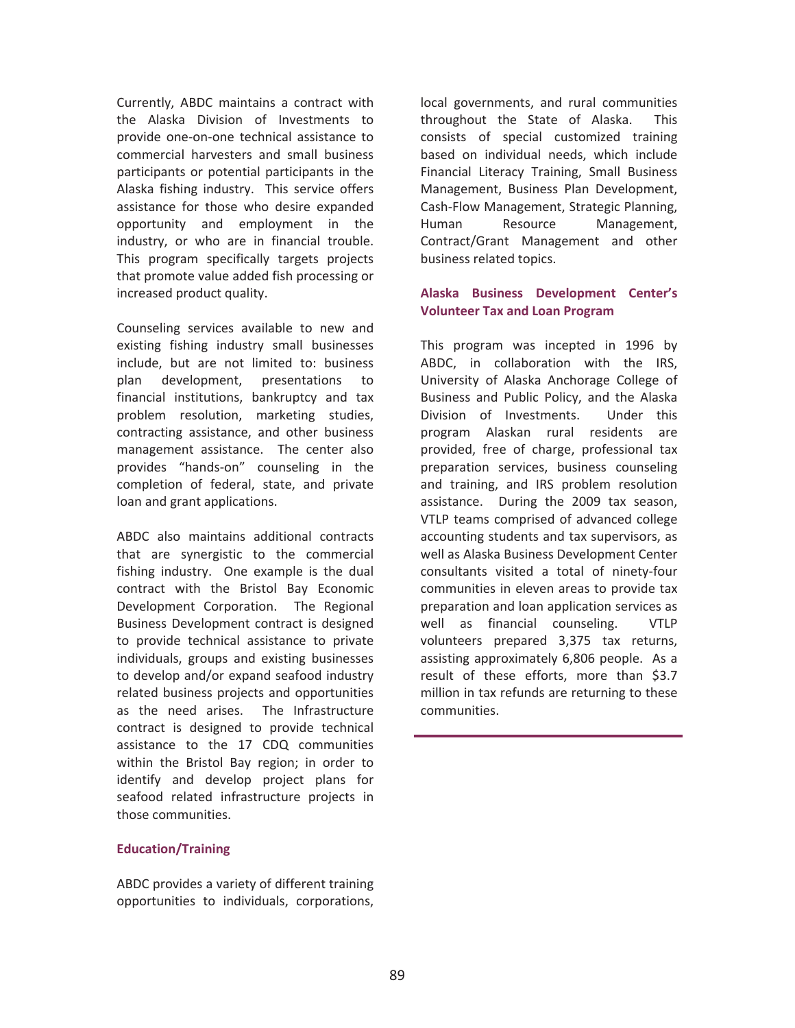Currently, ABDC maintains a contract with the Alaska Division of Investments to provide one-on-one technical assistance to commercial harvesters and small business participants or potential participants in the Alaska fishing industry. This service offers assistance for those who desire expanded opportunity and employment in the industry, or who are in financial trouble. This program specifically targets projects that promote value added fish processing or increased product quality.

Counseling services available to new and existing fishing industry small businesses include, but are not limited to: business plan development, presentations to financial institutions, bankruptcy and tax problem resolution, marketing studies, contracting assistance, and other business management assistance. The center also provides "hands-on" counseling in the completion of federal, state, and private loan and grant applications.

ABDC also maintains additional contracts that are synergistic to the commercial fishing industry. One example is the dual contract with the Bristol Bay Economic Development Corporation. The Regional Business Development contract is designed to provide technical assistance to private individuals, groups and existing businesses to develop and/or expand seafood industry related business projects and opportunities as the need arises. The Infrastructure contract is designed to provide technical assistance to the 17 CDQ communities within the Bristol Bay region; in order to identify and develop project plans for seafood related infrastructure projects in those communities.

### **Education/Training**

ABDC provides a variety of different training opportunities to individuals, corporations, local governments, and rural communities throughout the State of Alaska. This consists of special customized training based on individual needs, which include Financial Literacy Training, Small Business Management, Business Plan Development, Cash-Flow Management, Strategic Planning, Human Resource Management, Contract/Grant Management and other business related topics.

### **Alaska Business Development Center's Volunteer Tax and Loan Program**

This program was incepted in 1996 by ABDC, in collaboration with the IRS, University of Alaska Anchorage College of Business and Public Policy, and the Alaska Division of Investments. Under this program Alaskan rural residents are provided, free of charge, professional tax preparation services, business counseling and training, and IRS problem resolution assistance. During the 2009 tax season, VTLP teams comprised of advanced college accounting students and tax supervisors, as well as Alaska Business Development Center consultants visited a total of ninety-four communities in eleven areas to provide tax preparation and loan application services as well as financial counseling. VTLP volunteers prepared 3,375 tax returns, assisting approximately 6,806 people. As a result of these efforts, more than \$3.7 million in tax refunds are returning to these communities.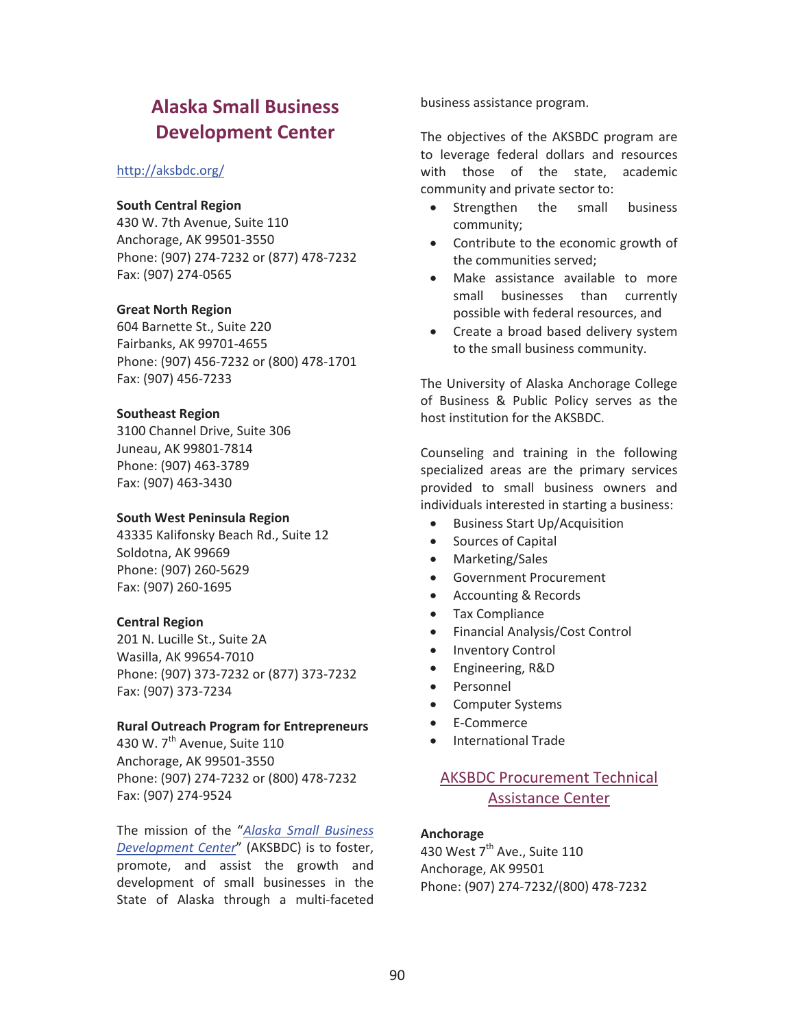# **Alaska Small Business Development Center**

### http://aksbdc.org/

### **South Central Region**

430 W. 7th Avenue, Suite 110 Anchorage, AK 99501-3550 Phone: (907) 274-7232 or (877) 478-7232 Fax: (907) 274-0565

### **Great North Region**

604 Barnette St., Suite 220 Fairbanks, AK 99701-4655 Phone: (907) 456-7232 or (800) 478-1701 Fax: (907) 456-7233

### **Southeast Region**

3100 Channel Drive, Suite 306 Juneau, AK 99801-7814 Phone: (907) 463-3789 Fax: (907) 463-3430

### **South West Peninsula Region**

43335 Kalifonsky Beach Rd., Suite 12 Soldotna, AK 99669 Phone: (907) 260-5629 Fax: (907) 260-1695

### **Central Region**

201 N. Lucille St., Suite 2A Wasilla, AK 99654-7010 Phone: (907) 373-7232 or (877) 373-7232 Fax: (907) 373-7234

#### **Rural Outreach Program for Entrepreneurs**

430 W. 7<sup>th</sup> Avenue, Suite 110 Anchorage, AK 99501-3550 Phone: (907) 274-7232 or (800) 478-7232 Fax: (907) 274-9524

The mission of the "*Alaska Small Business Development Center*" (AKSBDC) is to foster, promote, and assist the growth and development of small businesses in the State of Alaska through a multi-faceted business assistance program.

The objectives of the AKSBDC program are to leverage federal dollars and resources with those of the state, academic community and private sector to:

- Strengthen the small business community;
- Contribute to the economic growth of the communities served;
- Make assistance available to more small businesses than currently possible with federal resources, and
- Create a broad based delivery system to the small business community.

The University of Alaska Anchorage College of Business & Public Policy serves as the host institution for the AKSBDC.

Counseling and training in the following specialized areas are the primary services provided to small business owners and individuals interested in starting a business:

- Business Start Up/Acquisition
- Sources of Capital
- Marketing/Sales
- Government Procurement
- x Accounting & Records
- Tax Compliance
- Financial Analysis/Cost Control
- Inventory Control
- Engineering, R&D
- Personnel
- Computer Systems
- E-Commerce
- x International Trade

### AKSBDC Procurement Technical Assistance Center

### **Anchorage**

430 West  $7<sup>th</sup>$  Ave., Suite 110 Anchorage, AK 99501 Phone: (907) 274-7232/(800) 478-7232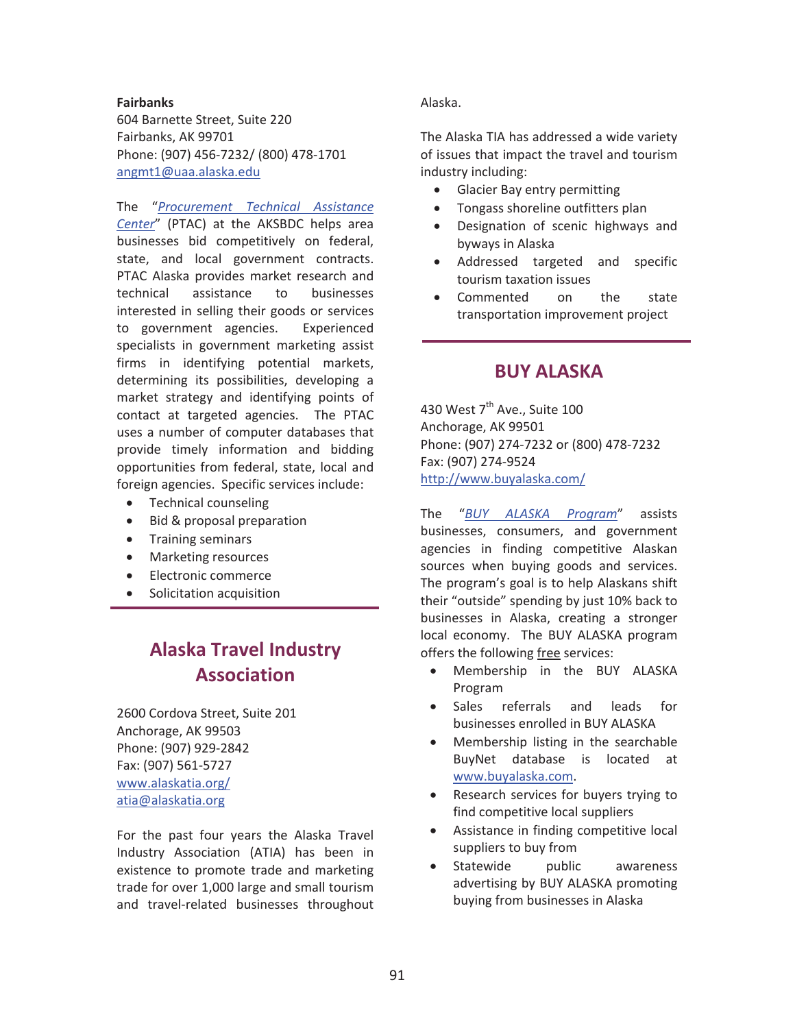### **Fairbanks**

604 Barnette Street, Suite 220 Fairbanks, AK 99701 Phone: (907) 456-7232/ (800) 478-1701 angmt1@uaa.alaska.edu

The "*Procurement Technical Assistance Center*" (PTAC) at the AKSBDC helps area businesses bid competitively on federal, state, and local government contracts. PTAC Alaska provides market research and technical assistance to businesses interested in selling their goods or services to government agencies. Experienced specialists in government marketing assist firms in identifying potential markets, determining its possibilities, developing a market strategy and identifying points of contact at targeted agencies. The PTAC uses a number of computer databases that provide timely information and bidding opportunities from federal, state, local and foreign agencies. Specific services include:

- Technical counseling
- Bid & proposal preparation
- Training seminars
- Marketing resources
- Electronic commerce
- Solicitation acquisition

# **Alaska Travel Industry Association**

2600 Cordova Street, Suite 201 Anchorage, AK 99503 Phone: (907) 929-2842 Fax: (907) 561-5727 www.alaskatia.org/ atia@alaskatia.org

For the past four years the Alaska Travel Industry Association (ATIA) has been in existence to promote trade and marketing trade for over 1,000 large and small tourism and travel-related businesses throughout

#### Alaska.

The Alaska TIA has addressed a wide variety of issues that impact the travel and tourism industry including:

- Glacier Bay entry permitting
- Tongass shoreline outfitters plan
- Designation of scenic highways and byways in Alaska
- Addressed targeted and specific tourism taxation issues
- Commented on the state transportation improvement project

### **BUY ALASKA**

430 West  $7<sup>th</sup>$  Ave., Suite 100 Anchorage, AK 99501 Phone: (907) 274-7232 or (800) 478-7232 Fax: (907) 274-9524 http://www.buyalaska.com/

The "*BUY ALASKA Program*" assists businesses, consumers, and government agencies in finding competitive Alaskan sources when buying goods and services. The program's goal is to help Alaskans shift their "outside" spending by just 10% back to businesses in Alaska, creating a stronger local economy. The BUY ALASKA program offers the following free services:

- x Membership in the BUY ALASKA Program
- Sales referrals and leads for businesses enrolled in BUY ALASKA
- Membership listing in the searchable BuyNet database is located at www.buyalaska.com.
- Research services for buyers trying to find competitive local suppliers
- Assistance in finding competitive local suppliers to buy from
- Statewide bublic awareness advertising by BUY ALASKA promoting buying from businesses in Alaska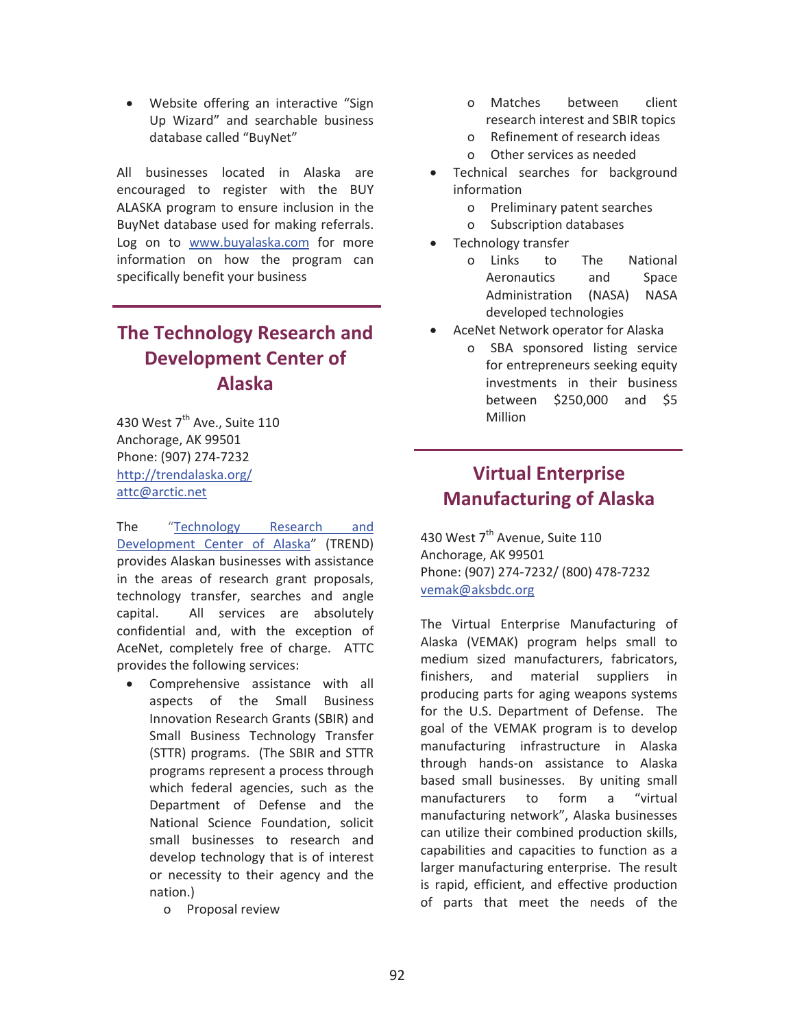• Website offering an interactive "Sign Up Wizard" and searchable business database called "BuyNet"

All businesses located in Alaska are encouraged to register with the BUY ALASKA program to ensure inclusion in the BuyNet database used for making referrals. Log on to www.buyalaska.com for more information on how the program can specifically benefit your business

# **The Technology Research and Development Center of Alaska**

430 West 7<sup>th</sup> Ave., Suite 110 Anchorage, AK 99501 Phone: (907) 274-7232 http://trendalaska.org/ attc@arctic.net

The "Technology Research and Development Center of Alaska" (TREND) provides Alaskan businesses with assistance in the areas of research grant proposals, technology transfer, searches and angle capital. All services are absolutely confidential and, with the exception of AceNet, completely free of charge. ATTC provides the following services:

- Comprehensive assistance with all aspects of the Small Business Innovation Research Grants (SBIR) and Small Business Technology Transfer (STTR) programs. (The SBIR and STTR programs represent a process through which federal agencies, such as the Department of Defense and the National Science Foundation, solicit small businesses to research and develop technology that is of interest or necessity to their agency and the nation.)
	- o Proposal review
- o Matches between client research interest and SBIR topics
- o Refinement of research ideas
- o Other services as needed
- Technical searches for background information
	- o Preliminary patent searches
	- o Subscription databases
- Technology transfer
	- o Links to The National Aeronautics and Space Administration (NASA) NASA developed technologies
- AceNet Network operator for Alaska
	- o SBA sponsored listing service for entrepreneurs seeking equity investments in their business between \$250,000 and \$5 Million

# **Virtual Enterprise Manufacturing of Alaska**

430 West 7<sup>th</sup> Avenue, Suite 110 Anchorage, AK 99501 Phone: (907) 274-7232/ (800) 478-7232 vemak@aksbdc.org

The Virtual Enterprise Manufacturing of Alaska (VEMAK) program helps small to medium sized manufacturers, fabricators, finishers, and material suppliers in producing parts for aging weapons systems for the U.S. Department of Defense. The goal of the VEMAK program is to develop manufacturing infrastructure in Alaska through hands-on assistance to Alaska based small businesses. By uniting small manufacturers to form a "virtual manufacturing network", Alaska businesses can utilize their combined production skills, capabilities and capacities to function as a larger manufacturing enterprise. The result is rapid, efficient, and effective production of parts that meet the needs of the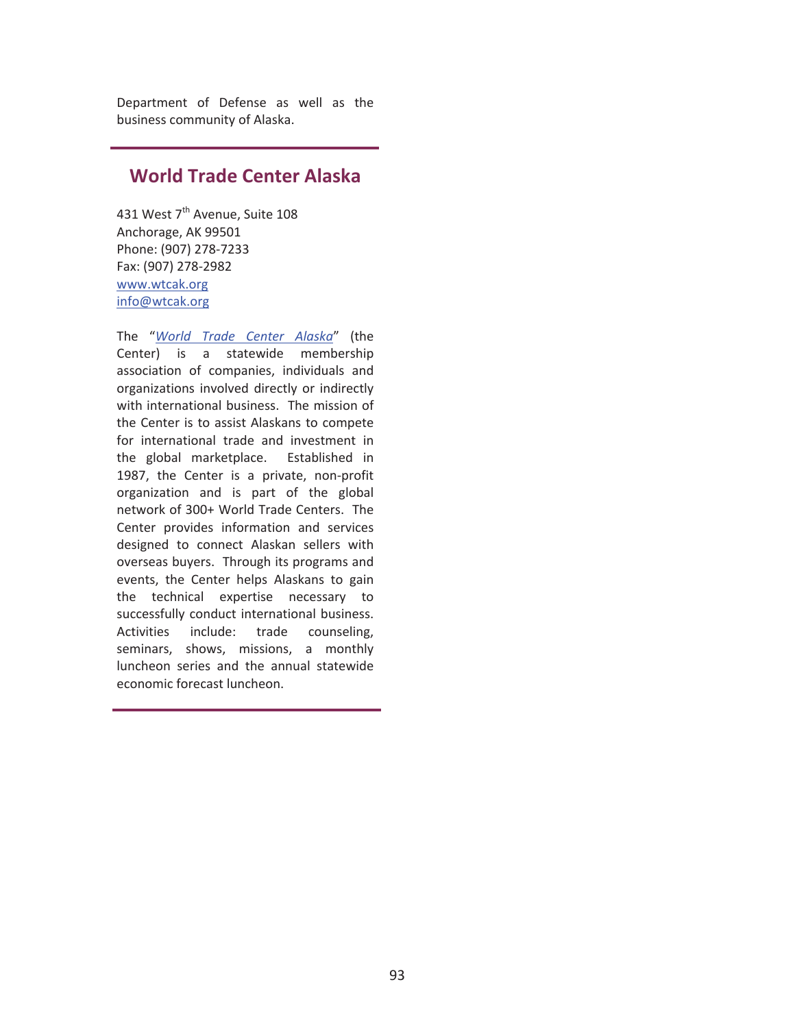Department of Defense as well as the business community of Alaska.

## **World Trade Center Alaska**

431 West 7<sup>th</sup> Avenue, Suite 108 Anchorage, AK 99501 Phone: (907) 278-7233 Fax: (907) 278-2982 www.wtcak.org info@wtcak.org

The "*World Trade Center Alaska*" (the Center) is a statewide membership association of companies, individuals and organizations involved directly or indirectly with international business. The mission of the Center is to assist Alaskans to compete for international trade and investment in the global marketplace. Established in 1987, the Center is a private, non-profit organization and is part of the global network of 300+ World Trade Centers. The Center provides information and services designed to connect Alaskan sellers with overseas buyers. Through its programs and events, the Center helps Alaskans to gain the technical expertise necessary to successfully conduct international business. Activities include: trade counseling, seminars, shows, missions, a monthly luncheon series and the annual statewide economic forecast luncheon.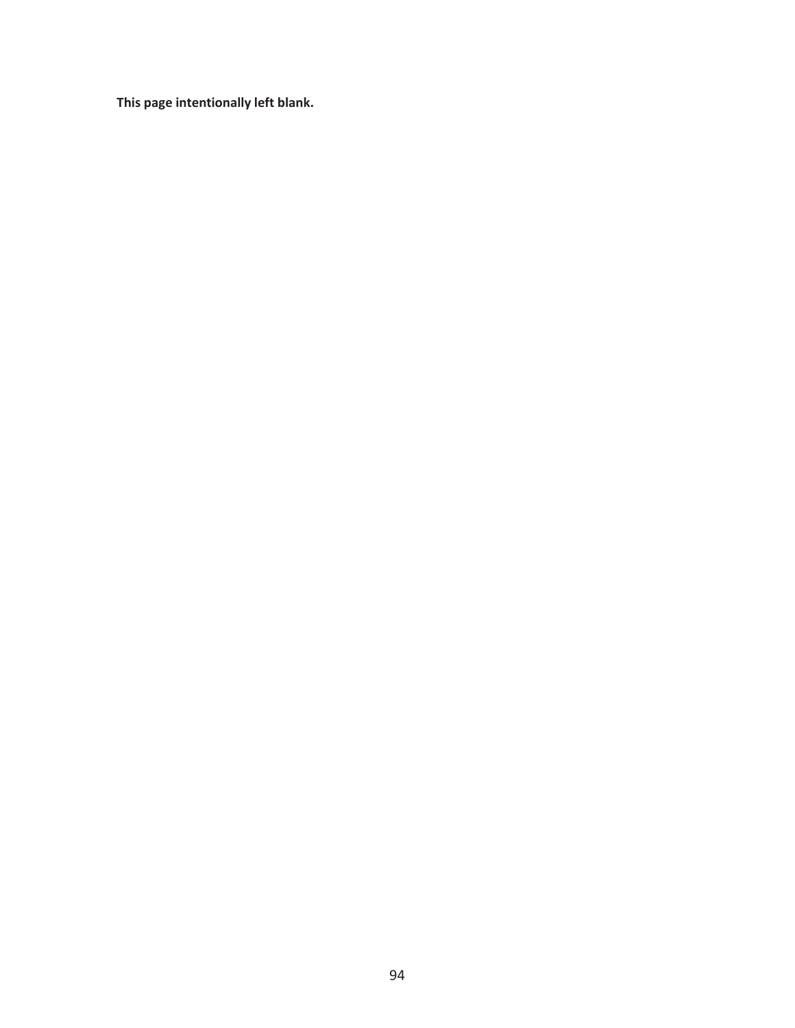**This page intentionally left blank.**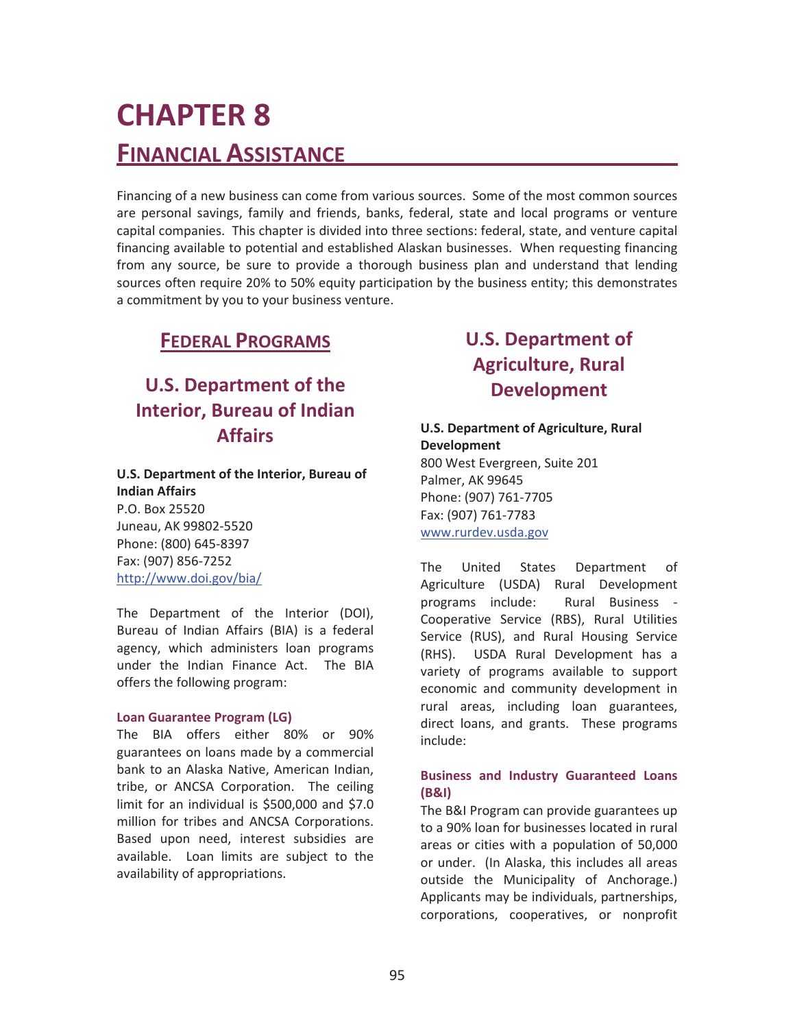# **CHAPTER 8 FINANCIAL ASSISTANCE**

Financing of a new business can come from various sources. Some of the most common sources are personal savings, family and friends, banks, federal, state and local programs or venture capital companies. This chapter is divided into three sections: federal, state, and venture capital financing available to potential and established Alaskan businesses. When requesting financing from any source, be sure to provide a thorough business plan and understand that lending sources often require 20% to 50% equity participation by the business entity; this demonstrates a commitment by you to your business venture.

### **FEDERAL PROGRAMS**

# **U.S. Department of the Interior, Bureau of Indian Affairs**

### **U.S. Department of the Interior, Bureau of Indian Affairs**

P.O. Box 25520 Juneau, AK 99802-5520 Phone: (800) 645-8397 Fax: (907) 856-7252 http://www.doi.gov/bia/

The Department of the Interior (DOI), Bureau of Indian Affairs (BIA) is a federal agency, which administers loan programs under the Indian Finance Act. The BIA offers the following program:

### **Loan Guarantee Program (LG)**

The BIA offers either 80% or 90% guarantees on loans made by a commercial bank to an Alaska Native, American Indian, tribe, or ANCSA Corporation. The ceiling limit for an individual is \$500,000 and \$7.0 million for tribes and ANCSA Corporations. Based upon need, interest subsidies are available. Loan limits are subject to the availability of appropriations.

# **U.S. Department of Agriculture, Rural Development**

### **U.S. Department of Agriculture, Rural Development** 800 West Evergreen, Suite 201

Palmer, AK 99645 Phone: (907) 761-7705 Fax: (907) 761-7783 www.rurdev.usda.gov

The United States Department of Agriculture (USDA) Rural Development programs include: Rural Business -Cooperative Service (RBS), Rural Utilities Service (RUS), and Rural Housing Service (RHS). USDA Rural Development has a variety of programs available to support economic and community development in rural areas, including loan guarantees, direct loans, and grants. These programs include:

### **Business and Industry Guaranteed Loans (B&I)**

The B&I Program can provide guarantees up to a 90% loan for businesses located in rural areas or cities with a population of 50,000 or under. (In Alaska, this includes all areas outside the Municipality of Anchorage.) Applicants may be individuals, partnerships, corporations, cooperatives, or nonprofit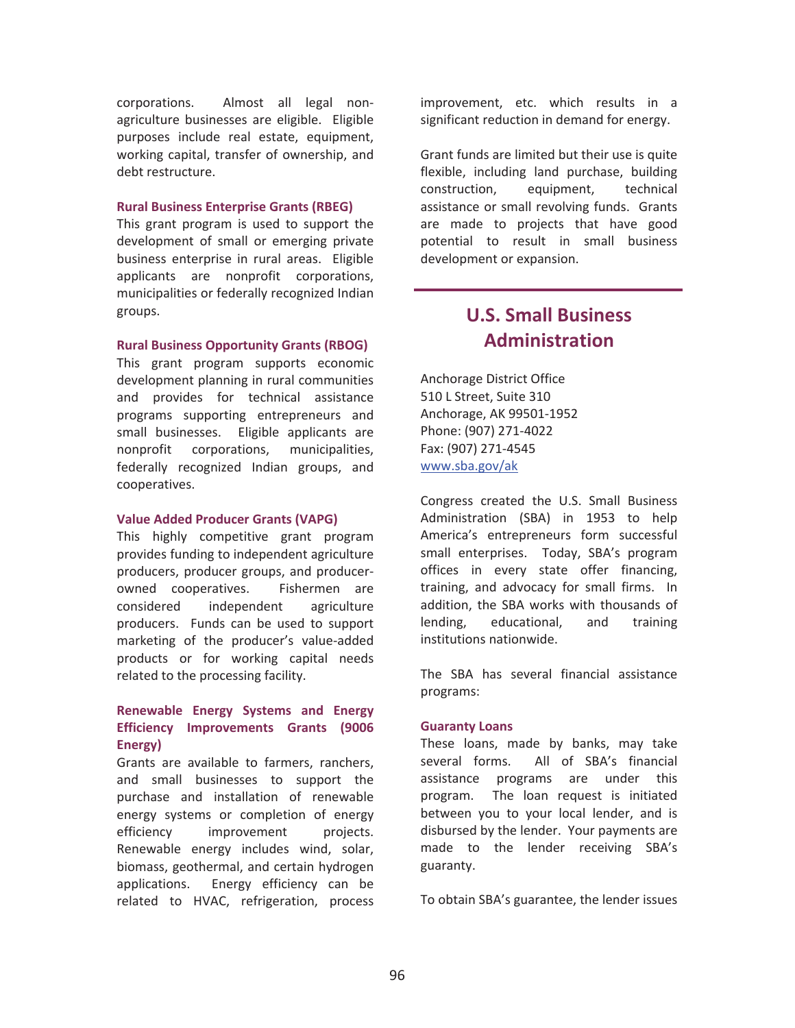corporations. Almost all legal nonagriculture businesses are eligible. Eligible purposes include real estate, equipment, working capital, transfer of ownership, and debt restructure.

### **Rural Business Enterprise Grants (RBEG)**

This grant program is used to support the development of small or emerging private business enterprise in rural areas. Eligible applicants are nonprofit corporations, municipalities or federally recognized Indian groups.

#### **Rural Business Opportunity Grants (RBOG)**

This grant program supports economic development planning in rural communities and provides for technical assistance programs supporting entrepreneurs and small businesses. Eligible applicants are nonprofit corporations, municipalities, federally recognized Indian groups, and cooperatives.

#### **Value Added Producer Grants (VAPG)**

This highly competitive grant program provides funding to independent agriculture producers, producer groups, and producerowned cooperatives. Fishermen are considered independent agriculture producers. Funds can be used to support marketing of the producer's value-added products or for working capital needs related to the processing facility.

### **Renewable Energy Systems and Energy Efficiency Improvements Grants (9006 Energy)**

Grants are available to farmers, ranchers, and small businesses to support the purchase and installation of renewable energy systems or completion of energy efficiency improvement projects. Renewable energy includes wind, solar, biomass, geothermal, and certain hydrogen applications. Energy efficiency can be related to HVAC, refrigeration, process improvement, etc. which results in a significant reduction in demand for energy.

Grant funds are limited but their use is quite flexible, including land purchase, building construction, equipment, technical assistance or small revolving funds. Grants are made to projects that have good potential to result in small business development or expansion.

# **U.S. Small Business Administration**

Anchorage District Office 510 L Street, Suite 310 Anchorage, AK 99501-1952 Phone: (907) 271-4022 Fax: (907) 271-4545 www.sba.gov/ak

Congress created the U.S. Small Business Administration (SBA) in 1953 to help America's entrepreneurs form successful small enterprises. Today, SBA's program offices in every state offer financing, training, and advocacy for small firms. In addition, the SBA works with thousands of lending, educational, and training institutions nationwide.

The SBA has several financial assistance programs:

#### **Guaranty Loans**

These loans, made by banks, may take several forms. All of SBA's financial assistance programs are under this program. The loan request is initiated between you to your local lender, and is disbursed by the lender. Your payments are made to the lender receiving SBA's guaranty.

To obtain SBA's guarantee, the lender issues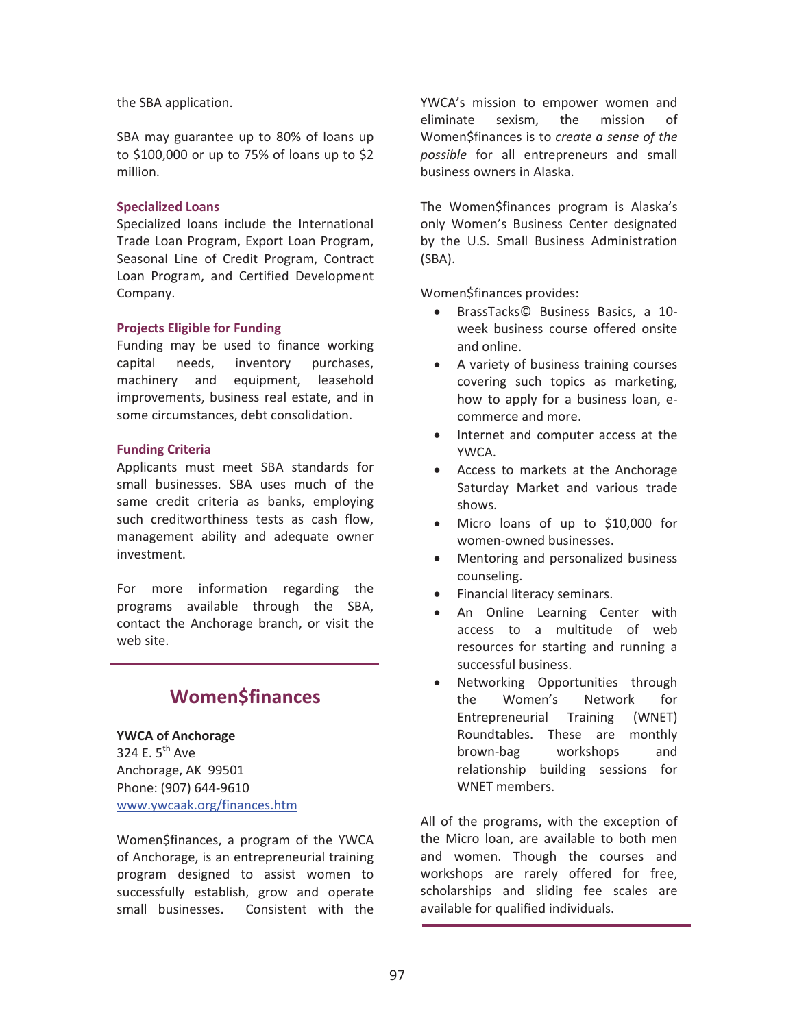the SBA application.

SBA may guarantee up to 80% of loans up to \$100,000 or up to 75% of loans up to \$2 million.

### **Specialized Loans**

Specialized loans include the International Trade Loan Program, Export Loan Program, Seasonal Line of Credit Program, Contract Loan Program, and Certified Development Company.

### **Projects Eligible for Funding**

Funding may be used to finance working capital needs, inventory purchases, machinery and equipment, leasehold improvements, business real estate, and in some circumstances, debt consolidation.

### **Funding Criteria**

Applicants must meet SBA standards for small businesses. SBA uses much of the same credit criteria as banks, employing such creditworthiness tests as cash flow, management ability and adequate owner investment.

For more information regarding the programs available through the SBA, contact the Anchorage branch, or visit the web site.

## **Women\$finances**

### **YWCA of Anchorage**

324 E.  $5^{\text{th}}$  Ave Anchorage, AK99501 Phone: (907) 644-9610 www.ywcaak.org/finances.htm

Women\$finances, a program of the YWCA of Anchorage, is an entrepreneurial training program designed to assist women to successfully establish, grow and operate small businesses. Consistent with the

YWCA's mission to empower women and eliminate sexism, the mission of Women\$finances is to *create a sense of the possible* for all entrepreneurs and small business owners in Alaska.

The Women\$finances program is Alaska's only Women's Business Center designated by the U.S. Small Business Administration (SBA).

Women\$finances provides:

- BrassTacks© Business Basics, a 10week business course offered onsite and online.
- A variety of business training courses covering such topics as marketing, how to apply for a business loan, ecommerce and more.
- Internet and computer access at the YWCA.
- Access to markets at the Anchorage Saturday Market and various trade shows.
- Micro loans of up to \$10,000 for women-owned businesses.
- x Mentoring and personalized business counseling.
- Financial literacy seminars.
- An Online Learning Center with access to a multitude of web resources for starting and running a successful business.
- Networking Opportunities through the Women's Network for Entrepreneurial Training (WNET) Roundtables. These are monthly brown-bag workshops and relationship building sessions for WNET members.

All of the programs, with the exception of the Micro loan, are available to both men and women. Though the courses and workshops are rarely offered for free, scholarships and sliding fee scales are available for qualified individuals.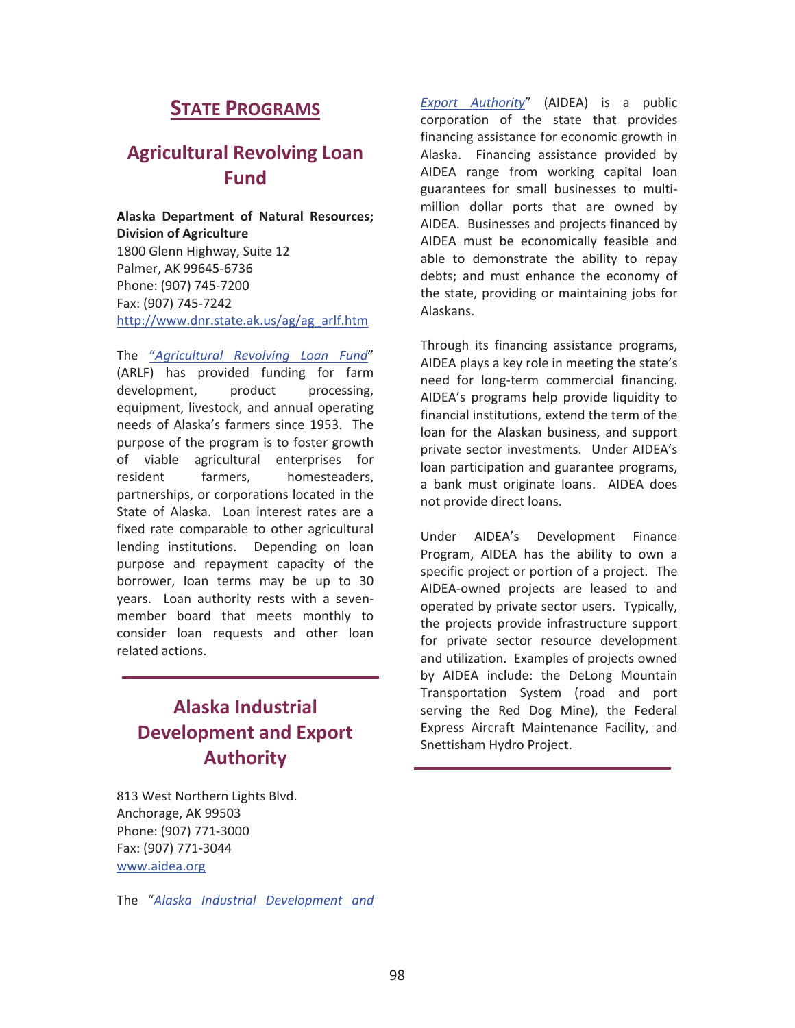# **STATE PROGRAMS**

# **Agricultural Revolving Loan Fund**

**Alaska Department of Natural Resources; Division of Agriculture**

1800 Glenn Highway, Suite 12 Palmer, AK 99645-6736 Phone: (907) 745-7200 Fax: (907) 745-7242 http://www.dnr.state.ak.us/ag/ag\_arlf.htm

The "*Agricultural Revolving Loan Fund*" (ARLF) has provided funding for farm development, product processing, equipment, livestock, and annual operating needs of Alaska's farmers since 1953. The purpose of the program is to foster growth of viable agricultural enterprises for resident farmers, homesteaders, partnerships, or corporations located in the State of Alaska. Loan interest rates are a fixed rate comparable to other agricultural lending institutions. Depending on loan purpose and repayment capacity of the borrower, loan terms may be up to 30 years. Loan authority rests with a sevenmember board that meets monthly to consider loan requests and other loan related actions.

# **Alaska Industrial Development and Export Authority**

813 West Northern Lights Blvd. Anchorage, AK 99503 Phone: (907) 771-3000 Fax: (907) 771-3044 www.aidea.org

The "*Alaska Industrial Development and*

*Export Authority*" (AIDEA) is a public corporation of the state that provides financing assistance for economic growth in Alaska. Financing assistance provided by AIDEA range from working capital loan guarantees for small businesses to multimillion dollar ports that are owned by AIDEA. Businesses and projects financed by AIDEA must be economically feasible and able to demonstrate the ability to repay debts; and must enhance the economy of the state, providing or maintaining jobs for Alaskans.

Through its financing assistance programs, AIDEA plays a key role in meeting the state's need for long-term commercial financing. AIDEA's programs help provide liquidity to financial institutions, extend the term of the loan for the Alaskan business, and support private sector investments. Under AIDEA's loan participation and guarantee programs, a bank must originate loans. AIDEA does not provide direct loans.

Under AIDEA's Development Finance Program, AIDEA has the ability to own a specific project or portion of a project. The AIDEA-owned projects are leased to and operated by private sector users.Typically, the projects provide infrastructure support for private sector resource development and utilization. Examples of projects owned by AIDEA include: the DeLong Mountain Transportation System (road and port serving the Red Dog Mine), the Federal Express Aircraft Maintenance Facility, and Snettisham Hydro Project.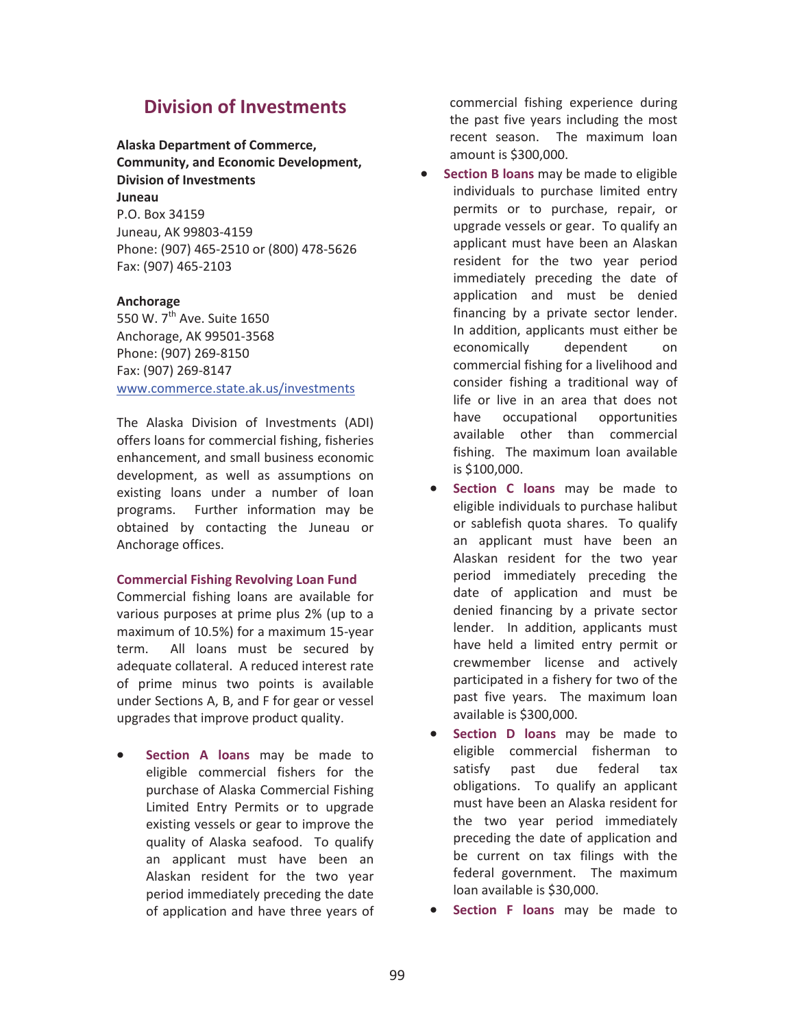### **Division of Investments**

**Alaska Department of Commerce, Community, and Economic Development, Division of Investments Juneau** P.O. Box 34159

Juneau, AK 99803-4159 Phone: (907) 465-2510 or (800) 478-5626 Fax: (907) 465-2103

#### **Anchorage**

550 W. 7<sup>th</sup> Ave. Suite 1650 Anchorage, AK 99501-3568 Phone: (907) 269-8150 Fax: (907) 269-8147 www.commerce.state.ak.us/investments

The Alaska Division of Investments (ADI) offers loans for commercial fishing, fisheries enhancement, and small business economic development, as well as assumptions on existing loans under a number of loan programs. Further information may be obtained by contacting the Juneau or Anchorage offices.

#### **Commercial Fishing Revolving Loan Fund**

Commercial fishing loans are available for various purposes at prime plus 2% (up to a maximum of 10.5%) for a maximum 15-year term. All loans must be secured by adequate collateral. A reduced interest rate of prime minus two points is available under Sections A, B, and F for gear or vessel upgrades that improve product quality.

x **Section A loans** may be made to eligible commercial fishers for the purchase of Alaska Commercial Fishing Limited Entry Permits or to upgrade existing vessels or gear to improve the quality of Alaska seafood. To qualify an applicant must have been an Alaskan resident for the two year period immediately preceding the date of application and have three years of

commercial fishing experience during the past five years including the most recent season. The maximum loan amount is \$300,000.

- **Section B loans** may be made to eligible individuals to purchase limited entry permits or to purchase, repair, or upgrade vessels or gear. To qualify an applicant must have been an Alaskan resident for the two year period immediately preceding the date of application and must be denied financing by a private sector lender. In addition, applicants must either be economically dependent on commercial fishing for a livelihood and consider fishing a traditional way of life or live in an area that does not have occupational opportunities available other than commercial fishing. The maximum loan available is \$100,000.
- x **Section C loans** may be made to eligible individuals to purchase halibut or sablefish quota shares. To qualify an applicant must have been an Alaskan resident for the two year period immediately preceding the date of application and must be denied financing by a private sector lender. In addition, applicants must have held a limited entry permit or crewmember license and actively participated in a fishery for two of the past five years. The maximum loan available is \$300,000.
- x **Section D loans** may be made to eligible commercial fisherman to satisfy past due federal tax obligations. To qualify an applicant must have been an Alaska resident for the two year period immediately preceding the date of application and be current on tax filings with the federal government. The maximum loan available is \$30,000.
- x **Section F loans** may be made to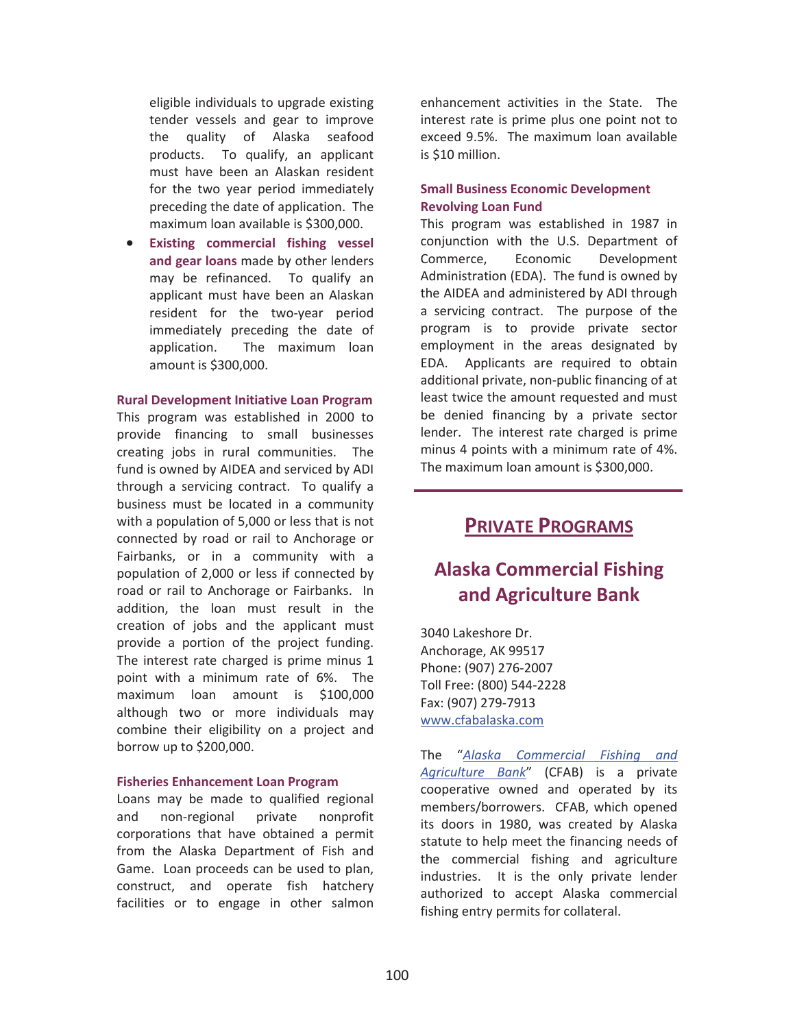eligible individuals to upgrade existing tender vessels and gear to improve the quality of Alaska seafood products. To qualify, an applicant must have been an Alaskan resident for the two year period immediately preceding the date of application. The maximum loan available is \$300,000.

x **Existing commercial fishing vessel and gear loans** made by other lenders may be refinanced. To qualify an applicant must have been an Alaskan resident for the two-year period immediately preceding the date of application. The maximum loan amount is \$300,000.

#### **Rural Development Initiative Loan Program**

This program was established in 2000 to provide financing to small businesses creating jobs in rural communities. The fund is owned by AIDEA and serviced by ADI through a servicing contract. To qualify a business must be located in a community with a population of 5,000 or less that is not connected by road or rail to Anchorage or Fairbanks, or in a community with a population of 2,000 or less if connected by road or rail to Anchorage or Fairbanks. In addition, the loan must result in the creation of jobs and the applicant must provide a portion of the project funding. The interest rate charged is prime minus 1 point with a minimum rate of 6%. The maximum loan amount is \$100,000 although two or more individuals may combine their eligibility on a project and borrow up to \$200,000.

#### **Fisheries Enhancement Loan Program**

Loans may be made to qualified regional and non-regional private nonprofit corporations that have obtained a permit from the Alaska Department of Fish and Game. Loan proceeds can be used to plan, construct, and operate fish hatchery facilities or to engage in other salmon

enhancement activities in the State. The interest rate is prime plus one point not to exceed 9.5%. The maximum loan available is \$10 million.

### **Small Business Economic Development Revolving Loan Fund**

This program was established in 1987 in conjunction with the U.S. Department of Commerce, Economic Development Administration (EDA). The fund is owned by the AIDEA and administered by ADI through a servicing contract. The purpose of the program is to provide private sector employment in the areas designated by EDA. Applicants are required to obtain additional private, non-public financing of at least twice the amount requested and must be denied financing by a private sector lender. The interest rate charged is prime minus 4 points with a minimum rate of 4%. The maximum loan amount is \$300,000.

## **PRIVATE PROGRAMS**

# **Alaska Commercial Fishing and Agriculture Bank**

3040 Lakeshore Dr. Anchorage, AK 99517 Phone: (907) 276-2007 Toll Free: (800) 544-2228 Fax: (907) 279-7913 www.cfabalaska.com

The "*Alaska Commercial Fishing and Agriculture Bank*" (CFAB) is a private cooperative owned and operated by its members/borrowers. CFAB, which opened its doors in 1980, was created by Alaska statute to help meet the financing needs of the commercial fishing and agriculture industries. It is the only private lender authorized to accept Alaska commercial fishing entry permits for collateral.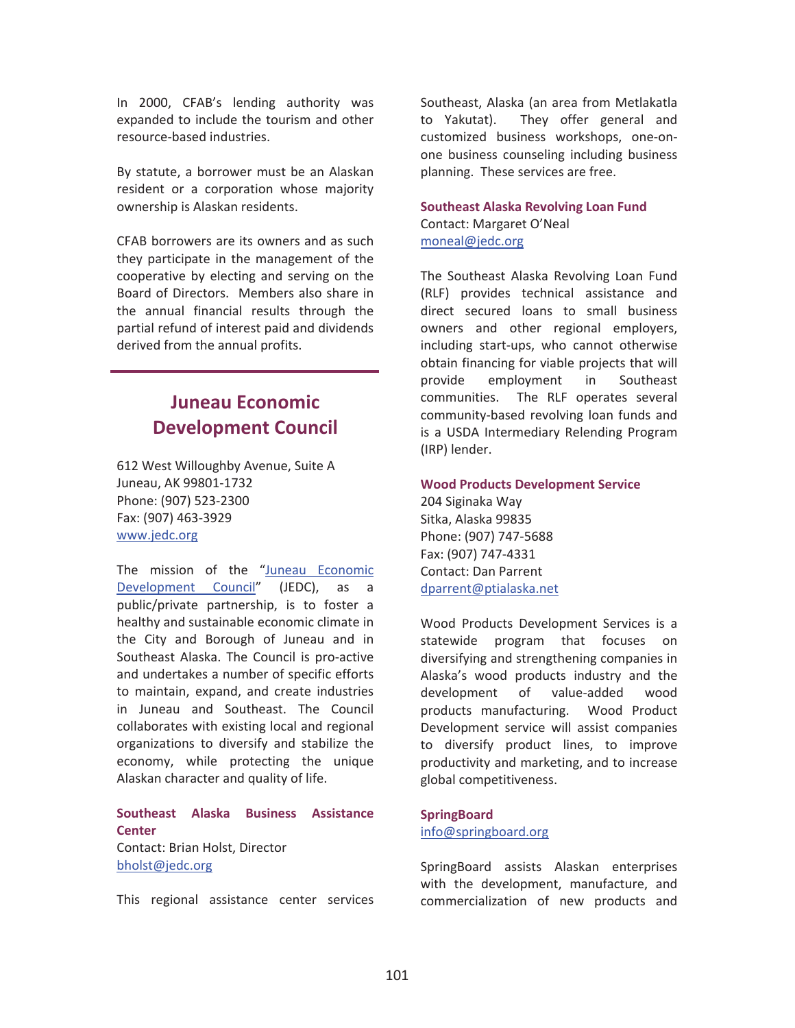In 2000, CFAB's lending authority was expanded to include the tourism and other resource-based industries.

By statute, a borrower must be an Alaskan resident or a corporation whose majority ownership is Alaskan residents.

CFAB borrowers are its owners and as such they participate in the management of the cooperative by electing and serving on the Board of Directors. Members also share in the annual financial results through the partial refund of interest paid and dividends derived from the annual profits.

# **Juneau Economic Development Council**

612 West Willoughby Avenue, Suite A Juneau, AK 99801-1732 Phone: (907) 523-2300 Fax: (907) 463-3929 www.jedc.org

The mission of the "Juneau Economic Development Council" (JEDC), as a public/private partnership, is to foster a healthy and sustainable economic climate in the City and Borough of Juneau and in Southeast Alaska. The Council is pro-active and undertakes a number of specific efforts to maintain, expand, and create industries in Juneau and Southeast. The Council collaborates with existing local and regional organizations to diversify and stabilize the economy, while protecting the unique Alaskan character and quality of life.

### **Southeast Alaska Business Assistance Center**

Contact: Brian Holst, Director bholst@jedc.org

This regional assistance center services

Southeast, Alaska (an area from Metlakatla to Yakutat). They offer general and customized business workshops, one-onone business counseling including business planning. These services are free.

### **Southeast Alaska Revolving Loan Fund** Contact: Margaret O'Neal moneal@jedc.org

The Southeast Alaska Revolving Loan Fund (RLF) provides technical assistance and direct secured loans to small business owners and other regional employers, including start-ups, who cannot otherwise obtain financing for viable projects that will provide employment in Southeast communities. The RLF operates several community-based revolving loan funds and is a USDA Intermediary Relending Program (IRP) lender.

#### **Wood Products Development Service**

204 Siginaka Way Sitka, Alaska 99835 Phone: (907) 747-5688 Fax: (907) 747-4331 Contact: Dan Parrent dparrent@ptialaska.net

Wood Products Development Services is a statewide program that focuses on diversifying and strengthening companies in Alaska's wood products industry and the development of value-added wood products manufacturing. Wood Product Development service will assist companies to diversify product lines, to improve productivity and marketing, and to increase global competitiveness.

### **SpringBoard** info@springboard.org

SpringBoard assists Alaskan enterprises with the development, manufacture, and commercialization of new products and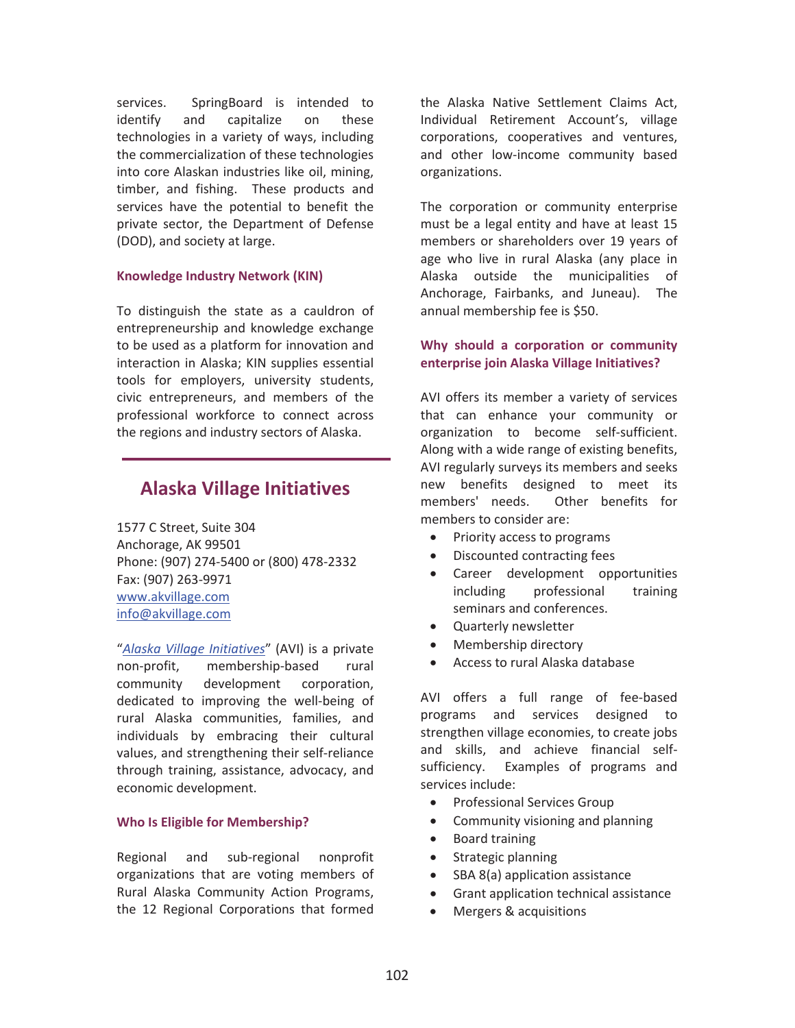services. SpringBoard is intended to identify and capitalize on these technologies in a variety of ways, including the commercialization of these technologies into core Alaskan industries like oil, mining, timber, and fishing. These products and services have the potential to benefit the private sector, the Department of Defense (DOD), and society at large.

### **Knowledge Industry Network (KIN)**

To distinguish the state as a cauldron of entrepreneurship and knowledge exchange to be used as a platform for innovation and interaction in Alaska; KIN supplies essential tools for employers, university students, civic entrepreneurs, and members of the professional workforce to connect across the regions and industry sectors of Alaska.

### **Alaska Village Initiatives**

1577 C Street, Suite 304 Anchorage, AK 99501 Phone: (907) 274-5400 or (800) 478-2332 Fax: (907) 263-9971 www.akvillage.com info@akvillage.com

"*Alaska Village Initiatives*" (AVI) is a private non-profit, membership-based rural community development corporation, dedicated to improving the well-being of rural Alaska communities, families, and individuals by embracing their cultural values, and strengthening their self-reliance through training, assistance, advocacy, and economic development.

#### **Who Is Eligible for Membership?**

Regional and sub-regional nonprofit organizations that are voting members of Rural Alaska Community Action Programs, the 12 Regional Corporations that formed the Alaska Native Settlement Claims Act, Individual Retirement Account's, village corporations, cooperatives and ventures, and other low-income community based organizations.

The corporation or community enterprise must be a legal entity and have at least 15 members or shareholders over 19 years of age who live in rural Alaska (any place in Alaska outside the municipalities of Anchorage, Fairbanks, and Juneau). The annual membership fee is \$50.

### **Why should a corporation or community enterprise join Alaska Village Initiatives?**

AVI offers its member a variety of services that can enhance your community or organization to become self-sufficient. Along with a wide range of existing benefits, AVI regularly surveys its members and seeks new benefits designed to meet its members' needs. Other benefits for members to consider are:

- Priority access to programs
- Discounted contracting fees
- Career development opportunities including professional training seminars and conferences.
- Quarterly newsletter
- Membership directory
- Access to rural Alaska database

AVI offers a full range of fee-based programs and services designed to strengthen village economies, to create jobs and skills, and achieve financial selfsufficiency. Examples of programs and services include:

- Professional Services Group
- Community visioning and planning
- Board training
- Strategic planning
- $\bullet$  SBA 8(a) application assistance
- Grant application technical assistance
- x Mergers & acquisitions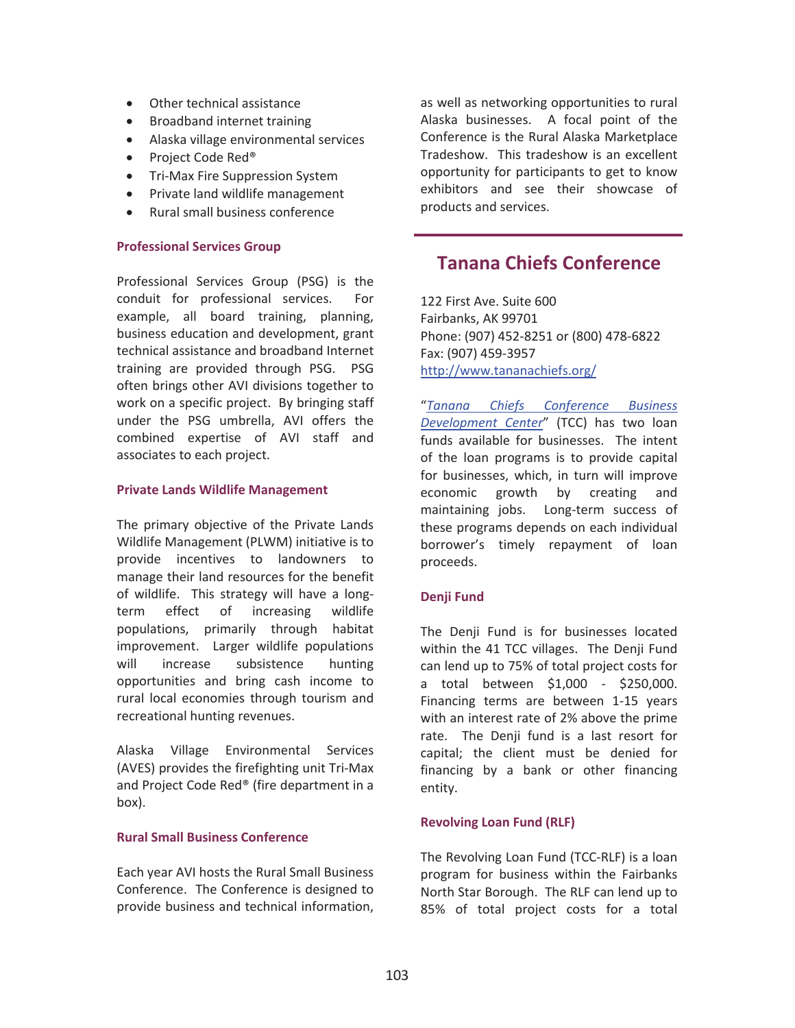- $\bullet$  Other technical assistance
- Broadband internet training
- Alaska village environmental services
- Project Code Red®
- Tri-Max Fire Suppression System
- Private land wildlife management
- Rural small business conference

### **Professional Services Group**

Professional Services Group (PSG) is the conduit for professional services. For example, all board training, planning, business education and development, grant technical assistance and broadband Internet training are provided through PSG. PSG often brings other AVI divisions together to work on a specific project. By bringing staff under the PSG umbrella, AVI offers the combined expertise of AVI staff and associates to each project.

### **Private Lands Wildlife Management**

The primary objective of the Private Lands Wildlife Management (PLWM) initiative is to provide incentives to landowners to manage their land resources for the benefit of wildlife. This strategy will have a longterm effect of increasing wildlife populations, primarily through habitat improvement. Larger wildlife populations will increase subsistence hunting opportunities and bring cash income to rural local economies through tourism and recreational hunting revenues.

Alaska Village Environmental Services (AVES) provides the firefighting unit Tri-Max and Project Code Red® (fire department in a box).

### **Rural Small Business Conference**

Each year AVI hosts the Rural Small Business Conference. The Conference is designed to provide business and technical information,

as well as networking opportunities to rural Alaska businesses. A focal point of the Conference is the Rural Alaska Marketplace Tradeshow.This tradeshow is an excellent opportunity for participants to get to know exhibitors and see their showcase of products and services.

### **Tanana Chiefs Conference**

122 First Ave. Suite 600 Fairbanks, AK 99701 Phone: (907) 452-8251 or (800) 478-6822 Fax: (907) 459-3957 http://www.tananachiefs.org/

"*Tanana Chiefs Conference Business Development Center*" (TCC) has two loan funds available for businesses. The intent of the loan programs is to provide capital for businesses, which, in turn will improve economic growth by creating and maintaining jobs. Long-term success of these programs depends on each individual borrower's timely repayment of loan proceeds.

### **Denji Fund**

The Denji Fund is for businesses located within the 41 TCC villages. The Denji Fund can lend up to 75% of total project costs for a total between \$1,000 - \$250,000. Financing terms are between 1-15 years with an interest rate of 2% above the prime rate. The Denji fund is a last resort for capital; the client must be denied for financing by a bank or other financing entity.

### **Revolving Loan Fund (RLF)**

The Revolving Loan Fund (TCC-RLF) is a loan program for business within the Fairbanks North Star Borough. The RLF can lend up to 85% of total project costs for a total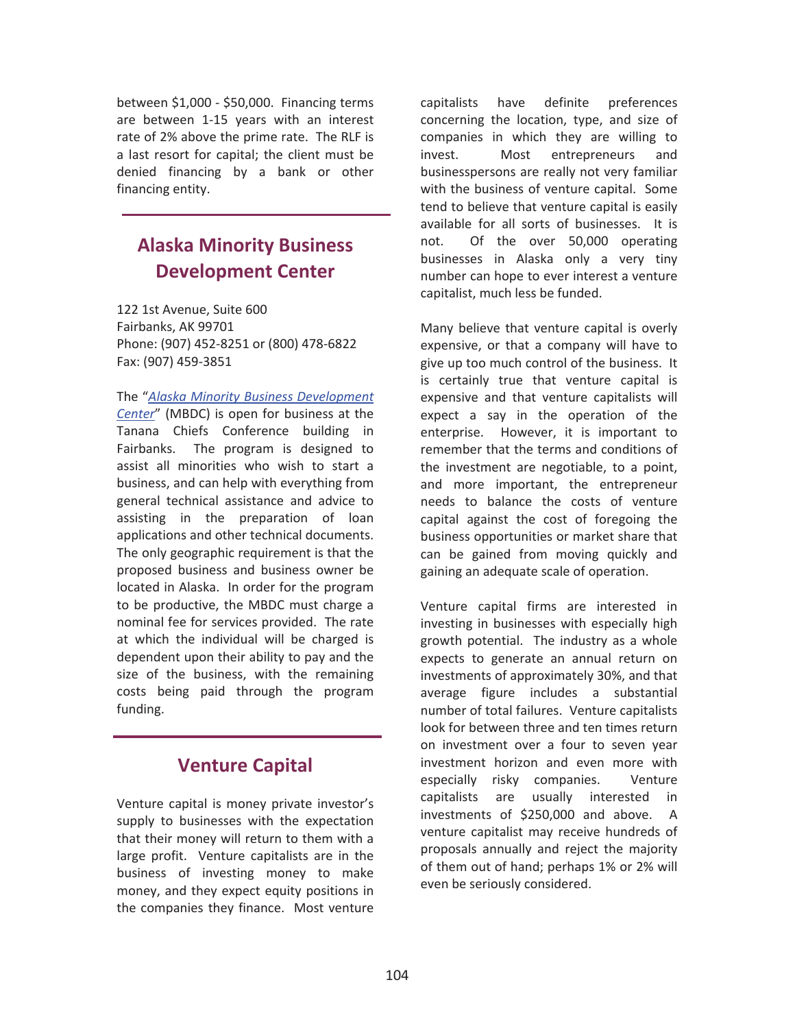between \$1,000 - \$50,000. Financing terms are between 1-15 years with an interest rate of 2% above the prime rate. The RLF is a last resort for capital; the client must be denied financing by a bank or other financing entity.

# **Alaska Minority Business Development Center**

122 1st Avenue, Suite 600 Fairbanks, AK 99701 Phone: (907) 452-8251 or (800) 478-6822 Fax: (907) 459-3851

The "*Alaska Minority Business Development Center*" (MBDC) is open for business at the

Tanana Chiefs Conference building in Fairbanks. The program is designed to assist all minorities who wish to start a business, and can help with everything from general technical assistance and advice to assisting in the preparation of loan applications and other technical documents. The only geographic requirement is that the proposed business and business owner be located in Alaska. In order for the program to be productive, the MBDC must charge a nominal fee for services provided. The rate at which the individual will be charged is dependent upon their ability to pay and the size of the business, with the remaining costs being paid through the program funding.

## **Venture Capital**

Venture capital is money private investor's supply to businesses with the expectation that their money will return to them with a large profit. Venture capitalists are in the business of investing money to make money, and they expect equity positions in the companies they finance. Most venture

capitalists have definite preferences concerning the location, type, and size of companies in which they are willing to invest. Most entrepreneurs and businesspersons are really not very familiar with the business of venture capital. Some tend to believe that venture capital is easily available for all sorts of businesses. It is not. Of the over 50,000 operating businesses in Alaska only a very tiny number can hope to ever interest a venture capitalist, much less be funded.

Many believe that venture capital is overly expensive, or that a company will have to give up too much control of the business. It is certainly true that venture capital is expensive and that venture capitalists will expect a say in the operation of the enterprise. However, it is important to remember that the terms and conditions of the investment are negotiable, to a point, and more important, the entrepreneur needs to balance the costs of venture capital against the cost of foregoing the business opportunities or market share that can be gained from moving quickly and gaining an adequate scale of operation.

Venture capital firms are interested in investing in businesses with especially high growth potential. The industry as a whole expects to generate an annual return on investments of approximately 30%, and that average figure includes a substantial number of total failures. Venture capitalists look for between three and ten times return on investment over a four to seven year investment horizon and even more with especially risky companies. Venture capitalists are usually interested in investments of \$250,000 and above. A venture capitalist may receive hundreds of proposals annually and reject the majority of them out of hand; perhaps 1% or 2% will even be seriously considered.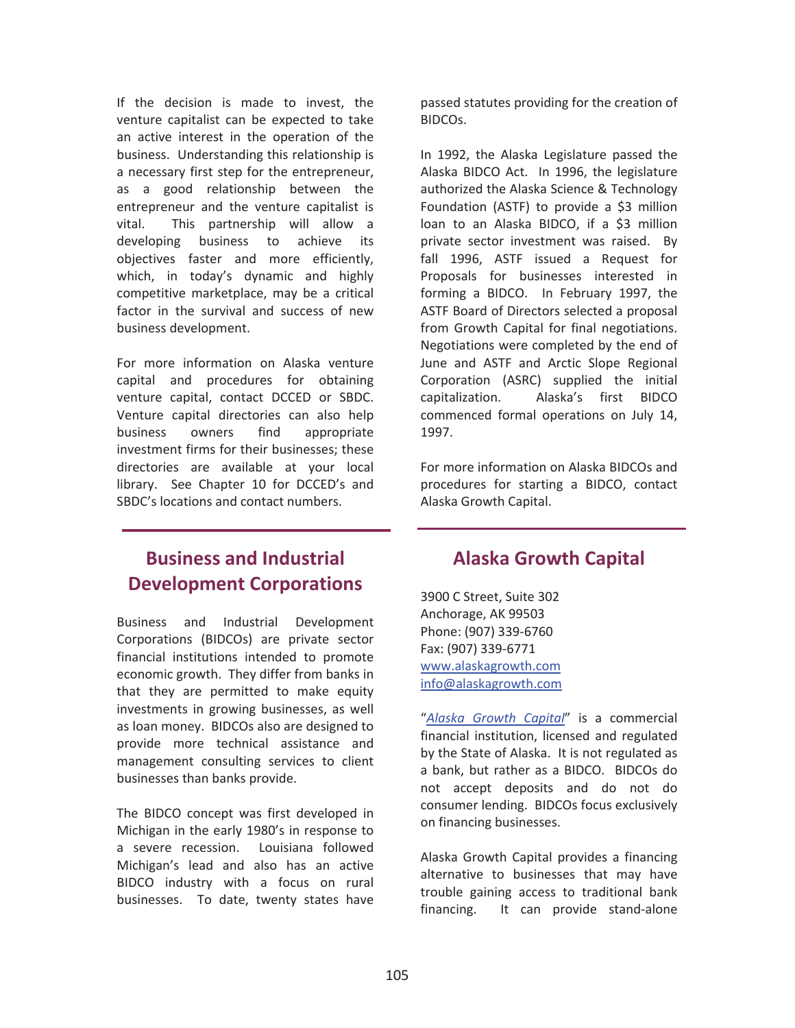If the decision is made to invest, the venture capitalist can be expected to take an active interest in the operation of the business.Understanding this relationship is a necessary first step for the entrepreneur, as a good relationship between the entrepreneur and the venture capitalist is vital. This partnership will allow a developing business to achieve its objectives faster and more efficiently, which, in today's dynamic and highly competitive marketplace, may be a critical factor in the survival and success of new business development.

For more information on Alaska venture capital and procedures for obtaining venture capital, contact DCCED or SBDC. Venture capital directories can also help business owners find appropriate investment firms for their businesses; these directories are available at your local library. See Chapter 10 for DCCED's and SBDC's locations and contact numbers.

# **Business and Industrial Development Corporations**

Business and Industrial Development Corporations (BIDCOs) are private sector financial institutions intended to promote economic growth. They differ from banks in that they are permitted to make equity investments in growing businesses, as well as loan money. BIDCOs also are designed to provide more technical assistance and management consulting services to client businesses than banks provide.

The BIDCO concept was first developed in Michigan in the early 1980's in response to a severe recession. Louisiana followed Michigan's lead and also has an active BIDCO industry with a focus on rural businesses. To date, twenty states have

passed statutes providing for the creation of BIDCOs.

In 1992, the Alaska Legislature passed the Alaska BIDCO Act. In 1996, the legislature authorized the Alaska Science & Technology Foundation (ASTF) to provide a \$3 million loan to an Alaska BIDCO, if a \$3 million private sector investment was raised. By fall 1996, ASTF issued a Request for Proposals for businesses interested in forming a BIDCO. In February 1997, the ASTF Board of Directors selected a proposal from Growth Capital for final negotiations. Negotiations were completed by the end of June and ASTF and Arctic Slope Regional Corporation (ASRC) supplied the initial capitalization. Alaska's first BIDCO commenced formal operations on July 14, 1997.

For more information on Alaska BIDCOs and procedures for starting a BIDCO, contact Alaska Growth Capital.

## **Alaska Growth Capital**

3900 C Street, Suite 302 Anchorage, AK 99503 Phone: (907) 339-6760 Fax: (907) 339-6771 www.alaskagrowth.com info@alaskagrowth.com

"*Alaska Growth Capital*" is a commercial financial institution, licensed and regulated by the State of Alaska. It is not regulated as a bank, but rather as a BIDCO. BIDCOs do not accept deposits and do not do consumer lending. BIDCOs focus exclusively on financing businesses.

Alaska Growth Capital provides a financing alternative to businesses that may have trouble gaining access to traditional bank financing. It can provide stand-alone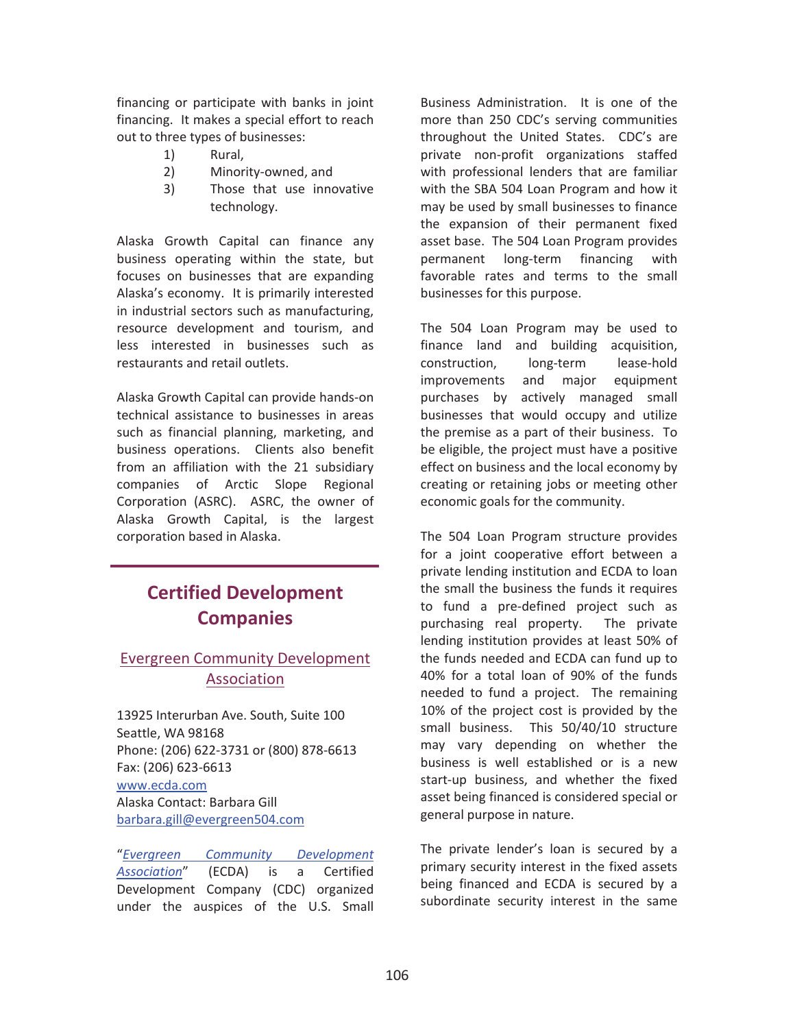financing or participate with banks in joint financing. It makes a special effort to reach out to three types of businesses:

- 1) Rural,
- 2) Minority-owned, and
- 3) Those that use innovative technology.

Alaska Growth Capital can finance any business operating within the state, but focuses on businesses that are expanding Alaska's economy. It is primarily interested in industrial sectors such as manufacturing, resource development and tourism, and less interested in businesses such as restaurants and retail outlets.

Alaska Growth Capital can provide hands-on technical assistance to businesses in areas such as financial planning, marketing, and business operations. Clients also benefit from an affiliation with the 21 subsidiary companies of Arctic Slope Regional Corporation (ASRC). ASRC, the owner of Alaska Growth Capital, is the largest corporation based in Alaska.

# **Certified Development Companies**

### Evergreen Community Development Association

13925 Interurban Ave. South, Suite 100 Seattle, WA 98168 Phone: (206) 622-3731 or (800) 878-6613 Fax: (206) 623-6613 www.ecda.com Alaska Contact: Barbara Gill barbara.gill@evergreen504.com

"*Evergreen Community Development Association*" (ECDA) is a Certified Development Company (CDC) organized under the auspices of the U.S. Small Business Administration. It is one of the more than 250 CDC's serving communities throughout the United States. CDC's are private non-profit organizations staffed with professional lenders that are familiar with the SBA 504 Loan Program and how it may be used by small businesses to finance the expansion of their permanent fixed asset base. The 504 Loan Program provides permanent long-term financing with favorable rates and terms to the small businesses for this purpose.

The 504 Loan Program may be used to finance land and building acquisition, construction, long-term lease-hold improvements and major equipment purchases by actively managed small businesses that would occupy and utilize the premise as a part of their business. To be eligible, the project must have a positive effect on business and the local economy by creating or retaining jobs or meeting other economic goals for the community.

The 504 Loan Program structure provides for a joint cooperative effort between a private lending institution and ECDA to loan the small the business the funds it requires to fund a pre-defined project such as purchasing real property. The private lending institution provides at least 50% of the funds needed and ECDA can fund up to 40% for a total loan of 90% of the funds needed to fund a project. The remaining 10% of the project cost is provided by the small business. This 50/40/10 structure may vary depending on whether the business is well established or is a new start-up business, and whether the fixed asset being financed is considered special or general purpose in nature.

The private lender's loan is secured by a primary security interest in the fixed assets being financed and ECDA is secured by a subordinate security interest in the same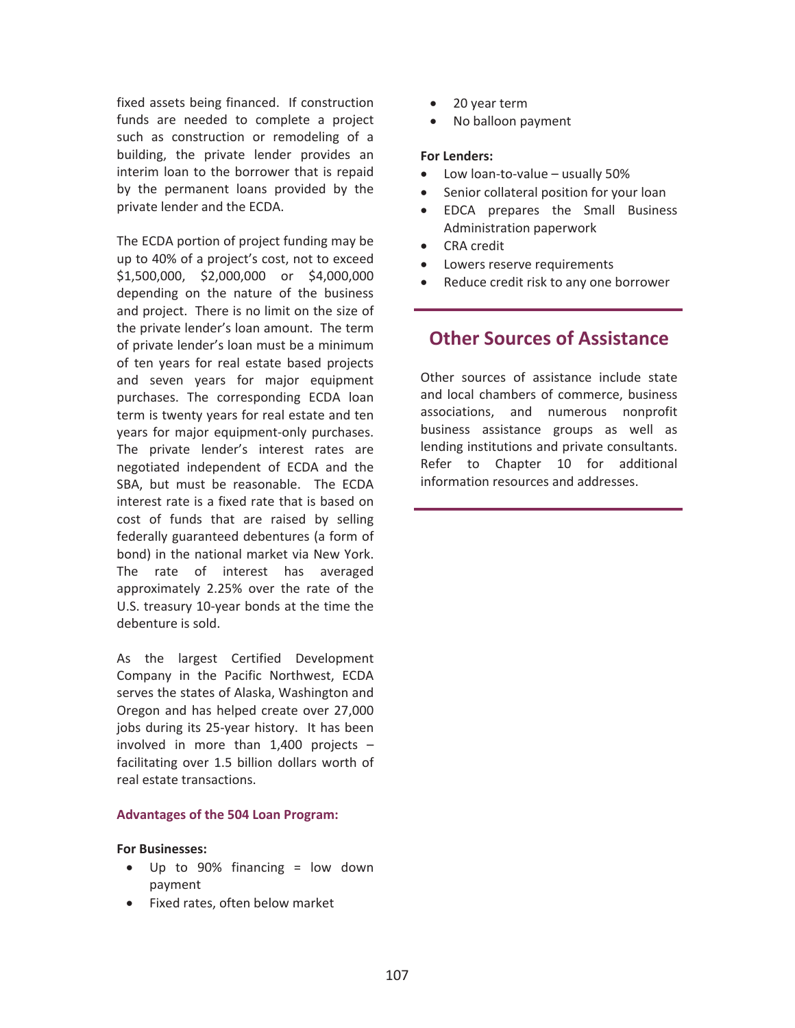fixed assets being financed. If construction funds are needed to complete a project such as construction or remodeling of a building, the private lender provides an interim loan to the borrower that is repaid by the permanent loans provided by the private lender and the ECDA.

The ECDA portion of project funding may be up to 40% of a project's cost, not to exceed \$1,500,000, \$2,000,000 or \$4,000,000 depending on the nature of the business and project. There is no limit on the size of the private lender's loan amount. The term of private lender's loan must be a minimum of ten years for real estate based projects and seven years for major equipment purchases. The corresponding ECDA loan term is twenty years for real estate and ten years for major equipment-only purchases. The private lender's interest rates are negotiated independent of ECDA and the SBA, but must be reasonable. The ECDA interest rate is a fixed rate that is based on cost of funds that are raised by selling federally guaranteed debentures (a form of bond) in the national market via New York. The rate of interest has averaged approximately 2.25% over the rate of the U.S. treasury 10-year bonds at the time the debenture is sold.

As the largest Certified Development Company in the Pacific Northwest, ECDA serves the states of Alaska, Washington and Oregon and has helped create over 27,000 jobs during its 25-year history. It has been involved in more than  $1,400$  projects  $$ facilitating over 1.5 billion dollars worth of real estate transactions.

#### **Advantages of the 504 Loan Program:**

#### **For Businesses:**

- $\bullet$  Up to 90% financing = low down payment
- Fixed rates, often below market
- 20 year term
- No balloon payment

### **For Lenders:**

- $\bullet$  Low loan-to-value usually 50%
- Senior collateral position for your loan
- EDCA prepares the Small Business Administration paperwork
- CRA credit
- Lowers reserve requirements
- Reduce credit risk to any one borrower

### **Other Sources of Assistance**

Other sources of assistance include state and local chambers of commerce, business associations, and numerous nonprofit business assistance groups as well as lending institutions and private consultants. Refer to Chapter 10 for additional information resources and addresses.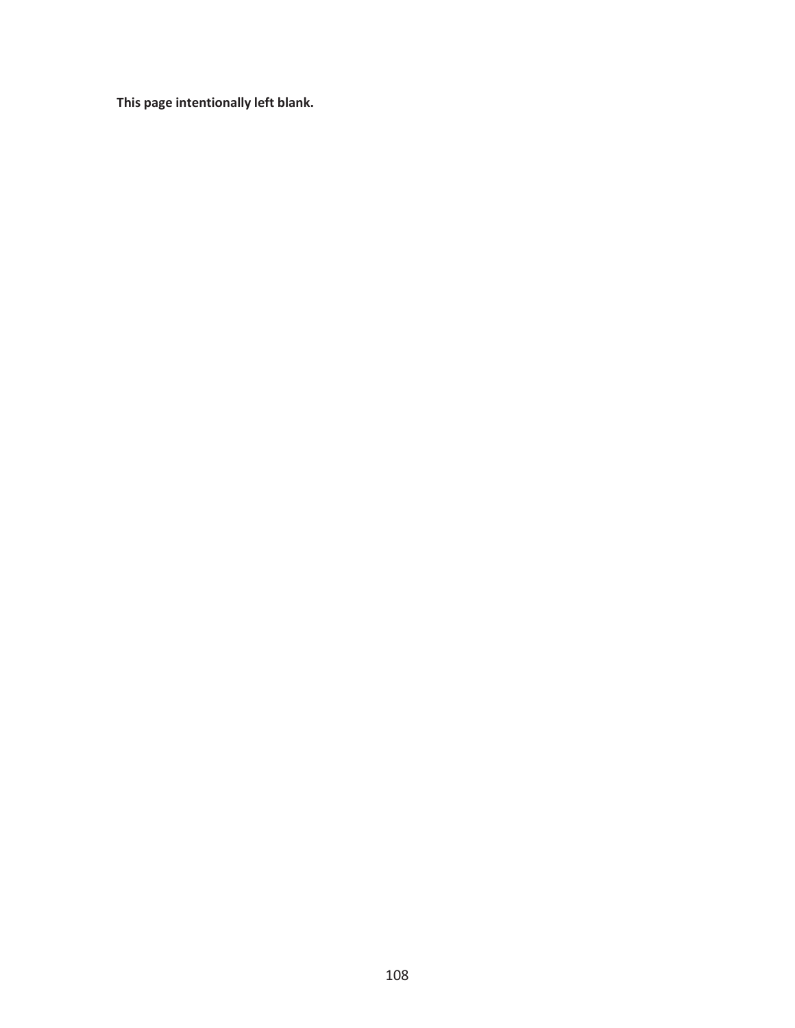**This page intentionally left blank.**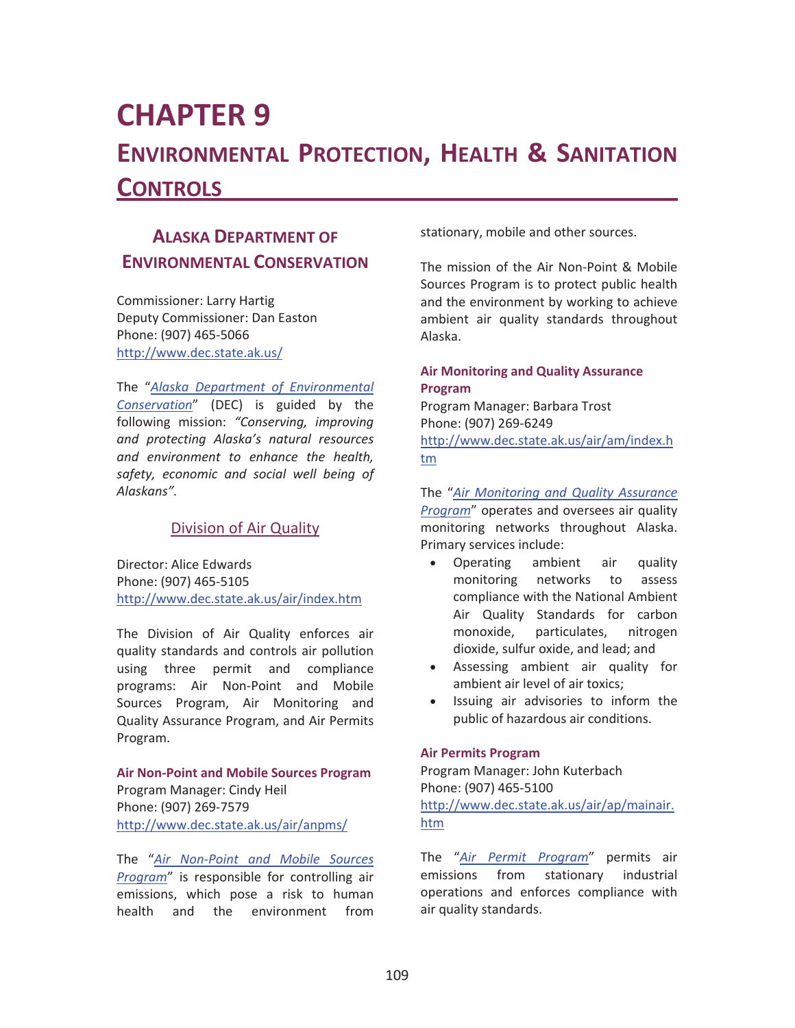# **CHAPTER 9**

## **ENVIRONMENTAL PROTECTION, HEALTH & SANITATION CONTROLS**

## **ALASKA DEPARTMENT OF ENVIRONMENTAL CONSERVATION**

Commissioner: Larry Hartig Deputy Commissioner: Dan Easton Phone: (907) 465-5066 http://www.dec.state.ak.us/

The "*Alaska Department of Environmental Conservation*" (DEC) is guided by the following mission: *"Conserving, improving and protecting Alaska's natural resources and environment to enhance the health, safety, economic and social well being of Alaskans".*

## Division of Air Quality

Director: Alice Edwards Phone: (907) 465-5105 http://www.dec.state.ak.us/air/index.htm

The Division of Air Quality enforces air quality standards and controls air pollution using three permit and compliance programs: Air Non-Point and Mobile Sources Program, Air Monitoring and Quality Assurance Program, and Air Permits Program.

## **Air Non-Point and Mobile Sources Program**

Program Manager: Cindy Heil Phone: (907) 269-7579 http://www.dec.state.ak.us/air/anpms/

The "*Air NonͲPoint and Mobile Sources Program*" is responsible for controlling air emissions, which pose a risk to human health and the environment from

stationary, mobile and other sources.

The mission of the Air Non-Point & Mobile Sources Program is to protect public health and the environment by working to achieve ambient air quality standards throughout Alaska.

## **Air Monitoring and Quality Assurance Program**

Program Manager: Barbara Trost Phone: (907) 269-6249 http://www.dec.state.ak.us/air/am/index.h tm

The "*Air Monitoring and Quality Assurance Program*" operates and oversees air quality monitoring networks throughout Alaska. Primary services include:

- Operating ambient air quality monitoring networks to assess compliance with the National Ambient Air Quality Standards for carbon monoxide, particulates, nitrogen dioxide, sulfur oxide, and lead; and
- Assessing ambient air quality for ambient air level of air toxics;
- Issuing air advisories to inform the public of hazardous air conditions.

## **Air Permits Program**

Program Manager: John Kuterbach Phone: (907) 465-5100 http://www.dec.state.ak.us/air/ap/mainair.

htm

The "*Air Permit Program*" permits air emissions from stationary industrial operations and enforces compliance with air quality standards.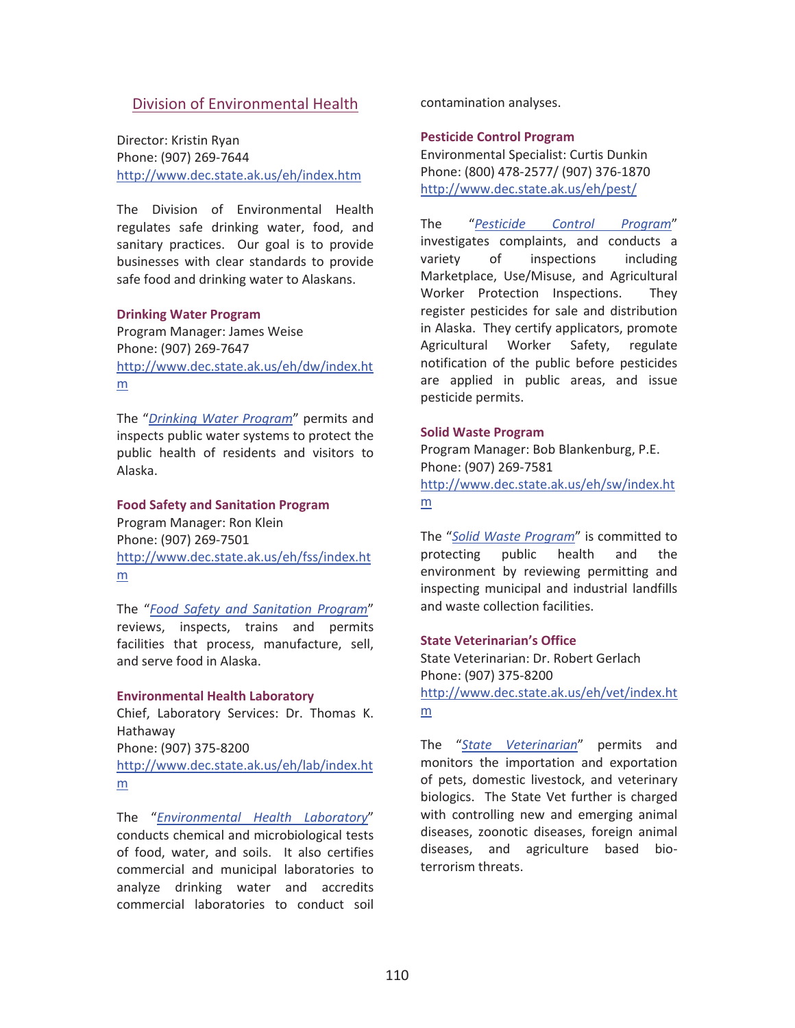## Division of Environmental Health

Director: Kristin Ryan Phone: (907) 269-7644 http://www.dec.state.ak.us/eh/index.htm

The Division of Environmental Health regulates safe drinking water, food, and sanitary practices. Our goal is to provide businesses with clear standards to provide safe food and drinking water to Alaskans.

#### **Drinking Water Program**

Program Manager: James Weise Phone: (907) 269-7647 http://www.dec.state.ak.us/eh/dw/index.ht m

The "*Drinking Water Program*" permits and inspects public water systems to protect the public health of residents and visitors to Alaska.

#### **Food Safety and Sanitation Program**

Program Manager: Ron Klein Phone: (907) 269-7501 http://www.dec.state.ak.us/eh/fss/index.ht m

The "*Food Safety and Sanitation Program*" reviews, inspects, trains and permits facilities that process, manufacture, sell, and serve food in Alaska.

#### **Environmental Health Laboratory**

Chief, Laboratory Services: Dr. Thomas K. Hathaway Phone: (907) 375-8200 http://www.dec.state.ak.us/eh/lab/index.ht m

The "*Environmental Health Laboratory*" conducts chemical and microbiological tests of food, water, and soils. It also certifies commercial and municipal laboratories to analyze drinking water and accredits commercial laboratories to conduct soil

contamination analyses.

#### **Pesticide Control Program**

Environmental Specialist: Curtis Dunkin Phone: (800) 478-2577/ (907) 376-1870 http://www.dec.state.ak.us/eh/pest/

The "*Pesticide Control Program*" investigates complaints, and conducts a variety of inspections including Marketplace, Use/Misuse, and Agricultural Worker Protection Inspections. They register pesticides for sale and distribution in Alaska. They certify applicators, promote Agricultural Worker Safety, regulate notification of the public before pesticides are applied in public areas, and issue pesticide permits.

#### **Solid Waste Program**

Program Manager: Bob Blankenburg, P.E. Phone: (907) 269-7581 http://www.dec.state.ak.us/eh/sw/index.ht m

The "*Solid Waste Program*" is committed to protecting public health and the environment by reviewing permitting and inspecting municipal and industrial landfills and waste collection facilities.

#### **State Veterinarian's Office**

State Veterinarian: Dr. Robert Gerlach Phone: (907) 375-8200 http://www.dec.state.ak.us/eh/vet/index.ht m

The "*State Veterinarian*" permits and monitors the importation and exportation of pets, domestic livestock, and veterinary biologics. The State Vet further is charged with controlling new and emerging animal diseases, zoonotic diseases, foreign animal diseases, and agriculture based bioterrorism threats.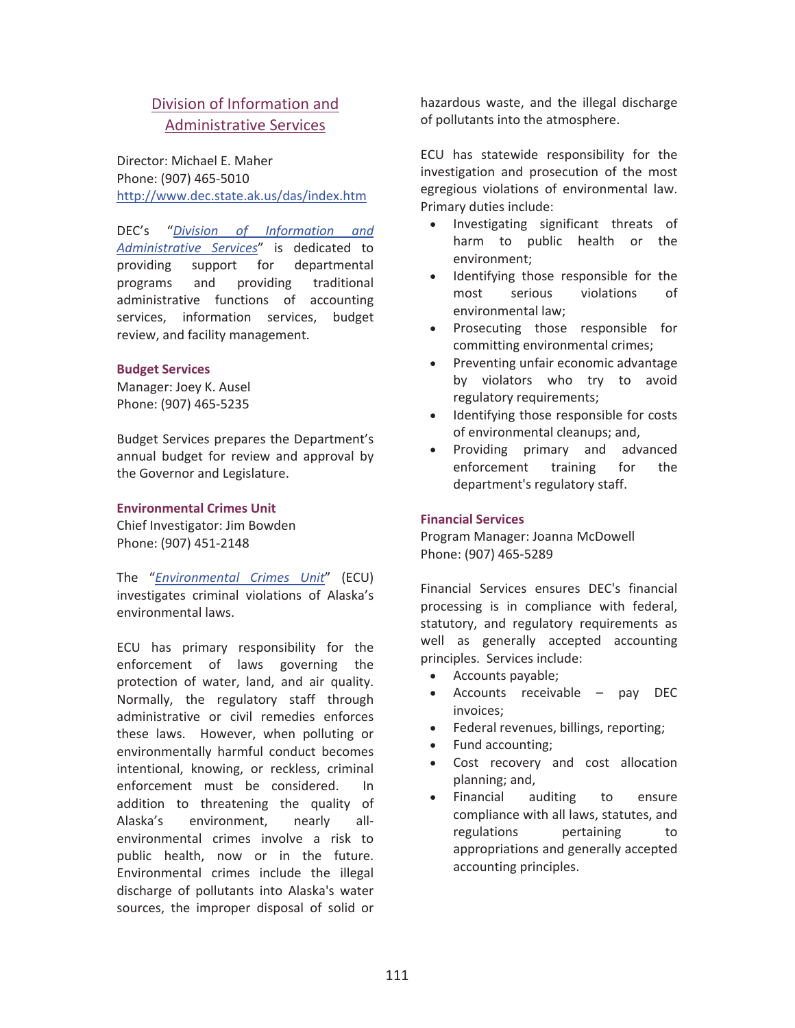## Division of Information and Administrative Services

Director: Michael E. Maher Phone: (907) 465-5010 http://www.dec.state.ak.us/das/index.htm

DEC's "*Division of Information and Administrative Services*" is dedicated to providing support for departmental programs and providing traditional administrative functions of accounting services, information services, budget review, and facility management.

#### **Budget Services**

Manager: Joey K. Ausel Phone: (907) 465-5235

Budget Services prepares the Department's annual budget for review and approval by the Governor and Legislature.

#### **Environmental Crimes Unit**

Chief Investigator: Jim Bowden Phone: (907) 451-2148

The "*Environmental Crimes Unit*" (ECU) investigates criminal violations of Alaska's environmental laws.

ECU has primary responsibility for the enforcement of laws governing the protection of water, land, and air quality. Normally, the regulatory staff through administrative or civil remedies enforces these laws. However, when polluting or environmentally harmful conduct becomes intentional, knowing, or reckless, criminal enforcement must be considered. In addition to threatening the quality of Alaska's environment, nearly allenvironmental crimes involve a risk to public health, now or in the future. Environmental crimes include the illegal discharge of pollutants into Alaska's water sources, the improper disposal of solid or

hazardous waste, and the illegal discharge of pollutants into the atmosphere.

ECU has statewide responsibility for the investigation and prosecution of the most egregious violations of environmental law. Primary duties include:

- Investigating significant threats of harm to public health or the environment;
- Identifying those responsible for the most serious violations of environmental law;
- Prosecuting those responsible for committing environmental crimes;
- Preventing unfair economic advantage by violators who try to avoid regulatory requirements;
- Identifying those responsible for costs of environmental cleanups; and,
- Providing primary and advanced enforcement training for the department's regulatory staff.

#### **Financial Services**

Program Manager: Joanna McDowell Phone: (907) 465-5289

Financial Services ensures DEC's financial processing is in compliance with federal, statutory, and regulatory requirements as well as generally accepted accounting principles. Services include:

- Accounts payable;
- $\bullet$  Accounts receivable pay DEC invoices;
- Federal revenues, billings, reporting;
- Fund accounting;
- Cost recovery and cost allocation planning; and,
- Financial auditing to ensure compliance with all laws, statutes, and regulations pertaining to appropriations and generally accepted accounting principles.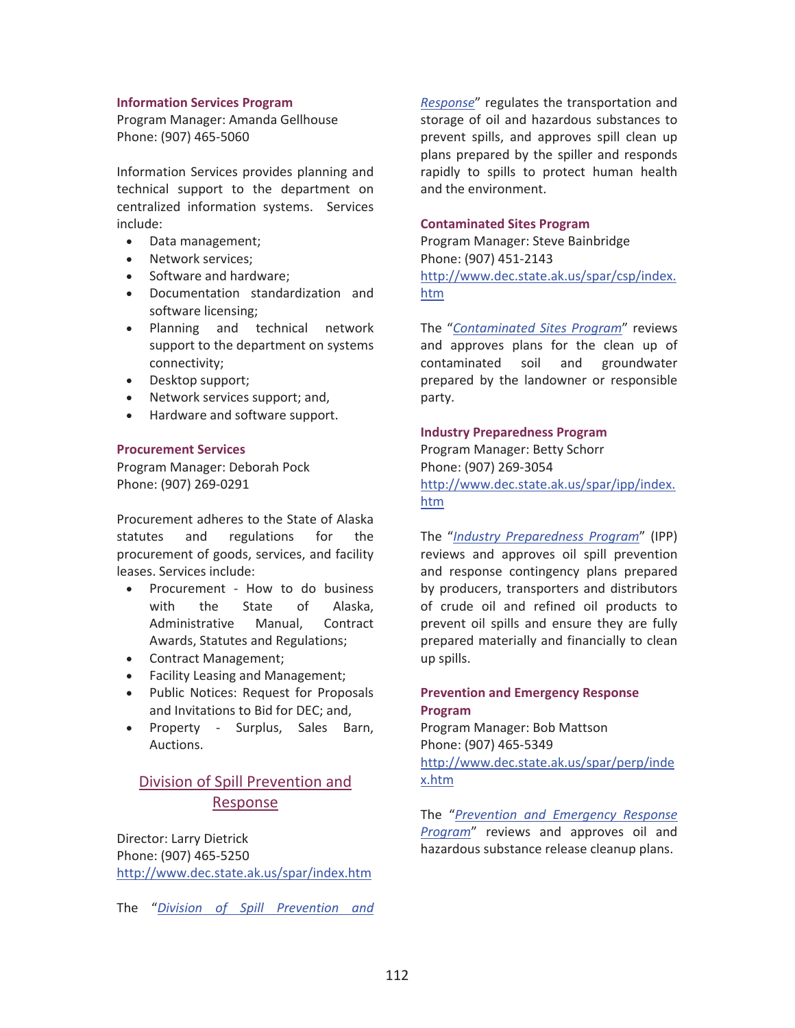#### **Information Services Program**

Program Manager: Amanda Gellhouse Phone: (907) 465-5060

Information Services provides planning and technical support to the department on centralized information systems. Services include:

- Data management;
- Network services;
- Software and hardware:
- Documentation standardization and software licensing;
- Planning and technical network support to the department on systems connectivity;
- Desktop support;
- Network services support; and,
- Hardware and software support.

#### **Procurement Services**

Program Manager: Deborah Pock Phone: (907) 269-0291

Procurement adheres to the State of Alaska statutes and regulations for the procurement of goods, services, and facility leases. Services include:

- Procurement How to do business with the State of Alaska, Administrative Manual, Contract Awards, Statutes and Regulations;
- Contract Management;
- Facility Leasing and Management;
- Public Notices: Request for Proposals and Invitations to Bid for DEC; and,
- Property Surplus, Sales Barn, Auctions.

## Division of Spill Prevention and Response

Director: Larry Dietrick Phone: (907) 465-5250 http://www.dec.state.ak.us/spar/index.htm

The "*Division of Spill Prevention and*

*Response*" regulates the transportation and storage of oil and hazardous substances to prevent spills, and approves spill clean up plans prepared by the spiller and responds rapidly to spills to protect human health and the environment.

#### **Contaminated Sites Program**

Program Manager: Steve Bainbridge Phone: (907) 451-2143 http://www.dec.state.ak.us/spar/csp/index. htm

The "*Contaminated Sites Program*" reviews and approves plans for the clean up of contaminated soil and groundwater prepared by the landowner or responsible party.

#### **Industry Preparedness Program**

Program Manager: Betty Schorr Phone: (907) 269-3054 http://www.dec.state.ak.us/spar/ipp/index. htm

The "*Industry Preparedness Program*" (IPP) reviews and approves oil spill prevention and response contingency plans prepared by producers, transporters and distributors of crude oil and refined oil products to prevent oil spills and ensure they are fully prepared materially and financially to clean up spills.

## **Prevention and Emergency Response Program**

Program Manager: Bob Mattson Phone: (907) 465-5349 http://www.dec.state.ak.us/spar/perp/inde x.htm

The "*Prevention and Emergency Response Program*" reviews and approves oil and hazardous substance release cleanup plans.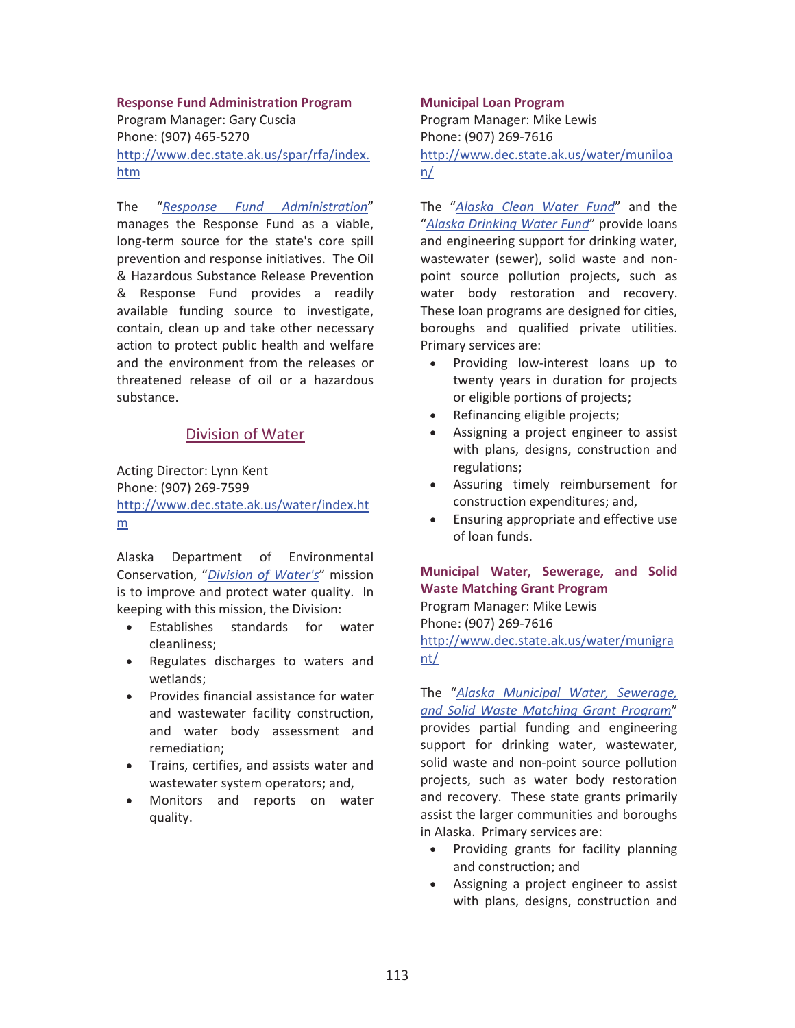#### **Response Fund Administration Program**

Program Manager: Gary Cuscia Phone: (907) 465-5270 http://www.dec.state.ak.us/spar/rfa/index. htm

The "*Response Fund Administration*" manages the Response Fund as a viable, long-term source for the state's core spill prevention and response initiatives. The Oil & Hazardous Substance Release Prevention & Response Fund provides a readily available funding source to investigate, contain, clean up and take other necessary action to protect public health and welfare and the environment from the releases or threatened release of oil or a hazardous substance.

## Division of Water

Acting Director: Lynn Kent Phone: (907) 269-7599 http://www.dec.state.ak.us/water/index.ht m

Alaska Department of Environmental Conservation, "*Division of Water's*" mission is to improve and protect water quality. In keeping with this mission, the Division:

- Establishes standards for water cleanliness;
- Regulates discharges to waters and wetlands;
- Provides financial assistance for water and wastewater facility construction, and water body assessment and remediation;
- Trains, certifies, and assists water and wastewater system operators; and,
- Monitors and reports on water quality.

#### **Municipal Loan Program**

Program Manager: Mike Lewis Phone: (907) 269-7616 http://www.dec.state.ak.us/water/muniloa n/

The "*Alaska Clean Water Fund*" and the "*Alaska Drinking Water Fund*" provide loans and engineering support for drinking water, wastewater (sewer), solid waste and nonpoint source pollution projects, such as water body restoration and recovery. These loan programs are designed for cities, boroughs and qualified private utilities. Primary services are:

- Providing low-interest loans up to twenty years in duration for projects or eligible portions of projects;
- Refinancing eligible projects;
- Assigning a project engineer to assist with plans, designs, construction and regulations;
- Assuring timely reimbursement for construction expenditures; and,
- Ensuring appropriate and effective use of loan funds.

**Municipal Water, Sewerage, and Solid Waste Matching Grant Program** Program Manager: Mike Lewis

Phone: (907) 269-7616

http://www.dec.state.ak.us/water/munigra nt/

The "*Alaska Municipal Water, Sewerage, and Solid Waste Matching Grant Program*" provides partial funding and engineering support for drinking water, wastewater, solid waste and non-point source pollution projects, such as water body restoration and recovery. These state grants primarily assist the larger communities and boroughs in Alaska. Primary services are:

- Providing grants for facility planning and construction; and
- Assigning a project engineer to assist with plans, designs, construction and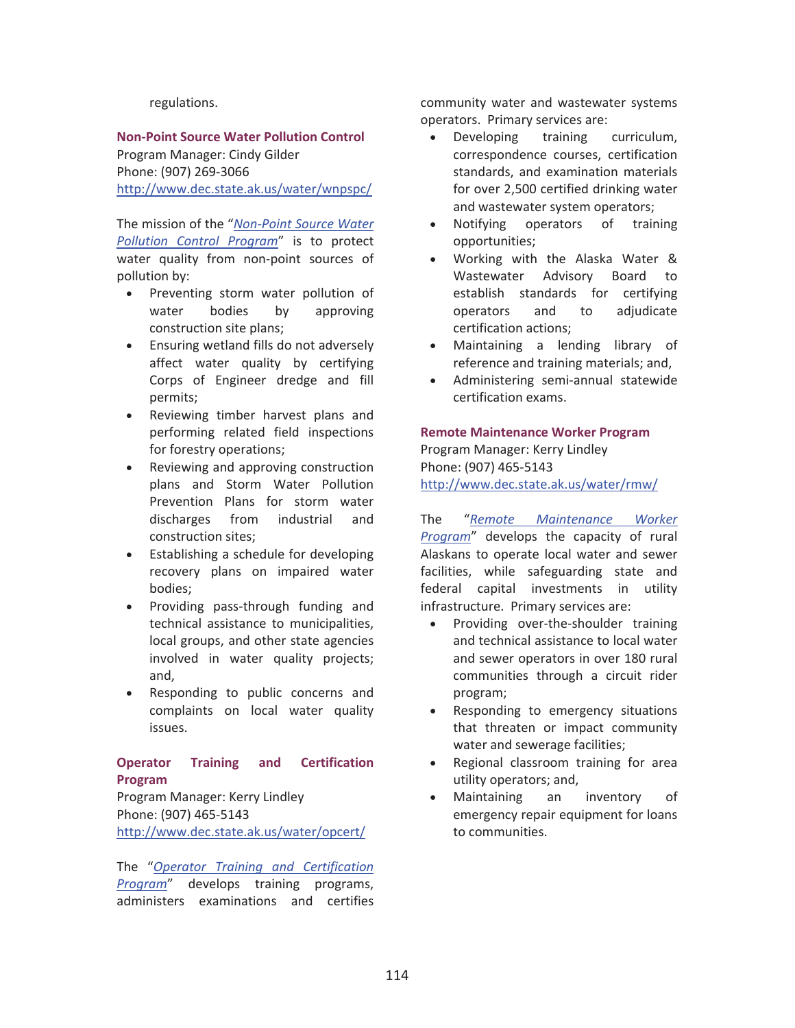#### regulations.

## **NonͲPoint Source Water Pollution Control**

Program Manager: Cindy Gilder Phone: (907) 269-3066 http://www.dec.state.ak.us/water/wnpspc/

The mission of the "*NonͲPoint Source Water Pollution Control Program*" is to protect water quality from non-point sources of pollution by:

- Preventing storm water pollution of water bodies by approving construction site plans;
- Ensuring wetland fills do not adversely affect water quality by certifying Corps of Engineer dredge and fill permits;
- Reviewing timber harvest plans and performing related field inspections for forestry operations;
- Reviewing and approving construction plans and Storm Water Pollution Prevention Plans for storm water discharges from industrial and construction sites;
- Establishing a schedule for developing recovery plans on impaired water bodies;
- Providing pass-through funding and technical assistance to municipalities, local groups, and other state agencies involved in water quality projects; and,
- Responding to public concerns and complaints on local water quality issues.

## **Operator Training and Certification Program**

Program Manager: Kerry Lindley Phone: (907) 465-5143 http://www.dec.state.ak.us/water/opcert/

The "*Operator Training and Certification Program*" develops training programs, administers examinations and certifies

community water and wastewater systems operators. Primary services are:

- Developing training curriculum, correspondence courses, certification standards, and examination materials for over 2,500 certified drinking water and wastewater system operators;
- Notifying operators of training opportunities;
- x Working with the Alaska Water & Wastewater Advisory Board to establish standards for certifying operators and to adjudicate certification actions;
- x Maintaining a lending library of reference and training materials; and,
- Administering semi-annual statewide certification exams.

#### **Remote Maintenance Worker Program**

Program Manager: Kerry Lindley Phone: (907) 465-5143 http://www.dec.state.ak.us/water/rmw/

The "*Remote Maintenance Worker Program*" develops the capacity of rural Alaskans to operate local water and sewer facilities, while safeguarding state and federal capital investments in utility infrastructure. Primary services are:

- Providing over-the-shoulder training and technical assistance to local water and sewer operators in over 180 rural communities through a circuit rider program;
- Responding to emergency situations that threaten or impact community water and sewerage facilities;
- Regional classroom training for area utility operators; and,
- Maintaining an inventory of emergency repair equipment for loans to communities.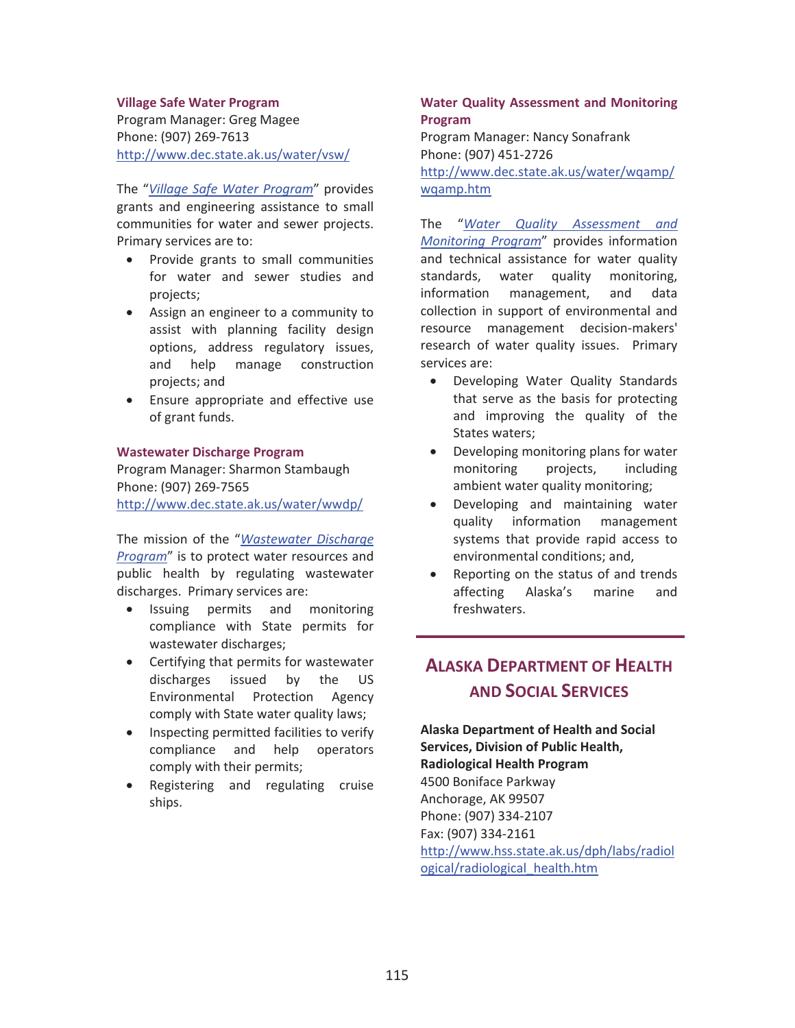#### **Village Safe Water Program**

Program Manager: Greg Magee Phone: (907) 269-7613 http://www.dec.state.ak.us/water/vsw/

The "*Village Safe Water Program*" provides grants and engineering assistance to small communities for water and sewer projects. Primary services are to:

- Provide grants to small communities for water and sewer studies and projects;
- Assign an engineer to a community to assist with planning facility design options, address regulatory issues, and help manage construction projects; and
- Ensure appropriate and effective use of grant funds.

#### **Wastewater Discharge Program**

Program Manager: Sharmon Stambaugh Phone: (907) 269-7565 http://www.dec.state.ak.us/water/wwdp/

The mission of the "*Wastewater Discharge Program*" is to protect water resources and public health by regulating wastewater discharges. Primary services are:

- Issuing permits and monitoring compliance with State permits for wastewater discharges;
- Certifying that permits for wastewater discharges issued by the US Environmental Protection Agency comply with State water quality laws;
- Inspecting permitted facilities to verify compliance and help operators comply with their permits;
- x Registering and regulating cruise ships.

## **Water Quality Assessment and Monitoring Program**

Program Manager: Nancy Sonafrank Phone: (907) 451-2726 http://www.dec.state.ak.us/water/wqamp/ wqamp.htm

The "*Water Quality Assessment and Monitoring Program*" provides information and technical assistance for water quality standards, water quality monitoring, information management, and data collection in support of environmental and resource management decision-makers' research of water quality issues. Primary services are:

- Developing Water Quality Standards that serve as the basis for protecting and improving the quality of the States waters;
- $\bullet$  Developing monitoring plans for water monitoring projects, including ambient water quality monitoring;
- Developing and maintaining water quality information management systems that provide rapid access to environmental conditions; and,
- Reporting on the status of and trends affecting Alaska's marine and freshwaters.

## **ALASKA DEPARTMENT OF HEALTH AND SOCIAL SERVICES**

**Alaska Department of Health and Social Services, Division of Public Health, Radiological Health Program** 4500 Boniface Parkway Anchorage, AK 99507 Phone: (907) 334-2107 Fax: (907) 334-2161 http://www.hss.state.ak.us/dph/labs/radiol ogical/radiological\_health.htm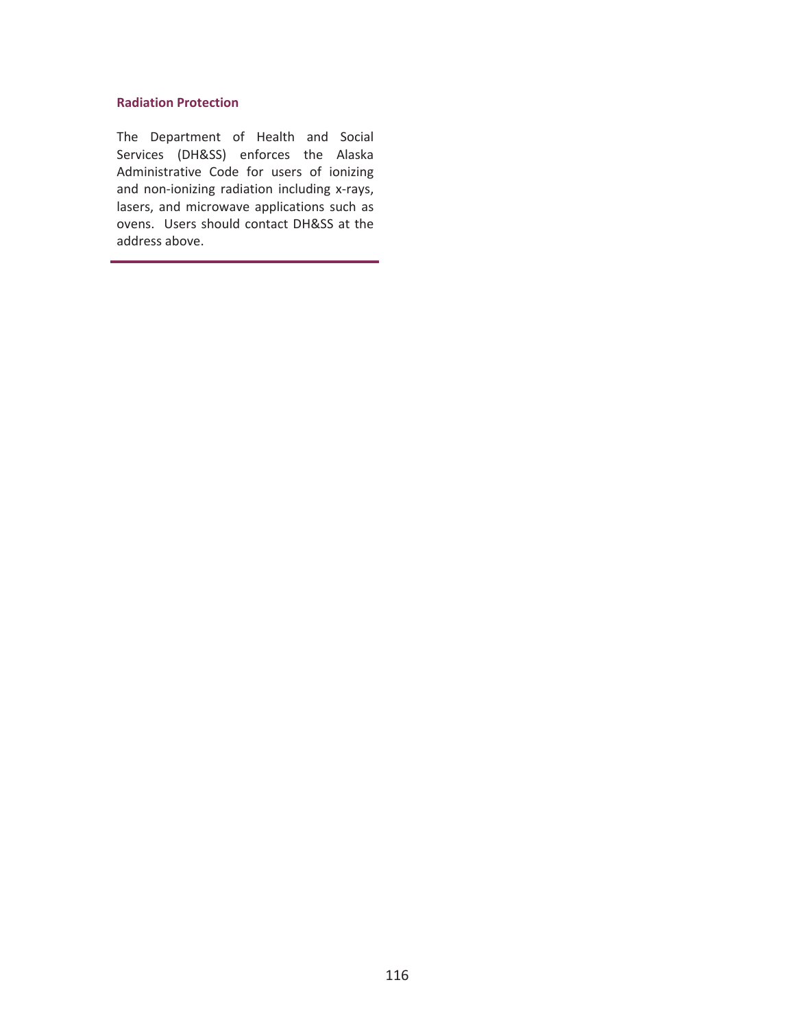## **Radiation Protection**

The Department of Health and Social Services (DH&SS) enforces the Alaska Administrative Code for users of ionizing and non-ionizing radiation including x-rays, lasers, and microwave applications such as ovens. Users should contact DH&SS at the address above.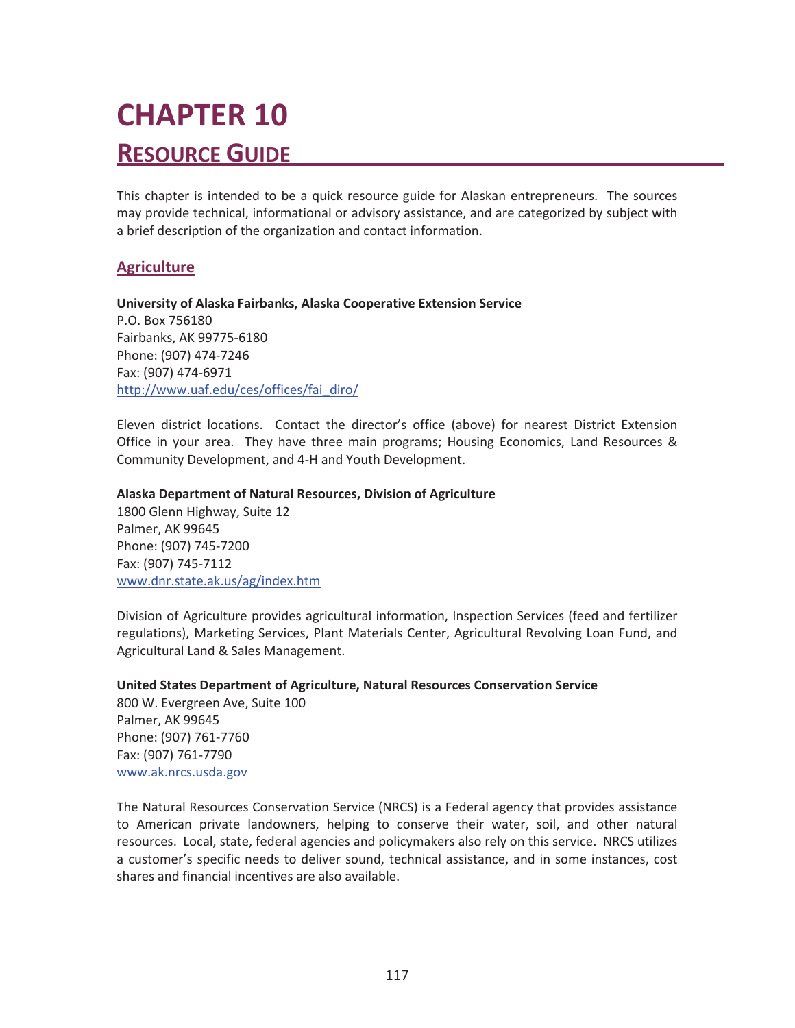## **CHAPTER 10 RESOURCE GUIDE**

This chapter is intended to be a quick resource guide for Alaskan entrepreneurs. The sources may provide technical, informational or advisory assistance, and are categorized by subject with a brief description of the organization and contact information.

## **Agriculture**

**University of Alaska Fairbanks, Alaska Cooperative Extension Service** P.O. Box 756180 Fairbanks, AK 99775-6180 Phone: (907) 474-7246 Fax: (907) 474-6971 http://www.uaf.edu/ces/offices/fai\_diro/

Eleven district locations. Contact the director's office (above) for nearest District Extension Office in your area. They have three main programs; Housing Economics, Land Resources & Community Development, and 4-H and Youth Development.

## **Alaska Department of Natural Resources, Division of Agriculture**

1800 Glenn Highway, Suite 12 Palmer, AK 99645 Phone: (907) 745-7200 Fax: (907) 745-7112 www.dnr.state.ak.us/ag/index.htm

Division of Agriculture provides agricultural information, Inspection Services (feed and fertilizer regulations), Marketing Services, Plant Materials Center, Agricultural Revolving Loan Fund, and Agricultural Land & Sales Management.

## **United States Department of Agriculture, Natural Resources Conservation Service**

800 W. Evergreen Ave, Suite 100 Palmer, AK 99645 Phone: (907) 761-7760 Fax: (907) 761-7790 www.ak.nrcs.usda.gov

The Natural Resources Conservation Service (NRCS) is a Federal agency that provides assistance to American private landowners, helping to conserve their water, soil, and other natural resources. Local, state, federal agencies and policymakers also rely on this service. NRCS utilizes a customer's specific needs to deliver sound, technical assistance, and in some instances, cost shares and financial incentives are also available.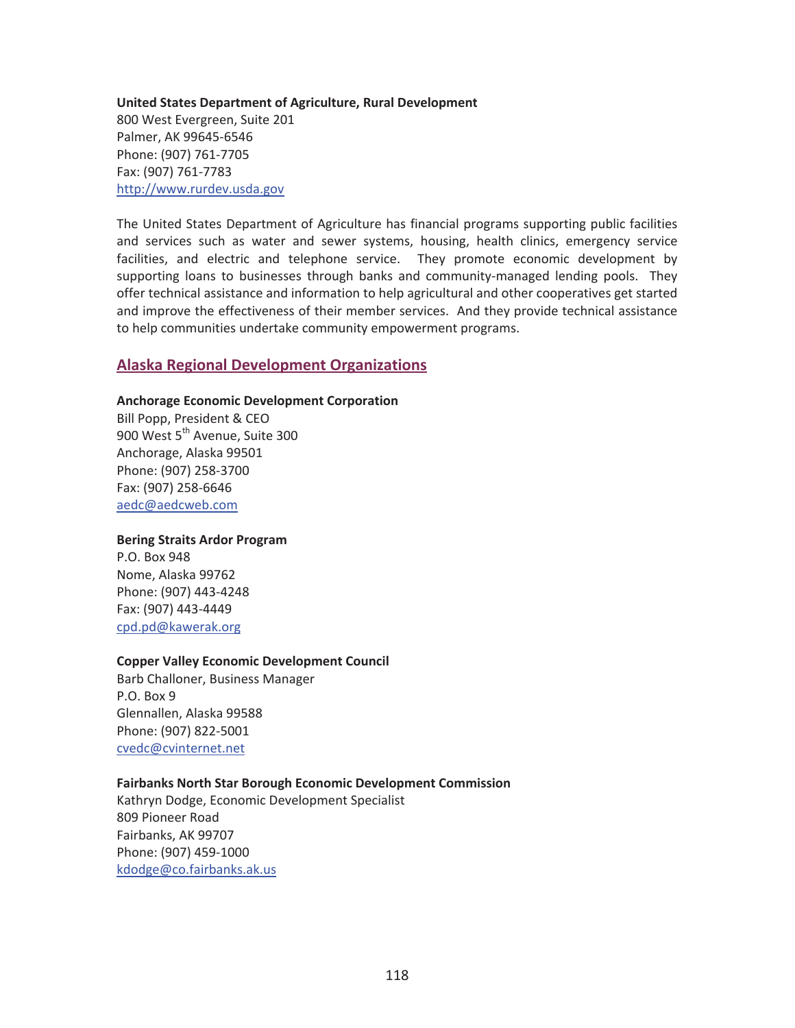## **United States Department of Agriculture, Rural Development**

800 West Evergreen, Suite 201 Palmer, AK 99645-6546 Phone: (907) 761-7705 Fax: (907) 761-7783 http://www.rurdev.usda.gov

The United States Department of Agriculture has financial programs supporting public facilities and services such as water and sewer systems, housing, health clinics, emergency service facilities, and electric and telephone service. They promote economic development by supporting loans to businesses through banks and community-managed lending pools. They offer technical assistance and information to help agricultural and other cooperatives get started and improve the effectiveness of their member services. And they provide technical assistance to help communities undertake community empowerment programs.

## **Alaska Regional Development Organizations**

## **Anchorage Economic Development Corporation**

Bill Popp, President & CEO 900 West 5<sup>th</sup> Avenue, Suite 300 Anchorage, Alaska 99501 Phone: (907) 258-3700 Fax: (907) 258-6646 aedc@aedcweb.com

## **Bering Straits Ardor Program**

P.O. Box 948 Nome, Alaska 99762 Phone: (907) 443-4248 Fax: (907) 443-4449 cpd.pd@kawerak.org

## **Copper Valley Economic Development Council**

Barb Challoner, Business Manager P.O. Box 9 Glennallen, Alaska 99588 Phone: (907) 822-5001 cvedc@cvinternet.net

## **Fairbanks North Star Borough Economic Development Commission**

Kathryn Dodge, Economic Development Specialist 809 Pioneer Road Fairbanks, AK 99707 Phone: (907) 459-1000 kdodge@co.fairbanks.ak.us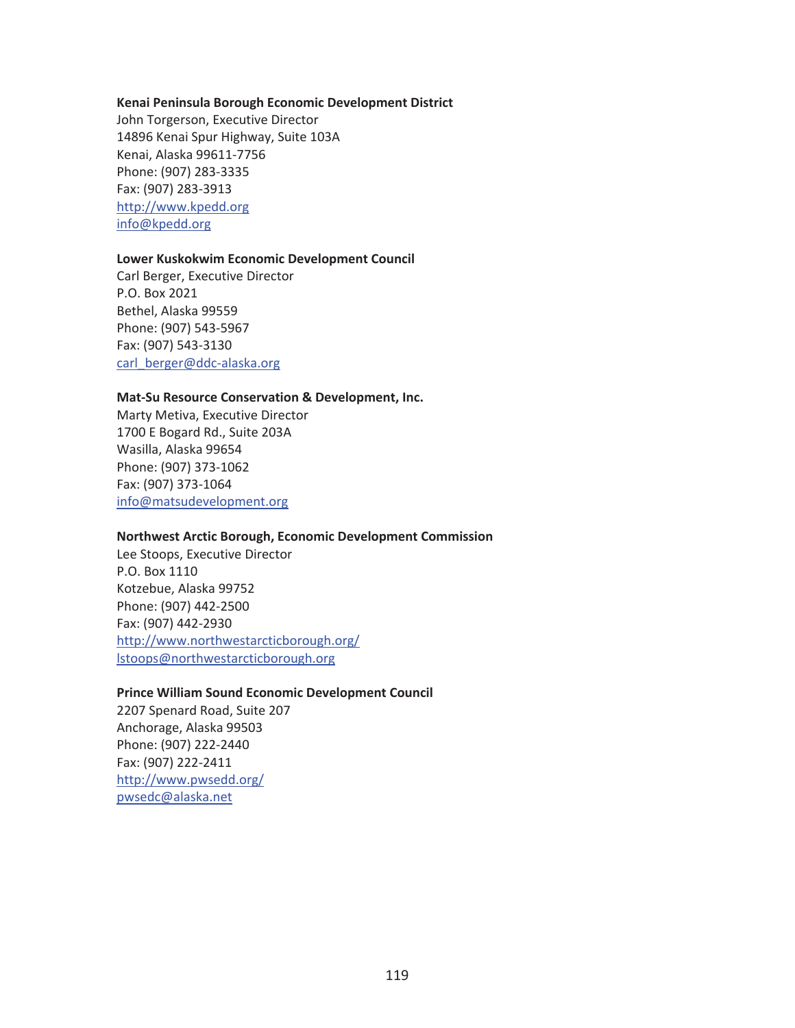#### **Kenai Peninsula Borough Economic Development District**

John Torgerson, Executive Director 14896 Kenai Spur Highway, Suite 103A Kenai, Alaska 99611-7756 Phone: (907) 283-3335 Fax: (907) 283-3913 http://www.kpedd.org info@kpedd.org

#### **Lower Kuskokwim Economic Development Council**

Carl Berger, Executive Director P.O. Box 2021 Bethel, Alaska 99559 Phone: (907) 543-5967 Fax: (907) 543-3130 carl\_berger@ddc-alaska.org

#### **MatͲSu Resource Conservation & Development, Inc.**

Marty Metiva, Executive Director 1700 E Bogard Rd., Suite 203A Wasilla, Alaska 99654 Phone: (907) 373-1062 Fax: (907) 373-1064 info@matsudevelopment.org

#### **Northwest Arctic Borough, Economic Development Commission**

Lee Stoops, Executive Director P.O. Box 1110 Kotzebue, Alaska 99752 Phone: (907) 442-2500 Fax: (907) 442-2930 http://www.northwestarcticborough.org/ lstoops@northwestarcticborough.org

#### **Prince William Sound Economic Development Council**

2207 Spenard Road, Suite 207 Anchorage, Alaska 99503 Phone: (907) 222-2440 Fax: (907) 222-2411 http://www.pwsedd.org/ pwsedc@alaska.net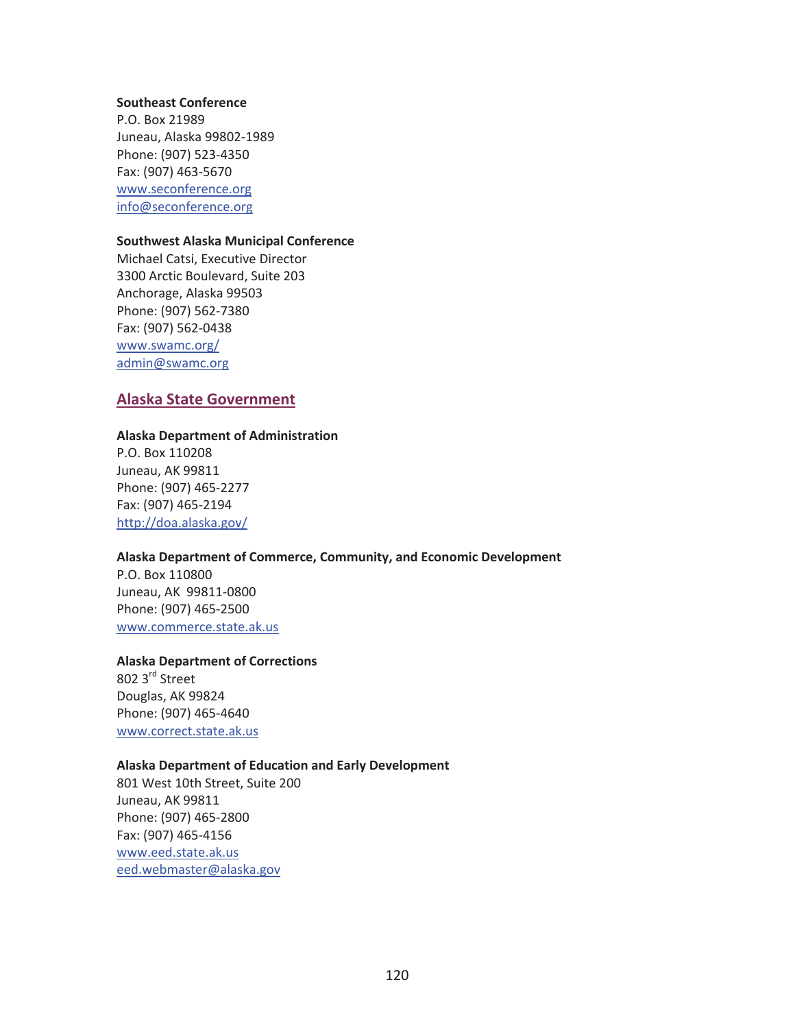#### **Southeast Conference**

P.O. Box 21989 Juneau, Alaska 99802-1989 Phone: (907) 523-4350 Fax: (907) 463-5670 www.seconference.org info@seconference.org

#### **Southwest Alaska Municipal Conference**

Michael Catsi, Executive Director 3300 Arctic Boulevard, Suite 203 Anchorage, Alaska 99503 Phone: (907) 562-7380 Fax: (907) 562-0438 www.swamc.org/ admin@swamc.org

## **Alaska State Government**

#### **Alaska Department of Administration**

P.O. Box 110208 Juneau, AK 99811 Phone: (907) 465-2277 Fax: (907) 465-2194 http://doa.alaska.gov/

#### **Alaska Department of Commerce, Community, and Economic Development**

P.O. Box 110800 Juneau, AK 99811-0800 Phone: (907) 465-2500 www.commerce.state.ak.us

#### **Alaska Department of Corrections**

802 3rd Street Douglas, AK 99824 Phone: (907) 465-4640 www.correct.state.ak.us

#### **Alaska Department of Education and Early Development**

801 West 10th Street, Suite 200 Juneau, AK 99811 Phone: (907) 465-2800 Fax: (907) 465-4156 www.eed.state.ak.us eed.webmaster@alaska.gov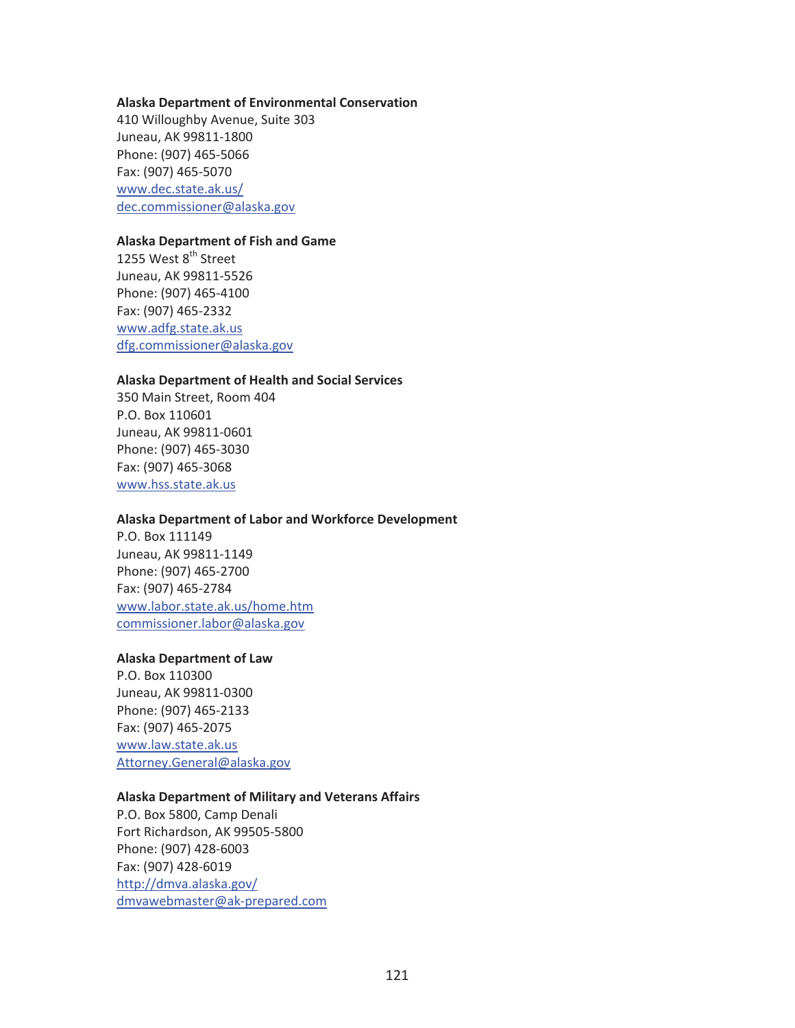#### **Alaska Department of Environmental Conservation**

410 Willoughby Avenue, Suite 303 Juneau, AK 99811-1800 Phone: (907) 465-5066 Fax: (907) 465-5070 www.dec.state.ak.us/ dec.commissioner@alaska.gov

#### **Alaska Department of Fish and Game**

1255 West 8<sup>th</sup> Street Juneau, AK 99811-5526 Phone: (907) 465-4100 Fax: (907) 465-2332 www.adfg.state.ak.us dfg.commissioner@alaska.gov

#### **Alaska Department of Health and Social Services**

350 Main Street, Room 404 P.O. Box 110601 Juneau, AK 99811-0601 Phone: (907) 465-3030 Fax: (907) 465-3068 www.hss.state.ak.us

#### **Alaska Department of Labor and Workforce Development**

P.O. Box 111149 Juneau, AK 99811-1149 Phone: (907) 465-2700 Fax: (907) 465-2784 www.labor.state.ak.us/home.htm commissioner.labor@alaska.gov

#### **Alaska Department of Law**

P.O. Box 110300 Juneau, AK 99811-0300 Phone: (907) 465-2133 Fax: (907) 465-2075 www.law.state.ak.us Attorney.General@alaska.gov

#### **Alaska Department of Military and Veterans Affairs**

P.O. Box 5800, Camp Denali Fort Richardson, AK 99505-5800 Phone: (907) 428-6003 Fax: (907) 428-6019 http://dmva.alaska.gov/ dmvawebmaster@ak-prepared.com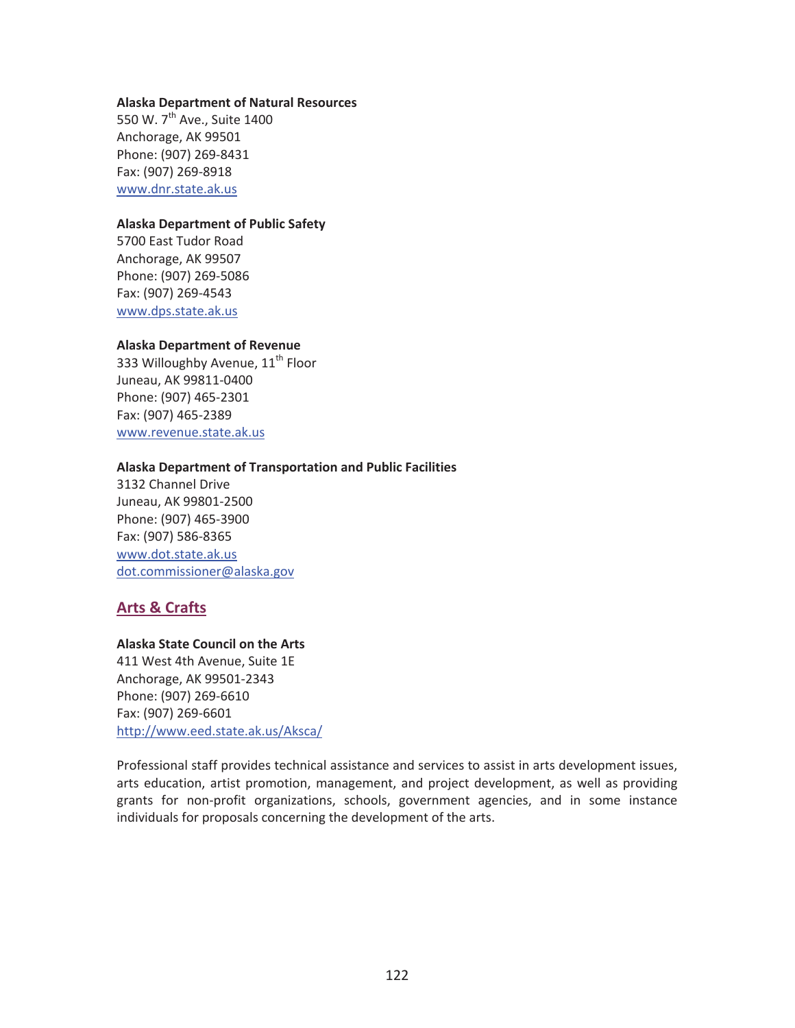#### **Alaska Department of Natural Resources**

550 W. 7<sup>th</sup> Ave., Suite 1400 Anchorage, AK 99501 Phone: (907) 269-8431 Fax: (907) 269-8918 www.dnr.state.ak.us

#### **Alaska Department of Public Safety**

5700 East Tudor Road Anchorage, AK 99507 Phone: (907) 269-5086 Fax: (907) 269-4543 www.dps.state.ak.us

#### **Alaska Department of Revenue**

333 Willoughby Avenue, 11<sup>th</sup> Floor Juneau, AK 99811-0400 Phone: (907) 465-2301 Fax: (907) 465-2389 www.revenue.state.ak.us

#### **Alaska Department of Transportation and Public Facilities**

3132 Channel Drive Juneau, AK 99801-2500 Phone: (907) 465-3900 Fax: (907) 586-8365 www.dot.state.ak.us dot.commissioner@alaska.gov

## **Arts & Crafts**

#### **Alaska State Council on the Arts**

411 West 4th Avenue, Suite 1E Anchorage, AK 99501-2343 Phone: (907) 269-6610 Fax: (907) 269-6601 http://www.eed.state.ak.us/Aksca/

Professional staff provides technical assistance and services to assist in arts development issues, arts education, artist promotion, management, and project development, as well as providing grants for non-profit organizations, schools, government agencies, and in some instance individuals for proposals concerning the development of the arts.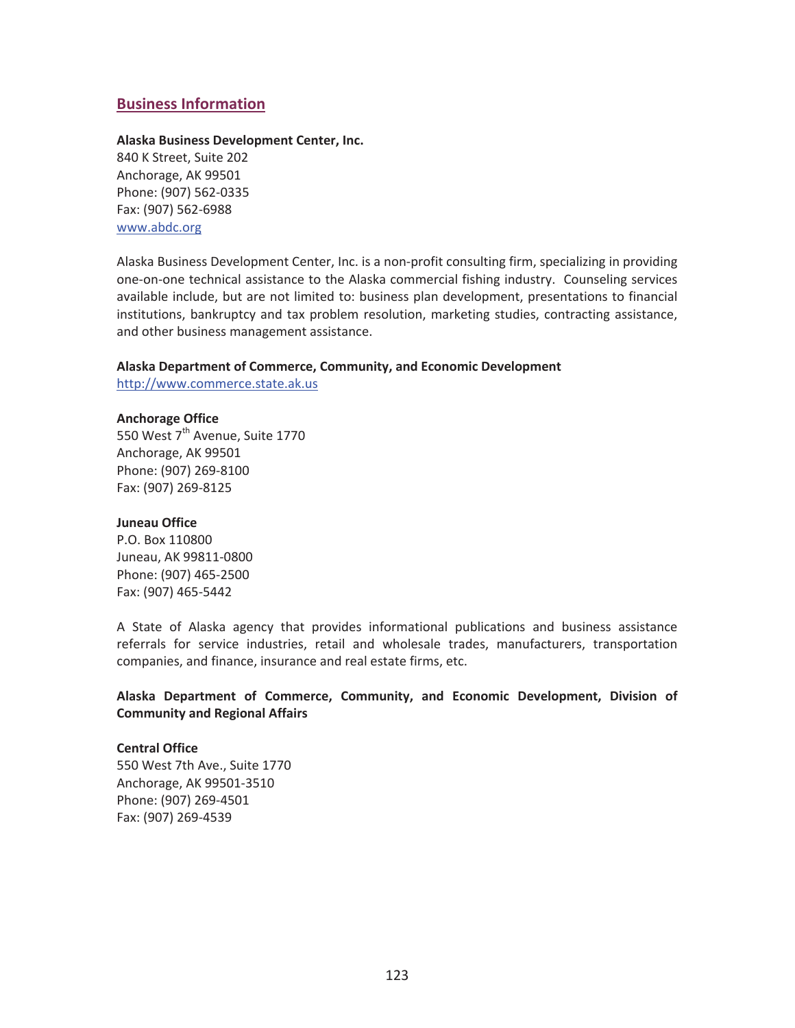## **Business Information**

#### **Alaska Business Development Center, Inc.**

840 K Street, Suite 202 Anchorage, AK 99501 Phone: (907) 562-0335 Fax: (907) 562-6988 www.abdc.org

Alaska Business Development Center, Inc. is a non-profit consulting firm, specializing in providing one-on-one technical assistance to the Alaska commercial fishing industry. Counseling services available include, but are not limited to: business plan development, presentations to financial institutions, bankruptcy and tax problem resolution, marketing studies, contracting assistance, and other business management assistance.

#### **Alaska Department of Commerce, Community, and Economic Development**

http://www.commerce.state.ak.us

#### **Anchorage Office**

550 West 7<sup>th</sup> Avenue, Suite 1770 Anchorage, AK 99501 Phone: (907) 269-8100 Fax: (907) 269-8125

#### **Juneau Office**

P.O. Box 110800 Juneau, AK 99811-0800 Phone: (907) 465-2500 Fax: (907) 465-5442

A State of Alaska agency that provides informational publications and business assistance referrals for service industries, retail and wholesale trades, manufacturers, transportation companies, and finance, insurance and real estate firms, etc.

**Alaska Department of Commerce, Community, and Economic Development, Division of Community and Regional Affairs**

#### **Central Office**

550 West 7th Ave., Suite 1770 Anchorage, AK 99501-3510 Phone: (907) 269-4501 Fax: (907) 269Ͳ4539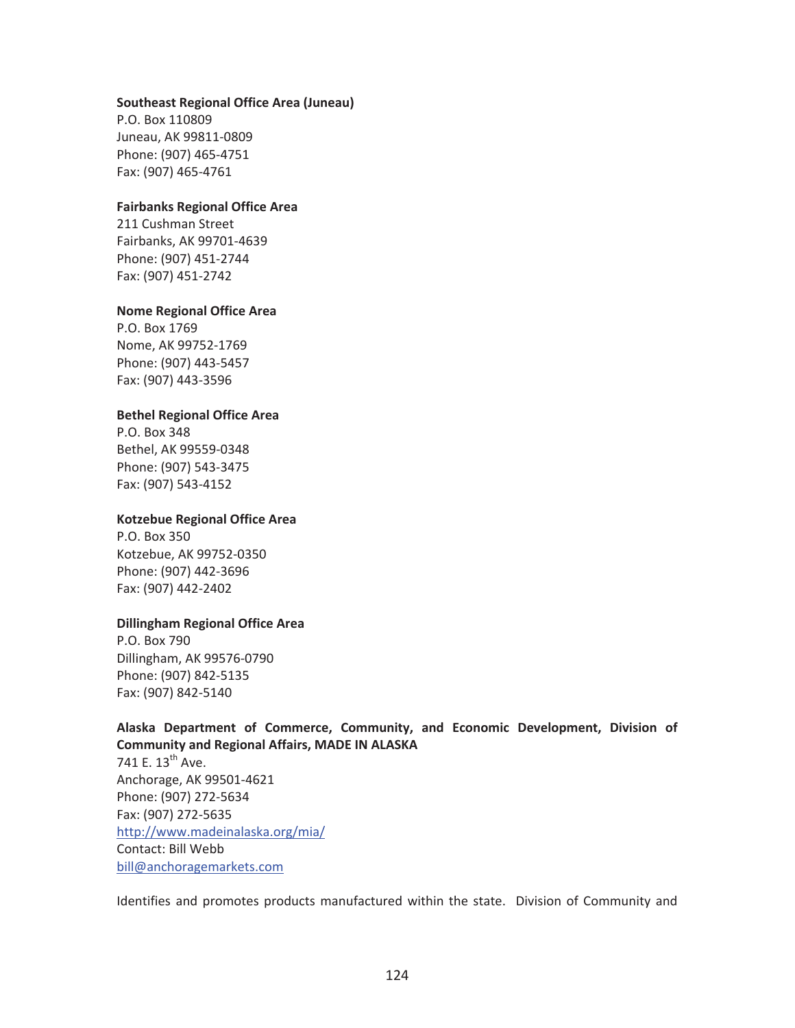#### **Southeast Regional Office Area (Juneau)**

P.O. Box 110809 Juneau, AK 99811-0809 Phone: (907) 465-4751 Fax: (907) 465-4761

## **Fairbanks Regional Office Area**

211 Cushman Street Fairbanks, AK 99701-4639 Phone: (907) 451-2744 Fax: (907) 451-2742

#### **Nome Regional Office Area**

P.O. Box 1769 Nome, AK 99752-1769 Phone: (907) 443-5457 Fax: (907) 443-3596

#### **Bethel Regional Office Area**

P.O. Box 348 Bethel, AK 99559-0348 Phone: (907) 543-3475 Fax: (907) 543-4152

#### **Kotzebue Regional Office Area**

P.O. Box 350 Kotzebue, AK 99752-0350 Phone: (907) 442-3696 Fax: (907) 442-2402

## **Dillingham Regional Office Area**

P.O. Box 790 Dillingham, AK 99576-0790 Phone: (907) 842-5135 Fax: (907) 842-5140

## **Alaska Department of Commerce, Community, and Economic Development, Division of Community and Regional Affairs, MADE IN ALASKA**

741 E. 13<sup>th</sup> Ave. Anchorage, AK 99501-4621 Phone: (907) 272-5634 Fax: (907) 272-5635 http://www.madeinalaska.org/mia/ Contact: Bill Webb bill@anchoragemarkets.com

Identifies and promotes products manufactured within the state. Division of Community and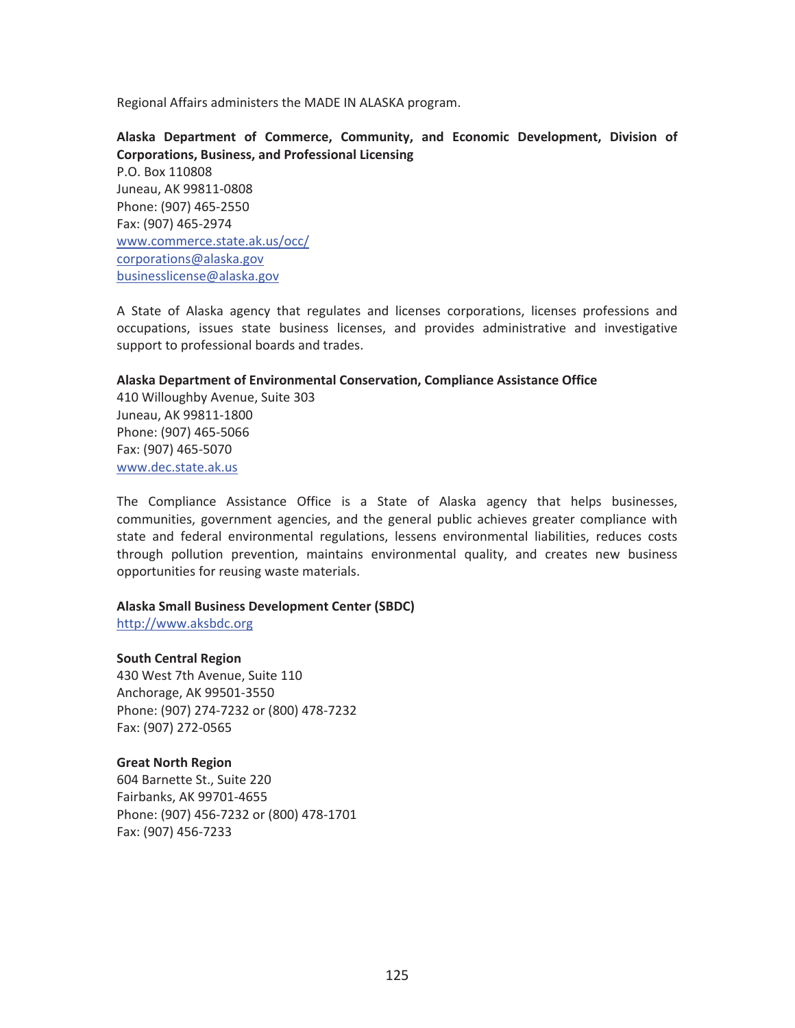Regional Affairs administers the MADE IN ALASKA program.

**Alaska Department of Commerce, Community, and Economic Development, Division of Corporations, Business, and Professional Licensing** P.O. Box 110808 Juneau, AK 99811-0808 Phone: (907) 465-2550 Fax: (907) 465-2974 www.commerce.state.ak.us/occ/ corporations@alaska.gov businesslicense@alaska.gov

A State of Alaska agency that regulates and licenses corporations, licenses professions and occupations, issues state business licenses, and provides administrative and investigative support to professional boards and trades.

#### **Alaska Department of Environmental Conservation, Compliance Assistance Office**

410 Willoughby Avenue, Suite 303 Juneau, AK 99811-1800 Phone: (907) 465-5066 Fax: (907) 465-5070 www.dec.state.ak.us

The Compliance Assistance Office is a State of Alaska agency that helps businesses, communities, government agencies, and the general public achieves greater compliance with state and federal environmental regulations, lessens environmental liabilities, reduces costs through pollution prevention, maintains environmental quality, and creates new business opportunities for reusing waste materials.

#### **Alaska Small Business Development Center (SBDC)**

http://www.aksbdc.org

#### **South Central Region**

430 West 7th Avenue, Suite 110 Anchorage, AK 99501-3550 Phone: (907) 274-7232 or (800) 478-7232 Fax: (907) 272-0565

#### **Great North Region**

604 Barnette St., Suite 220 Fairbanks, AK 99701-4655 Phone: (907) 456-7232 or (800) 478-1701 Fax: (907) 456-7233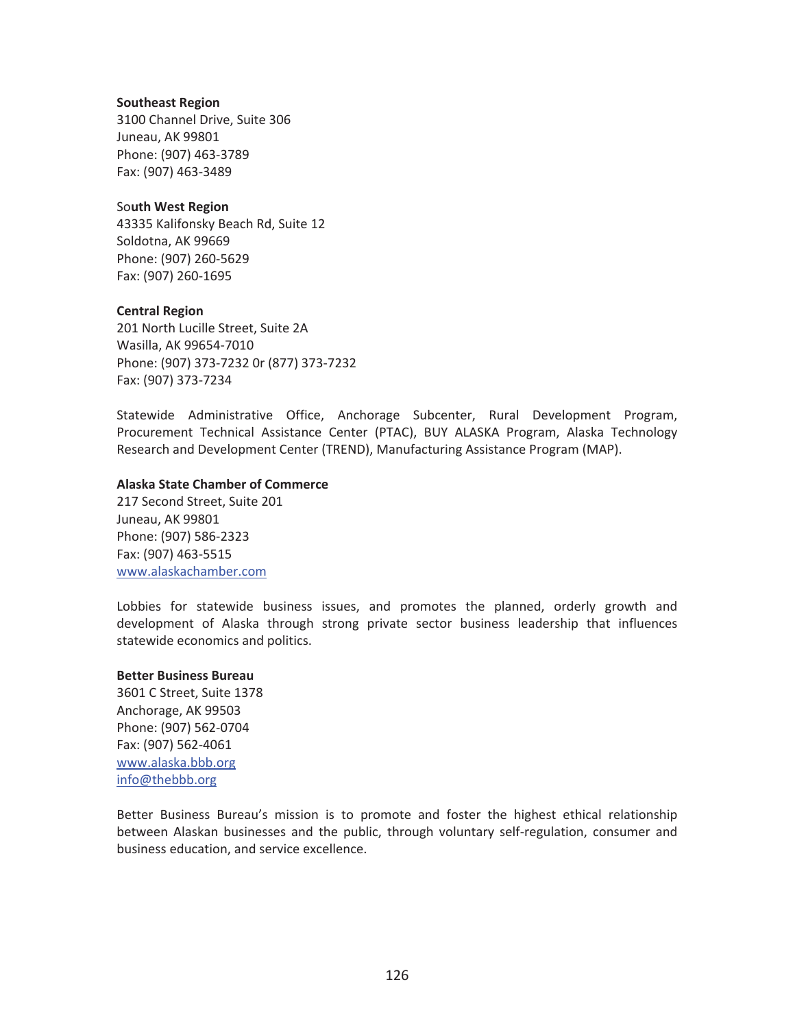#### **Southeast Region**

3100 Channel Drive, Suite 306 Juneau, AK 99801 Phone: (907) 463-3789 Fax: (907) 463-3489

#### So**uth West Region**

43335 Kalifonsky Beach Rd, Suite 12 Soldotna, AK 99669 Phone: (907) 260-5629 Fax: (907) 260-1695

## **Central Region**

201 North Lucille Street, Suite 2A Wasilla, AK 99654-7010 Phone: (907) 373-7232 0r (877) 373-7232 Fax: (907) 373-7234

Statewide Administrative Office, Anchorage Subcenter, Rural Development Program, Procurement Technical Assistance Center (PTAC), BUY ALASKA Program, Alaska Technology Research and Development Center (TREND), Manufacturing Assistance Program (MAP).

#### **Alaska State Chamber of Commerce**

217 Second Street, Suite 201 Juneau, AK 99801 Phone: (907) 586-2323 Fax: (907) 463-5515 www.alaskachamber.com

Lobbies for statewide business issues, and promotes the planned, orderly growth and development of Alaska through strong private sector business leadership that influences statewide economics and politics.

#### **Better Business Bureau**

3601 C Street, Suite 1378 Anchorage, AK 99503 Phone: (907) 562-0704 Fax: (907) 562Ͳ4061 www.alaska.bbb.org info@thebbb.org

Better Business Bureau's mission is to promote and foster the highest ethical relationship between Alaskan businesses and the public, through voluntary self-regulation, consumer and business education, and service excellence.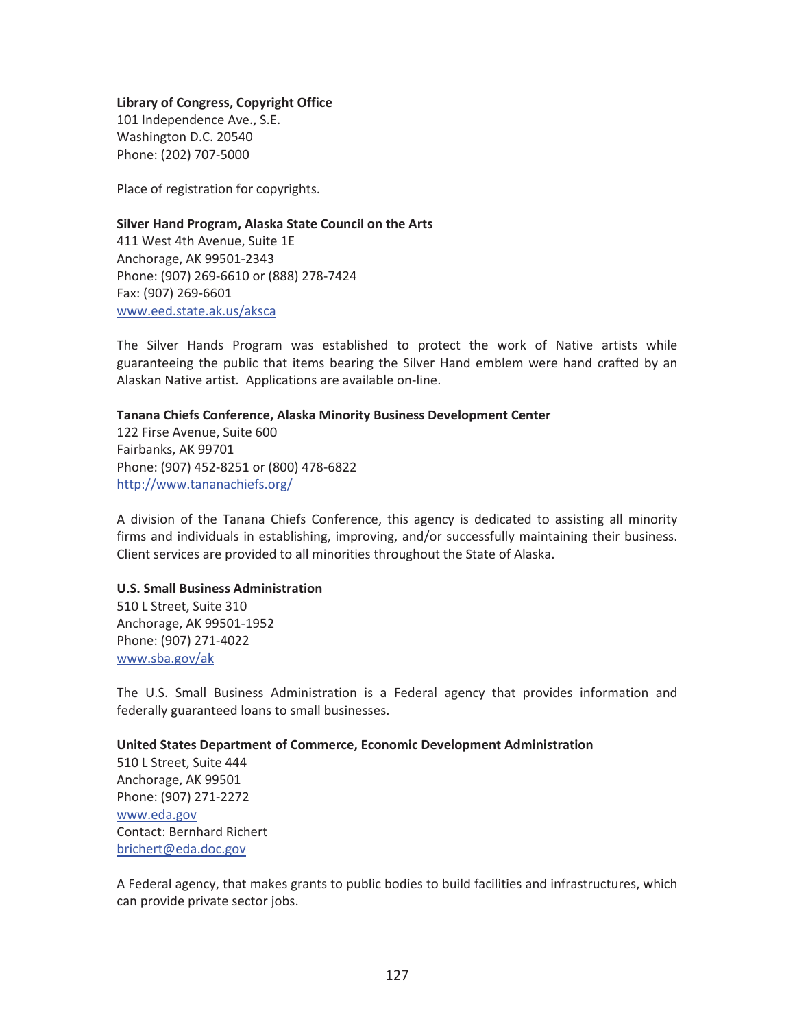#### **Library of Congress, Copyright Office**

101 Independence Ave., S.E. Washington D.C. 20540 Phone: (202) 707-5000

Place of registration for copyrights.

#### **Silver Hand Program, Alaska State Council on the Arts**

411 West 4th Avenue, Suite 1E Anchorage, AK 99501-2343 Phone: (907) 269-6610 or (888) 278-7424 Fax: (907) 269-6601 www.eed.state.ak.us/aksca

The Silver Hands Program was established to protect the work of Native artists while guaranteeing the public that items bearing the Silver Hand emblem were hand crafted by an Alaskan Native artist. Applications are available on-line.

#### **Tanana Chiefs Conference, Alaska Minority Business Development Center**

122 Firse Avenue, Suite 600 Fairbanks, AK 99701 Phone: (907) 452-8251 or (800) 478-6822 http://www.tananachiefs.org/

A division of the Tanana Chiefs Conference, this agency is dedicated to assisting all minority firms and individuals in establishing, improving, and/or successfully maintaining their business. Client services are provided to all minorities throughout the State of Alaska.

## **U.S. Small Business Administration**

510 L Street, Suite 310 Anchorage, AK 99501-1952 Phone: (907) 271-4022 www.sba.gov/ak

The U.S. Small Business Administration is a Federal agency that provides information and federally guaranteed loans to small businesses.

## **United States Department of Commerce, Economic Development Administration**

510 L Street, Suite 444 Anchorage, AK 99501 Phone: (907) 271-2272 www.eda.gov Contact: Bernhard Richert brichert@eda.doc.gov

A Federal agency, that makes grants to public bodies to build facilities and infrastructures, which can provide private sector jobs.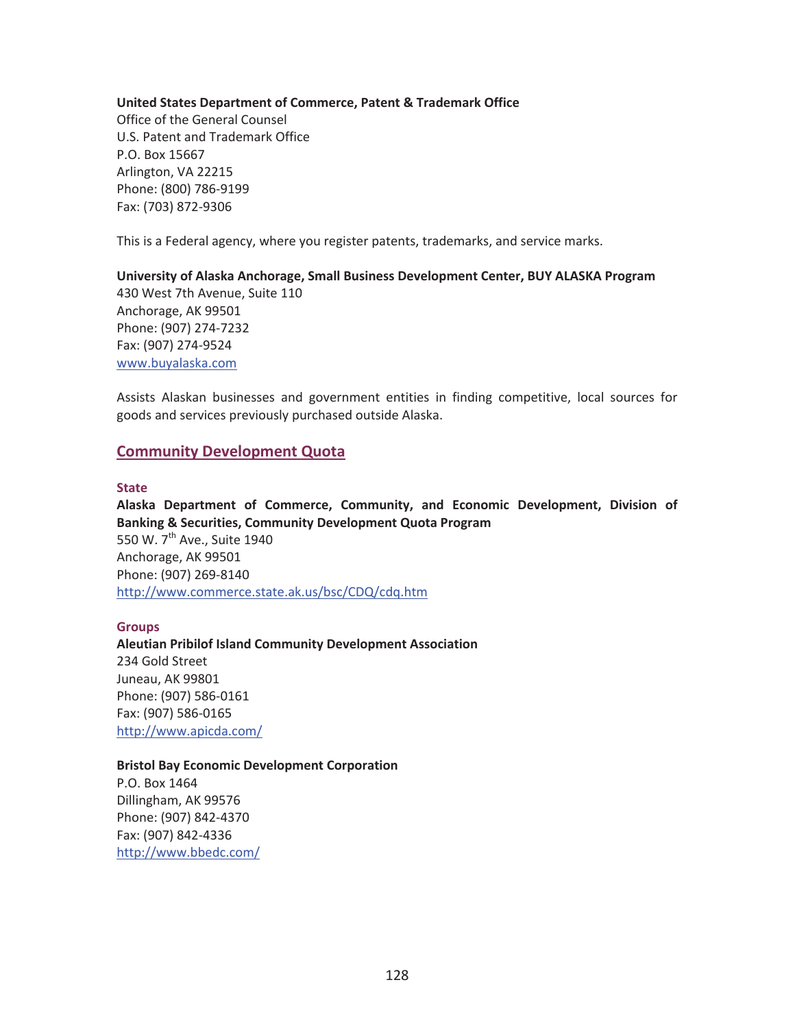#### **United States Department of Commerce, Patent & Trademark Office**

Office of the General Counsel U.S. Patent and Trademark Office P.O. Box 15667 Arlington, VA 22215 Phone: (800) 786-9199 Fax: (703) 872-9306

This is a Federal agency, where you register patents, trademarks, and service marks.

**University of Alaska Anchorage, Small Business Development Center, BUY ALASKA Program** 430 West 7th Avenue, Suite 110 Anchorage, AK 99501 Phone: (907) 274-7232 Fax: (907) 274-9524 www.buyalaska.com

Assists Alaskan businesses and government entities in finding competitive, local sources for goods and services previously purchased outside Alaska.

## **Community Development Quota**

#### **State**

**Alaska Department of Commerce, Community, and Economic Development, Division of Banking & Securities, Community Development Quota Program** 550 W. 7<sup>th</sup> Ave., Suite 1940 Anchorage, AK 99501 Phone: (907) 269-8140 http://www.commerce.state.ak.us/bsc/CDQ/cdq.htm

#### **Groups**

**Aleutian Pribilof Island Community Development Association** 234 Gold Street Juneau, AK 99801 Phone: (907) 586-0161 Fax: (907) 586-0165 http://www.apicda.com/

#### **Bristol Bay Economic Development Corporation**

P.O. Box 1464 Dillingham, AK 99576 Phone: (907) 842-4370 Fax: (907) 842-4336 http://www.bbedc.com/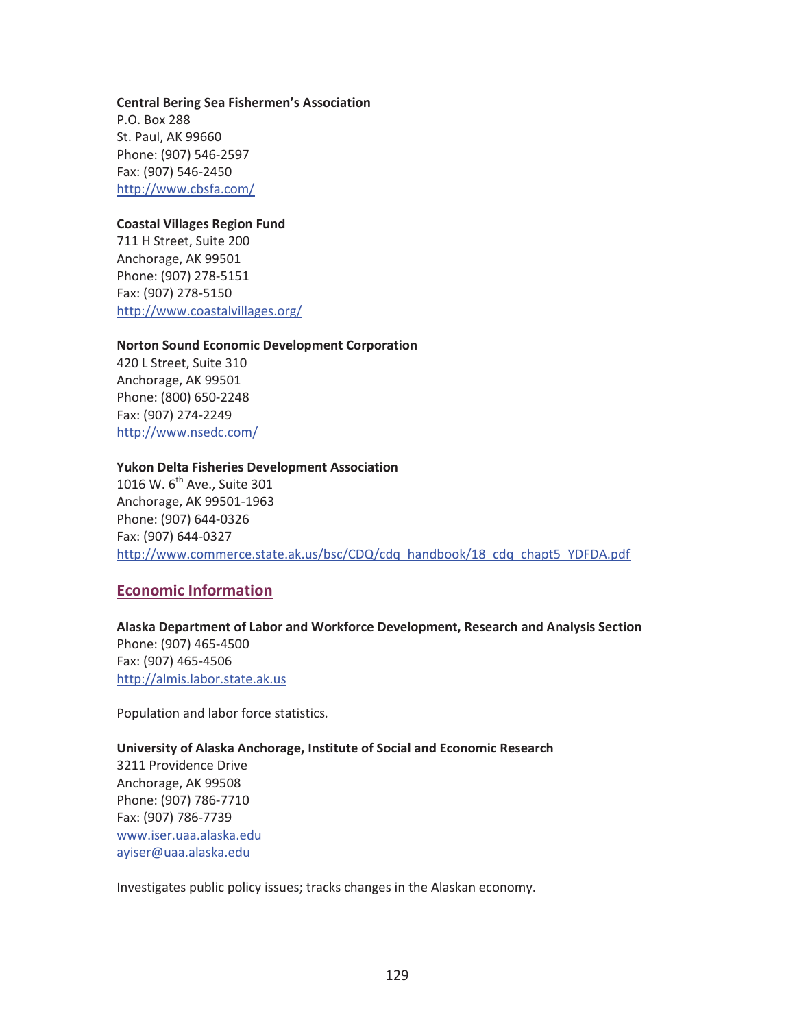#### **Central Bering Sea Fishermen's Association**

P.O. Box 288 St. Paul, AK 99660 Phone: (907) 546-2597 Fax: (907) 546-2450 http://www.cbsfa.com/

#### **Coastal Villages Region Fund**

711 H Street, Suite 200 Anchorage, AK 99501 Phone: (907) 278-5151 Fax: (907) 278-5150 http://www.coastalvillages.org/

#### **Norton Sound Economic Development Corporation**

420 L Street, Suite 310 Anchorage, AK 99501 Phone: (800) 650-2248 Fax: (907) 274-2249 http://www.nsedc.com/

#### **Yukon Delta Fisheries Development Association**

1016 W.  $6^{th}$  Ave., Suite 301 Anchorage, AK 99501-1963 Phone: (907) 644-0326 Fax: (907) 644-0327 http://www.commerce.state.ak.us/bsc/CDQ/cdq\_handbook/18\_cdq\_chapt5\_YDFDA.pdf

## **Economic Information**

**Alaska Department of Labor and Workforce Development, Research and Analysis Section** Phone: (907) 465-4500 Fax: (907) 465-4506 http://almis.labor.state.ak.us

Population and labor force statistics*.*

#### **University of Alaska Anchorage, Institute of Social and Economic Research**

3211 Providence Drive Anchorage, AK 99508 Phone: (907) 786-7710 Fax: (907) 786-7739 www.iser.uaa.alaska.edu ayiser@uaa.alaska.edu

Investigates public policy issues; tracks changes in the Alaskan economy.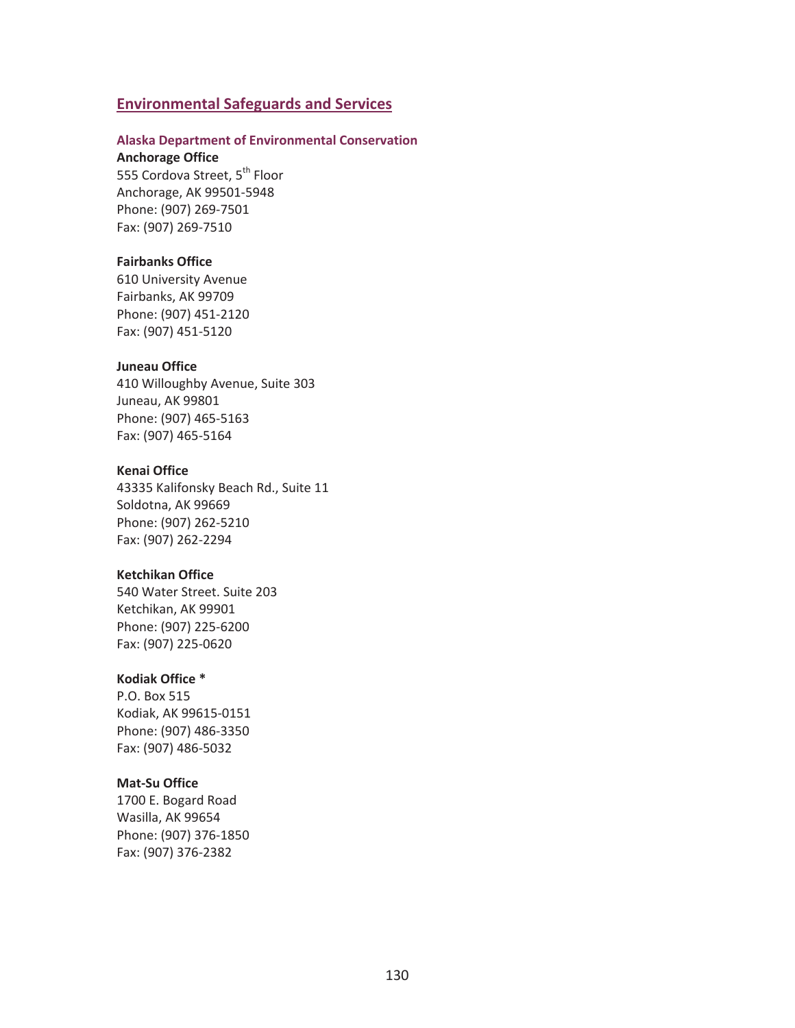## **Environmental Safeguards and Services**

#### **Alaska Department of Environmental Conservation**

**Anchorage Office** 555 Cordova Street, 5<sup>th</sup> Floor Anchorage, AK 99501-5948 Phone: (907) 269-7501 Fax: (907) 269-7510

#### **Fairbanks Office**

610 University Avenue Fairbanks, AK 99709 Phone: (907) 451-2120 Fax: (907) 451-5120

#### **Juneau Office**

410 Willoughby Avenue, Suite 303 Juneau, AK 99801 Phone: (907) 465-5163 Fax: (907) 465-5164

#### **Kenai Office**

43335 Kalifonsky Beach Rd., Suite 11 Soldotna, AK 99669 Phone: (907) 262-5210 Fax: (907) 262-2294

#### **Ketchikan Office**

540 Water Street. Suite 203 Ketchikan, AK 99901 Phone: (907) 225-6200 Fax: (907) 225-0620

#### **Kodiak Office \***

P.O. Box 515 Kodiak, AK 99615-0151 Phone: (907) 486-3350 Fax: (907) 486-5032

#### **Mat-Su Office**

1700 E. Bogard Road Wasilla, AK 99654 Phone: (907) 376-1850 Fax: (907) 376-2382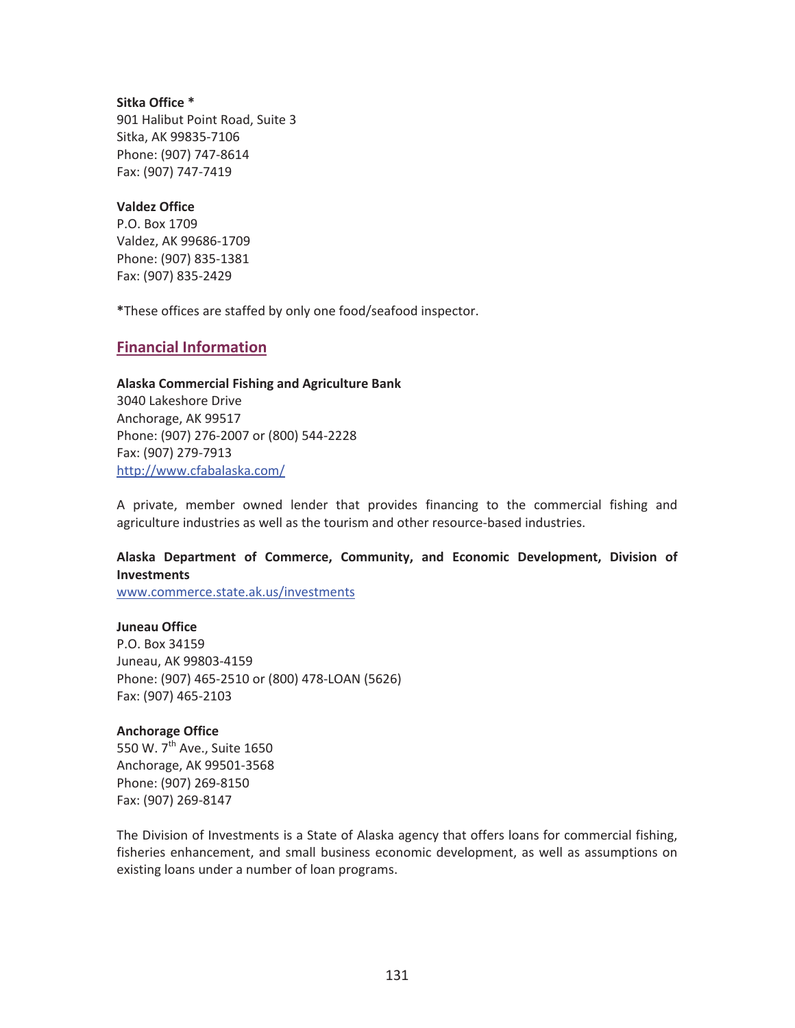#### **Sitka Office \***

901 Halibut Point Road, Suite 3 Sitka, AK 99835-7106 Phone: (907) 747-8614 Fax: (907) 747-7419

#### **Valdez Office**

P.O. Box 1709 Valdez, AK 99686-1709 Phone: (907) 835-1381 Fax: (907) 835-2429

**\***These offices are staffed by only one food/seafood inspector.

## **Financial Information**

#### **Alaska Commercial Fishing and Agriculture Bank**

3040 Lakeshore Drive Anchorage, AK 99517 Phone: (907) 276-2007 or (800) 544-2228 Fax: (907) 279-7913 http://www.cfabalaska.com/

A private, member owned lender that provides financing to the commercial fishing and agriculture industries as well as the tourism and other resource-based industries.

## **Alaska Department of Commerce, Community, and Economic Development, Division of Investments**

www.commerce.state.ak.us/investments

#### **Juneau Office**

P.O. Box 34159 Juneau, AK 99803-4159 Phone: (907) 465-2510 or (800) 478-LOAN (5626) Fax: (907) 465-2103

#### **Anchorage Office**

550 W. 7<sup>th</sup> Ave., Suite 1650 Anchorage, AK 99501-3568 Phone: (907) 269-8150 Fax: (907) 269-8147

The Division of Investments is a State of Alaska agency that offers loans for commercial fishing, fisheries enhancement, and small business economic development, as well as assumptions on existing loans under a number of loan programs.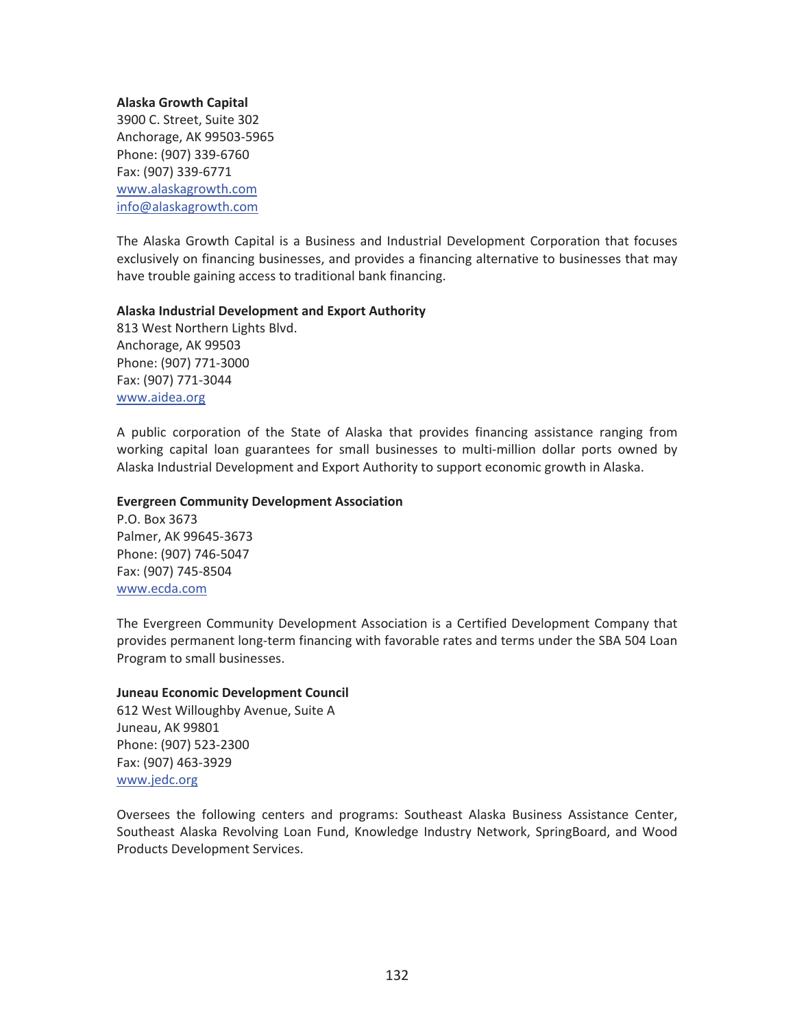#### **Alaska Growth Capital**

3900 C. Street, Suite 302 Anchorage, AK 99503-5965 Phone: (907) 339-6760 Fax: (907) 339-6771 www.alaskagrowth.com info@alaskagrowth.com

The Alaska Growth Capital is a Business and Industrial Development Corporation that focuses exclusively on financing businesses, and provides a financing alternative to businesses that may have trouble gaining access to traditional bank financing.

#### **Alaska Industrial Development and Export Authority**

813 West Northern Lights Blvd. Anchorage, AK 99503 Phone: (907) 771-3000 Fax: (907) 771-3044 www.aidea.org

A public corporation of the State of Alaska that provides financing assistance ranging from working capital loan guarantees for small businesses to multi-million dollar ports owned by Alaska Industrial Development and Export Authority to support economic growth in Alaska.

#### **Evergreen Community Development Association**

P.O. Box 3673 Palmer, AK 99645-3673 Phone: (907) 746-5047 Fax: (907) 745-8504 www.ecda.com

The Evergreen Community Development Association is a Certified Development Company that provides permanent long-term financing with favorable rates and terms under the SBA 504 Loan Program to small businesses.

## **Juneau Economic Development Council**

612 West Willoughby Avenue, Suite A Juneau, AK 99801 Phone: (907) 523-2300 Fax: (907) 463-3929 www.jedc.org

Oversees the following centers and programs: Southeast Alaska Business Assistance Center, Southeast Alaska Revolving Loan Fund, Knowledge Industry Network, SpringBoard, and Wood Products Development Services.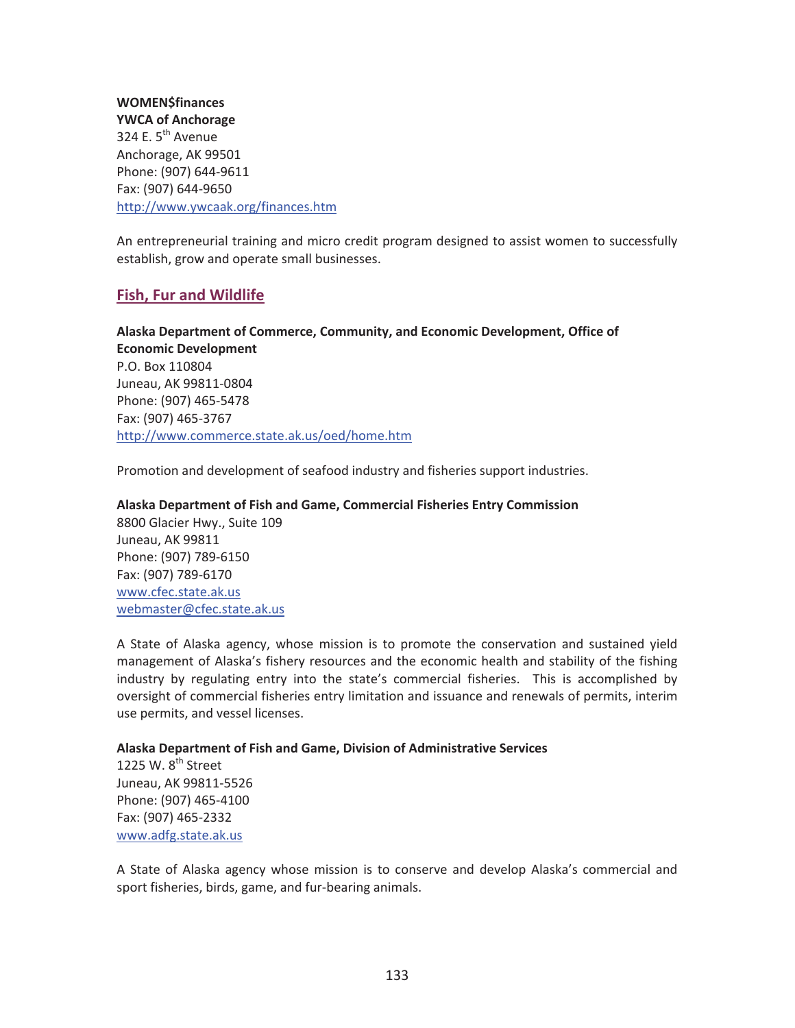## **WOMEN\$finances**

**YWCA of Anchorage** 324 E. 5<sup>th</sup> Avenue Anchorage, AK 99501 Phone: (907) 644-9611 Fax: (907) 644-9650 http://www.ywcaak.org/finances.htm

An entrepreneurial training and micro credit program designed to assist women to successfully establish, grow and operate small businesses.

## **Fish, Fur and Wildlife**

## **Alaska Department of Commerce, Community, and Economic Development, Office of Economic Development**

P.O. Box 110804 Juneau, AK 99811-0804 Phone: (907) 465-5478 Fax: (907) 465-3767 http://www.commerce.state.ak.us/oed/home.htm

Promotion and development of seafood industry and fisheries support industries.

#### **Alaska Department of Fish and Game, Commercial Fisheries Entry Commission**

8800 Glacier Hwy., Suite 109 Juneau, AK 99811 Phone: (907) 789-6150 Fax: (907) 789-6170 www.cfec.state.ak.us webmaster@cfec.state.ak.us

A State of Alaska agency, whose mission is to promote the conservation and sustained yield management of Alaska's fishery resources and the economic health and stability of the fishing industry by regulating entry into the state's commercial fisheries. This is accomplished by oversight of commercial fisheries entry limitation and issuance and renewals of permits, interim use permits, and vessel licenses.

## **Alaska Department of Fish and Game, Division of Administrative Services**

1225 W.  $8^{th}$  Street Juneau, AK 99811-5526 Phone: (907) 465-4100 Fax: (907) 465-2332 www.adfg.state.ak.us

A State of Alaska agency whose mission is to conserve and develop Alaska's commercial and sport fisheries, birds, game, and fur-bearing animals.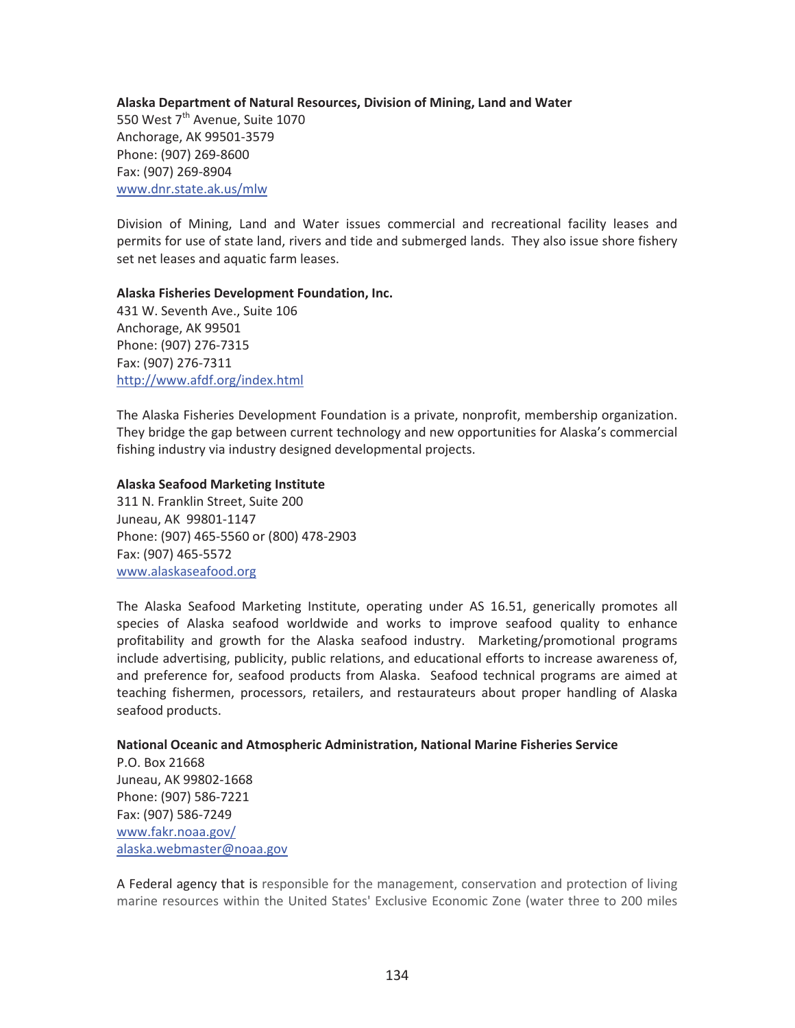**Alaska Department of Natural Resources, Division of Mining, Land and Water** 550 West 7<sup>th</sup> Avenue, Suite 1070 Anchorage, AK 99501-3579 Phone: (907) 269-8600 Fax: (907) 269-8904 www.dnr.state.ak.us/mlw

Division of Mining, Land and Water issues commercial and recreational facility leases and permits for use of state land, rivers and tide and submerged lands. They also issue shore fishery set net leases and aquatic farm leases.

**Alaska Fisheries Development Foundation, Inc.** 431 W. Seventh Ave., Suite 106 Anchorage, AK 99501 Phone: (907) 276-7315 Fax: (907) 276-7311 http://www.afdf.org/index.html

The Alaska Fisheries Development Foundation is a private, nonprofit, membership organization. They bridge the gap between current technology and new opportunities for Alaska's commercial fishing industry via industry designed developmental projects.

#### **Alaska Seafood Marketing Institute**

311 N. Franklin Street, Suite 200 Juneau, AK 99801-1147 Phone: (907) 465-5560 or (800) 478-2903 Fax: (907) 465-5572 www.alaskaseafood.org

The Alaska Seafood Marketing Institute, operating under AS 16.51, generically promotes all species of Alaska seafood worldwide and works to improve seafood quality to enhance profitability and growth for the Alaska seafood industry. Marketing/promotional programs include advertising, publicity, public relations, and educational efforts to increase awareness of, and preference for, seafood products from Alaska. Seafood technical programs are aimed at teaching fishermen, processors, retailers, and restaurateurs about proper handling of Alaska seafood products.

#### **National Oceanic and Atmospheric Administration, National Marine Fisheries Service**

P.O. Box 21668 Juneau, AK 99802-1668 Phone: (907) 586-7221 Fax: (907) 586-7249 www.fakr.noaa.gov/ alaska.webmaster@noaa.gov

A Federal agency that is responsible for the management, conservation and protection of living marine resources within the United States' Exclusive Economic Zone (water three to 200 miles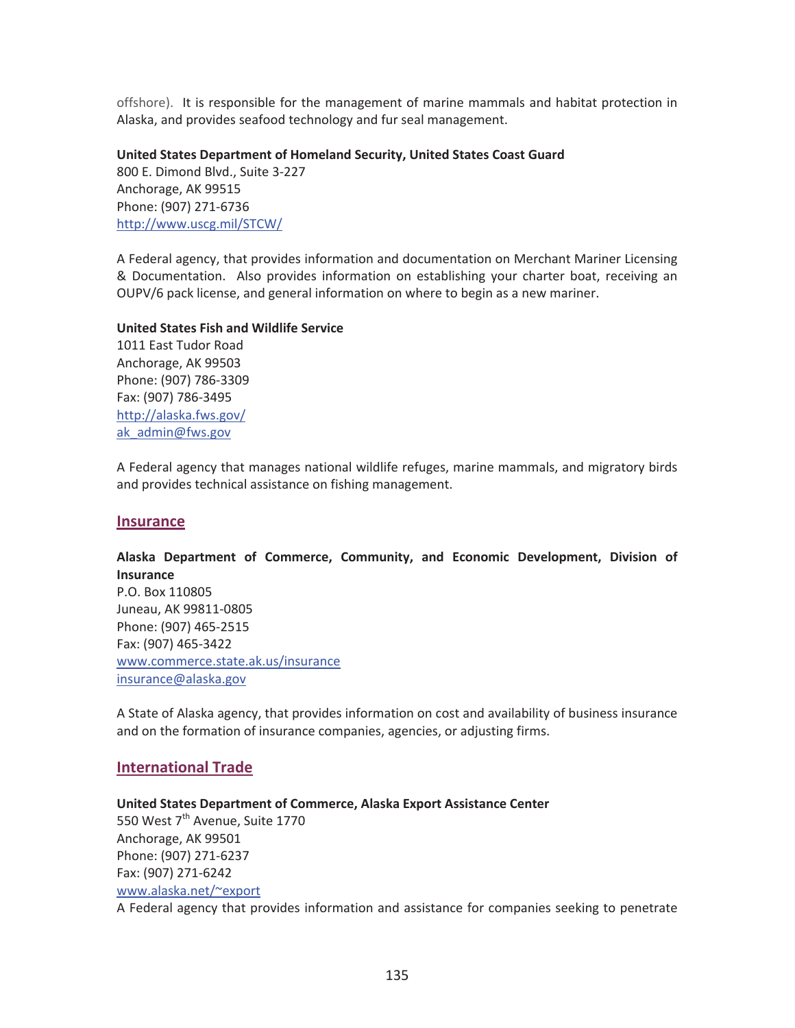offshore). It is responsible for the management of marine mammals and habitat protection in Alaska, and provides seafood technology and fur seal management.

## **United States Department of Homeland Security, United States Coast Guard**

800 E. Dimond Blvd., Suite 3-227 Anchorage, AK 99515 Phone: (907) 271-6736 http://www.uscg.mil/STCW/

A Federal agency, that provides information and documentation on Merchant Mariner Licensing & Documentation. Also provides information on establishing your charter boat, receiving an OUPV/6 pack license, and general information on where to begin as a new mariner.

## **United States Fish and Wildlife Service**

1011 East Tudor Road Anchorage, AK 99503 Phone: (907) 786-3309 Fax: (907) 786-3495 http://alaska.fws.gov/ ak admin@fws.gov

A Federal agency that manages national wildlife refuges, marine mammals, and migratory birds and provides technical assistance on fishing management.

## **Insurance**

#### **Alaska Department of Commerce, Community, and Economic Development, Division of Insurance**

P.O. Box 110805 Juneau, AK 99811-0805 Phone: (907) 465-2515 Fax: (907) 465-3422 www.commerce.state.ak.us/insurance insurance@alaska.gov

A State of Alaska agency, that provides information on cost and availability of business insurance and on the formation of insurance companies, agencies, or adjusting firms.

## **International Trade**

**United States Department of Commerce, Alaska Export Assistance Center** 550 West 7<sup>th</sup> Avenue, Suite 1770 Anchorage, AK 99501 Phone: (907) 271-6237 Fax: (907) 271-6242 www.alaska.net/~export A Federal agency that provides information and assistance for companies seeking to penetrate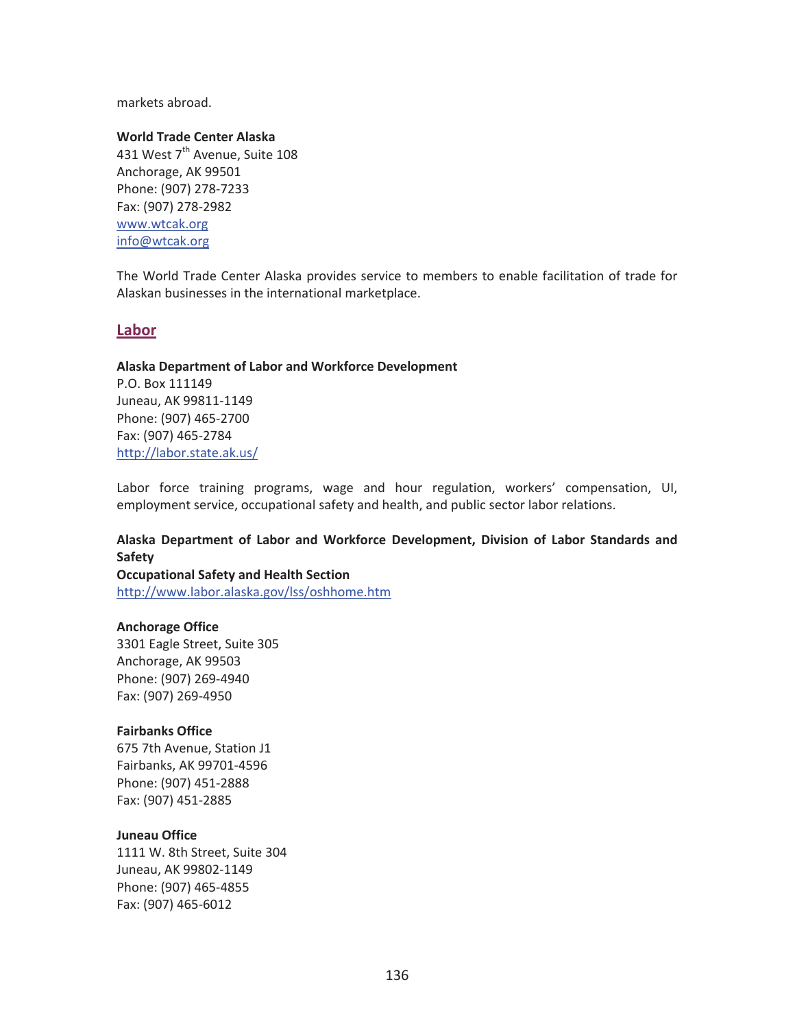markets abroad.

#### **World Trade Center Alaska**

431 West 7<sup>th</sup> Avenue, Suite 108 Anchorage, AK 99501 Phone: (907) 278-7233 Fax: (907) 278-2982 www.wtcak.org info@wtcak.org

The World Trade Center Alaska provides service to members to enable facilitation of trade for Alaskan businesses in the international marketplace.

#### **Labor**

#### **Alaska Department of Labor and Workforce Development**

P.O. Box 111149 Juneau, AK 99811-1149 Phone: (907) 465-2700 Fax: (907) 465-2784 http://labor.state.ak.us/

Labor force training programs, wage and hour regulation, workers' compensation, UI, employment service, occupational safety and health, and public sector labor relations.

## **Alaska Department of Labor and Workforce Development, Division of Labor Standards and Safety**

**Occupational Safety and Health Section** http://www.labor.alaska.gov/lss/oshhome.htm

#### **Anchorage Office**

3301 Eagle Street, Suite 305 Anchorage, AK 99503 Phone: (907) 269-4940 Fax: (907) 269-4950

#### **Fairbanks Office**

675 7th Avenue, Station J1 Fairbanks, AK 99701-4596 Phone: (907) 451-2888 Fax: (907) 451-2885

#### **Juneau Office**

1111 W. 8th Street, Suite 304 Juneau, AK 99802-1149 Phone: (907) 465-4855 Fax: (907) 465-6012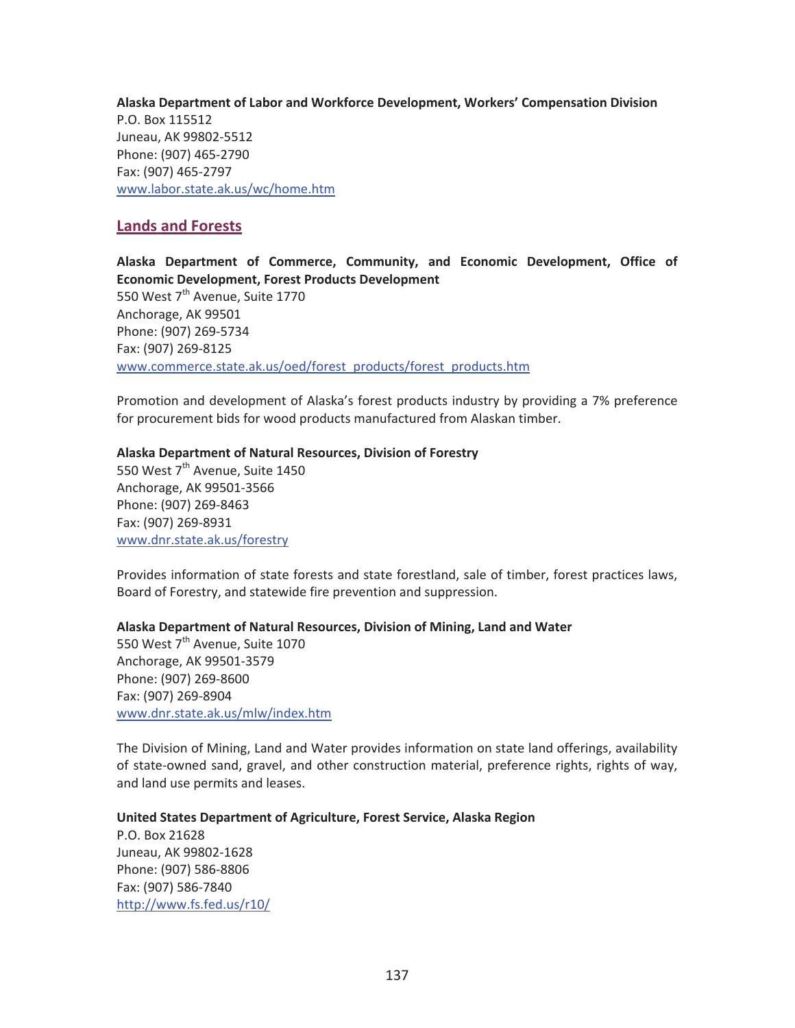**Alaska Department of Labor and Workforce Development, Workers' Compensation Division** P.O. Box 115512 Juneau, AK 99802-5512 Phone: (907) 465-2790 Fax: (907) 465-2797 www.labor.state.ak.us/wc/home.htm

## **Lands and Forests**

**Alaska Department of Commerce, Community, and Economic Development, Office of Economic Development, Forest Products Development**

550 West 7<sup>th</sup> Avenue, Suite 1770 Anchorage, AK 99501 Phone: (907) 269-5734 Fax: (907) 269-8125 www.commerce.state.ak.us/oed/forest\_products/forest\_products.htm

Promotion and development of Alaska's forest products industry by providing a 7% preference for procurement bids for wood products manufactured from Alaskan timber.

## **Alaska Department of Natural Resources, Division of Forestry**

550 West 7<sup>th</sup> Avenue, Suite 1450 Anchorage, AK 99501-3566 Phone: (907) 269-8463 Fax: (907) 269-8931 www.dnr.state.ak.us/forestry

Provides information of state forests and state forestland, sale of timber, forest practices laws, Board of Forestry, and statewide fire prevention and suppression.

## **Alaska Department of Natural Resources, Division of Mining, Land and Water**

550 West 7<sup>th</sup> Avenue, Suite 1070 Anchorage, AK 99501-3579 Phone: (907) 269-8600 Fax: (907) 269-8904 www.dnr.state.ak.us/mlw/index.htm

The Division of Mining, Land and Water provides information on state land offerings, availability of state-owned sand, gravel, and other construction material, preference rights, rights of way, and land use permits and leases.

#### **United States Department of Agriculture, Forest Service, Alaska Region**

P.O. Box 21628 Juneau, AK 99802-1628 Phone: (907) 586-8806 Fax: (907) 586-7840 http://www.fs.fed.us/r10/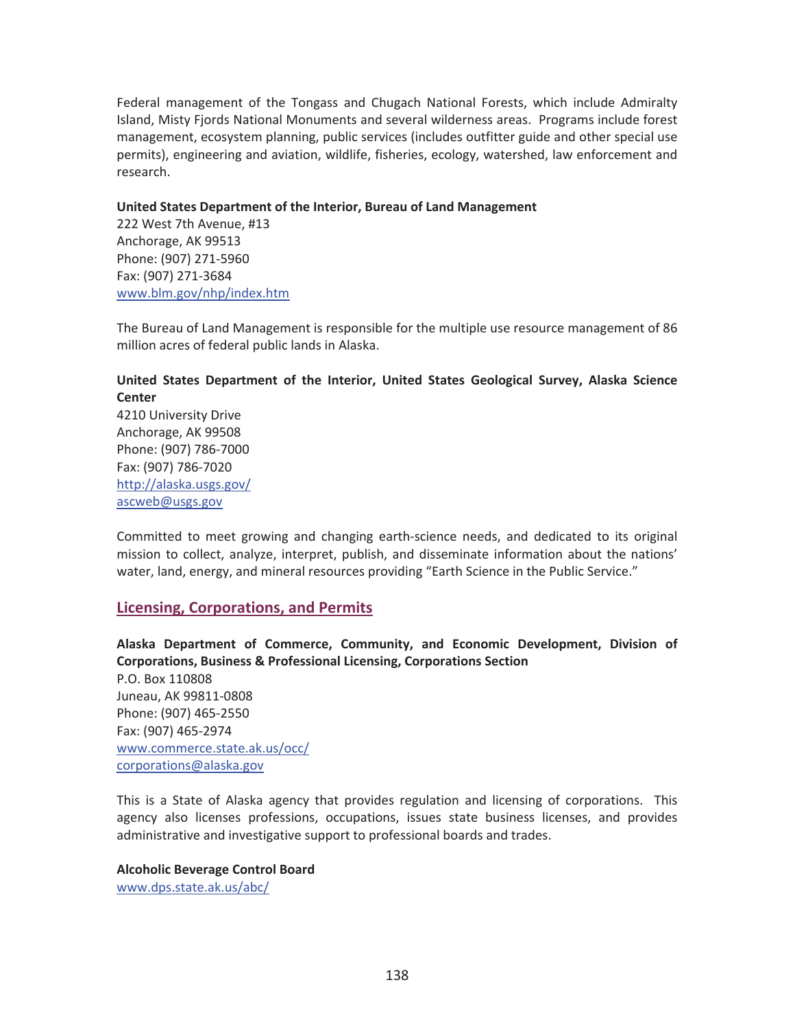Federal management of the Tongass and Chugach National Forests, which include Admiralty Island, Misty Fjords National Monuments and several wilderness areas. Programs include forest management, ecosystem planning, public services (includes outfitter guide and other special use permits), engineering and aviation, wildlife, fisheries, ecology, watershed, law enforcement and research.

#### **United States Department of the Interior, Bureau of Land Management**

222 West 7th Avenue, #13 Anchorage, AK 99513 Phone: (907) 271-5960 Fax: (907) 271-3684 www.blm.gov/nhp/index.htm

The Bureau of Land Management is responsible for the multiple use resource management of 86 million acres of federal public lands in Alaska.

## **United States Department of the Interior, United States Geological Survey, Alaska Science Center**

4210 University Drive Anchorage, AK 99508 Phone: (907) 786-7000 Fax: (907) 786-7020 http://alaska.usgs.gov/ ascweb@usgs.gov

Committed to meet growing and changing earth-science needs, and dedicated to its original mission to collect, analyze, interpret, publish, and disseminate information about the nations' water, land, energy, and mineral resources providing "Earth Science in the Public Service."

## **Licensing, Corporations, and Permits**

**Alaska Department of Commerce, Community, and Economic Development, Division of Corporations, Business & Professional Licensing, Corporations Section** P.O. Box 110808 Juneau, AK 99811-0808 Phone: (907) 465-2550 Fax: (907) 465-2974 www.commerce.state.ak.us/occ/ corporations@alaska.gov

This is a State of Alaska agency that provides regulation and licensing of corporations. This agency also licenses professions, occupations, issues state business licenses, and provides administrative and investigative support to professional boards and trades.

**Alcoholic Beverage Control Board** www.dps.state.ak.us/abc/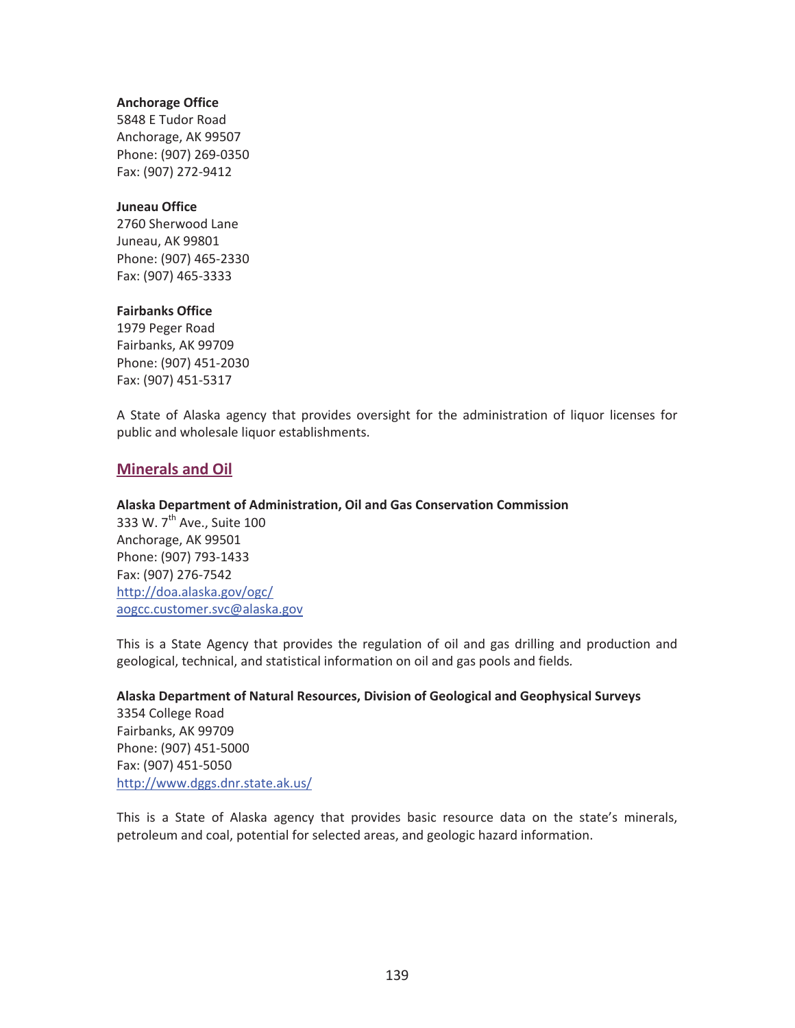#### **Anchorage Office**

5848 E Tudor Road Anchorage, AK 99507 Phone: (907) 269-0350 Fax: (907) 272-9412

#### **Juneau Office**

2760 Sherwood Lane Juneau, AK 99801 Phone: (907) 465-2330 Fax: (907) 465-3333

#### **Fairbanks Office**

1979 Peger Road Fairbanks, AK 99709 Phone: (907) 451-2030 Fax: (907) 451-5317

A State of Alaska agency that provides oversight for the administration of liquor licenses for public and wholesale liquor establishments.

## **Minerals and Oil**

## **Alaska Department of Administration, Oil and Gas Conservation Commission**

333 W. 7<sup>th</sup> Ave., Suite 100 Anchorage, AK 99501 Phone: (907) 793-1433 Fax: (907) 276-7542 http://doa.alaska.gov/ogc/ aogcc.customer.svc@alaska.gov

This is a State Agency that provides the regulation of oil and gas drilling and production and geological, technical, and statistical information on oil and gas pools and fields*.*

## **Alaska Department of Natural Resources, Division of Geological and Geophysical Surveys**

3354 College Road Fairbanks, AK 99709 Phone: (907) 451-5000 Fax: (907) 451-5050 http://www.dggs.dnr.state.ak.us/

This is a State of Alaska agency that provides basic resource data on the state's minerals, petroleum and coal, potential for selected areas, and geologic hazard information.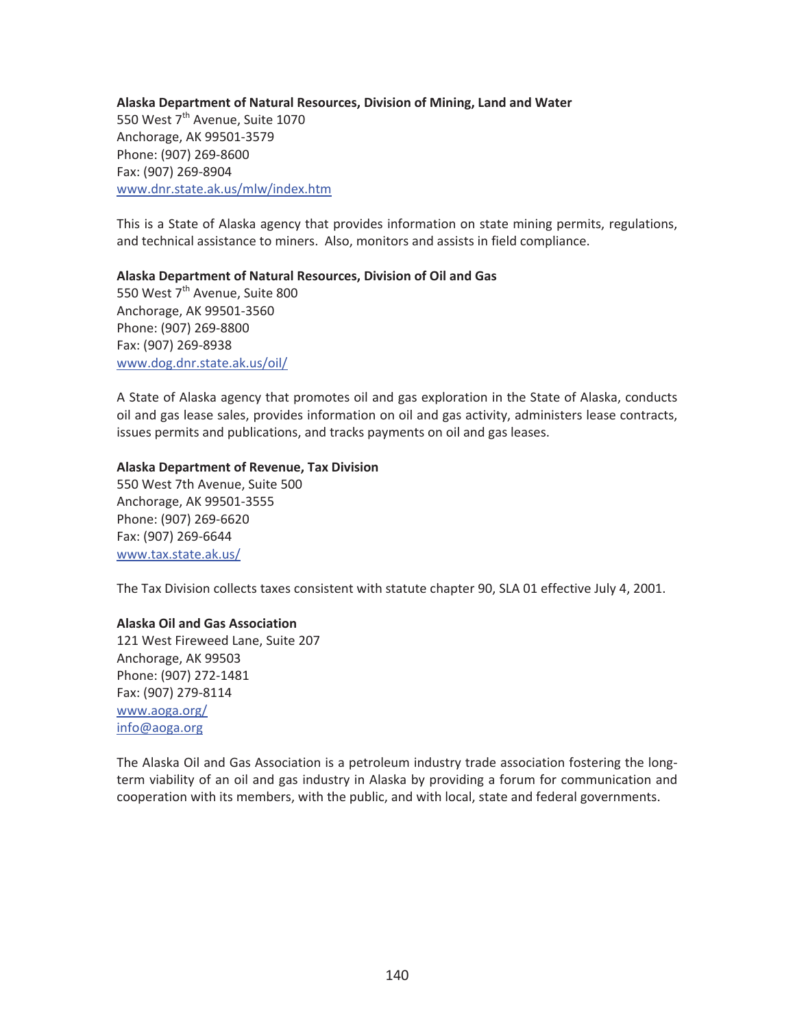## **Alaska Department of Natural Resources, Division of Mining, Land and Water**

550 West 7<sup>th</sup> Avenue, Suite 1070 Anchorage, AK 99501-3579 Phone: (907) 269-8600 Fax: (907) 269-8904 www.dnr.state.ak.us/mlw/index.htm

This is a State of Alaska agency that provides information on state mining permits, regulations, and technical assistance to miners. Also, monitors and assists in field compliance.

## **Alaska Department of Natural Resources, Division of Oil and Gas**

550 West 7<sup>th</sup> Avenue, Suite 800 Anchorage, AK 99501-3560 Phone: (907) 269-8800 Fax: (907) 269-8938 www.dog.dnr.state.ak.us/oil/

A State of Alaska agency that promotes oil and gas exploration in the State of Alaska, conducts oil and gas lease sales, provides information on oil and gas activity, administers lease contracts, issues permits and publications, and tracks payments on oil and gas leases.

## **Alaska Department of Revenue, Tax Division**

550 West 7th Avenue, Suite 500 Anchorage, AK 99501-3555 Phone: (907) 269-6620 Fax: (907) 269-6644 www.tax.state.ak.us/

The Tax Division collects taxes consistent with statute chapter 90, SLA 01 effective July 4, 2001.

## **Alaska Oil and Gas Association**

121 West Fireweed Lane, Suite 207 Anchorage, AK 99503 Phone: (907) 272-1481 Fax: (907) 279-8114 www.aoga.org/ info@aoga.org

The Alaska Oil and Gas Association is a petroleum industry trade association fostering the longterm viability of an oil and gas industry in Alaska by providing a forum for communication and cooperation with its members, with the public, and with local, state and federal governments.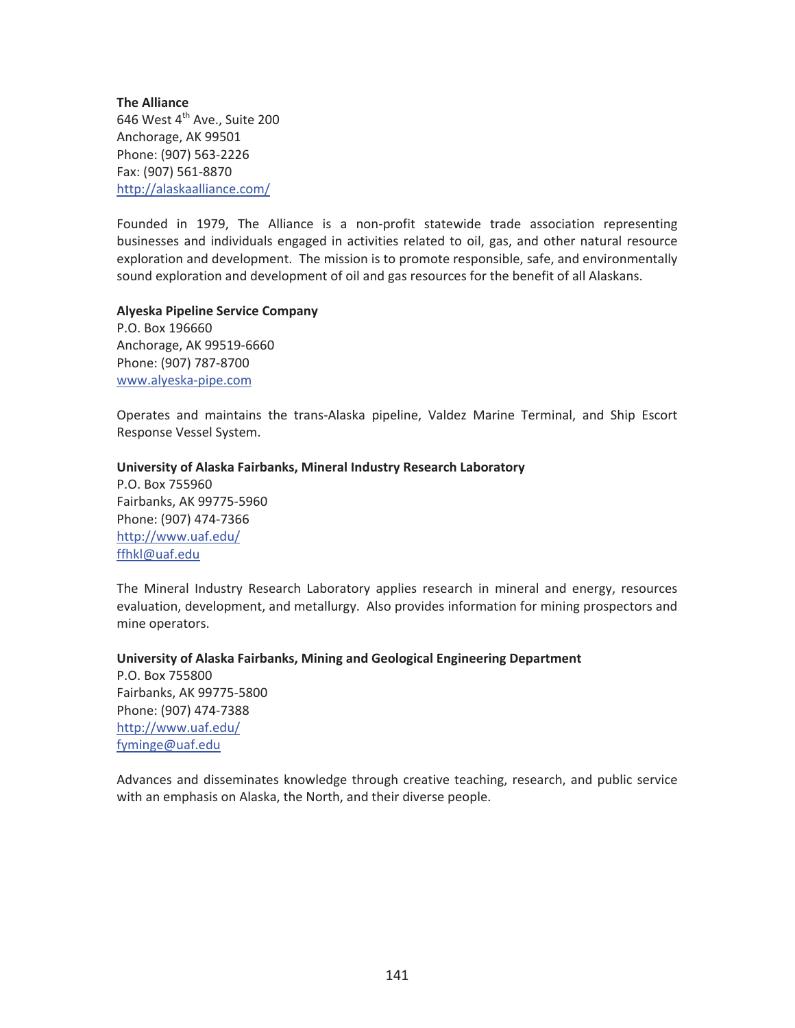**The Alliance** 646 West  $4^{\text{th}}$  Ave., Suite 200 Anchorage, AK 99501 Phone: (907) 563-2226 Fax: (907) 561-8870 http://alaskaalliance.com/

Founded in 1979, The Alliance is a non-profit statewide trade association representing businesses and individuals engaged in activities related to oil, gas, and other natural resource exploration and development. The mission is to promote responsible, safe, and environmentally sound exploration and development of oil and gas resources for the benefit of all Alaskans.

**Alyeska Pipeline Service Company** P.O. Box 196660 Anchorage, AK 99519-6660 Phone: (907) 787-8700 www.alyeska-pipe.com

Operates and maintains the trans-Alaska pipeline, Valdez Marine Terminal, and Ship Escort Response Vessel System.

#### **University of Alaska Fairbanks, Mineral Industry Research Laboratory**

P.O. Box 755960 Fairbanks, AK 99775-5960 Phone: (907) 474-7366 http://www.uaf.edu/ ffhkl@uaf.edu

The Mineral Industry Research Laboratory applies research in mineral and energy, resources evaluation, development, and metallurgy. Also provides information for mining prospectors and mine operators.

#### **University of Alaska Fairbanks, Mining and Geological Engineering Department**

P.O. Box 755800 Fairbanks, AK 99775-5800 Phone: (907) 474-7388 http://www.uaf.edu/ fyminge@uaf.edu

Advances and disseminates knowledge through creative teaching, research, and public service with an emphasis on Alaska, the North, and their diverse people.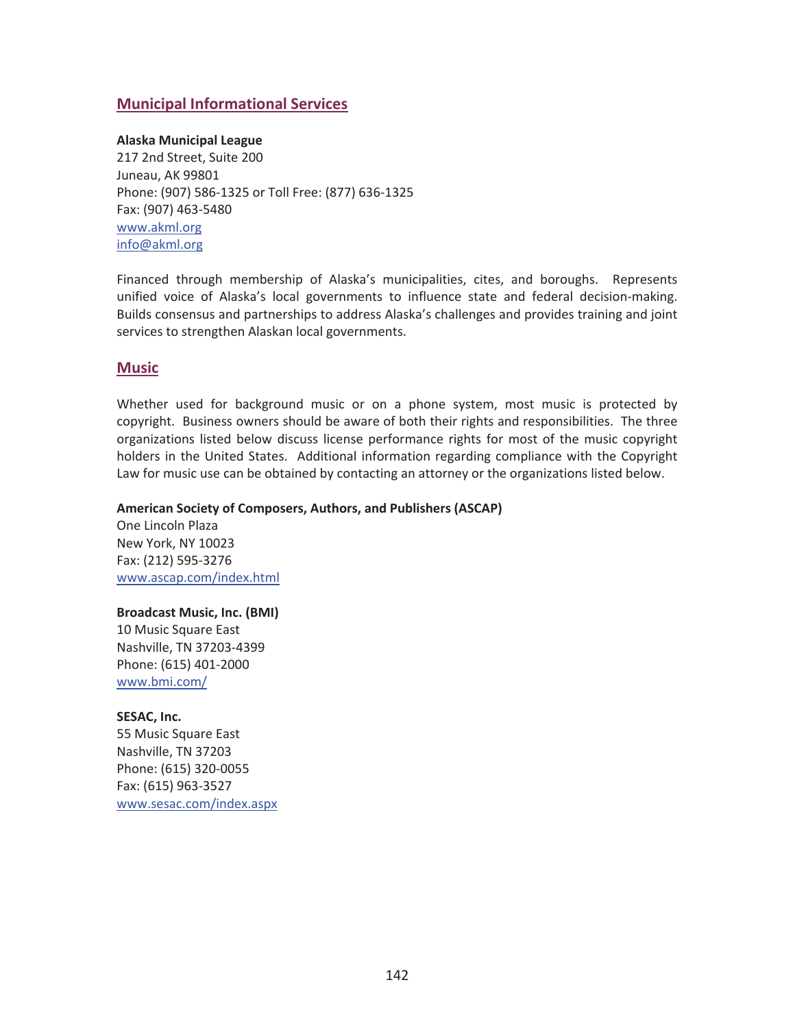## **Municipal Informational Services**

#### **Alaska Municipal League**

217 2nd Street, Suite 200 Juneau, AK 99801 Phone: (907) 586-1325 or Toll Free: (877) 636-1325 Fax: (907) 463-5480 www.akml.org info@akml.org

Financed through membership of Alaska's municipalities, cites, and boroughs. Represents unified voice of Alaska's local governments to influence state and federal decision-making. Builds consensus and partnerships to address Alaska's challenges and provides training and joint services to strengthen Alaskan local governments.

## **Music**

Whether used for background music or on a phone system, most music is protected by copyright. Business owners should be aware of both their rights and responsibilities. The three organizations listed below discuss license performance rights for most of the music copyright holders in the United States. Additional information regarding compliance with the Copyright Law for music use can be obtained by contacting an attorney or the organizations listed below.

#### **American Society of Composers, Authors, and Publishers (ASCAP)**

One Lincoln Plaza New York, NY 10023 Fax: (212) 595-3276 www.ascap.com/index.html

## **Broadcast Music, Inc. (BMI)**

10 Music Square East Nashville, TN 37203-4399 Phone: (615) 401-2000 www.bmi.com/

#### **SESAC, Inc.**

55 Music Square East Nashville, TN 37203 Phone: (615) 320-0055 Fax: (615) 963-3527 www.sesac.com/index.aspx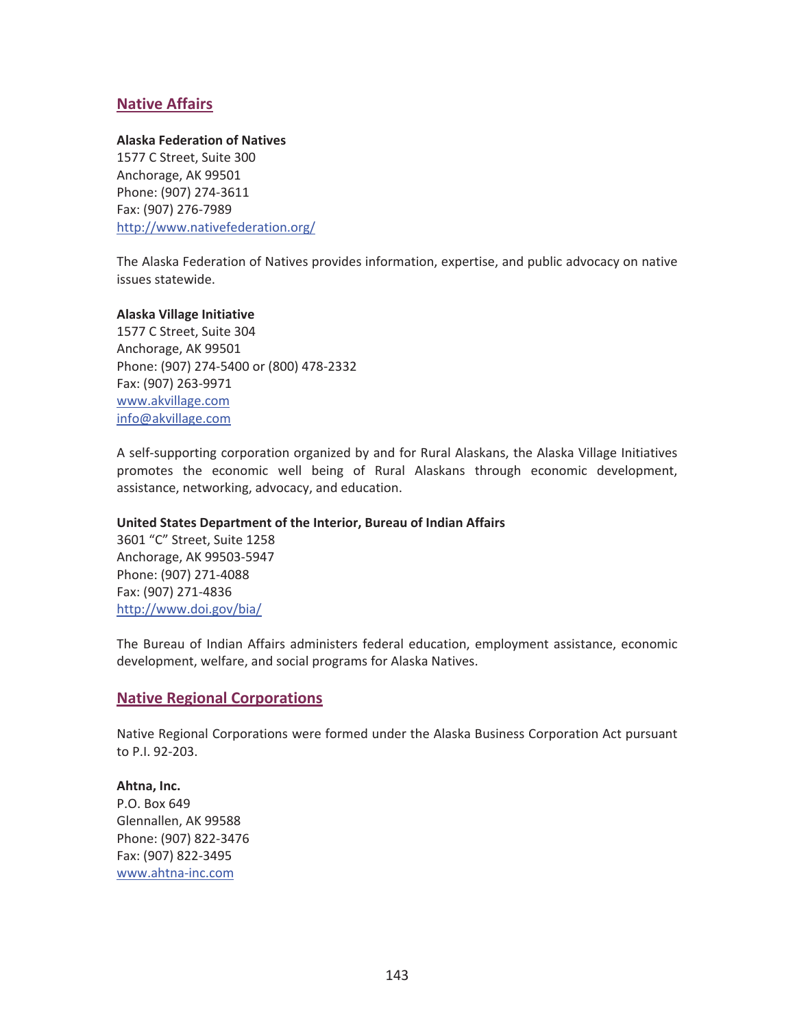## **Native Affairs**

## **Alaska Federation of Natives**

1577 C Street, Suite 300 Anchorage, AK 99501 Phone: (907) 274-3611 Fax: (907) 276-7989 http://www.nativefederation.org/

The Alaska Federation of Natives provides information, expertise, and public advocacy on native issues statewide.

## **Alaska Village Initiative**

1577 C Street, Suite 304 Anchorage, AK 99501 Phone: (907) 274-5400 or (800) 478-2332 Fax: (907) 263-9971 www.akvillage.com info@akvillage.com

A self-supporting corporation organized by and for Rural Alaskans, the Alaska Village Initiatives promotes the economic well being of Rural Alaskans through economic development, assistance, networking, advocacy, and education.

## **United States Department of the Interior, Bureau of Indian Affairs**

3601 "C" Street, Suite 1258 Anchorage, AK 99503-5947 Phone: (907) 271-4088 Fax: (907) 271-4836 http://www.doi.gov/bia/

The Bureau of Indian Affairs administers federal education, employment assistance, economic development, welfare, and social programs for Alaska Natives.

## **Native Regional Corporations**

Native Regional Corporations were formed under the Alaska Business Corporation Act pursuant to P.I. 92-203.

## **Ahtna, Inc.**

P.O. Box 649 Glennallen, AK 99588 Phone: (907) 822-3476 Fax: (907) 822-3495 www.ahtna-inc.com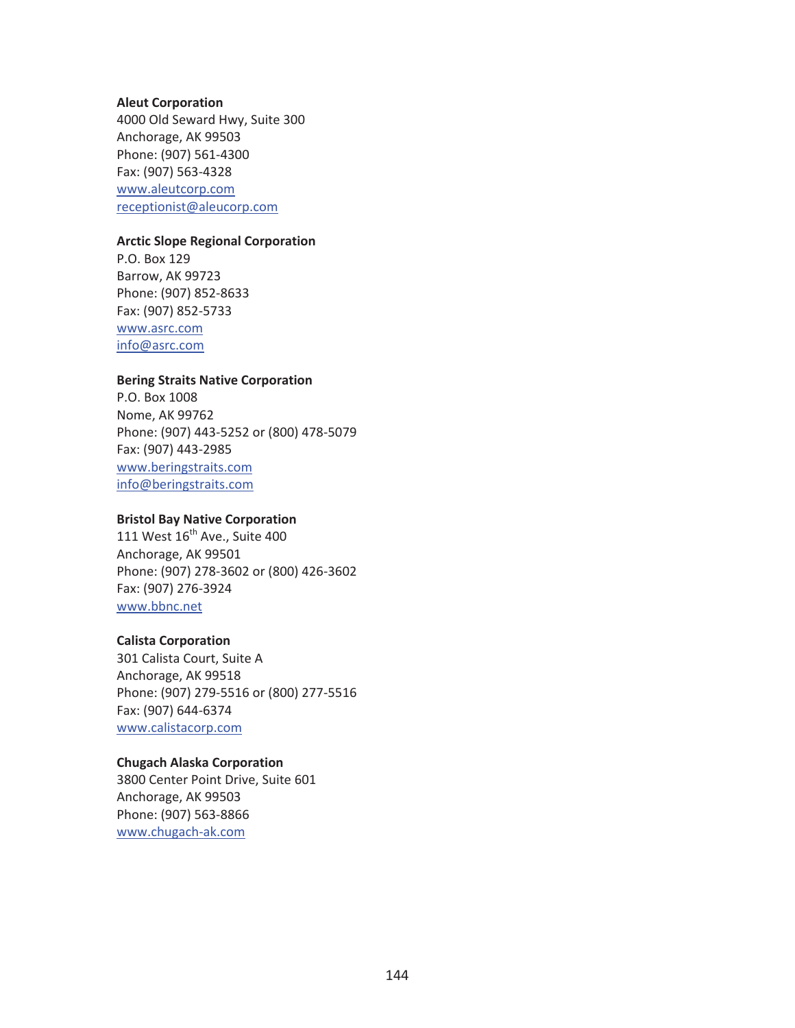#### **Aleut Corporation**

4000 Old Seward Hwy, Suite 300 Anchorage, AK 99503 Phone: (907) 561-4300 Fax: (907) 563-4328 www.aleutcorp.com receptionist@aleucorp.com

## **Arctic Slope Regional Corporation**

P.O. Box 129 Barrow, AK 99723 Phone: (907) 852-8633 Fax: (907) 852-5733 www.asrc.com info@asrc.com

#### **Bering Straits Native Corporation**

P.O. Box 1008 Nome, AK 99762 Phone: (907) 443-5252 or (800) 478-5079 Fax: (907) 443-2985 www.beringstraits.com info@beringstraits.com

## **Bristol Bay Native Corporation**

111 West  $16^{th}$  Ave., Suite 400 Anchorage, AK 99501 Phone: (907) 278-3602 or (800) 426-3602 Fax: (907) 276-3924 www.bbnc.net

#### **Calista Corporation**

301 Calista Court, Suite A Anchorage, AK 99518 Phone: (907) 279-5516 or (800) 277-5516 Fax: (907) 644-6374 www.calistacorp.com

#### **Chugach Alaska Corporation**

3800 Center Point Drive, Suite 601 Anchorage, AK 99503 Phone: (907) 563-8866 www.chugach-ak.com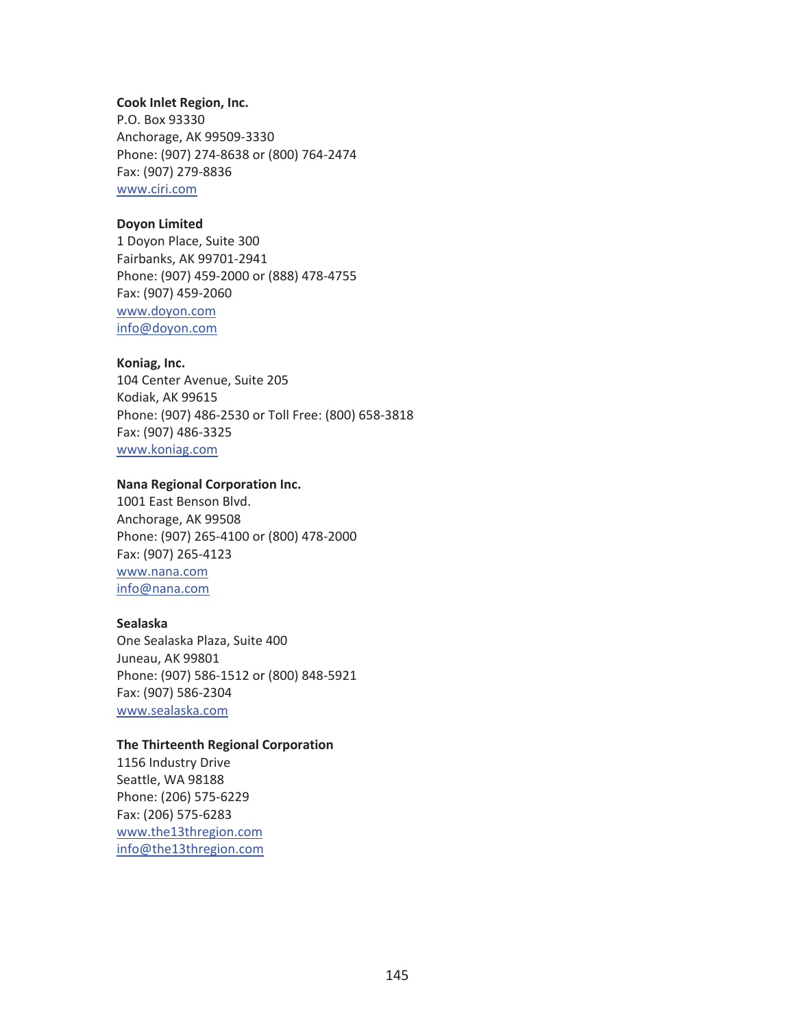### **Cook Inlet Region, Inc.**

P.O. Box 93330 Anchorage, AK 99509-3330 Phone: (907) 274-8638 or (800) 764-2474 Fax: (907) 279-8836 www.ciri.com

### **Doyon Limited**

1 Doyon Place, Suite 300 Fairbanks, AK 99701-2941 Phone: (907) 459-2000 or (888) 478-4755 Fax: (907) 459-2060 www.doyon.com info@doyon.com

### **Koniag, Inc.**

104 Center Avenue, Suite 205 Kodiak, AK 99615 Phone: (907) 486-2530 or Toll Free: (800) 658-3818 Fax: (907) 486-3325 www.koniag.com

### **Nana Regional Corporation Inc.**

1001 East Benson Blvd. Anchorage, AK 99508 Phone: (907) 265-4100 or (800) 478-2000 Fax: (907) 265-4123 www.nana.com info@nana.com

### **Sealaska**

One Sealaska Plaza, Suite 400 Juneau, AK 99801 Phone: (907) 586-1512 or (800) 848-5921 Fax: (907) 586-2304 www.sealaska.com

### **The Thirteenth Regional Corporation**

1156 Industry Drive Seattle, WA 98188 Phone: (206) 575-6229 Fax: (206) 575-6283 www.the13thregion.com info@the13thregion.com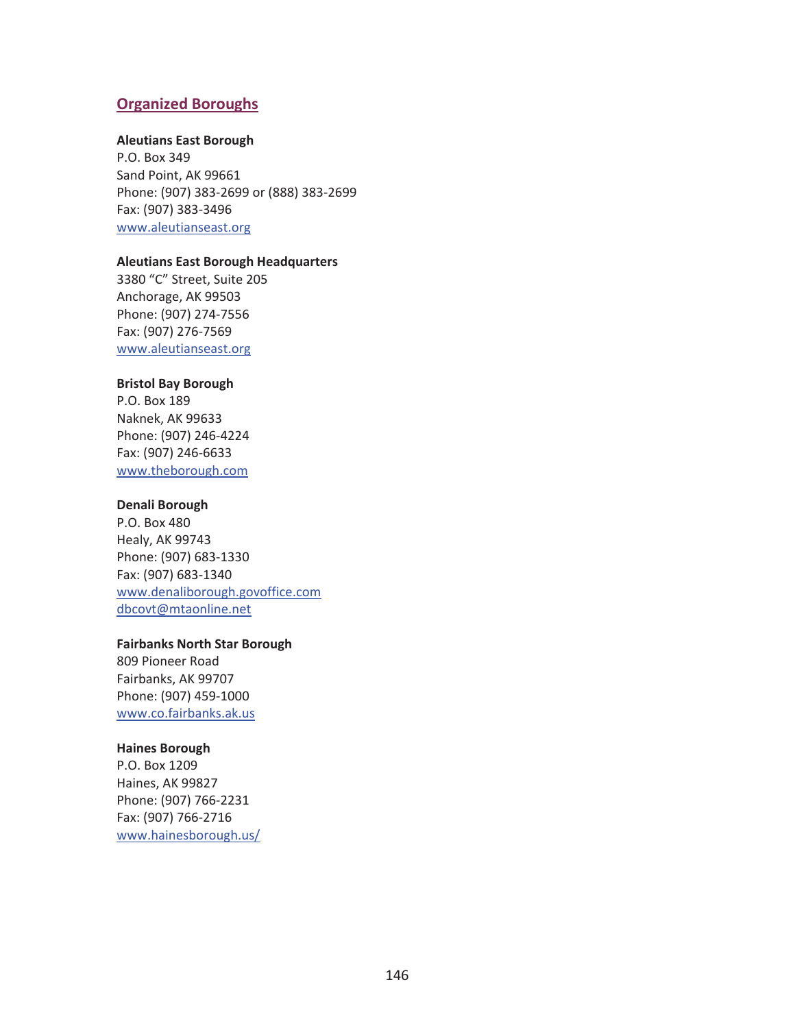### **Organized Boroughs**

### **Aleutians East Borough**

P.O. Box 349 Sand Point, AK 99661 Phone: (907) 383-2699 or (888) 383-2699 Fax: (907) 383-3496 www.aleutianseast.org

### **Aleutians East Borough Headquarters**

3380 "C" Street, Suite 205 Anchorage, AK 99503 Phone: (907) 274-7556 Fax: (907) 276-7569 www.aleutianseast.org

### **Bristol Bay Borough**

P.O. Box 189 Naknek, AK 99633 Phone: (907) 246-4224 Fax: (907) 246-6633 www.theborough.com

### **Denali Borough**

P.O. Box 480 Healy, AK 99743 Phone: (907) 683-1330 Fax: (907) 683-1340 www.denaliborough.govoffice.com dbcovt@mtaonline.net

### **Fairbanks North Star Borough**

809 Pioneer Road Fairbanks, AK 99707 Phone: (907) 459-1000 www.co.fairbanks.ak.us

#### **Haines Borough**

P.O. Box 1209 Haines, AK 99827 Phone: (907) 766-2231 Fax: (907) 766-2716 www.hainesborough.us/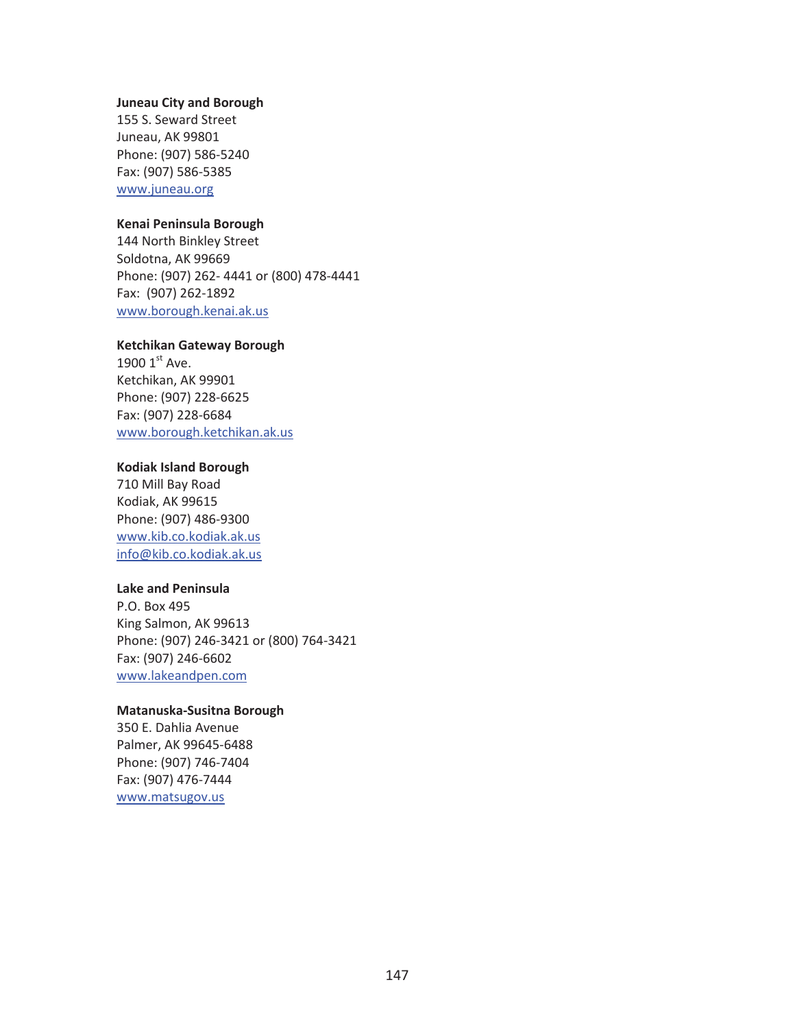### **Juneau City and Borough**

155 S. Seward Street Juneau, AK 99801 Phone: (907) 586-5240 Fax: (907) 586-5385 www.juneau.org

### **Kenai Peninsula Borough**

144 North Binkley Street Soldotna, AK 99669 Phone: (907) 262-4441 or (800) 478-4441 Fax: (907) 262-1892 www.borough.kenai.ak.us

### **Ketchikan Gateway Borough**

1900 1st Ave. Ketchikan, AK 99901 Phone: (907) 228-6625 Fax: (907) 228-6684 www.borough.ketchikan.ak.us

### **Kodiak Island Borough**

710 Mill Bay Road Kodiak, AK 99615 Phone: (907) 486-9300 www.kib.co.kodiak.ak.us info@kib.co.kodiak.ak.us

### **Lake and Peninsula**

P.O. Box 495 King Salmon, AK 99613 Phone: (907) 246-3421 or (800) 764-3421 Fax: (907) 246-6602 www.lakeandpen.com

### **MatanuskaͲSusitna Borough**

350 E. Dahlia Avenue Palmer, AK 99645-6488 Phone: (907) 746-7404 Fax: (907) 476-7444 www.matsugov.us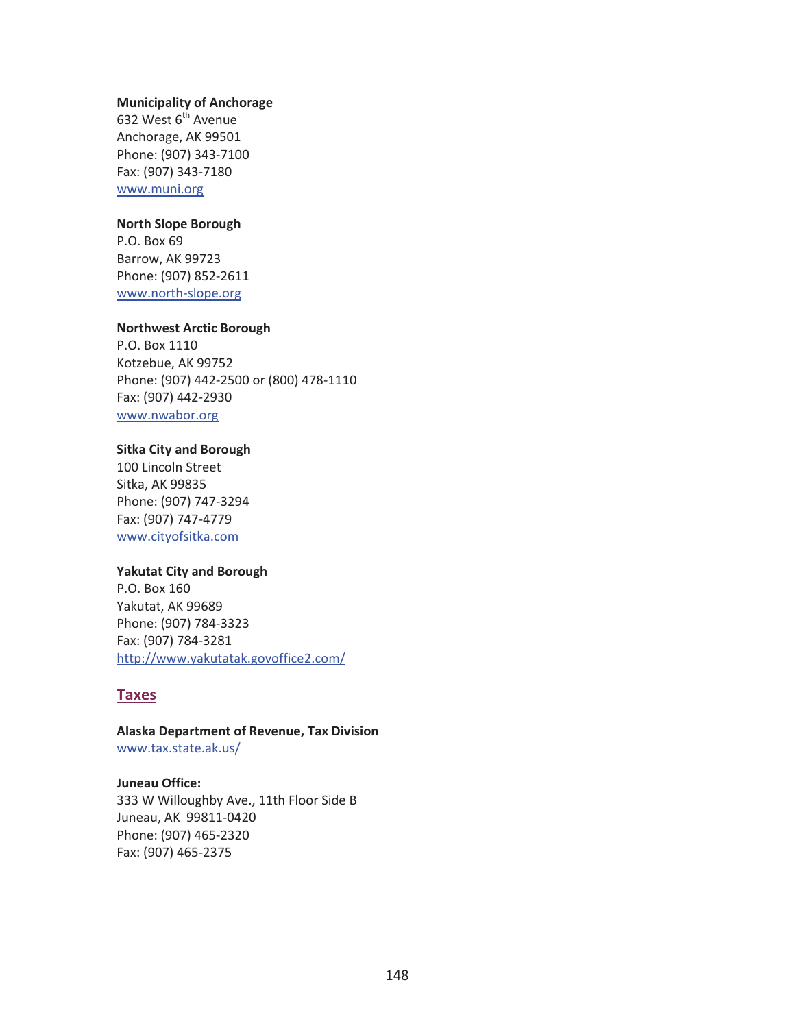### **Municipality of Anchorage**

632 West 6<sup>th</sup> Avenue Anchorage, AK 99501 Phone: (907) 343-7100 Fax: (907) 343-7180 www.muni.org

### **North Slope Borough**

P.O. Box 69 Barrow, AK 99723 Phone: (907) 852-2611 www.north-slope.org

### **Northwest Arctic Borough**

P.O. Box 1110 Kotzebue, AK 99752 Phone: (907) 442-2500 or (800) 478-1110 Fax: (907) 442-2930 www.nwabor.org

### **Sitka City and Borough**

100 Lincoln Street Sitka, AK 99835 Phone: (907) 747-3294 Fax: (907) 747-4779 www.cityofsitka.com

### **Yakutat City and Borough**

P.O. Box 160 Yakutat, AK 99689 Phone: (907) 784-3323 Fax: (907) 784-3281 http://www.yakutatak.govoffice2.com/

### **Taxes**

**Alaska Department of Revenue, Tax Division** www.tax.state.ak.us/

### **Juneau Office:**

333 W Willoughby Ave., 11th Floor Side B Juneau, AK 99811-0420 Phone: (907) 465-2320 Fax: (907) 465-2375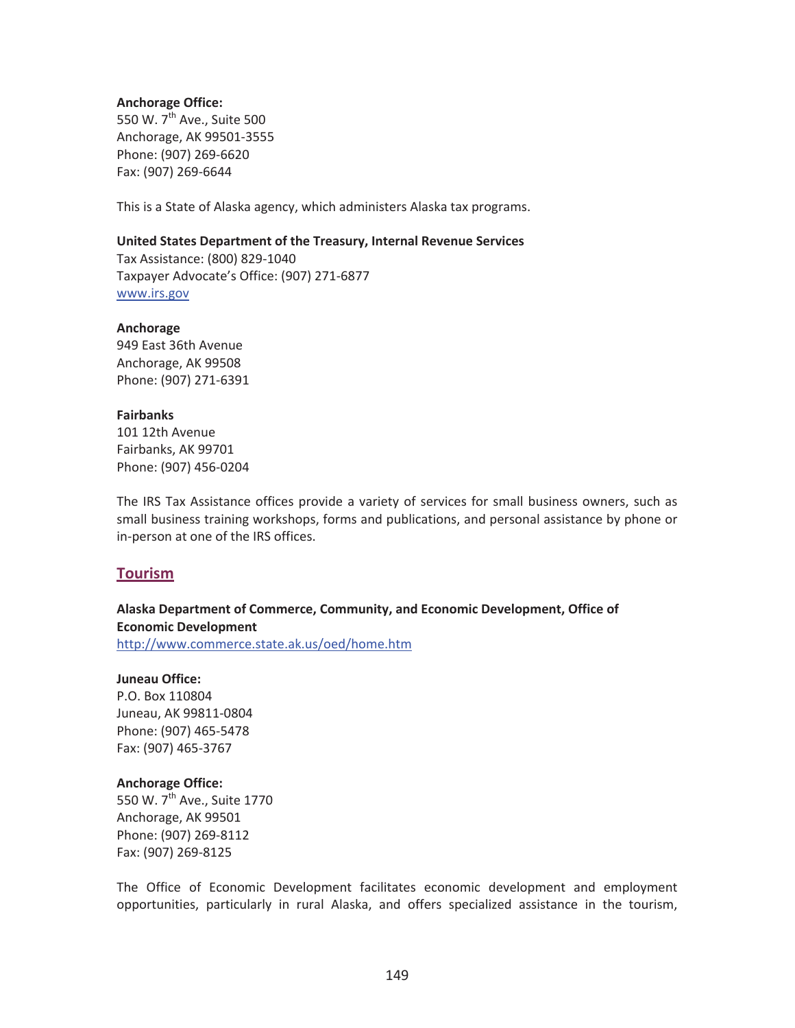### **Anchorage Office:**

550 W. 7<sup>th</sup> Ave., Suite 500 Anchorage, AK 99501-3555 Phone: (907) 269-6620 Fax: (907) 269-6644

This is a State of Alaska agency, which administers Alaska tax programs.

**United States Department of the Treasury, Internal Revenue Services** Tax Assistance: (800) 829-1040 Taxpayer Advocate's Office: (907) 271-6877 www.irs.gov

### **Anchorage**

949 East 36th Avenue Anchorage, AK 99508 Phone: (907) 271-6391

### **Fairbanks**

101 12th Avenue Fairbanks, AK 99701 Phone: (907) 456-0204

The IRS Tax Assistance offices provide a variety of services for small business owners, such as small business training workshops, forms and publications, and personal assistance by phone or in-person at one of the IRS offices.

### **Tourism**

### **Alaska Department of Commerce, Community, and Economic Development, Office of Economic Development** http://www.commerce.state.ak.us/oed/home.htm

### **Juneau Office:**

P.O. Box 110804 Juneau, AK 99811-0804 Phone: (907) 465-5478 Fax: (907) 465-3767

### **Anchorage Office:**

550 W. 7<sup>th</sup> Ave., Suite 1770 Anchorage, AK 99501 Phone: (907) 269-8112 Fax: (907) 269-8125

The Office of Economic Development facilitates economic development and employment opportunities, particularly in rural Alaska, and offers specialized assistance in the tourism,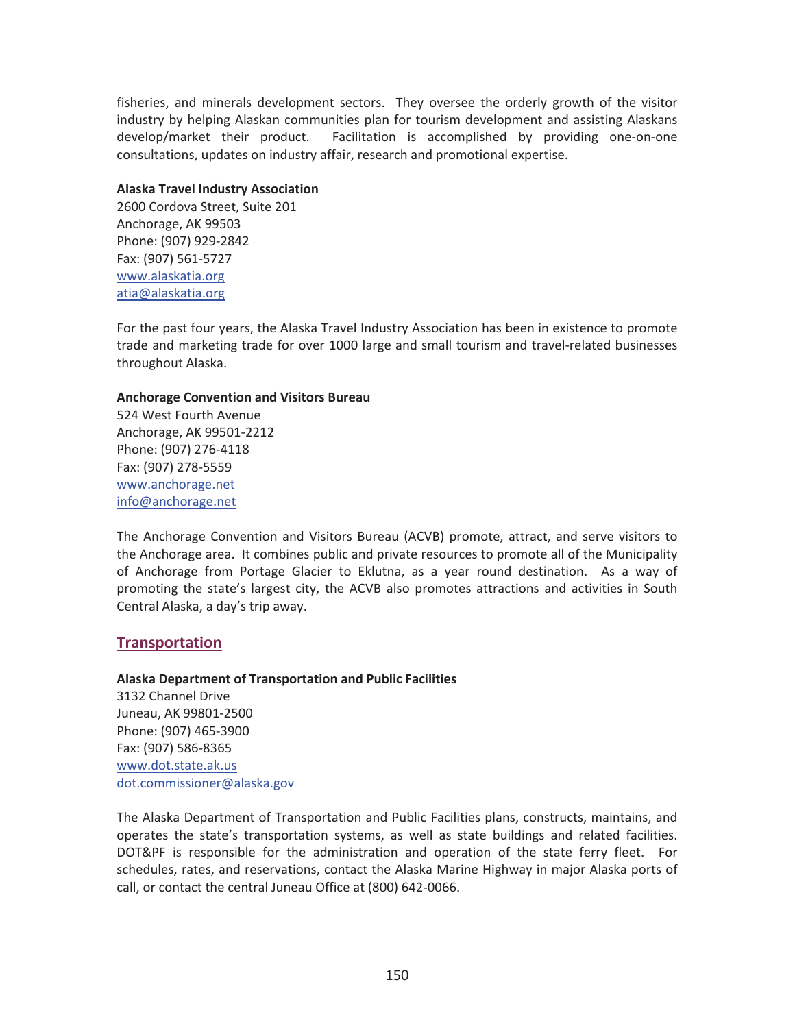fisheries, and minerals development sectors. They oversee the orderly growth of the visitor industry by helping Alaskan communities plan for tourism development and assisting Alaskans develop/market their product. Facilitation is accomplished by providing one-on-one consultations, updates on industry affair, research and promotional expertise.

### **Alaska Travel Industry Association**

2600 Cordova Street, Suite 201 Anchorage, AK 99503 Phone: (907) 929-2842 Fax: (907) 561-5727 www.alaskatia.org atia@alaskatia.org

For the past four years, the Alaska Travel Industry Association has been in existence to promote trade and marketing trade for over 1000 large and small tourism and travel-related businesses throughout Alaska.

### **Anchorage Convention and Visitors Bureau**

524 West Fourth Avenue Anchorage, AK 99501-2212 Phone: (907) 276-4118 Fax: (907) 278-5559 www.anchorage.net info@anchorage.net

The Anchorage Convention and Visitors Bureau (ACVB) promote, attract, and serve visitors to the Anchorage area. It combines public and private resources to promote all of the Municipality of Anchorage from Portage Glacier to Eklutna, as a year round destination. As a way of promoting the state's largest city, the ACVB also promotes attractions and activities in South Central Alaska, a day's trip away.

### **Transportation**

### **Alaska Department of Transportation and Public Facilities**

3132 Channel Drive Juneau, AK 99801-2500 Phone: (907) 465-3900 Fax: (907) 586-8365 www.dot.state.ak.us dot.commissioner@alaska.gov

The Alaska Department of Transportation and Public Facilities plans, constructs, maintains, and operates the state's transportation systems, as well as state buildings and related facilities. DOT&PF is responsible for the administration and operation of the state ferry fleet. For schedules, rates, and reservations, contact the Alaska Marine Highway in major Alaska ports of call, or contact the central Juneau Office at (800) 642-0066.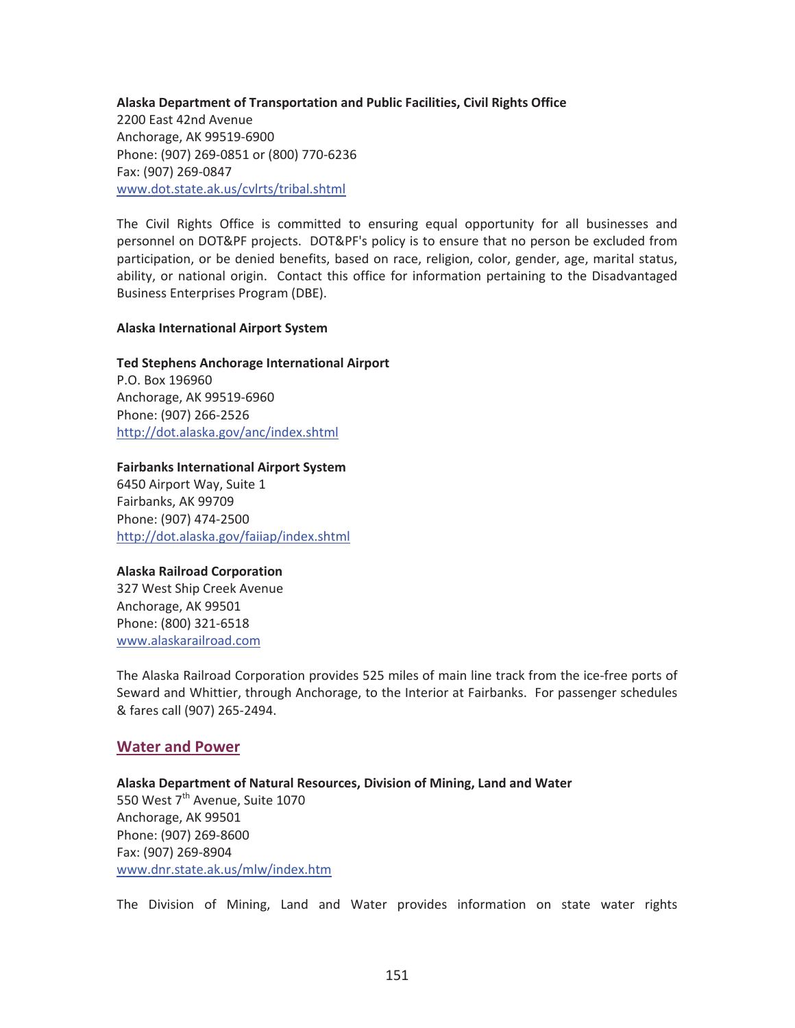### **Alaska Department of Transportation and Public Facilities, Civil Rights Office**

2200 East 42nd Avenue Anchorage, AK 99519-6900 Phone: (907) 269-0851 or (800) 770-6236 Fax: (907) 269-0847 www.dot.state.ak.us/cvlrts/tribal.shtml

The Civil Rights Office is committed to ensuring equal opportunity for all businesses and personnel on DOT&PF projects. DOT&PF's policy is to ensure that no person be excluded from participation, or be denied benefits, based on race, religion, color, gender, age, marital status, ability, or national origin. Contact this office for information pertaining to the Disadvantaged Business Enterprises Program (DBE).

### **Alaska International Airport System**

### **Ted Stephens Anchorage International Airport**

P.O. Box 196960 Anchorage, AK 99519-6960 Phone: (907) 266-2526 http://dot.alaska.gov/anc/index.shtml

### **Fairbanks International Airport System**

6450 Airport Way, Suite 1 Fairbanks, AK 99709 Phone: (907) 474-2500 http://dot.alaska.gov/faiiap/index.shtml

### **Alaska Railroad Corporation**

327 West Ship Creek Avenue Anchorage, AK 99501 Phone: (800) 321-6518 www.alaskarailroad.com

The Alaska Railroad Corporation provides 525 miles of main line track from the ice-free ports of Seward and Whittier, through Anchorage, to the Interior at Fairbanks. For passenger schedules & fares call (907) 265-2494.

### **Water and Power**

### **Alaska Department of Natural Resources, Division of Mining, Land and Water**

550 West 7<sup>th</sup> Avenue, Suite 1070 Anchorage, AK 99501 Phone: (907) 269-8600 Fax: (907) 269-8904 www.dnr.state.ak.us/mlw/index.htm

The Division of Mining, Land and Water provides information on state water rights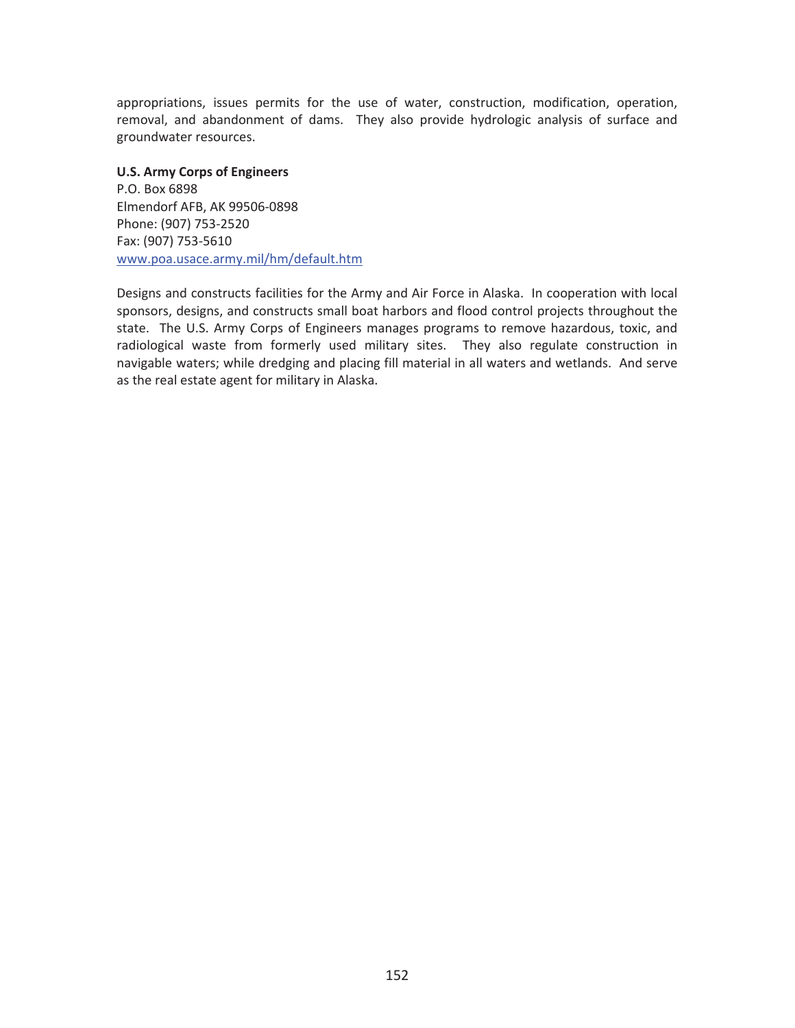appropriations, issues permits for the use of water, construction, modification, operation, removal, and abandonment of dams. They also provide hydrologic analysis of surface and groundwater resources.

**U.S. Army Corps of Engineers** P.O. Box 6898 Elmendorf AFB, AK 99506-0898 Phone: (907) 753-2520 Fax: (907) 753-5610 www.poa.usace.army.mil/hm/default.htm

Designs and constructs facilities for the Army and Air Force in Alaska. In cooperation with local sponsors, designs, and constructs small boat harbors and flood control projects throughout the state. The U.S. Army Corps of Engineers manages programs to remove hazardous, toxic, and radiological waste from formerly used military sites. They also regulate construction in navigable waters; while dredging and placing fill material in all waters and wetlands. And serve as the real estate agent for military in Alaska.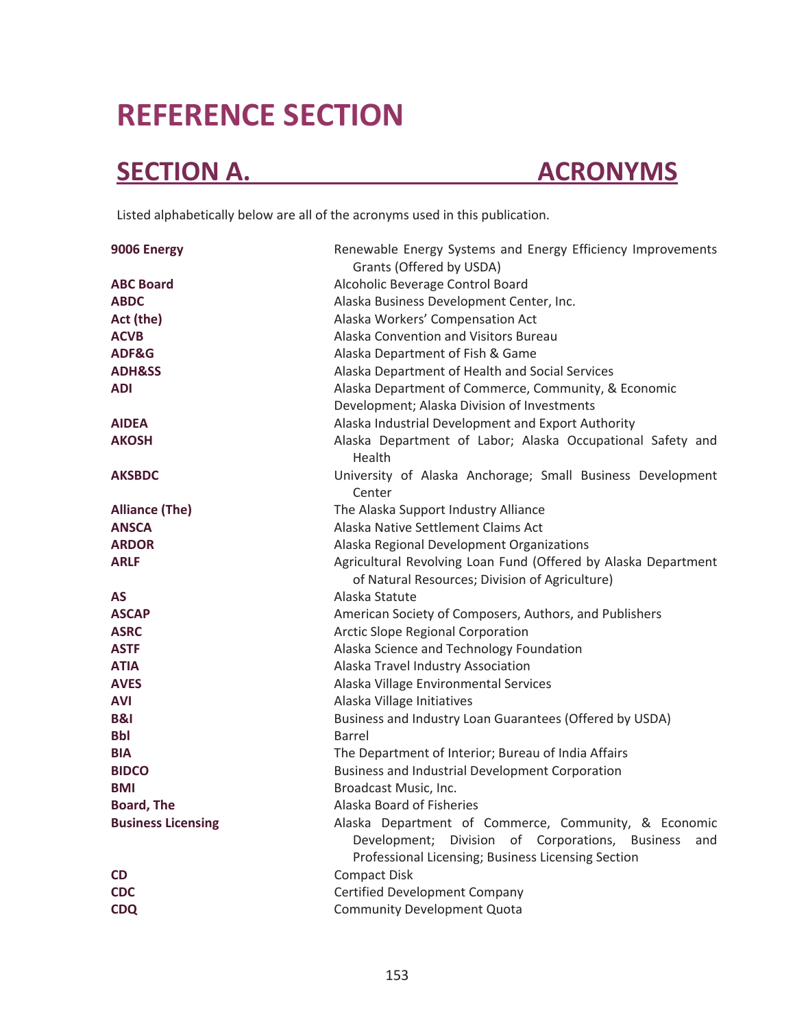# **REFERENCE SECTION**

### **SECTION A. ACRONYMS**

Listed alphabetically below are all of the acronyms used in this publication.

| 9006 Energy               | Renewable Energy Systems and Energy Efficiency Improvements                                                                                                          |  |  |
|---------------------------|----------------------------------------------------------------------------------------------------------------------------------------------------------------------|--|--|
|                           | Grants (Offered by USDA)                                                                                                                                             |  |  |
| <b>ABC Board</b>          | Alcoholic Beverage Control Board                                                                                                                                     |  |  |
| <b>ABDC</b>               | Alaska Business Development Center, Inc.                                                                                                                             |  |  |
| Act (the)                 | Alaska Workers' Compensation Act                                                                                                                                     |  |  |
| <b>ACVB</b>               | Alaska Convention and Visitors Bureau                                                                                                                                |  |  |
| ADF&G                     | Alaska Department of Fish & Game                                                                                                                                     |  |  |
| <b>ADH&amp;SS</b>         | Alaska Department of Health and Social Services                                                                                                                      |  |  |
| ADI                       | Alaska Department of Commerce, Community, & Economic                                                                                                                 |  |  |
|                           | Development; Alaska Division of Investments                                                                                                                          |  |  |
| <b>AIDEA</b>              | Alaska Industrial Development and Export Authority                                                                                                                   |  |  |
| <b>AKOSH</b>              | Alaska Department of Labor; Alaska Occupational Safety and<br><b>Health</b>                                                                                          |  |  |
| <b>AKSBDC</b>             | University of Alaska Anchorage; Small Business Development<br>Center                                                                                                 |  |  |
| <b>Alliance (The)</b>     | The Alaska Support Industry Alliance                                                                                                                                 |  |  |
| <b>ANSCA</b>              | Alaska Native Settlement Claims Act                                                                                                                                  |  |  |
| <b>ARDOR</b>              | Alaska Regional Development Organizations                                                                                                                            |  |  |
| <b>ARLF</b>               | Agricultural Revolving Loan Fund (Offered by Alaska Department                                                                                                       |  |  |
|                           | of Natural Resources; Division of Agriculture)                                                                                                                       |  |  |
| AS                        | Alaska Statute                                                                                                                                                       |  |  |
| <b>ASCAP</b>              | American Society of Composers, Authors, and Publishers                                                                                                               |  |  |
| <b>ASRC</b>               | Arctic Slope Regional Corporation                                                                                                                                    |  |  |
| <b>ASTF</b>               | Alaska Science and Technology Foundation                                                                                                                             |  |  |
| <b>ATIA</b>               | Alaska Travel Industry Association                                                                                                                                   |  |  |
| <b>AVES</b>               | Alaska Village Environmental Services                                                                                                                                |  |  |
| <b>AVI</b>                | Alaska Village Initiatives                                                                                                                                           |  |  |
| <b>B&amp;I</b>            | Business and Industry Loan Guarantees (Offered by USDA)                                                                                                              |  |  |
| <b>Bbl</b>                | Barrel                                                                                                                                                               |  |  |
| <b>BIA</b>                | The Department of Interior; Bureau of India Affairs                                                                                                                  |  |  |
| <b>BIDCO</b>              | Business and Industrial Development Corporation                                                                                                                      |  |  |
| <b>BMI</b>                | Broadcast Music, Inc.                                                                                                                                                |  |  |
| <b>Board, The</b>         | Alaska Board of Fisheries                                                                                                                                            |  |  |
| <b>Business Licensing</b> | Alaska Department of Commerce, Community, & Economic<br>Development; Division of Corporations, Business<br>and<br>Professional Licensing; Business Licensing Section |  |  |
| <b>CD</b>                 | <b>Compact Disk</b>                                                                                                                                                  |  |  |
| <b>CDC</b>                | <b>Certified Development Company</b>                                                                                                                                 |  |  |
| <b>CDQ</b>                | <b>Community Development Quota</b>                                                                                                                                   |  |  |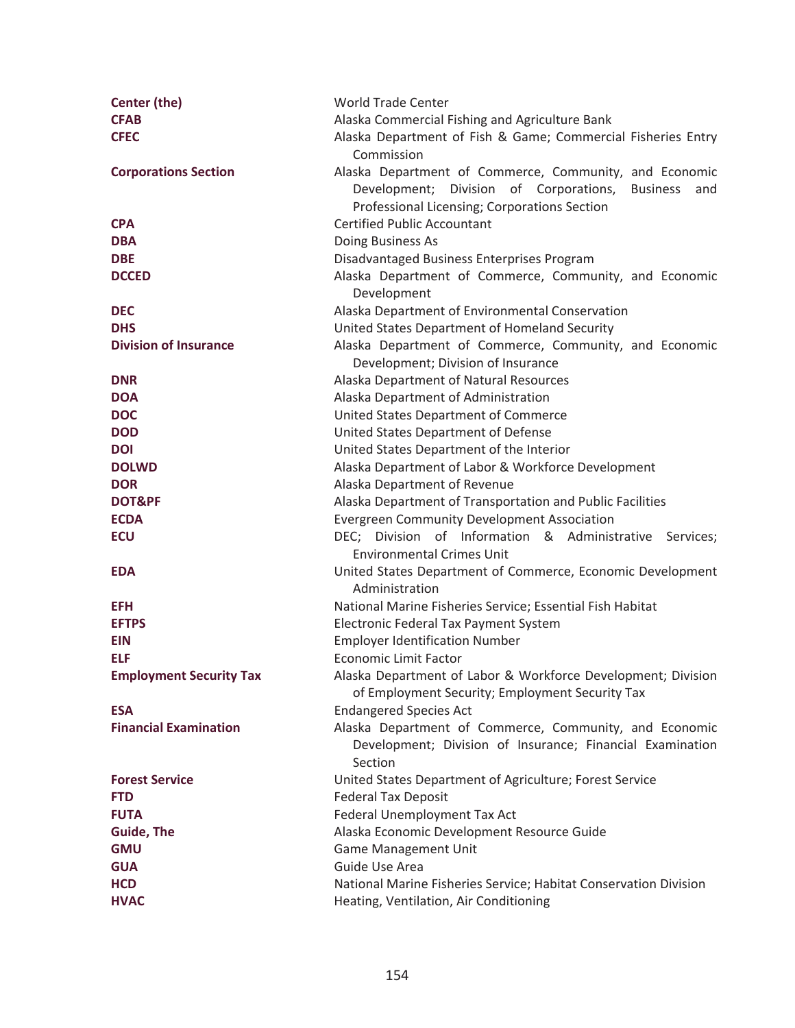| Center (the)                   | World Trade Center                                                                                                                                                         |  |  |
|--------------------------------|----------------------------------------------------------------------------------------------------------------------------------------------------------------------------|--|--|
| <b>CFAB</b>                    | Alaska Commercial Fishing and Agriculture Bank                                                                                                                             |  |  |
| <b>CFEC</b>                    | Alaska Department of Fish & Game; Commercial Fisheries Entry<br>Commission                                                                                                 |  |  |
| <b>Corporations Section</b>    | Alaska Department of Commerce, Community, and Economic<br>Development; Division of Corporations,<br><b>Business</b><br>and<br>Professional Licensing; Corporations Section |  |  |
| <b>CPA</b>                     | <b>Certified Public Accountant</b>                                                                                                                                         |  |  |
| <b>DBA</b>                     | Doing Business As                                                                                                                                                          |  |  |
| <b>DBE</b>                     | Disadvantaged Business Enterprises Program                                                                                                                                 |  |  |
| <b>DCCED</b>                   | Alaska Department of Commerce, Community, and Economic<br>Development                                                                                                      |  |  |
| <b>DEC</b>                     | Alaska Department of Environmental Conservation                                                                                                                            |  |  |
| <b>DHS</b>                     | United States Department of Homeland Security                                                                                                                              |  |  |
| <b>Division of Insurance</b>   | Alaska Department of Commerce, Community, and Economic<br>Development; Division of Insurance                                                                               |  |  |
| <b>DNR</b>                     | Alaska Department of Natural Resources                                                                                                                                     |  |  |
| <b>DOA</b>                     | Alaska Department of Administration                                                                                                                                        |  |  |
| <b>DOC</b>                     | United States Department of Commerce                                                                                                                                       |  |  |
| <b>DOD</b>                     | United States Department of Defense                                                                                                                                        |  |  |
| <b>DOI</b>                     | United States Department of the Interior                                                                                                                                   |  |  |
| <b>DOLWD</b>                   | Alaska Department of Labor & Workforce Development                                                                                                                         |  |  |
| <b>DOR</b>                     | Alaska Department of Revenue                                                                                                                                               |  |  |
| DOT&PF<br><b>ECDA</b>          | Alaska Department of Transportation and Public Facilities                                                                                                                  |  |  |
| <b>ECU</b>                     | Evergreen Community Development Association<br>DEC; Division of Information & Administrative Services;                                                                     |  |  |
|                                | <b>Environmental Crimes Unit</b>                                                                                                                                           |  |  |
| <b>EDA</b>                     | United States Department of Commerce, Economic Development                                                                                                                 |  |  |
|                                | Administration                                                                                                                                                             |  |  |
| <b>EFH</b>                     | National Marine Fisheries Service; Essential Fish Habitat                                                                                                                  |  |  |
| <b>EFTPS</b>                   | Electronic Federal Tax Payment System                                                                                                                                      |  |  |
| <b>EIN</b>                     | <b>Employer Identification Number</b>                                                                                                                                      |  |  |
| <b>ELF</b>                     | <b>Economic Limit Factor</b>                                                                                                                                               |  |  |
| <b>Employment Security Tax</b> | Alaska Department of Labor & Workforce Development; Division<br>of Employment Security; Employment Security Tax                                                            |  |  |
| <b>ESA</b>                     | <b>Endangered Species Act</b>                                                                                                                                              |  |  |
| <b>Financial Examination</b>   | Alaska Department of Commerce, Community, and Economic<br>Development; Division of Insurance; Financial Examination<br>Section                                             |  |  |
| <b>Forest Service</b>          | United States Department of Agriculture; Forest Service                                                                                                                    |  |  |
| <b>FTD</b>                     | <b>Federal Tax Deposit</b>                                                                                                                                                 |  |  |
| <b>FUTA</b>                    | Federal Unemployment Tax Act                                                                                                                                               |  |  |
| <b>Guide, The</b>              | Alaska Economic Development Resource Guide                                                                                                                                 |  |  |
| <b>GMU</b>                     | <b>Game Management Unit</b>                                                                                                                                                |  |  |
| <b>GUA</b>                     | Guide Use Area                                                                                                                                                             |  |  |
| <b>HCD</b>                     | National Marine Fisheries Service; Habitat Conservation Division                                                                                                           |  |  |
| <b>HVAC</b>                    | Heating, Ventilation, Air Conditioning                                                                                                                                     |  |  |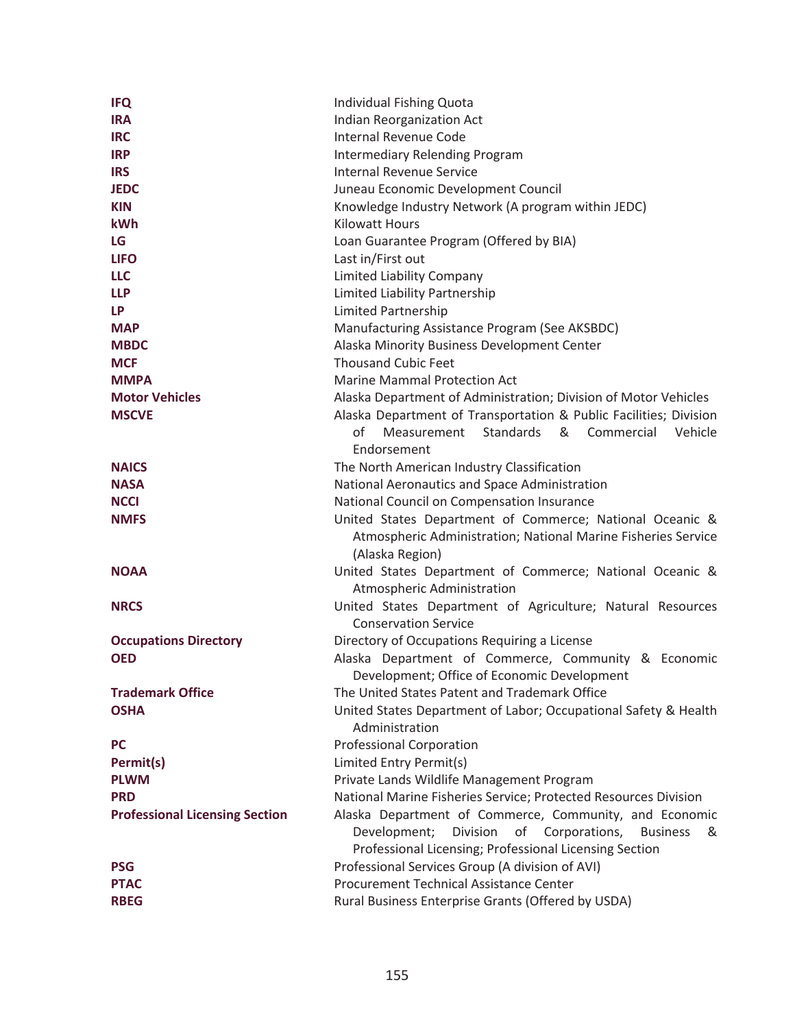| <b>IFQ</b>                            | Individual Fishing Quota                                                                                                                                                                 |  |  |
|---------------------------------------|------------------------------------------------------------------------------------------------------------------------------------------------------------------------------------------|--|--|
| <b>IRA</b>                            | <b>Indian Reorganization Act</b>                                                                                                                                                         |  |  |
| <b>IRC</b>                            | <b>Internal Revenue Code</b>                                                                                                                                                             |  |  |
| <b>IRP</b>                            | <b>Intermediary Relending Program</b>                                                                                                                                                    |  |  |
| <b>IRS</b>                            | <b>Internal Revenue Service</b>                                                                                                                                                          |  |  |
| <b>JEDC</b>                           | Juneau Economic Development Council                                                                                                                                                      |  |  |
| <b>KIN</b>                            | Knowledge Industry Network (A program within JEDC)                                                                                                                                       |  |  |
| <b>kWh</b>                            | <b>Kilowatt Hours</b>                                                                                                                                                                    |  |  |
| LG                                    | Loan Guarantee Program (Offered by BIA)                                                                                                                                                  |  |  |
| <b>LIFO</b>                           | Last in/First out                                                                                                                                                                        |  |  |
| <b>LLC</b>                            | Limited Liability Company                                                                                                                                                                |  |  |
| <b>LLP</b>                            | Limited Liability Partnership                                                                                                                                                            |  |  |
| <b>LP</b>                             | Limited Partnership                                                                                                                                                                      |  |  |
| <b>MAP</b>                            | Manufacturing Assistance Program (See AKSBDC)                                                                                                                                            |  |  |
| <b>MBDC</b>                           | Alaska Minority Business Development Center                                                                                                                                              |  |  |
| <b>MCF</b>                            | <b>Thousand Cubic Feet</b>                                                                                                                                                               |  |  |
| <b>MMPA</b>                           | <b>Marine Mammal Protection Act</b>                                                                                                                                                      |  |  |
| <b>Motor Vehicles</b>                 | Alaska Department of Administration; Division of Motor Vehicles                                                                                                                          |  |  |
| <b>MSCVE</b>                          | Alaska Department of Transportation & Public Facilities; Division                                                                                                                        |  |  |
|                                       | Standards<br>& Commercial<br>of<br>Measurement<br>Vehicle                                                                                                                                |  |  |
|                                       | Endorsement                                                                                                                                                                              |  |  |
| <b>NAICS</b>                          | The North American Industry Classification                                                                                                                                               |  |  |
| <b>NASA</b>                           | National Aeronautics and Space Administration                                                                                                                                            |  |  |
| <b>NCCI</b>                           | National Council on Compensation Insurance                                                                                                                                               |  |  |
| <b>NMFS</b>                           | United States Department of Commerce; National Oceanic &<br>Atmospheric Administration; National Marine Fisheries Service<br>(Alaska Region)                                             |  |  |
| <b>NOAA</b>                           | United States Department of Commerce; National Oceanic &<br>Atmospheric Administration                                                                                                   |  |  |
| <b>NRCS</b>                           | United States Department of Agriculture; Natural Resources<br><b>Conservation Service</b>                                                                                                |  |  |
| <b>Occupations Directory</b>          | Directory of Occupations Requiring a License                                                                                                                                             |  |  |
| <b>OED</b>                            | Alaska Department of Commerce, Community & Economic<br>Development; Office of Economic Development                                                                                       |  |  |
| <b>Trademark Office</b>               | The United States Patent and Trademark Office                                                                                                                                            |  |  |
| <b>OSHA</b>                           | United States Department of Labor; Occupational Safety & Health<br>Administration                                                                                                        |  |  |
| <b>PC</b>                             | <b>Professional Corporation</b>                                                                                                                                                          |  |  |
| Permit(s)                             | Limited Entry Permit(s)                                                                                                                                                                  |  |  |
| <b>PLWM</b>                           | Private Lands Wildlife Management Program                                                                                                                                                |  |  |
| <b>PRD</b>                            | National Marine Fisheries Service; Protected Resources Division                                                                                                                          |  |  |
| <b>Professional Licensing Section</b> | Alaska Department of Commerce, Community, and Economic<br>Development;<br>Division<br>of Corporations,<br><b>Business</b><br>&<br>Professional Licensing; Professional Licensing Section |  |  |
| <b>PSG</b>                            | Professional Services Group (A division of AVI)                                                                                                                                          |  |  |
| <b>PTAC</b>                           | Procurement Technical Assistance Center                                                                                                                                                  |  |  |
| <b>RBEG</b>                           | Rural Business Enterprise Grants (Offered by USDA)                                                                                                                                       |  |  |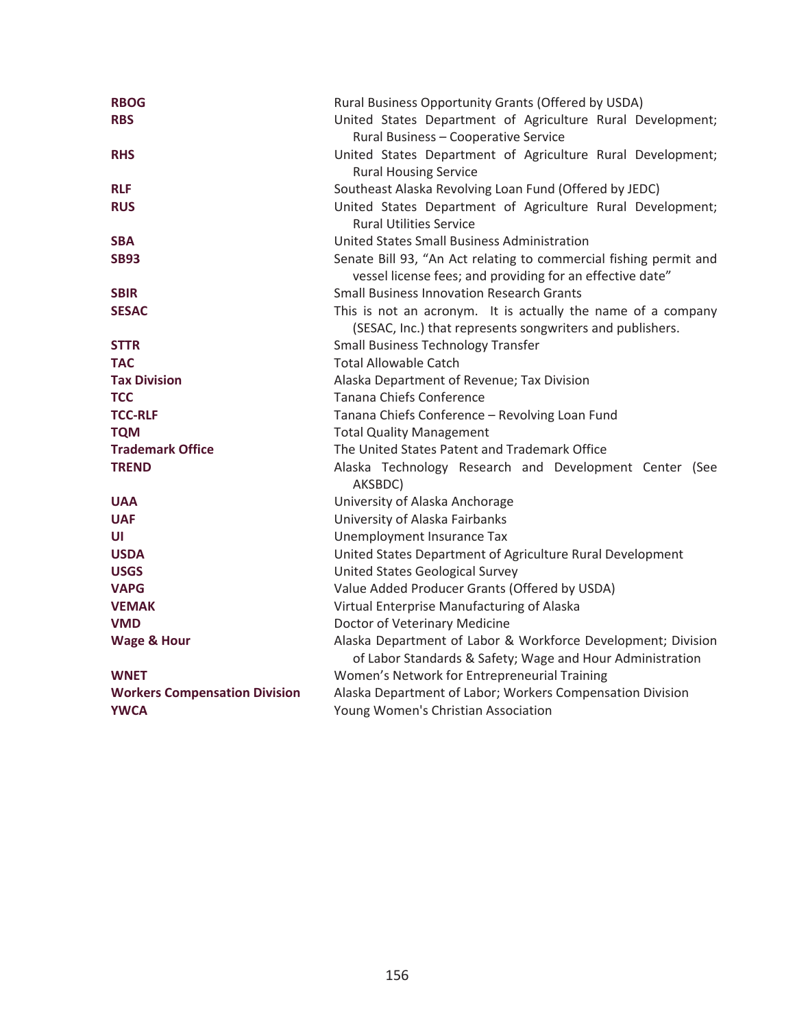| <b>RBOG</b>                          | Rural Business Opportunity Grants (Offered by USDA)                                                                            |  |  |  |
|--------------------------------------|--------------------------------------------------------------------------------------------------------------------------------|--|--|--|
| <b>RBS</b>                           | United States Department of Agriculture Rural Development;<br>Rural Business - Cooperative Service                             |  |  |  |
| <b>RHS</b>                           | United States Department of Agriculture Rural Development;<br><b>Rural Housing Service</b>                                     |  |  |  |
| <b>RLF</b>                           | Southeast Alaska Revolving Loan Fund (Offered by JEDC)                                                                         |  |  |  |
| <b>RUS</b>                           | United States Department of Agriculture Rural Development;<br><b>Rural Utilities Service</b>                                   |  |  |  |
| <b>SBA</b>                           | United States Small Business Administration                                                                                    |  |  |  |
| <b>SB93</b>                          | Senate Bill 93, "An Act relating to commercial fishing permit and<br>vessel license fees; and providing for an effective date" |  |  |  |
| <b>SBIR</b>                          | <b>Small Business Innovation Research Grants</b>                                                                               |  |  |  |
| <b>SESAC</b>                         | This is not an acronym. It is actually the name of a company<br>(SESAC, Inc.) that represents songwriters and publishers.      |  |  |  |
| <b>STTR</b>                          | <b>Small Business Technology Transfer</b>                                                                                      |  |  |  |
| <b>TAC</b>                           | <b>Total Allowable Catch</b>                                                                                                   |  |  |  |
| <b>Tax Division</b>                  | Alaska Department of Revenue; Tax Division                                                                                     |  |  |  |
| <b>TCC</b>                           | Tanana Chiefs Conference                                                                                                       |  |  |  |
| <b>TCC-RLF</b>                       | Tanana Chiefs Conference - Revolving Loan Fund                                                                                 |  |  |  |
| <b>TQM</b>                           | <b>Total Quality Management</b>                                                                                                |  |  |  |
| <b>Trademark Office</b>              | The United States Patent and Trademark Office                                                                                  |  |  |  |
| <b>TREND</b>                         | Alaska Technology Research and Development Center (See<br>AKSBDC)                                                              |  |  |  |
| <b>UAA</b>                           | University of Alaska Anchorage                                                                                                 |  |  |  |
| <b>UAF</b>                           | University of Alaska Fairbanks                                                                                                 |  |  |  |
| UI                                   | Unemployment Insurance Tax                                                                                                     |  |  |  |
| <b>USDA</b>                          | United States Department of Agriculture Rural Development                                                                      |  |  |  |
| <b>USGS</b>                          | United States Geological Survey                                                                                                |  |  |  |
| <b>VAPG</b>                          | Value Added Producer Grants (Offered by USDA)                                                                                  |  |  |  |
| <b>VEMAK</b>                         | Virtual Enterprise Manufacturing of Alaska                                                                                     |  |  |  |
| <b>VMD</b>                           | Doctor of Veterinary Medicine                                                                                                  |  |  |  |
| <b>Wage &amp; Hour</b>               | Alaska Department of Labor & Workforce Development; Division<br>of Labor Standards & Safety; Wage and Hour Administration      |  |  |  |
| <b>WNET</b>                          | Women's Network for Entrepreneurial Training                                                                                   |  |  |  |
| <b>Workers Compensation Division</b> | Alaska Department of Labor; Workers Compensation Division                                                                      |  |  |  |
| <b>YWCA</b>                          | Young Women's Christian Association                                                                                            |  |  |  |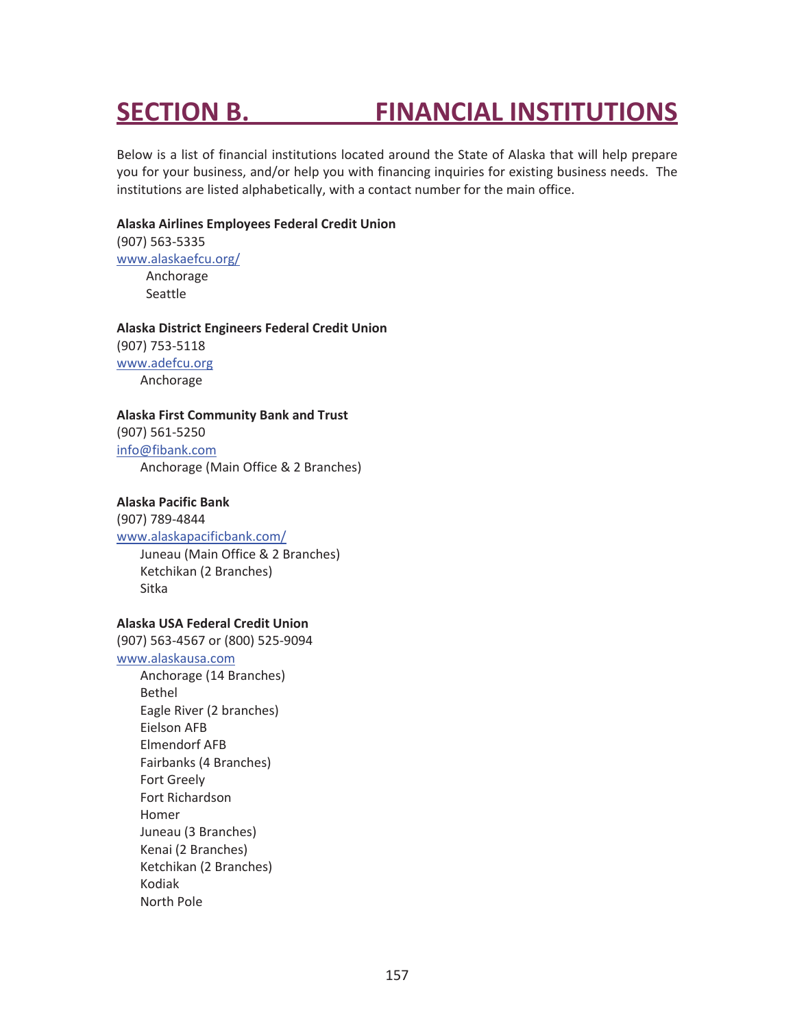# **SECTION B. FINANCIAL INSTITUTIONS**

Below is a list of financial institutions located around the State of Alaska that will help prepare you for your business, and/or help you with financing inquiries for existing business needs. The institutions are listed alphabetically, with a contact number for the main office.

### **Alaska Airlines Employees Federal Credit Union**

(907) 563-5335 www.alaskaefcu.org/ Anchorage Seattle

### **Alaska District Engineers Federal Credit Union**

(907) 753-5118 www.adefcu.org Anchorage

### **Alaska First Community Bank and Trust**

(907) 561-5250 info@fibank.com Anchorage (Main Office & 2 Branches)

### **Alaska Pacific Bank**

(907) 789-4844 www.alaskapacificbank.com/ Juneau (Main Office & 2 Branches) Ketchikan (2 Branches) Sitka

### **Alaska USA Federal Credit Union**

(907) 563-4567 or (800) 525-9094 www.alaskausa.com Anchorage (14 Branches) Bethel Eagle River (2 branches) Eielson AFB Elmendorf AFB Fairbanks (4 Branches) Fort Greely Fort Richardson Homer Juneau (3 Branches) Kenai (2 Branches) Ketchikan (2 Branches) Kodiak North Pole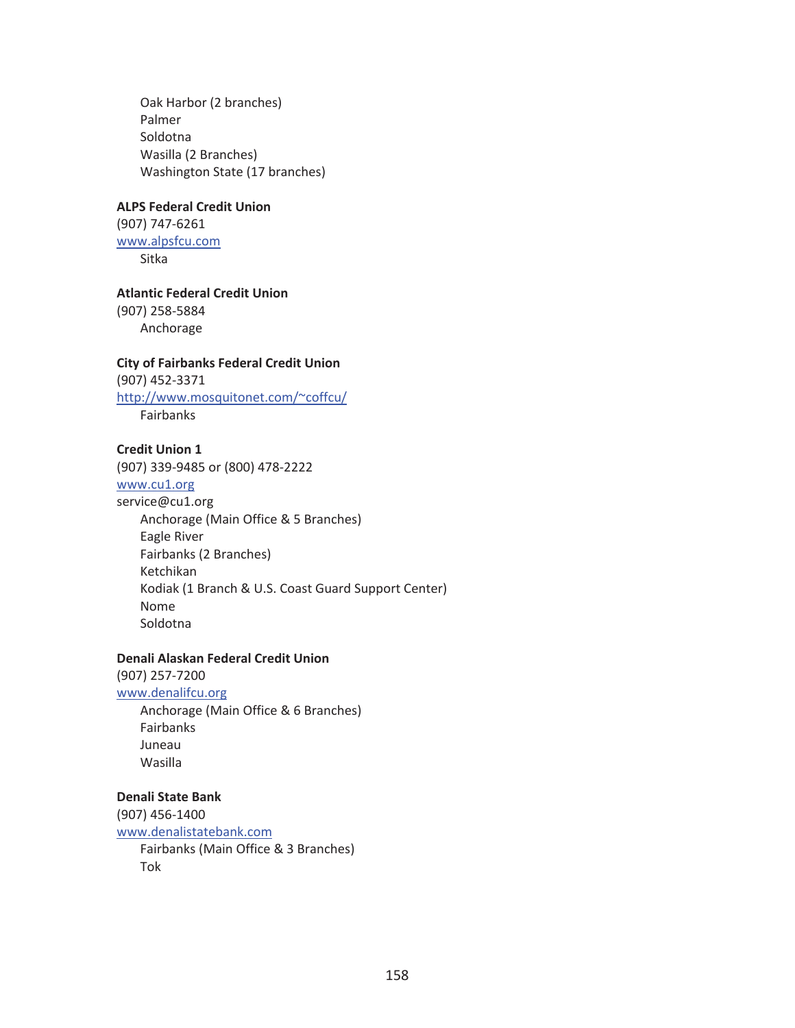Oak Harbor (2 branches) Palmer Soldotna Wasilla (2 Branches) Washington State (17 branches)

### **ALPS Federal Credit Union**

(907) 747-6261 www.alpsfcu.com Sitka

### **Atlantic Federal Credit Union**

(907) 258-5884 Anchorage

### **City of Fairbanks Federal Credit Union**

(907) 452-3371 http://www.mosquitonet.com/~coffcu/ Fairbanks

### **Credit Union 1**

(907) 339-9485 or (800) 478-2222 www.cu1.org service@cu1.org Anchorage (Main Office & 5 Branches) Eagle River Fairbanks (2 Branches) Ketchikan Kodiak (1 Branch & U.S. Coast Guard Support Center) Nome Soldotna

### **Denali Alaskan Federal Credit Union**

(907) 257-7200 www.denalifcu.org Anchorage (Main Office & 6 Branches) Fairbanks Juneau Wasilla

### **Denali State Bank**

(907) 456-1400 www.denalistatebank.com Fairbanks (Main Office & 3 Branches) Tok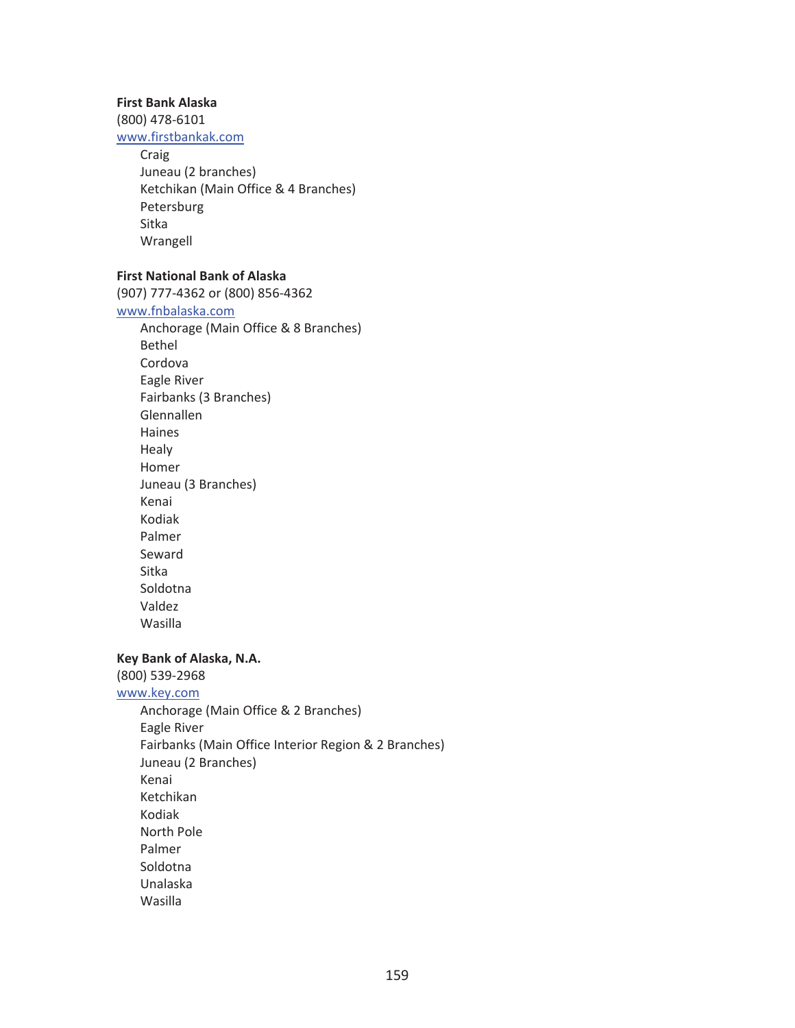### **First Bank Alaska**

(800) 478-6101

### www.firstbankak.com

Craig Juneau (2 branches) Ketchikan (Main Office & 4 Branches) Petersburg Sitka Wrangell

### **First National Bank of Alaska**

(907) 777-4362 or (800) 856-4362 www.fnbalaska.com Anchorage (Main Office & 8 Branches) Bethel Cordova Eagle River Fairbanks (3 Branches) Glennallen Haines Healy Homer Juneau (3 Branches) Kenai Kodiak Palmer Seward Sitka Soldotna Valdez Wasilla

### **Key Bank of Alaska, N.A.**

(800) 539Ͳ2968 www.key.com Anchorage (Main Office & 2 Branches) Eagle River Fairbanks (Main Office Interior Region & 2 Branches) Juneau (2 Branches) Kenai Ketchikan Kodiak North Pole Palmer Soldotna Unalaska Wasilla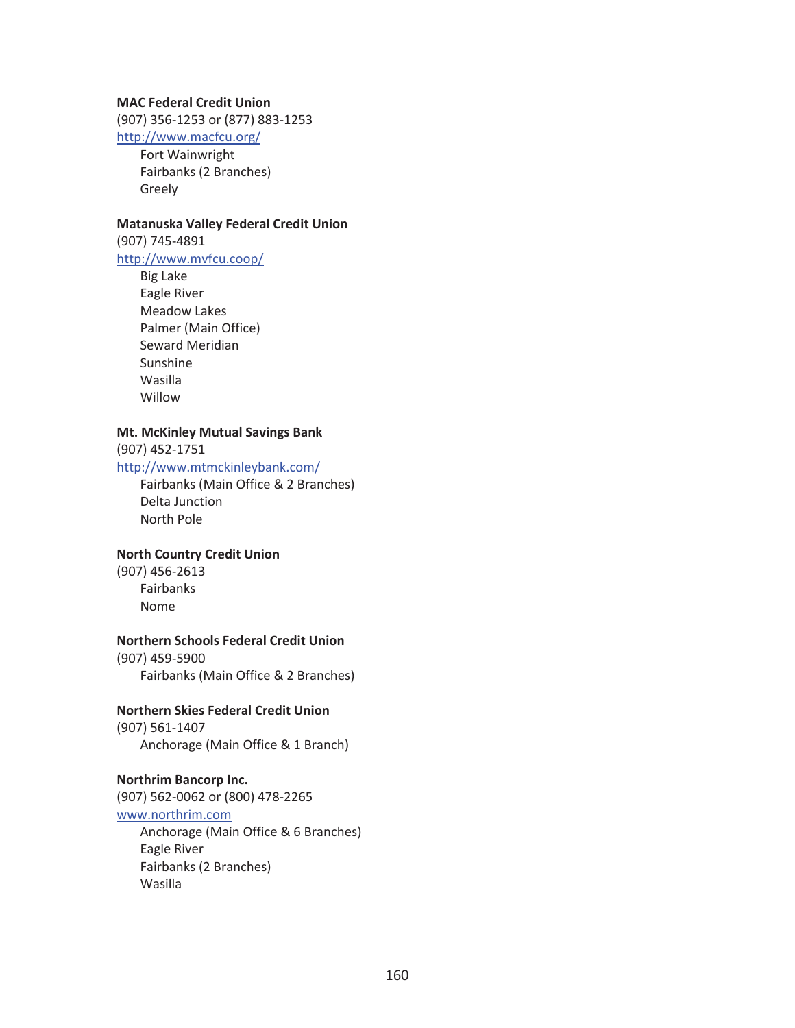### **MAC Federal Credit Union**

(907) 356-1253 or (877) 883-1253

http://www.macfcu.org/

Fort Wainwright Fairbanks (2 Branches) Greely

### **Matanuska Valley Federal Credit Union**

(907) 745-4891 http://www.mvfcu.coop/

Big Lake Eagle River Meadow Lakes Palmer (Main Office) Seward Meridian Sunshine Wasilla Willow

### **Mt. McKinley Mutual Savings Bank**

(907) 452-1751

http://www.mtmckinleybank.com/

Fairbanks (Main Office & 2 Branches) Delta Junction North Pole

### **North Country Credit Union**

(907) 456-2613 Fairbanks Nome

#### **Northern Schools Federal Credit Union**

(907) 459-5900 Fairbanks (Main Office & 2 Branches)

### **Northern Skies Federal Credit Union**

(907) 561-1407 Anchorage (Main Office & 1 Branch)

### **Northrim Bancorp Inc.**

(907) 562-0062 or (800) 478-2265 www.northrim.com

> Anchorage (Main Office & 6 Branches) Eagle River Fairbanks (2 Branches) Wasilla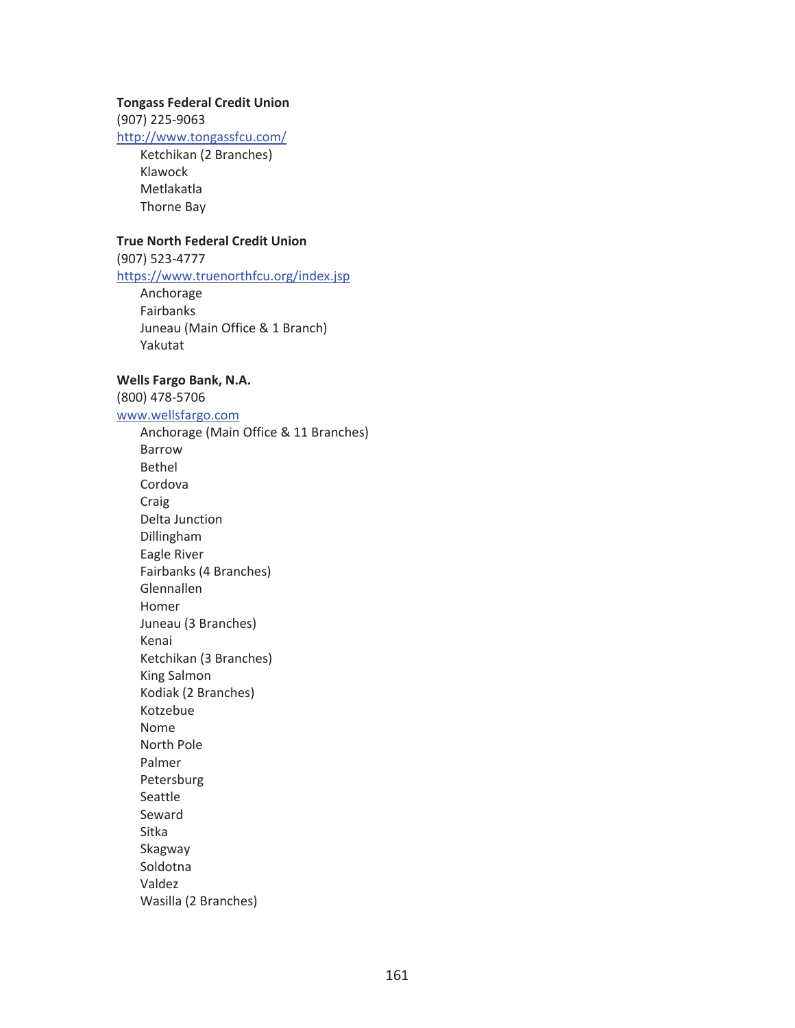### **Tongass Federal Credit Union**

(907) 225-9063

### http://www.tongassfcu.com/

Ketchikan (2 Branches) Klawock Metlakatla Thorne Bay

### **True North Federal Credit Union**

(907) 523Ͳ4777

https://www.truenorthfcu.org/index.jsp

Anchorage Fairbanks Juneau (Main Office & 1 Branch) Yakutat

### **Wells Fargo Bank, N.A.**

(800) 478-5706 www.wellsfargo.com Anchorage (Main Office & 11 Branches) Barrow Bethel Cordova Craig Delta Junction Dillingham Eagle River Fairbanks (4 Branches) Glennallen Homer Juneau (3 Branches) Kenai Ketchikan (3 Branches) King Salmon Kodiak (2 Branches) Kotzebue Nome North Pole Palmer Petersburg Seattle Seward Sitka Skagway Soldotna Valdez Wasilla (2 Branches)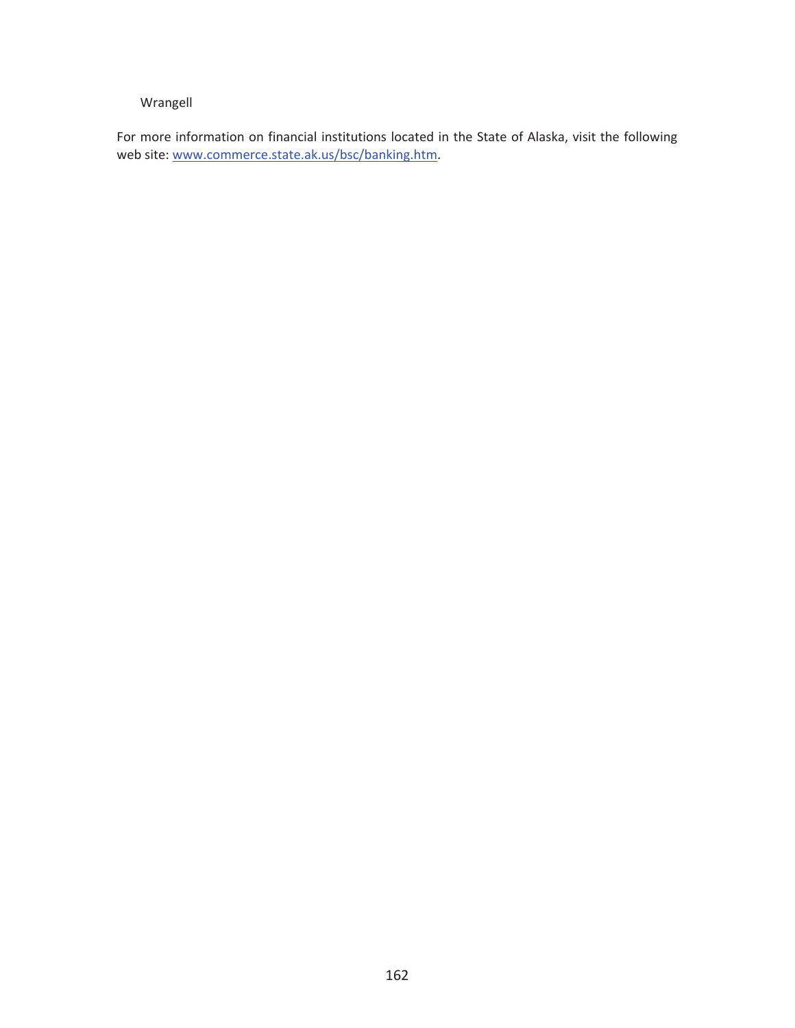### Wrangell

For more information on financial institutions located in the State of Alaska, visit the following web site: www.commerce.state.ak.us/bsc/banking.htm.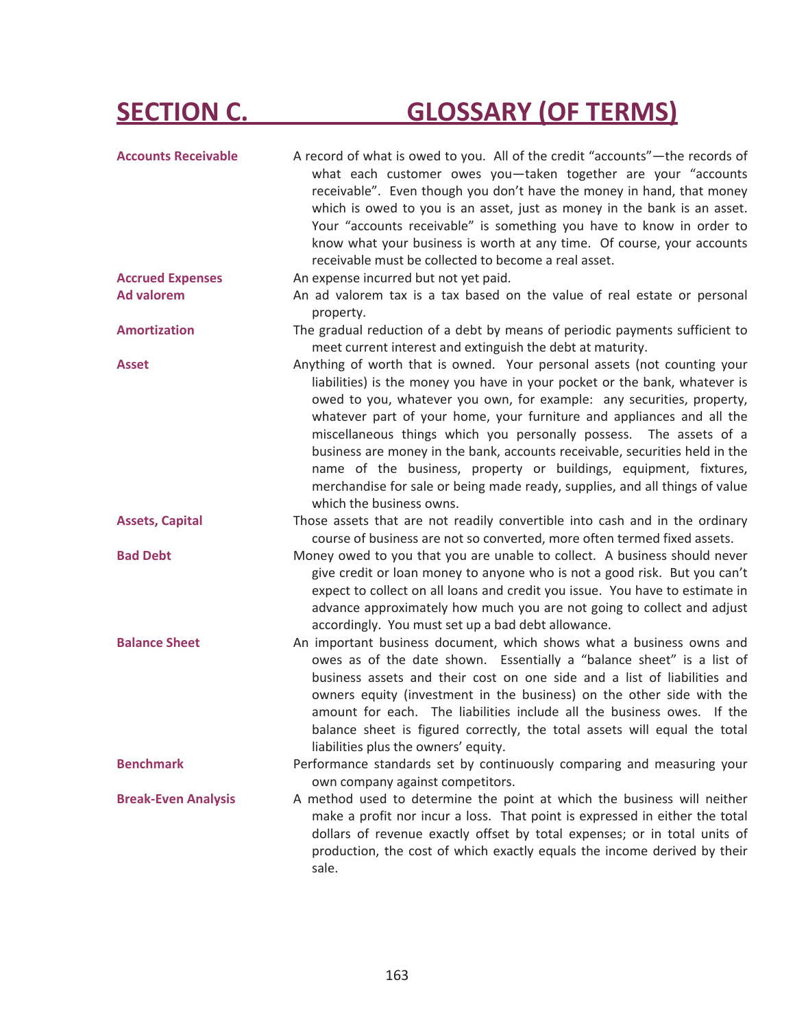## **SECTION C. GLOSSARY (OF TERMS)**

| <b>Accounts Receivable</b> | A record of what is owed to you. All of the credit "accounts"—the records of<br>what each customer owes you-taken together are your "accounts<br>receivable". Even though you don't have the money in hand, that money<br>which is owed to you is an asset, just as money in the bank is an asset.<br>Your "accounts receivable" is something you have to know in order to<br>know what your business is worth at any time. Of course, your accounts<br>receivable must be collected to become a real asset.                                                                                                                                  |
|----------------------------|-----------------------------------------------------------------------------------------------------------------------------------------------------------------------------------------------------------------------------------------------------------------------------------------------------------------------------------------------------------------------------------------------------------------------------------------------------------------------------------------------------------------------------------------------------------------------------------------------------------------------------------------------|
| <b>Accrued Expenses</b>    | An expense incurred but not yet paid.                                                                                                                                                                                                                                                                                                                                                                                                                                                                                                                                                                                                         |
| <b>Ad valorem</b>          | An ad valorem tax is a tax based on the value of real estate or personal<br>property.                                                                                                                                                                                                                                                                                                                                                                                                                                                                                                                                                         |
| <b>Amortization</b>        | The gradual reduction of a debt by means of periodic payments sufficient to<br>meet current interest and extinguish the debt at maturity.                                                                                                                                                                                                                                                                                                                                                                                                                                                                                                     |
| <b>Asset</b>               | Anything of worth that is owned. Your personal assets (not counting your<br>liabilities) is the money you have in your pocket or the bank, whatever is<br>owed to you, whatever you own, for example: any securities, property,<br>whatever part of your home, your furniture and appliances and all the<br>miscellaneous things which you personally possess. The assets of a<br>business are money in the bank, accounts receivable, securities held in the<br>name of the business, property or buildings, equipment, fixtures,<br>merchandise for sale or being made ready, supplies, and all things of value<br>which the business owns. |
| <b>Assets, Capital</b>     | Those assets that are not readily convertible into cash and in the ordinary<br>course of business are not so converted, more often termed fixed assets.                                                                                                                                                                                                                                                                                                                                                                                                                                                                                       |
| <b>Bad Debt</b>            | Money owed to you that you are unable to collect. A business should never<br>give credit or loan money to anyone who is not a good risk. But you can't<br>expect to collect on all loans and credit you issue. You have to estimate in<br>advance approximately how much you are not going to collect and adjust<br>accordingly. You must set up a bad debt allowance.                                                                                                                                                                                                                                                                        |
| <b>Balance Sheet</b>       | An important business document, which shows what a business owns and<br>owes as of the date shown. Essentially a "balance sheet" is a list of<br>business assets and their cost on one side and a list of liabilities and<br>owners equity (investment in the business) on the other side with the<br>amount for each. The liabilities include all the business owes. If the<br>balance sheet is figured correctly, the total assets will equal the total<br>liabilities plus the owners' equity.                                                                                                                                             |
| <b>Benchmark</b>           | Performance standards set by continuously comparing and measuring your<br>own company against competitors.                                                                                                                                                                                                                                                                                                                                                                                                                                                                                                                                    |
| <b>Break-Even Analysis</b> | A method used to determine the point at which the business will neither<br>make a profit nor incur a loss. That point is expressed in either the total<br>dollars of revenue exactly offset by total expenses; or in total units of<br>production, the cost of which exactly equals the income derived by their<br>sale.                                                                                                                                                                                                                                                                                                                      |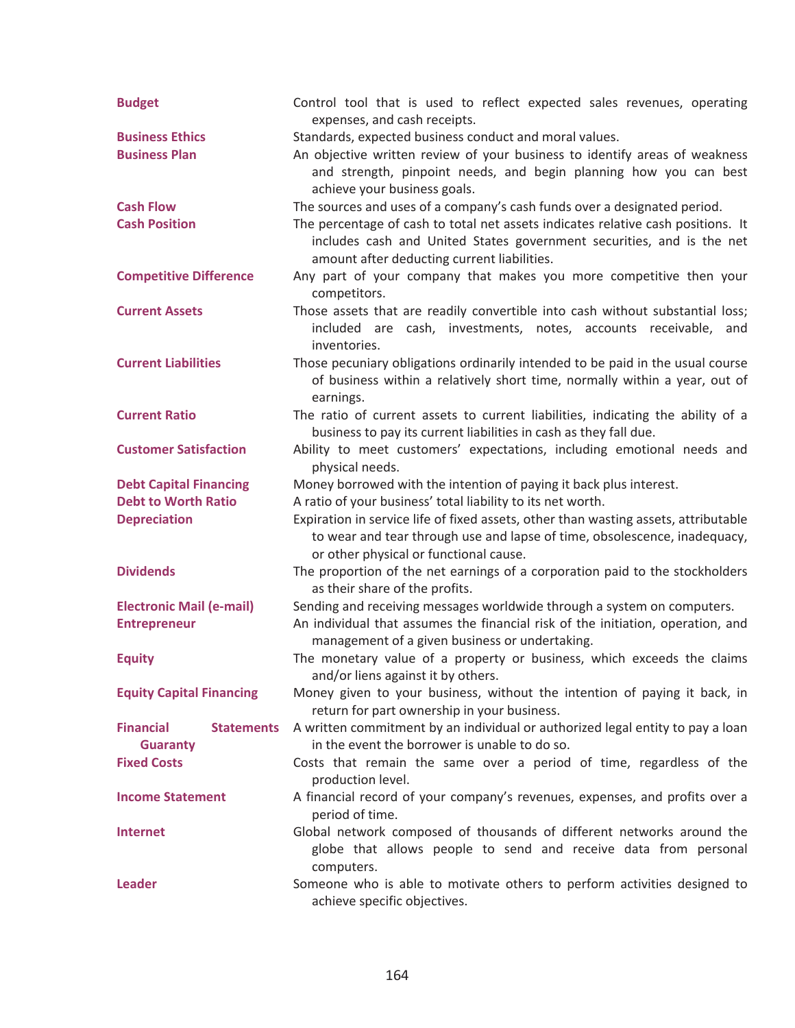| <b>Budget</b>                                            | Control tool that is used to reflect expected sales revenues, operating<br>expenses, and cash receipts.                                                                                                      |  |  |
|----------------------------------------------------------|--------------------------------------------------------------------------------------------------------------------------------------------------------------------------------------------------------------|--|--|
| <b>Business Ethics</b>                                   | Standards, expected business conduct and moral values.                                                                                                                                                       |  |  |
| <b>Business Plan</b>                                     | An objective written review of your business to identify areas of weakness<br>and strength, pinpoint needs, and begin planning how you can best<br>achieve your business goals.                              |  |  |
| <b>Cash Flow</b>                                         | The sources and uses of a company's cash funds over a designated period.                                                                                                                                     |  |  |
| <b>Cash Position</b>                                     | The percentage of cash to total net assets indicates relative cash positions. It<br>includes cash and United States government securities, and is the net<br>amount after deducting current liabilities.     |  |  |
| <b>Competitive Difference</b>                            | Any part of your company that makes you more competitive then your<br>competitors.                                                                                                                           |  |  |
| <b>Current Assets</b>                                    | Those assets that are readily convertible into cash without substantial loss;<br>included are cash, investments, notes, accounts receivable, and<br>inventories.                                             |  |  |
| <b>Current Liabilities</b>                               | Those pecuniary obligations ordinarily intended to be paid in the usual course<br>of business within a relatively short time, normally within a year, out of<br>earnings.                                    |  |  |
| <b>Current Ratio</b>                                     | The ratio of current assets to current liabilities, indicating the ability of a<br>business to pay its current liabilities in cash as they fall due.                                                         |  |  |
| <b>Customer Satisfaction</b>                             | Ability to meet customers' expectations, including emotional needs and<br>physical needs.                                                                                                                    |  |  |
| <b>Debt Capital Financing</b>                            | Money borrowed with the intention of paying it back plus interest.                                                                                                                                           |  |  |
| <b>Debt to Worth Ratio</b>                               | A ratio of your business' total liability to its net worth.                                                                                                                                                  |  |  |
| <b>Depreciation</b>                                      | Expiration in service life of fixed assets, other than wasting assets, attributable<br>to wear and tear through use and lapse of time, obsolescence, inadequacy,<br>or other physical or functional cause.   |  |  |
| <b>Dividends</b>                                         | The proportion of the net earnings of a corporation paid to the stockholders<br>as their share of the profits.                                                                                               |  |  |
| <b>Electronic Mail (e-mail)</b><br><b>Entrepreneur</b>   | Sending and receiving messages worldwide through a system on computers.<br>An individual that assumes the financial risk of the initiation, operation, and<br>management of a given business or undertaking. |  |  |
| <b>Equity</b>                                            | The monetary value of a property or business, which exceeds the claims<br>and/or liens against it by others.                                                                                                 |  |  |
| <b>Equity Capital Financing</b>                          | Money given to your business, without the intention of paying it back, in<br>return for part ownership in your business.                                                                                     |  |  |
| <b>Financial</b><br><b>Statements</b><br><b>Guaranty</b> | A written commitment by an individual or authorized legal entity to pay a loan<br>in the event the borrower is unable to do so.                                                                              |  |  |
| <b>Fixed Costs</b>                                       | Costs that remain the same over a period of time, regardless of the<br>production level.                                                                                                                     |  |  |
| <b>Income Statement</b>                                  | A financial record of your company's revenues, expenses, and profits over a<br>period of time.                                                                                                               |  |  |
| <b>Internet</b>                                          | Global network composed of thousands of different networks around the<br>globe that allows people to send and receive data from personal<br>computers.                                                       |  |  |
| <b>Leader</b>                                            | Someone who is able to motivate others to perform activities designed to<br>achieve specific objectives.                                                                                                     |  |  |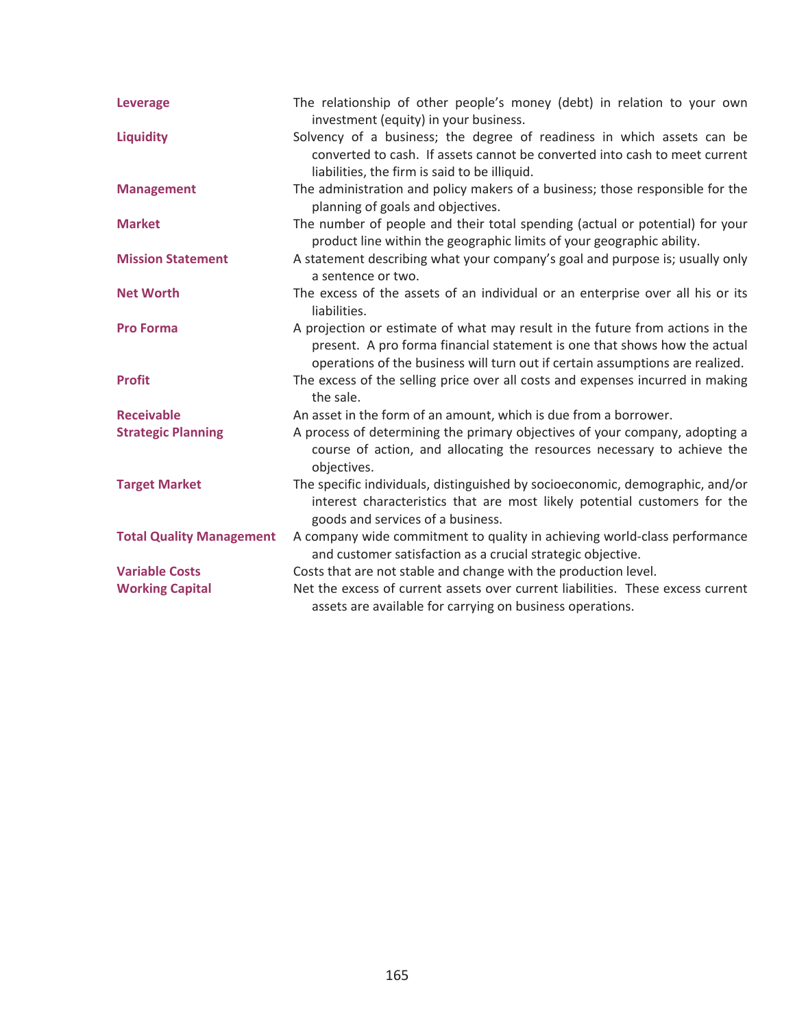| <b>Leverage</b>                 | The relationship of other people's money (debt) in relation to your own<br>investment (equity) in your business.                                                                                                                            |
|---------------------------------|---------------------------------------------------------------------------------------------------------------------------------------------------------------------------------------------------------------------------------------------|
| <b>Liquidity</b>                | Solvency of a business; the degree of readiness in which assets can be<br>converted to cash. If assets cannot be converted into cash to meet current<br>liabilities, the firm is said to be illiquid.                                       |
| <b>Management</b>               | The administration and policy makers of a business; those responsible for the<br>planning of goals and objectives.                                                                                                                          |
| <b>Market</b>                   | The number of people and their total spending (actual or potential) for your<br>product line within the geographic limits of your geographic ability.                                                                                       |
| <b>Mission Statement</b>        | A statement describing what your company's goal and purpose is; usually only<br>a sentence or two.                                                                                                                                          |
| <b>Net Worth</b>                | The excess of the assets of an individual or an enterprise over all his or its<br>liabilities.                                                                                                                                              |
| <b>Pro Forma</b>                | A projection or estimate of what may result in the future from actions in the<br>present. A pro forma financial statement is one that shows how the actual<br>operations of the business will turn out if certain assumptions are realized. |
| <b>Profit</b>                   | The excess of the selling price over all costs and expenses incurred in making<br>the sale.                                                                                                                                                 |
| <b>Receivable</b>               | An asset in the form of an amount, which is due from a borrower.                                                                                                                                                                            |
| <b>Strategic Planning</b>       | A process of determining the primary objectives of your company, adopting a<br>course of action, and allocating the resources necessary to achieve the<br>objectives.                                                                       |
| <b>Target Market</b>            | The specific individuals, distinguished by socioeconomic, demographic, and/or<br>interest characteristics that are most likely potential customers for the<br>goods and services of a business.                                             |
| <b>Total Quality Management</b> | A company wide commitment to quality in achieving world-class performance<br>and customer satisfaction as a crucial strategic objective.                                                                                                    |
| <b>Variable Costs</b>           | Costs that are not stable and change with the production level.                                                                                                                                                                             |
| <b>Working Capital</b>          | Net the excess of current assets over current liabilities. These excess current<br>assets are available for carrying on business operations.                                                                                                |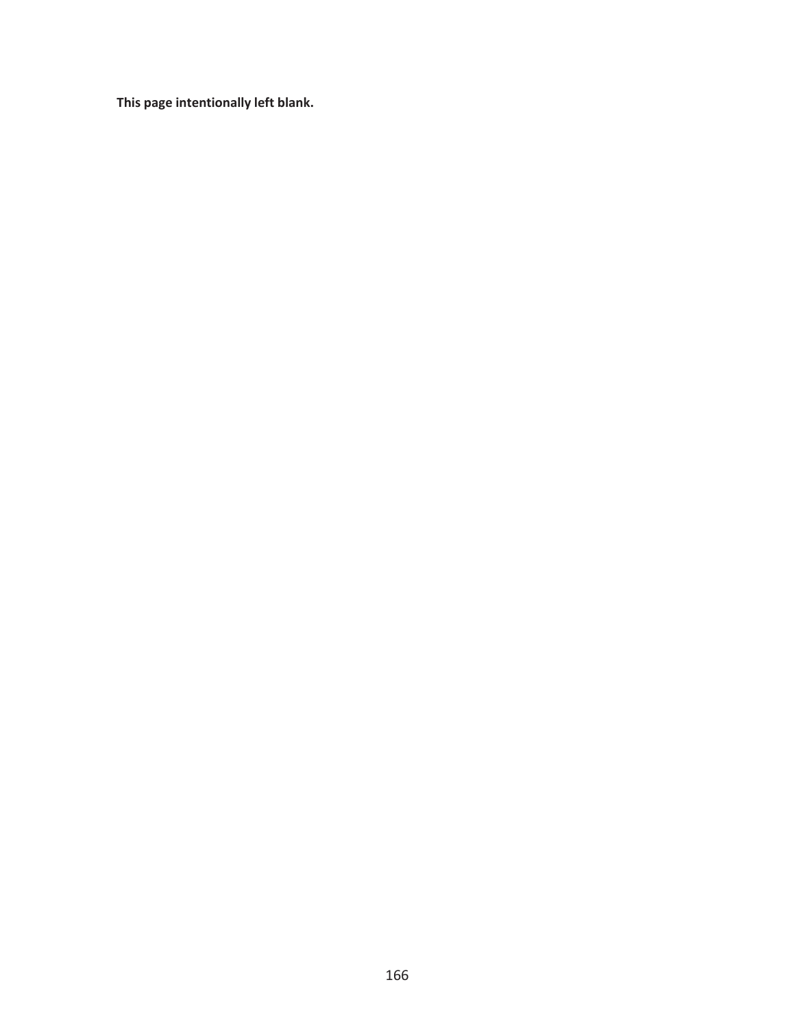**This page intentionally left blank.**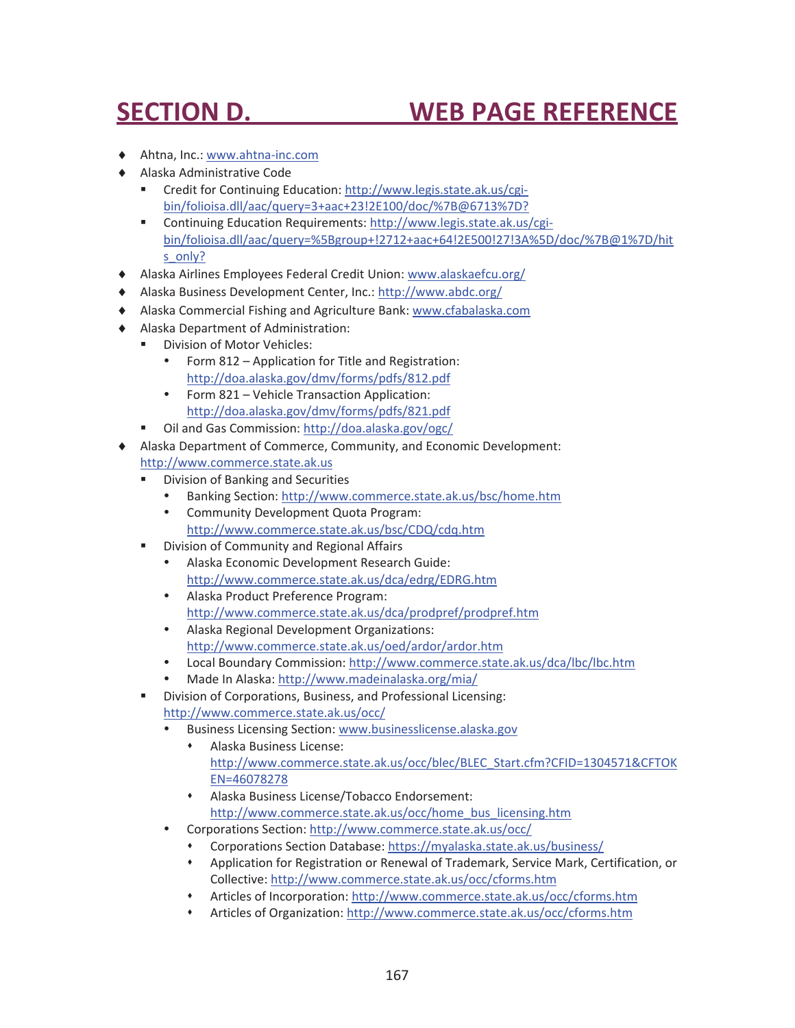# **SECTION D. WEB PAGE REFERENCE**

- ◆ Ahtna, Inc.: www.ahtna-inc.com
- ◆ Alaska Administrative Code
	- Credit for Continuing Education: http://www.legis.state.ak.us/cgibin/folioisa.dll/aac/query=3+aac+23!2E100/doc/%7B@6713%7D?
	- Continuing Education Requirements: http://www.legis.state.ak.us/cgibin/folioisa.dll/aac/query=%5Bgroup+!2712+aac+64!2E500!27!3A%5D/doc/%7B@1%7D/hit s\_only?
- ◆ Alaska Airlines Employees Federal Credit Union: www.alaskaefcu.org/
- ◆ Alaska Business Development Center, Inc.: http://www.abdc.org/
- ◆ Alaska Commercial Fishing and Agriculture Bank: www.cfabalaska.com
- i Alaska Department of Administration:
	- Division of Motor Vehicles:
		- Form 812 Application for Title and Registration: http://doa.alaska.gov/dmv/forms/pdfs/812.pdf
		- Form 821 Vehicle Transaction Application: http://doa.alaska.gov/dmv/forms/pdfs/821.pdf
	- Oil and Gas Commission: http://doa.alaska.gov/ogc/
- i Alaska Department of Commerce, Community, and Economic Development: http://www.commerce.state.ak.us
	- **Division of Banking and Securities** 
		- y Banking Section: http://www.commerce.state.ak.us/bsc/home.htm
		- Community Development Quota Program: http://www.commerce.state.ak.us/bsc/CDQ/cdq.htm
	- **Division of Community and Regional Affairs** 
		- y Alaska Economic Development Research Guide: http://www.commerce.state.ak.us/dca/edrg/EDRG.htm
		- Alaska Product Preference Program: http://www.commerce.state.ak.us/dca/prodpref/prodpref.htm
		- Alaska Regional Development Organizations: http://www.commerce.state.ak.us/oed/ardor/ardor.htm
		- Local Boundary Commission: http://www.commerce.state.ak.us/dca/lbc/lbc.htm
		- Made In Alaska: http://www.madeinalaska.org/mia/
	- Division of Corporations, Business, and Professional Licensing: http://www.commerce.state.ak.us/occ/
		- **•** Business Licensing Section: www.businesslicense.alaska.gov
			- Alaska Business License: http://www.commerce.state.ak.us/occ/blec/BLEC\_Start.cfm?CFID=1304571&CFTOK EN=46078278
			- Alaska Business License/Tobacco Endorsement: http://www.commerce.state.ak.us/occ/home\_bus\_licensing.htm
		- Corporations Section: http://www.commerce.state.ak.us/occ/
			- Corporations Section Database: https://myalaska.state.ak.us/business/
			- Application for Registration or Renewal of Trademark, Service Mark, Certification, or Collective: http://www.commerce.state.ak.us/occ/cforms.htm
			- Articles of Incorporation: http://www.commerce.state.ak.us/occ/cforms.htm
			- Articles of Organization: http://www.commerce.state.ak.us/occ/cforms.htm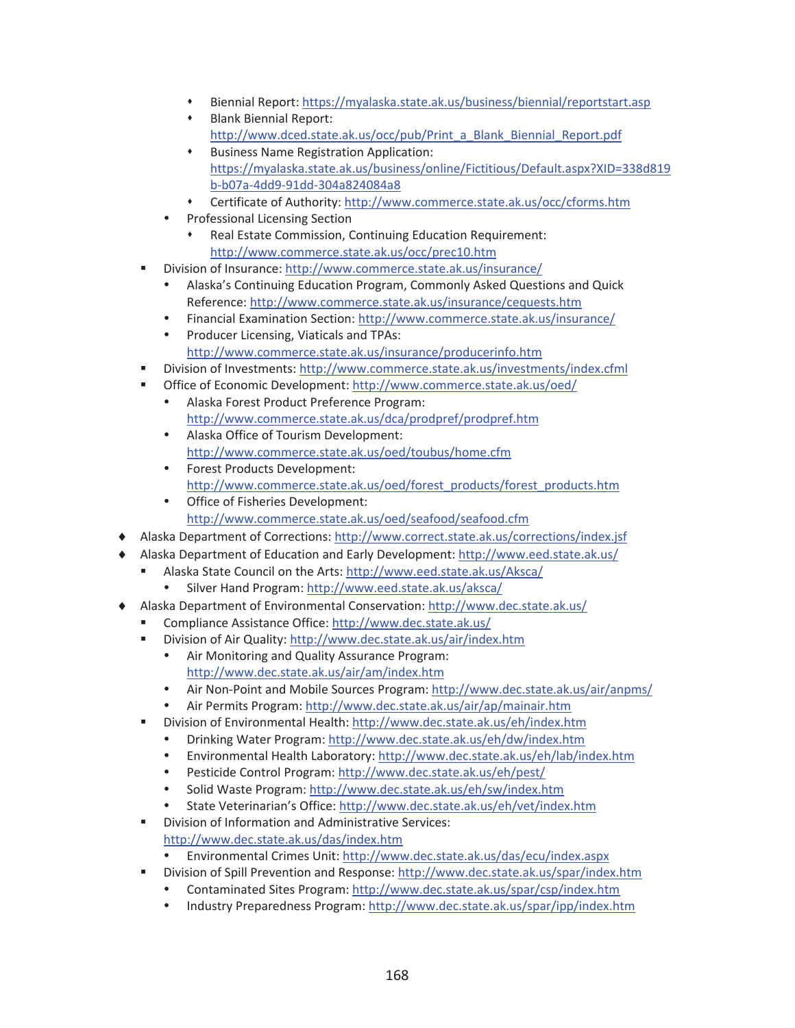- Biennial Report: https://myalaska.state.ak.us/business/biennial/reportstart.asp
- Blank Biennial Report: http://www.dced.state.ak.us/occ/pub/Print\_a\_Blank\_Biennial\_Report.pdf
- **\*** Business Name Registration Application: https://myalaska.state.ak.us/business/online/Fictitious/Default.aspx?XID=338d819 b-b07a-4dd9-91dd-304a824084a8
- Certificate of Authority: http://www.commerce.state.ak.us/occ/cforms.htm
- Professional Licensing Section
	- Real Estate Commission, Continuing Education Requirement: http://www.commerce.state.ak.us/occ/prec10.htm
- Division of Insurance: http://www.commerce.state.ak.us/insurance/
	- Alaska's Continuing Education Program, Commonly Asked Questions and Quick Reference: http://www.commerce.state.ak.us/insurance/cequests.htm
	- y Financial Examination Section: http://www.commerce.state.ak.us/insurance/
	- Producer Licensing, Viaticals and TPAs: http://www.commerce.state.ak.us/insurance/producerinfo.htm
- Division of Investments: http://www.commerce.state.ak.us/investments/index.cfml
- Office of Economic Development: http://www.commerce.state.ak.us/oed/ • Alaska Forest Product Preference Program:
	- http://www.commerce.state.ak.us/dca/prodpref/prodpref.htm
	- Alaska Office of Tourism Development: http://www.commerce.state.ak.us/oed/toubus/home.cfm
	- Forest Products Development: http://www.commerce.state.ak.us/oed/forest\_products/forest\_products.htm
	- Office of Fisheries Development: http://www.commerce.state.ak.us/oed/seafood/seafood.cfm
- Alaska Department of Corrections: http://www.correct.state.ak.us/corrections/index.jsf
- i Alaska Department of Education and Early Development: http://www.eed.state.ak.us/
	- Alaska State Council on the Arts: http://www.eed.state.ak.us/Aksca/
		- Silver Hand Program: http://www.eed.state.ak.us/aksca/
- ◆ Alaska Department of Environmental Conservation: http://www.dec.state.ak.us/
	- Compliance Assistance Office: http://www.dec.state.ak.us/
	- Division of Air Quality: http://www.dec.state.ak.us/air/index.htm
		- Air Monitoring and Quality Assurance Program: http://www.dec.state.ak.us/air/am/index.htm
		- Air Non-Point and Mobile Sources Program: http://www.dec.state.ak.us/air/anpms/
		- Air Permits Program: http://www.dec.state.ak.us/air/ap/mainair.htm
	- Division of Environmental Health: http://www.dec.state.ak.us/eh/index.htm
		- y Drinking Water Program: http://www.dec.state.ak.us/eh/dw/index.htm
		- Environmental Health Laboratory: http://www.dec.state.ak.us/eh/lab/index.htm
		- Pesticide Control Program: http://www.dec.state.ak.us/eh/pest/
		- Solid Waste Program: http://www.dec.state.ak.us/eh/sw/index.htm
		- y State Veterinarian's Office: http://www.dec.state.ak.us/eh/vet/index.htm
	- Division of Information and Administrative Services: http://www.dec.state.ak.us/das/index.htm
		- y Environmental Crimes Unit: http://www.dec.state.ak.us/das/ecu/index.aspx
	- Division of Spill Prevention and Response: http://www.dec.state.ak.us/spar/index.htm
		- Contaminated Sites Program: http://www.dec.state.ak.us/spar/csp/index.htm
		- Industry Preparedness Program: http://www.dec.state.ak.us/spar/ipp/index.htm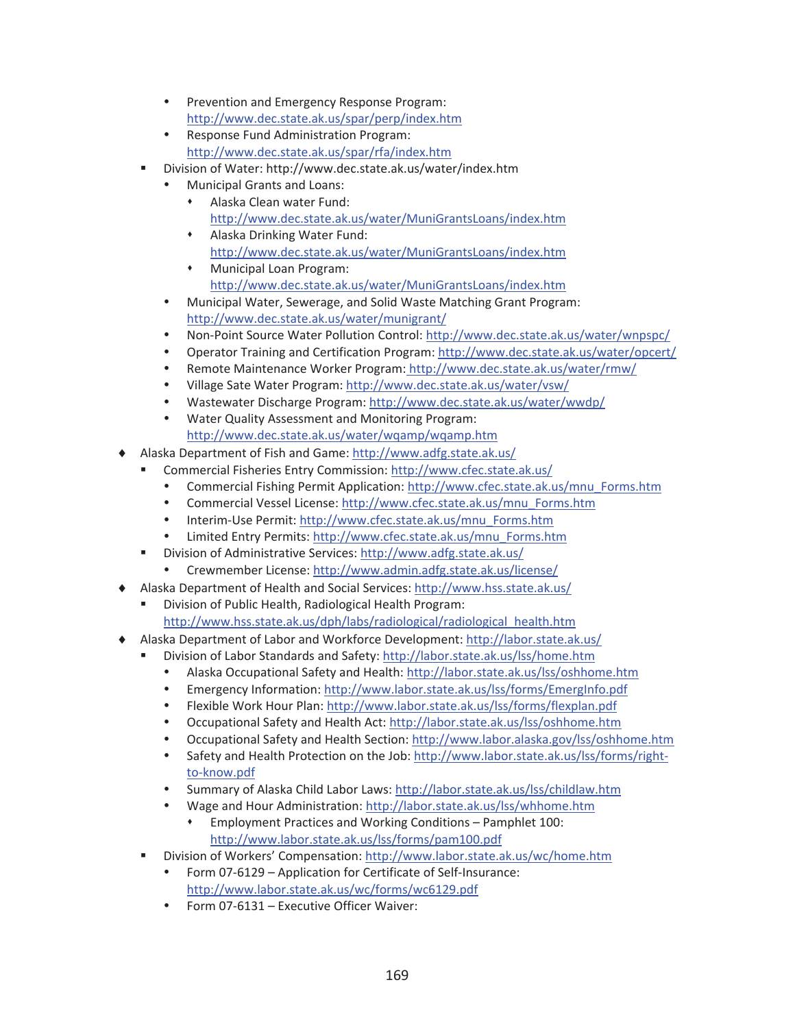- Prevention and Emergency Response Program: http://www.dec.state.ak.us/spar/perp/index.htm
- Response Fund Administration Program: http://www.dec.state.ak.us/spar/rfa/index.htm
- Division of Water: http://www.dec.state.ak.us/water/index.htm
- Municipal Grants and Loans:
	- Alaska Clean water Fund: http://www.dec.state.ak.us/water/MuniGrantsLoans/index.htm
	- Alaska Drinking Water Fund: http://www.dec.state.ak.us/water/MuniGrantsLoans/index.htm Municipal Loan Program:
	- http://www.dec.state.ak.us/water/MuniGrantsLoans/index.htm
	- Municipal Water, Sewerage, and Solid Waste Matching Grant Program: http://www.dec.state.ak.us/water/munigrant/
	- Non-Point Source Water Pollution Control: http://www.dec.state.ak.us/water/wnpspc/
	- y Operator Training and Certification Program: http://www.dec.state.ak.us/water/opcert/
	- y Remote Maintenance Worker Program: http://www.dec.state.ak.us/water/rmw/
	- y Village Sate Water Program: http://www.dec.state.ak.us/water/vsw/
	- y Wastewater Discharge Program: http://www.dec.state.ak.us/water/wwdp/
	- Water Quality Assessment and Monitoring Program: http://www.dec.state.ak.us/water/wqamp/wqamp.htm
- Alaska Department of Fish and Game: http://www.adfg.state.ak.us/
	- Commercial Fisheries Entry Commission: http://www.cfec.state.ak.us/
		- y Commercial Fishing Permit Application: http://www.cfec.state.ak.us/mnu\_Forms.htm
		- y Commercial Vessel License: http://www.cfec.state.ak.us/mnu\_Forms.htm
		- Interim-Use Permit: http://www.cfec.state.ak.us/mnu\_Forms.htm
		- Limited Entry Permits: http://www.cfec.state.ak.us/mnu\_Forms.htm
	- Division of Administrative Services: http://www.adfg.state.ak.us/
		- Crewmember License: http://www.admin.adfg.state.ak.us/license/
- ◆ Alaska Department of Health and Social Services: http://www.hss.state.ak.us/
	- Division of Public Health, Radiological Health Program: http://www.hss.state.ak.us/dph/labs/radiological/radiological\_health.htm
- Alaska Department of Labor and Workforce Development: http://labor.state.ak.us/
	- Division of Labor Standards and Safety: http://labor.state.ak.us/lss/home.htm
		- Alaska Occupational Safety and Health: http://labor.state.ak.us/lss/oshhome.htm
		- Emergency Information: http://www.labor.state.ak.us/lss/forms/EmergInfo.pdf
		- y Flexible Work Hour Plan: http://www.labor.state.ak.us/lss/forms/flexplan.pdf
		- y Occupational Safety and Health Act: http://labor.state.ak.us/lss/oshhome.htm
		- y Occupational Safety and Health Section: http://www.labor.alaska.gov/lss/oshhome.htm
		- Safety and Health Protection on the Job: http://www.labor.state.ak.us/lss/forms/rightto-know.pdf
		- Summary of Alaska Child Labor Laws: http://labor.state.ak.us/lss/childlaw.htm
		- y Wage and Hour Administration: http://labor.state.ak.us/lss/whhome.htm
			- Employment Practices and Working Conditions Pamphlet 100: http://www.labor.state.ak.us/lss/forms/pam100.pdf
	- Division of Workers' Compensation: http://www.labor.state.ak.us/wc/home.htm
		- Form 07-6129 Application for Certificate of Self-Insurance: http://www.labor.state.ak.us/wc/forms/wc6129.pdf
		- Form 07-6131 Executive Officer Waiver: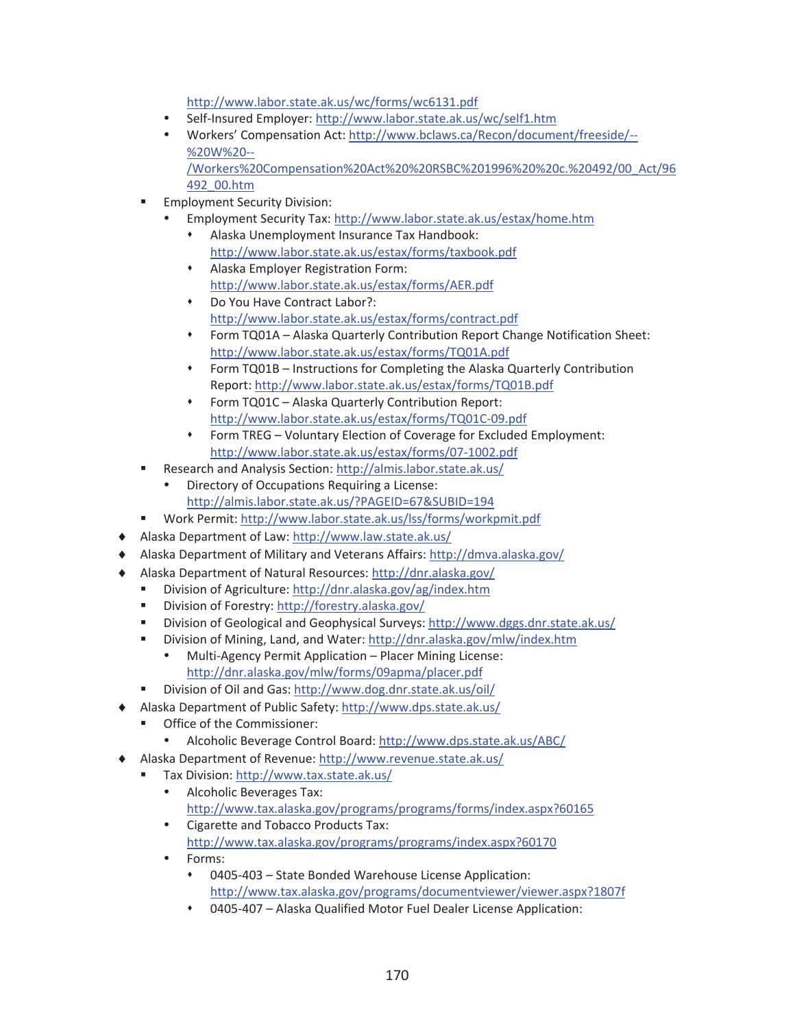http://www.labor.state.ak.us/wc/forms/wc6131.pdf

- Self-Insured Employer: http://www.labor.state.ak.us/wc/self1.htm
- Workers' Compensation Act: http://www.bclaws.ca/Recon/document/freeside/--%20W%20--/Workers%20Compensation%20Act%20%20RSBC%201996%20%20c.%20492/00\_Act/96 492\_00.htm
- Employment Security Division:
	- y Employment Security Tax: http://www.labor.state.ak.us/estax/home.htm
		- Alaska Unemployment Insurance Tax Handbook: http://www.labor.state.ak.us/estax/forms/taxbook.pdf
		- Alaska Employer Registration Form: http://www.labor.state.ak.us/estax/forms/AER.pdf
		- Do You Have Contract Labor?: http://www.labor.state.ak.us/estax/forms/contract.pdf
		- Form TQ01A Alaska Quarterly Contribution Report Change Notification Sheet: http://www.labor.state.ak.us/estax/forms/TQ01A.pdf
		- Form TQ01B Instructions for Completing the Alaska Quarterly Contribution Report: http://www.labor.state.ak.us/estax/forms/TQ01B.pdf
		- Form TQ01C Alaska Quarterly Contribution Report: http://www.labor.state.ak.us/estax/forms/TQ01C-09.pdf
		- Form TREG Voluntary Election of Coverage for Excluded Employment: http://www.labor.state.ak.us/estax/forms/07-1002.pdf
- Research and Analysis Section: http://almis.labor.state.ak.us/
	- Directory of Occupations Requiring a License: http://almis.labor.state.ak.us/?PAGEID=67&SUBID=194
- Work Permit: http://www.labor.state.ak.us/lss/forms/workpmit.pdf
- ◆ Alaska Department of Law: http://www.law.state.ak.us/
- i Alaska Department of Military and Veterans Affairs: http://dmva.alaska.gov/
- i Alaska Department of Natural Resources: http://dnr.alaska.gov/
	- Division of Agriculture: http://dnr.alaska.gov/ag/index.htm
	- Division of Forestry: http://forestry.alaska.gov/
	- Division of Geological and Geophysical Surveys: http://www.dggs.dnr.state.ak.us/
	- Division of Mining, Land, and Water: http://dnr.alaska.gov/mlw/index.htm Multi-Agency Permit Application – Placer Mining License:
		- http://dnr.alaska.gov/mlw/forms/09apma/placer.pdf
	- Division of Oil and Gas: http://www.dog.dnr.state.ak.us/oil/
- ◆ Alaska Department of Public Safety: http://www.dps.state.ak.us/
	- Office of the Commissioner:
		- y Alcoholic Beverage Control Board: http://www.dps.state.ak.us/ABC/
- ◆ Alaska Department of Revenue: http://www.revenue.state.ak.us/
	- Tax Division: http://www.tax.state.ak.us/
		- Alcoholic Beverages Tax: http://www.tax.alaska.gov/programs/programs/forms/index.aspx?60165
		- Cigarette and Tobacco Products Tax: http://www.tax.alaska.gov/programs/programs/index.aspx?60170
		- Forms:
			- ◆ 0405-403 State Bonded Warehouse License Application: http://www.tax.alaska.gov/programs/documentviewer/viewer.aspx?1807f
			- ◆ 0405-407 Alaska Qualified Motor Fuel Dealer License Application: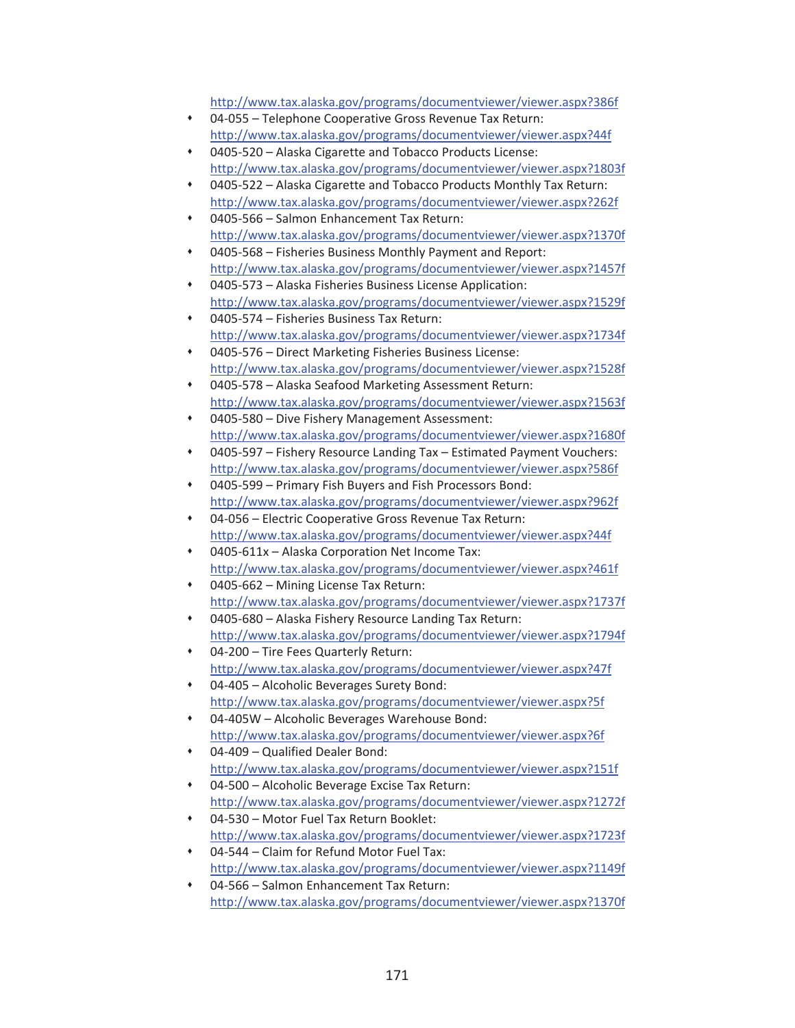http://www.tax.alaska.gov/programs/documentviewer/viewer.aspx?386f

- ◆ 04-055 Telephone Cooperative Gross Revenue Tax Return: http://www.tax.alaska.gov/programs/documentviewer/viewer.aspx?44f
- ◆ 0405-520 Alaska Cigarette and Tobacco Products License: http://www.tax.alaska.gov/programs/documentviewer/viewer.aspx?1803f
- ◆ 0405-522 Alaska Cigarette and Tobacco Products Monthly Tax Return: http://www.tax.alaska.gov/programs/documentviewer/viewer.aspx?262f
- ◆ 0405-566 Salmon Enhancement Tax Return: http://www.tax.alaska.gov/programs/documentviewer/viewer.aspx?1370f
- ◆ 0405-568 Fisheries Business Monthly Payment and Report: http://www.tax.alaska.gov/programs/documentviewer/viewer.aspx?1457f
- ◆ 0405-573 Alaska Fisheries Business License Application: http://www.tax.alaska.gov/programs/documentviewer/viewer.aspx?1529f
- ◆ 0405-574 Fisheries Business Tax Return: http://www.tax.alaska.gov/programs/documentviewer/viewer.aspx?1734f
- ◆ 0405-576 Direct Marketing Fisheries Business License: http://www.tax.alaska.gov/programs/documentviewer/viewer.aspx?1528f
- ◆ 0405-578 Alaska Seafood Marketing Assessment Return: http://www.tax.alaska.gov/programs/documentviewer/viewer.aspx?1563f
- ◆ 0405-580 Dive Fishery Management Assessment: http://www.tax.alaska.gov/programs/documentviewer/viewer.aspx?1680f
- 0405-597 Fishery Resource Landing Tax Estimated Payment Vouchers: http://www.tax.alaska.gov/programs/documentviewer/viewer.aspx?586f
- ◆ 0405-599 Primary Fish Buyers and Fish Processors Bond: http://www.tax.alaska.gov/programs/documentviewer/viewer.aspx?962f
- ◆ 04-056 Electric Cooperative Gross Revenue Tax Return: http://www.tax.alaska.gov/programs/documentviewer/viewer.aspx?44f
- ◆ 0405-611x Alaska Corporation Net Income Tax: http://www.tax.alaska.gov/programs/documentviewer/viewer.aspx?461f
- ◆ 0405-662 Mining License Tax Return: http://www.tax.alaska.gov/programs/documentviewer/viewer.aspx?1737f
- ◆ 0405-680 Alaska Fishery Resource Landing Tax Return: http://www.tax.alaska.gov/programs/documentviewer/viewer.aspx?1794f
- ◆ 04-200 Tire Fees Quarterly Return: http://www.tax.alaska.gov/programs/documentviewer/viewer.aspx?47f
- 04-405 Alcoholic Beverages Surety Bond: http://www.tax.alaska.gov/programs/documentviewer/viewer.aspx?5f
- ◆ 04-405W Alcoholic Beverages Warehouse Bond: http://www.tax.alaska.gov/programs/documentviewer/viewer.aspx?6f
- ◆ 04-409 Qualified Dealer Bond: http://www.tax.alaska.gov/programs/documentviewer/viewer.aspx?151f
- ◆ 04-500 Alcoholic Beverage Excise Tax Return: http://www.tax.alaska.gov/programs/documentviewer/viewer.aspx?1272f
- ◆ 04-530 Motor Fuel Tax Return Booklet: http://www.tax.alaska.gov/programs/documentviewer/viewer.aspx?1723f
- ◆ 04-544 Claim for Refund Motor Fuel Tax: http://www.tax.alaska.gov/programs/documentviewer/viewer.aspx?1149f
- ◆ 04-566 Salmon Enhancement Tax Return: http://www.tax.alaska.gov/programs/documentviewer/viewer.aspx?1370f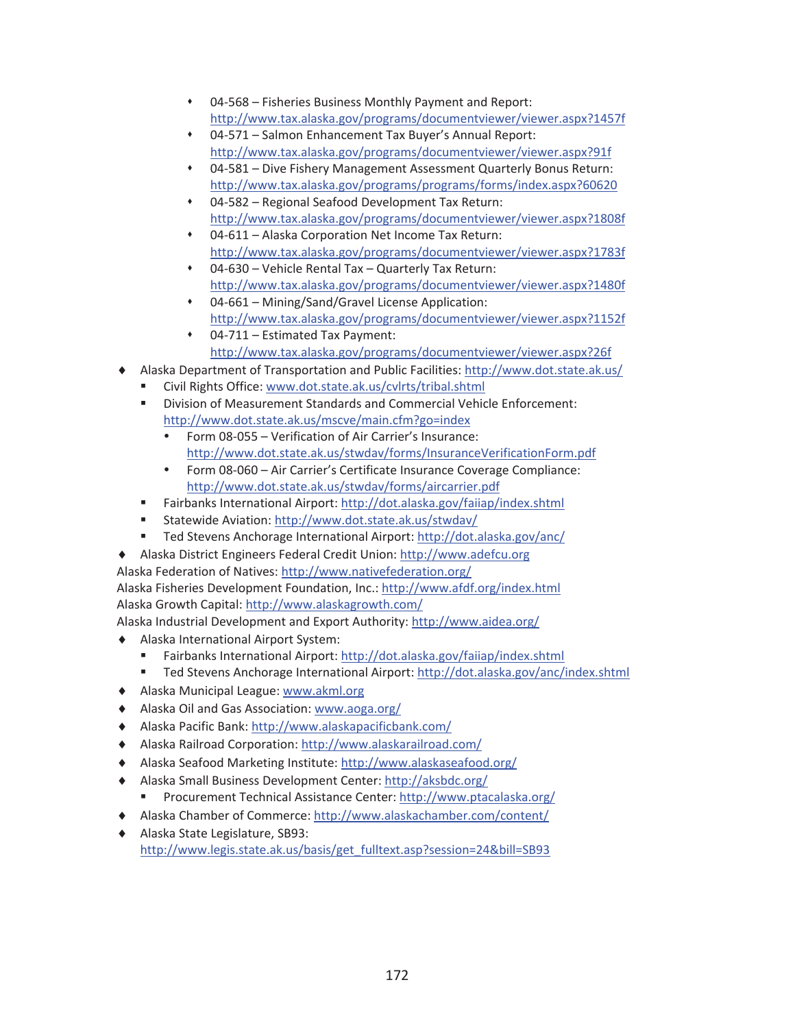- ◆ 04-568 Fisheries Business Monthly Payment and Report: http://www.tax.alaska.gov/programs/documentviewer/viewer.aspx?1457f
- ◆ 04-571 Salmon Enhancement Tax Buyer's Annual Report: http://www.tax.alaska.gov/programs/documentviewer/viewer.aspx?91f
- ◆ 04-581 Dive Fishery Management Assessment Quarterly Bonus Return: http://www.tax.alaska.gov/programs/programs/forms/index.aspx?60620
- ◆ 04-582 Regional Seafood Development Tax Return: http://www.tax.alaska.gov/programs/documentviewer/viewer.aspx?1808f
- ◆ 04-611 Alaska Corporation Net Income Tax Return: http://www.tax.alaska.gov/programs/documentviewer/viewer.aspx?1783f
- ◆ 04-630 Vehicle Rental Tax Quarterly Tax Return: http://www.tax.alaska.gov/programs/documentviewer/viewer.aspx?1480f
- ◆ 04-661 Mining/Sand/Gravel License Application: http://www.tax.alaska.gov/programs/documentviewer/viewer.aspx?1152f
- ◆ 04-711 Estimated Tax Payment: http://www.tax.alaska.gov/programs/documentviewer/viewer.aspx?26f
- i Alaska Department of Transportation and Public Facilities: http://www.dot.state.ak.us/
	- Civil Rights Office: www.dot.state.ak.us/cvlrts/tribal.shtml
	- Division of Measurement Standards and Commercial Vehicle Enforcement: http://www.dot.state.ak.us/mscve/main.cfm?go=index
		- Form 08-055 Verification of Air Carrier's Insurance: http://www.dot.state.ak.us/stwdav/forms/InsuranceVerificationForm.pdf
		- Form 08-060 Air Carrier's Certificate Insurance Coverage Compliance: http://www.dot.state.ak.us/stwdav/forms/aircarrier.pdf
	- Fairbanks International Airport: http://dot.alaska.gov/faiiap/index.shtml
	- Statewide Aviation: http://www.dot.state.ak.us/stwdav/
	- Ted Stevens Anchorage International Airport: http://dot.alaska.gov/anc/
- ◆ Alaska District Engineers Federal Credit Union: http://www.adefcu.org Alaska Federation of Natives: http://www.nativefederation.org/

Alaska Fisheries Development Foundation, Inc.: http://www.afdf.org/index.html Alaska Growth Capital: http://www.alaskagrowth.com/

Alaska Industrial Development and Export Authority: http://www.aidea.org/

- i Alaska International Airport System:
	- Fairbanks International Airport: http://dot.alaska.gov/faiiap/index.shtml
	- Ted Stevens Anchorage International Airport: http://dot.alaska.gov/anc/index.shtml
- ◆ Alaska Municipal League: www.akml.org
- ◆ Alaska Oil and Gas Association: www.aoga.org/
- ◆ Alaska Pacific Bank: http://www.alaskapacificbank.com/
- i Alaska Railroad Corporation: http://www.alaskarailroad.com/
- ◆ Alaska Seafood Marketing Institute: http://www.alaskaseafood.org/
- i Alaska Small Business Development Center: http://aksbdc.org/
	- Procurement Technical Assistance Center: http://www.ptacalaska.org/
- ◆ Alaska Chamber of Commerce: http://www.alaskachamber.com/content/
- ◆ Alaska State Legislature, SB93: http://www.legis.state.ak.us/basis/get\_fulltext.asp?session=24&bill=SB93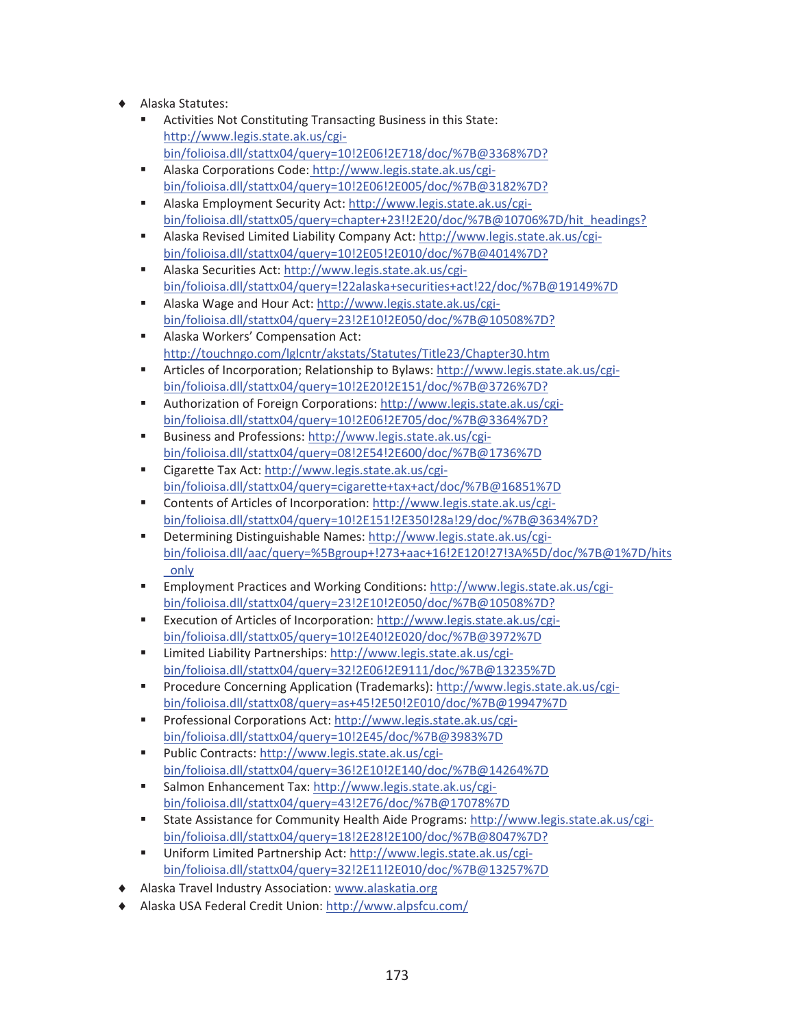- ◆ Alaska Statutes:
	- Activities Not Constituting Transacting Business in this State: http://www.legis.state.ak.us/cgibin/folioisa.dll/stattx04/query=10!2E06!2E718/doc/%7B@3368%7D?
	- Alaska Corporations Code: http://www.legis.state.ak.us/cgibin/folioisa.dll/stattx04/query=10!2E06!2E005/doc/%7B@3182%7D?
	- Alaska Employment Security Act: http://www.legis.state.ak.us/cgibin/folioisa.dll/stattx05/query=chapter+23!!2E20/doc/%7B@10706%7D/hit\_headings?
	- Alaska Revised Limited Liability Company Act: http://www.legis.state.ak.us/cgibin/folioisa.dll/stattx04/query=10!2E05!2E010/doc/%7B@4014%7D?
	- Alaska Securities Act: http://www.legis.state.ak.us/cgibin/folioisa.dll/stattx04/query=!22alaska+securities+act!22/doc/%7B@19149%7D
	- Alaska Wage and Hour Act: http://www.legis.state.ak.us/cgibin/folioisa.dll/stattx04/query=23!2E10!2E050/doc/%7B@10508%7D?
	- **Alaska Workers' Compensation Act:** http://touchngo.com/lglcntr/akstats/Statutes/Title23/Chapter30.htm
	- Articles of Incorporation; Relationship to Bylaws: http://www.legis.state.ak.us/cgibin/folioisa.dll/stattx04/query=10!2E20!2E151/doc/%7B@3726%7D?
	- Authorization of Foreign Corporations: http://www.legis.state.ak.us/cgibin/folioisa.dll/stattx04/query=10!2E06!2E705/doc/%7B@3364%7D?
	- Business and Professions: http://www.legis.state.ak.us/cgibin/folioisa.dll/stattx04/query=08!2E54!2E600/doc/%7B@1736%7D
	- Cigarette Tax Act: http://www.legis.state.ak.us/cgibin/folioisa.dll/stattx04/query=cigarette+tax+act/doc/%7B@16851%7D
	- Contents of Articles of Incorporation: http://www.legis.state.ak.us/cgibin/folioisa.dll/stattx04/query=10!2E151!2E350!28a!29/doc/%7B@3634%7D?
	- Determining Distinguishable Names: http://www.legis.state.ak.us/cgibin/folioisa.dll/aac/query=%5Bgroup+!273+aac+16!2E120!27!3A%5D/doc/%7B@1%7D/hits \_only
	- Employment Practices and Working Conditions: http://www.legis.state.ak.us/cgibin/folioisa.dll/stattx04/query=23!2E10!2E050/doc/%7B@10508%7D?
	- Execution of Articles of Incorporation: http://www.legis.state.ak.us/cgibin/folioisa.dll/stattx05/query=10!2E40!2E020/doc/%7B@3972%7D
	- Limited Liability Partnerships: http://www.legis.state.ak.us/cgibin/folioisa.dll/stattx04/query=32!2E06!2E9111/doc/%7B@13235%7D
	- Procedure Concerning Application (Trademarks): http://www.legis.state.ak.us/cgibin/folioisa.dll/stattx08/query=as+45!2E50!2E010/doc/%7B@19947%7D
	- Professional Corporations Act: http://www.legis.state.ak.us/cgibin/folioisa.dll/stattx04/query=10!2E45/doc/%7B@3983%7D
	- Public Contracts: http://www.legis.state.ak.us/cgibin/folioisa.dll/stattx04/query=36!2E10!2E140/doc/%7B@14264%7D
	- Salmon Enhancement Tax: http://www.legis.state.ak.us/cgibin/folioisa.dll/stattx04/query=43!2E76/doc/%7B@17078%7D
	- State Assistance for Community Health Aide Programs: http://www.legis.state.ak.us/cgibin/folioisa.dll/stattx04/query=18!2E28!2E100/doc/%7B@8047%7D?
	- Uniform Limited Partnership Act: http://www.legis.state.ak.us/cgibin/folioisa.dll/stattx04/query=32!2E11!2E010/doc/%7B@13257%7D
- ◆ Alaska Travel Industry Association: www.alaskatia.org
- ◆ Alaska USA Federal Credit Union: http://www.alpsfcu.com/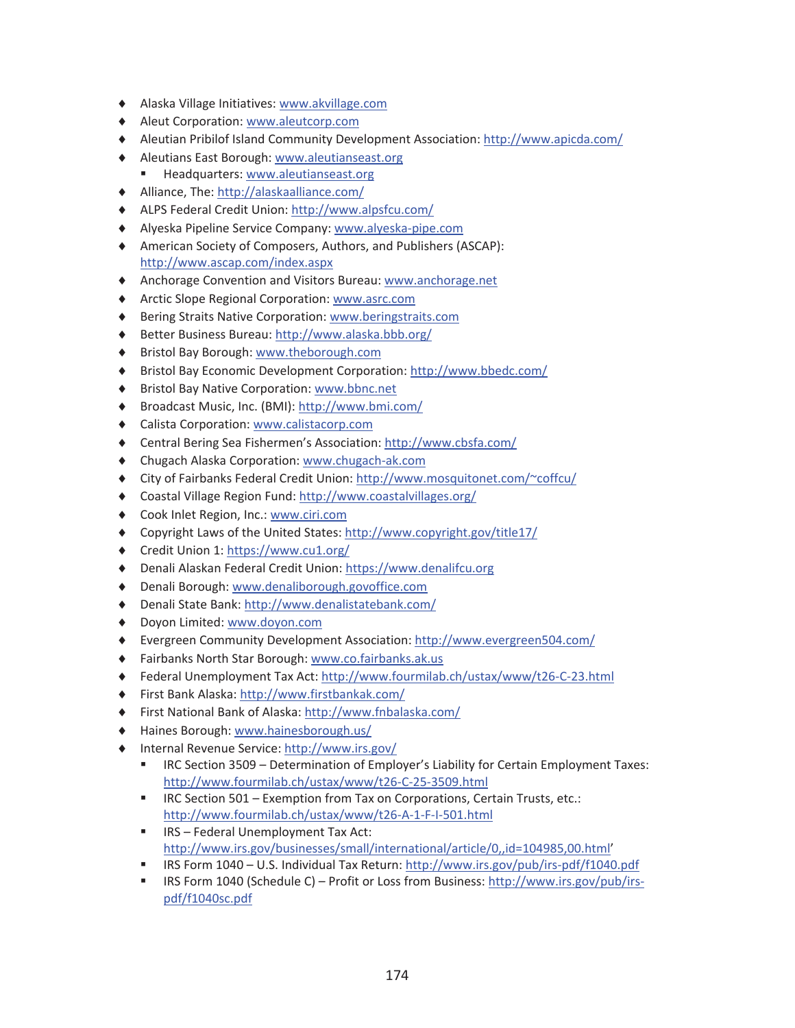- ◆ Alaska Village Initiatives: www.akvillage.com
- ◆ Aleut Corporation: www.aleutcorp.com
- i Aleutian Pribilof Island Community Development Association: http://www.apicda.com/
- ◆ Aleutians East Borough: www.aleutianseast.org
	- Headquarters: www.aleutianseast.org
- ◆ Alliance, The: http://alaskaalliance.com/
- ◆ ALPS Federal Credit Union: http://www.alpsfcu.com/
- ◆ Alyeska Pipeline Service Company: www.alyeska-pipe.com
- ◆ American Society of Composers, Authors, and Publishers (ASCAP): http://www.ascap.com/index.aspx
- ◆ Anchorage Convention and Visitors Bureau: www.anchorage.net
- ◆ Arctic Slope Regional Corporation: www.asrc.com
- ◆ Bering Straits Native Corporation: www.beringstraits.com
- ◆ Better Business Bureau: http://www.alaska.bbb.org/
- ◆ Bristol Bay Borough: www.theborough.com
- ◆ Bristol Bay Economic Development Corporation: http://www.bbedc.com/
- ◆ Bristol Bay Native Corporation: www.bbnc.net
- ◆ Broadcast Music, Inc. (BMI): http://www.bmi.com/
- ◆ Calista Corporation: www.calistacorp.com
- ◆ Central Bering Sea Fishermen's Association: http://www.cbsfa.com/
- $\bullet$  Chugach Alaska Corporation: www.chugach-ak.com
- ◆ City of Fairbanks Federal Credit Union: http://www.mosquitonet.com/~coffcu/
- ◆ Coastal Village Region Fund: http://www.coastalvillages.org/
- ◆ Cook Inlet Region, Inc.: www.ciri.com
- ◆ Copyright Laws of the United States: http://www.copyright.gov/title17/
- ◆ Credit Union 1: https://www.cu1.org/
- ◆ Denali Alaskan Federal Credit Union: https://www.denalifcu.org
- ◆ Denali Borough: www.denaliborough.govoffice.com
- ◆ Denali State Bank: http://www.denalistatebank.com/
- ◆ Doyon Limited: www.doyon.com
- i Evergreen Community Development Association: http://www.evergreen504.com/
- ◆ Fairbanks North Star Borough: www.co.fairbanks.ak.us
- $\blacklozenge$  Federal Unemployment Tax Act: http://www.fourmilab.ch/ustax/www/t26-C-23.html
- ◆ First Bank Alaska: http://www.firstbankak.com/
- ◆ First National Bank of Alaska: http://www.fnbalaska.com/
- i Haines Borough: www.hainesborough.us/
- ◆ Internal Revenue Service: http://www.irs.gov/
	- **IRC Section 3509 Determination of Employer's Liability for Certain Employment Taxes:** http://www.fourmilab.ch/ustax/www/t26-C-25-3509.html
	- **IRC Section 501 Exemption from Tax on Corporations, Certain Trusts, etc.:** http://www.fourmilab.ch/ustax/www/t26-A-1-F-I-501.html
	- **IRS Federal Unemployment Tax Act:** http://www.irs.gov/businesses/small/international/article/0,,id=104985,00.html'
	- IRS Form 1040 U.S. Individual Tax Return: http://www.irs.gov/pub/irs-pdf/f1040.pdf
	- IRS Form 1040 (Schedule C) Profit or Loss from Business: http://www.irs.gov/pub/irspdf/f1040sc.pdf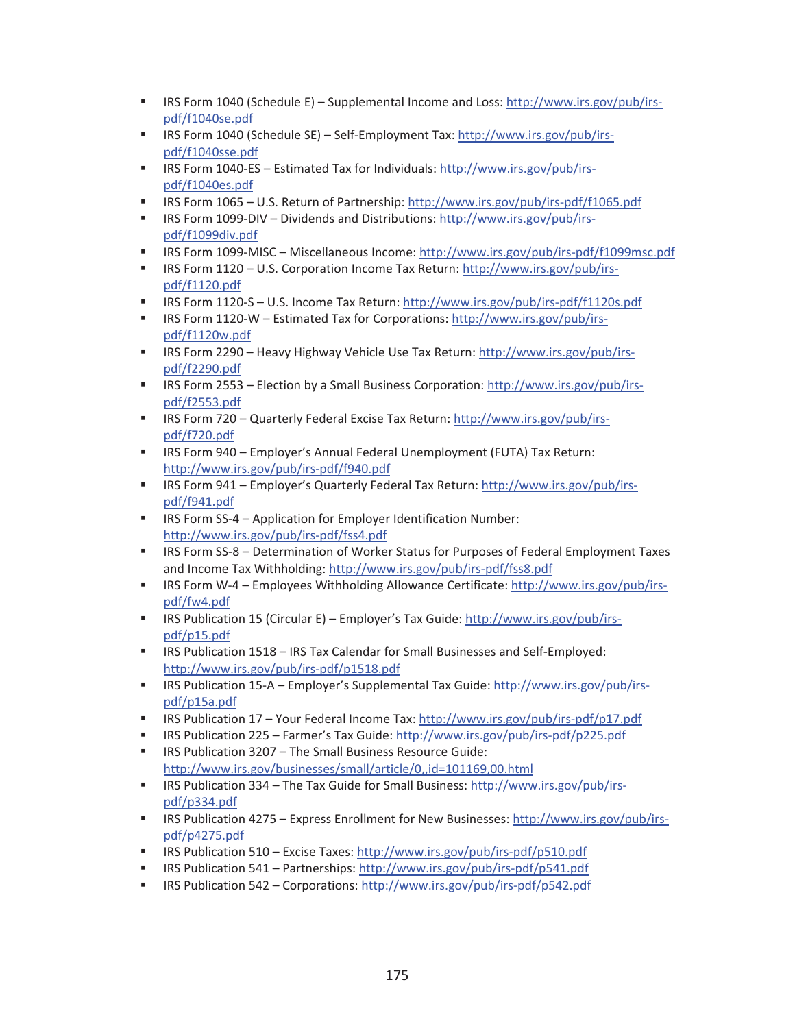- IRS Form 1040 (Schedule E) Supplemental Income and Loss: http://www.irs.gov/pub/irspdf/f1040se.pdf
- IRS Form 1040 (Schedule SE) Self-Employment Tax: http://www.irs.gov/pub/irspdf/f1040sse.pdf
- IRS Form 1040-ES Estimated Tax for Individuals: http://www.irs.gov/pub/irspdf/f1040es.pdf
- IRS Form 1065 U.S. Return of Partnership: http://www.irs.gov/pub/irs-pdf/f1065.pdf
- IRS Form 1099-DIV Dividends and Distributions: http://www.irs.gov/pub/irspdf/f1099div.pdf
- IRS Form 1099-MISC Miscellaneous Income: http://www.irs.gov/pub/irs-pdf/f1099msc.pdf
- IRS Form 1120 U.S. Corporation Income Tax Return: http://www.irs.gov/pub/irspdf/f1120.pdf
- IRS Form 1120-S U.S. Income Tax Return: http://www.irs.gov/pub/irs-pdf/f1120s.pdf
- **IRS Form 1120-W Estimated Tax for Corporations: http://www.irs.gov/pub/irs**pdf/f1120w.pdf
- IRS Form 2290 Heavy Highway Vehicle Use Tax Return: http://www.irs.gov/pub/irspdf/f2290.pdf
- IRS Form 2553 Election by a Small Business Corporation: http://www.irs.gov/pub/irspdf/f2553.pdf
- IRS Form 720 Quarterly Federal Excise Tax Return: http://www.irs.gov/pub/irspdf/f720.pdf
- **IRS Form 940 Employer's Annual Federal Unemployment (FUTA) Tax Return:** http://www.irs.gov/pub/irs-pdf/f940.pdf
- IRS Form 941 Employer's Quarterly Federal Tax Return: http://www.irs.gov/pub/irspdf/f941.pdf
- IRS Form SS-4 Application for Employer Identification Number: http://www.irs.gov/pub/irs-pdf/fss4.pdf
- IRS Form SS-8 Determination of Worker Status for Purposes of Federal Employment Taxes and Income Tax Withholding: http://www.irs.gov/pub/irs-pdf/fss8.pdf
- IRS Form W-4 Employees Withholding Allowance Certificate: http://www.irs.gov/pub/irspdf/fw4.pdf
- IRS Publication 15 (Circular E) Employer's Tax Guide: http://www.irs.gov/pub/irspdf/p15.pdf
- IRS Publication 1518 IRS Tax Calendar for Small Businesses and Self-Employed: http://www.irs.gov/pub/irs-pdf/p1518.pdf
- IRS Publication 15-A Employer's Supplemental Tax Guide: http://www.irs.gov/pub/irspdf/p15a.pdf
- IRS Publication 17 Your Federal Income Tax: http://www.irs.gov/pub/irs-pdf/p17.pdf
- IRS Publication 225 Farmer's Tax Guide: http://www.irs.gov/pub/irs-pdf/p225.pdf
- **IRS Publication 3207 The Small Business Resource Guide:** http://www.irs.gov/businesses/small/article/0,,id=101169,00.html
- IRS Publication 334 The Tax Guide for Small Business: http://www.irs.gov/pub/irspdf/p334.pdf
- IRS Publication 4275 Express Enrollment for New Businesses: http://www.irs.gov/pub/irspdf/p4275.pdf
- IRS Publication 510 Excise Taxes: http://www.irs.gov/pub/irs-pdf/p510.pdf
- IRS Publication 541 Partnerships: http://www.irs.gov/pub/irs-pdf/p541.pdf
- IRS Publication 542 Corporations: http://www.irs.gov/pub/irs-pdf/p542.pdf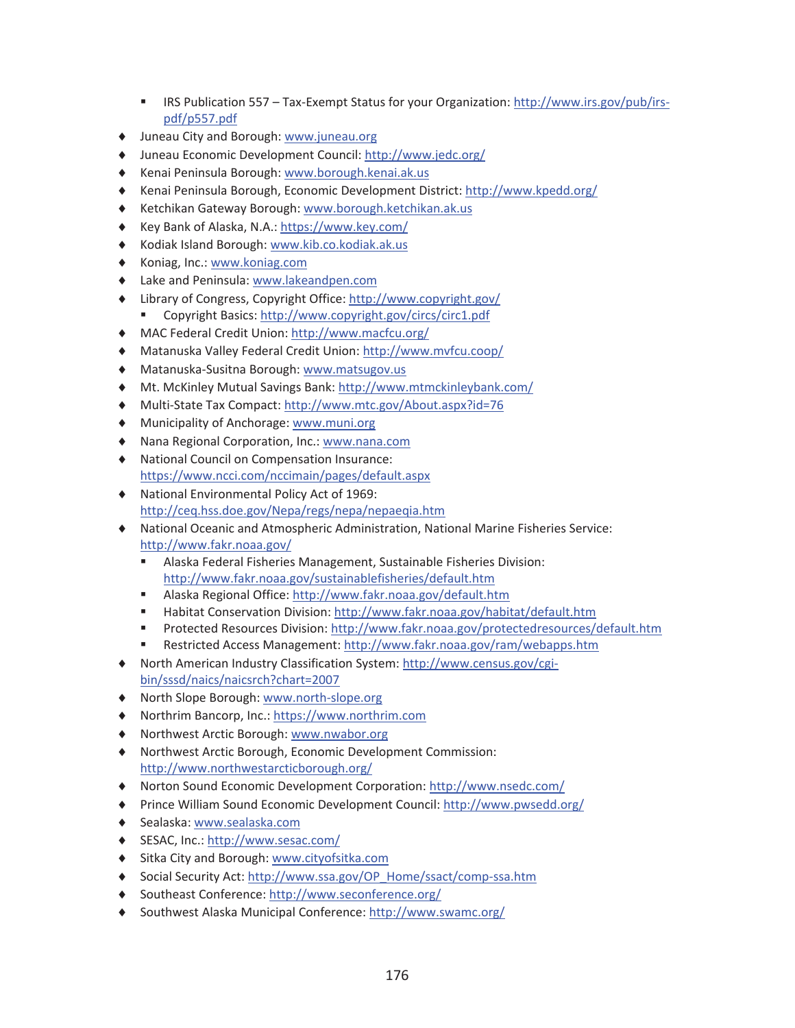- IRS Publication 557 Tax-Exempt Status for your Organization: http://www.irs.gov/pub/irspdf/p557.pdf
- Iuneau City and Borough: www.juneau.org
- ◆ Juneau Economic Development Council: http://www.jedc.org/
- ◆ Kenai Peninsula Borough: www.borough.kenai.ak.us
- i Kenai Peninsula Borough, Economic Development District: http://www.kpedd.org/
- ◆ Ketchikan Gateway Borough: www.borough.ketchikan.ak.us
- ◆ Key Bank of Alaska, N.A.: https://www.key.com/
- ◆ Kodiak Island Borough: www.kib.co.kodiak.ak.us
- $\bullet$  Koniag, Inc.: www.koniag.com
- ◆ Lake and Peninsula: www.lakeandpen.com
- ♦ Library of Congress, Copyright Office: http://www.copyright.gov/
- Copyright Basics: http://www.copyright.gov/circs/circ1.pdf
- ◆ MAC Federal Credit Union: http://www.macfcu.org/
- i Matanuska Valley Federal Credit Union: http://www.mvfcu.coop/
- ◆ Matanuska-Susitna Borough: www.matsugov.us
- ◆ Mt. McKinley Mutual Savings Bank: http://www.mtmckinleybank.com/
- $\bullet$  Multi-State Tax Compact: http://www.mtc.gov/About.aspx?id=76
- ◆ Municipality of Anchorage: www.muni.org
- ◆ Nana Regional Corporation, Inc.: www.nana.com
- ◆ National Council on Compensation Insurance: https://www.ncci.com/nccimain/pages/default.aspx
- ◆ National Environmental Policy Act of 1969: http://ceq.hss.doe.gov/Nepa/regs/nepa/nepaeqia.htm
- i National Oceanic and Atmospheric Administration, National Marine Fisheries Service: http://www.fakr.noaa.gov/
	- Alaska Federal Fisheries Management, Sustainable Fisheries Division: http://www.fakr.noaa.gov/sustainablefisheries/default.htm
	- Alaska Regional Office: http://www.fakr.noaa.gov/default.htm
	- Habitat Conservation Division: http://www.fakr.noaa.gov/habitat/default.htm
	- **Protected Resources Division: http://www.fakr.noaa.gov/protectedresources/default.htm**
	- Restricted Access Management: http://www.fakr.noaa.gov/ram/webapps.htm
- $\bullet$  North American Industry Classification System: http://www.census.gov/cgibin/sssd/naics/naicsrch?chart=2007
- $\bullet$  North Slope Borough: www.north-slope.org
- ◆ Northrim Bancorp, Inc.: https://www.northrim.com
- ◆ Northwest Arctic Borough: www.nwabor.org
- i Northwest Arctic Borough, Economic Development Commission: http://www.northwestarcticborough.org/
- i Norton Sound Economic Development Corporation: http://www.nsedc.com/
- ◆ Prince William Sound Economic Development Council: http://www.pwsedd.org/
- ◆ Sealaska: www.sealaska.com
- ◆ SESAC, Inc.: http://www.sesac.com/
- ◆ Sitka City and Borough: www.cityofsitka.com
- $\bullet$  Social Security Act: http://www.ssa.gov/OP\_Home/ssact/comp-ssa.htm
- ◆ Southeast Conference: http://www.seconference.org/
- ◆ Southwest Alaska Municipal Conference: http://www.swamc.org/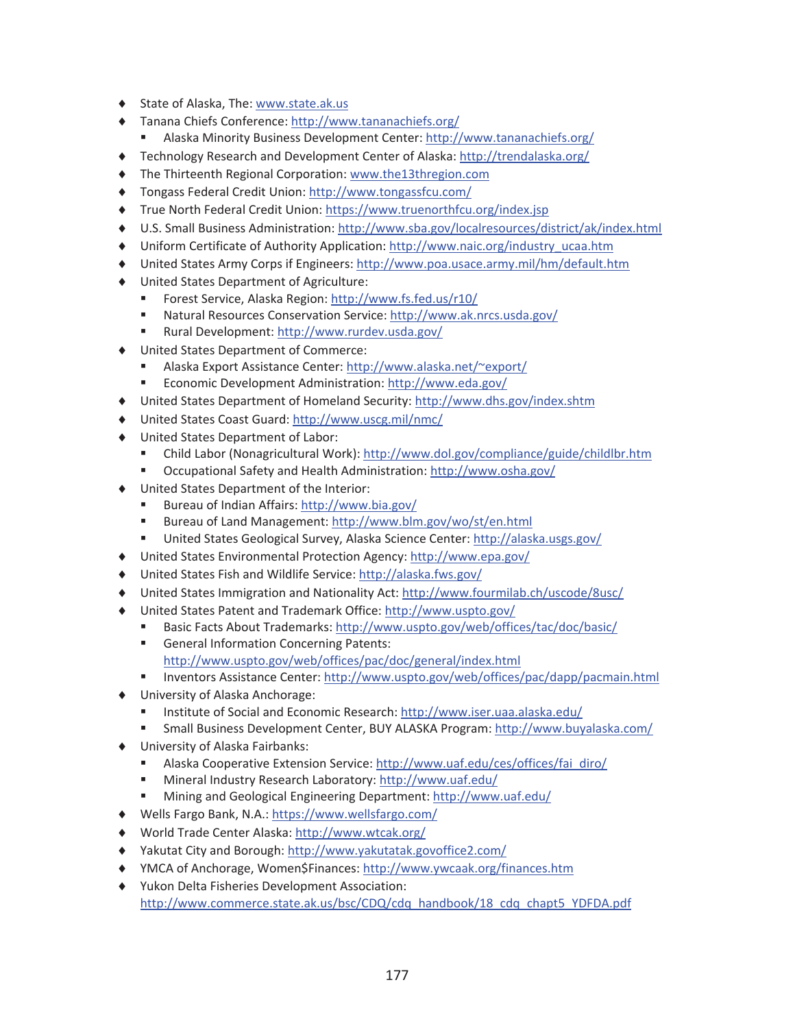- ◆ State of Alaska, The: www.state.ak.us
- ◆ Tanana Chiefs Conference: http://www.tananachiefs.org/
- Alaska Minority Business Development Center: http://www.tananachiefs.org/
- ◆ Technology Research and Development Center of Alaska: http://trendalaska.org/
- ◆ The Thirteenth Regional Corporation: www.the13thregion.com
- ◆ Tongass Federal Credit Union: http://www.tongassfcu.com/
- ◆ True North Federal Credit Union: https://www.truenorthfcu.org/index.jsp
- i U.S. Small Business Administration: http://www.sba.gov/localresources/district/ak/index.html
- i Uniform Certificate of Authority Application: http://www.naic.org/industry\_ucaa.htm
- i United States Army Corps if Engineers: http://www.poa.usace.army.mil/hm/default.htm
- $\blacklozenge$  United States Department of Agriculture:
	- Forest Service, Alaska Region: http://www.fs.fed.us/r10/
	- Natural Resources Conservation Service: http://www.ak.nrcs.usda.gov/
	- Rural Development: http://www.rurdev.usda.gov/
- $\blacklozenge$  United States Department of Commerce:
	- Alaska Export Assistance Center: http://www.alaska.net/~export/
	- Economic Development Administration: http://www.eda.gov/
- ◆ United States Department of Homeland Security: http://www.dhs.gov/index.shtm
- ◆ United States Coast Guard: http://www.uscg.mil/nmc/
- $\blacklozenge$  United States Department of Labor:
	- Child Labor (Nonagricultural Work): http://www.dol.gov/compliance/guide/childlbr.htm
	- Occupational Safety and Health Administration: http://www.osha.gov/
- $\blacklozenge$  United States Department of the Interior:
	- Bureau of Indian Affairs: http://www.bia.gov/
	- Bureau of Land Management: http://www.blm.gov/wo/st/en.html
	- United States Geological Survey, Alaska Science Center: http://alaska.usgs.gov/
- ◆ United States Environmental Protection Agency: http://www.epa.gov/
- ◆ United States Fish and Wildlife Service: http://alaska.fws.gov/
- ◆ United States Immigration and Nationality Act: http://www.fourmilab.ch/uscode/8usc/
- ◆ United States Patent and Trademark Office: http://www.uspto.gov/
	- Basic Facts About Trademarks: http://www.uspto.gov/web/offices/tac/doc/basic/
	- **General Information Concerning Patents:** http://www.uspto.gov/web/offices/pac/doc/general/index.html
	- Inventors Assistance Center: http://www.uspto.gov/web/offices/pac/dapp/pacmain.html
- ♦ University of Alaska Anchorage:
	- Institute of Social and Economic Research: http://www.iser.uaa.alaska.edu/
	- **Small Business Development Center, BUY ALASKA Program: http://www.buyalaska.com/**
- ♦ University of Alaska Fairbanks:
	- Alaska Cooperative Extension Service: http://www.uaf.edu/ces/offices/fai\_diro/
	- Mineral Industry Research Laboratory: http://www.uaf.edu/
	- **Mining and Geological Engineering Department: http://www.uaf.edu/**
- ◆ Wells Fargo Bank, N.A.: https://www.wellsfargo.com/
- ◆ World Trade Center Alaska: http://www.wtcak.org/
- ◆ Yakutat City and Borough: http://www.yakutatak.govoffice2.com/
- ◆ YMCA of Anchorage, Women\$Finances: http://www.ywcaak.org/finances.htm
- ◆ Yukon Delta Fisheries Development Association: http://www.commerce.state.ak.us/bsc/CDQ/cdq\_handbook/18\_cdq\_chapt5\_YDFDA.pdf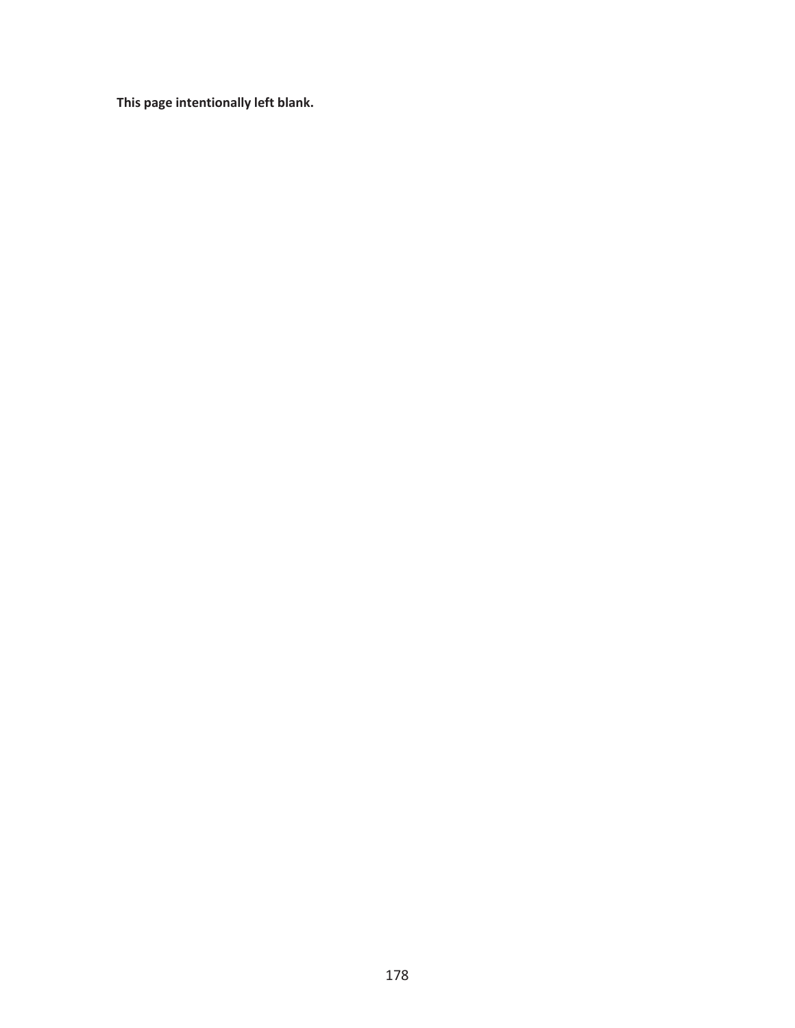**This page intentionally left blank.**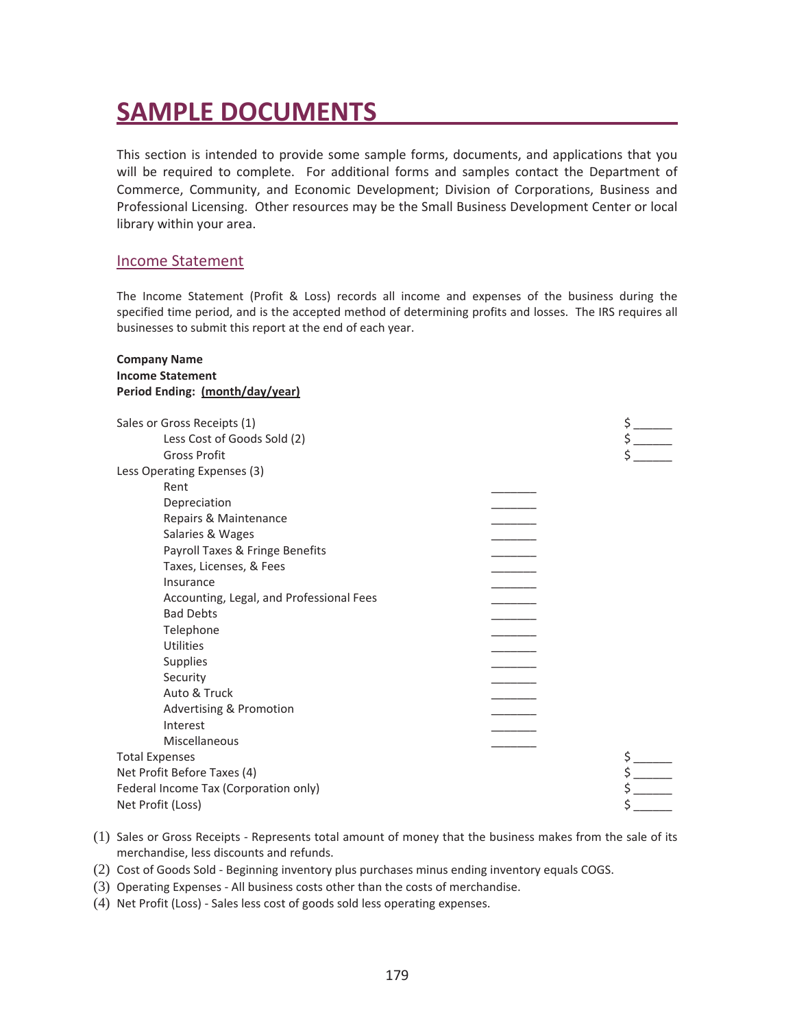## **SAMPLE DOCUMENTS**

This section is intended to provide some sample forms, documents, and applications that you will be required to complete. For additional forms and samples contact the Department of Commerce, Community, and Economic Development; Division of Corporations, Business and Professional Licensing. Other resources may be the Small Business Development Center or local library within your area.

### Income Statement

The Income Statement (Profit & Loss) records all income and expenses of the business during the specified time period, and is the accepted method of determining profits and losses. The IRS requires all businesses to submit this report at the end of each year.

| <b>Company Name</b><br><b>Income Statement</b><br>Period Ending: (month/day/year) |               |
|-----------------------------------------------------------------------------------|---------------|
| Sales or Gross Receipts (1)                                                       |               |
| Less Cost of Goods Sold (2)                                                       | $\frac{1}{2}$ |
| <b>Gross Profit</b>                                                               | \$            |
| Less Operating Expenses (3)                                                       |               |
| Rent                                                                              |               |
| Depreciation                                                                      |               |
| Repairs & Maintenance                                                             |               |
| Salaries & Wages                                                                  |               |
| Payroll Taxes & Fringe Benefits                                                   |               |
| Taxes, Licenses, & Fees                                                           |               |
| Insurance                                                                         |               |
| Accounting, Legal, and Professional Fees                                          |               |
| <b>Bad Debts</b>                                                                  |               |
| Telephone                                                                         |               |
| <b>Utilities</b>                                                                  |               |
| Supplies                                                                          |               |
| Security                                                                          |               |
| Auto & Truck                                                                      |               |
| Advertising & Promotion                                                           |               |
| Interest                                                                          |               |
| Miscellaneous                                                                     |               |
| <b>Total Expenses</b>                                                             |               |
| Net Profit Before Taxes (4)                                                       |               |
| Federal Income Tax (Corporation only)                                             | \$            |
| Net Profit (Loss)                                                                 | \$            |

- (1) Sales or Gross Receipts Represents total amount of money that the business makes from the sale of its merchandise, less discounts and refunds.
- (2) Cost of Goods Sold Beginning inventory plus purchases minus ending inventory equals COGS.
- (3) Operating Expenses All business costs other than the costs of merchandise.
- (4) Net Profit (Loss) Sales less cost of goods sold less operating expenses.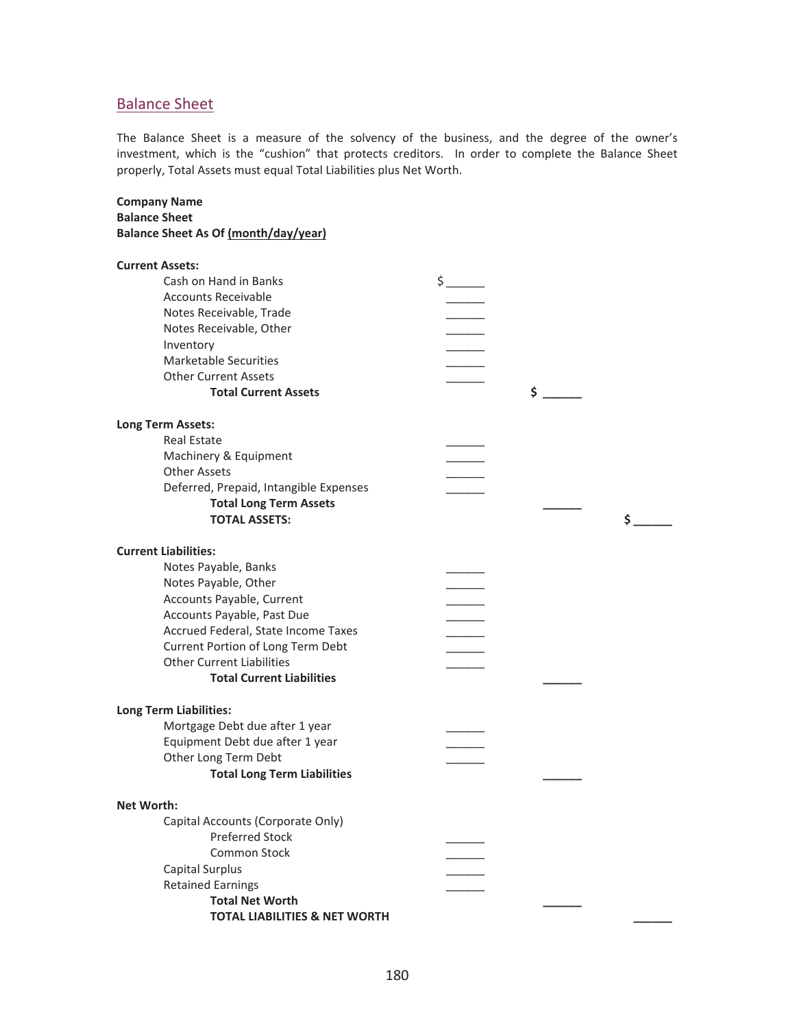### Balance Sheet

The Balance Sheet is a measure of the solvency of the business, and the degree of the owner's investment, which is the "cushion" that protects creditors. In order to complete the Balance Sheet properly, Total Assets must equal Total Liabilities plus Net Worth.

| Balance Sheet As Of (month/day/year)<br><b>Current Assets:</b><br>$\frac{1}{2}$<br>Cash on Hand in Banks<br><b>Accounts Receivable</b><br>Notes Receivable, Trade<br>Notes Receivable, Other<br>Inventory<br><b>Marketable Securities</b><br><b>Other Current Assets</b><br><b>Total Current Assets</b><br>$\frac{1}{2}$<br><b>Long Term Assets:</b><br><b>Real Estate</b><br>Machinery & Equipment<br><b>Other Assets</b><br>Deferred, Prepaid, Intangible Expenses<br><b>Total Long Term Assets</b><br>$\mathsf{\$}$<br><b>TOTAL ASSETS:</b><br><b>Current Liabilities:</b><br>Notes Payable, Banks<br>Notes Payable, Other<br>Accounts Payable, Current<br>Accounts Payable, Past Due<br>Accrued Federal, State Income Taxes<br>Current Portion of Long Term Debt<br><b>Other Current Liabilities</b><br><b>Total Current Liabilities</b><br><b>Long Term Liabilities:</b><br>Mortgage Debt due after 1 year<br>Equipment Debt due after 1 year<br>Other Long Term Debt<br><b>Total Long Term Liabilities</b><br><b>Net Worth:</b><br>Capital Accounts (Corporate Only)<br><b>Preferred Stock</b><br>Common Stock<br>Capital Surplus<br><b>Retained Earnings</b><br><b>Total Net Worth</b><br><b>TOTAL LIABILITIES &amp; NET WORTH</b> | <b>Company Name</b>  |  |  |
|-------------------------------------------------------------------------------------------------------------------------------------------------------------------------------------------------------------------------------------------------------------------------------------------------------------------------------------------------------------------------------------------------------------------------------------------------------------------------------------------------------------------------------------------------------------------------------------------------------------------------------------------------------------------------------------------------------------------------------------------------------------------------------------------------------------------------------------------------------------------------------------------------------------------------------------------------------------------------------------------------------------------------------------------------------------------------------------------------------------------------------------------------------------------------------------------------------------------------------------------|----------------------|--|--|
|                                                                                                                                                                                                                                                                                                                                                                                                                                                                                                                                                                                                                                                                                                                                                                                                                                                                                                                                                                                                                                                                                                                                                                                                                                           | <b>Balance Sheet</b> |  |  |
|                                                                                                                                                                                                                                                                                                                                                                                                                                                                                                                                                                                                                                                                                                                                                                                                                                                                                                                                                                                                                                                                                                                                                                                                                                           |                      |  |  |
|                                                                                                                                                                                                                                                                                                                                                                                                                                                                                                                                                                                                                                                                                                                                                                                                                                                                                                                                                                                                                                                                                                                                                                                                                                           |                      |  |  |
|                                                                                                                                                                                                                                                                                                                                                                                                                                                                                                                                                                                                                                                                                                                                                                                                                                                                                                                                                                                                                                                                                                                                                                                                                                           |                      |  |  |
|                                                                                                                                                                                                                                                                                                                                                                                                                                                                                                                                                                                                                                                                                                                                                                                                                                                                                                                                                                                                                                                                                                                                                                                                                                           |                      |  |  |
|                                                                                                                                                                                                                                                                                                                                                                                                                                                                                                                                                                                                                                                                                                                                                                                                                                                                                                                                                                                                                                                                                                                                                                                                                                           |                      |  |  |
|                                                                                                                                                                                                                                                                                                                                                                                                                                                                                                                                                                                                                                                                                                                                                                                                                                                                                                                                                                                                                                                                                                                                                                                                                                           |                      |  |  |
|                                                                                                                                                                                                                                                                                                                                                                                                                                                                                                                                                                                                                                                                                                                                                                                                                                                                                                                                                                                                                                                                                                                                                                                                                                           |                      |  |  |
|                                                                                                                                                                                                                                                                                                                                                                                                                                                                                                                                                                                                                                                                                                                                                                                                                                                                                                                                                                                                                                                                                                                                                                                                                                           |                      |  |  |
|                                                                                                                                                                                                                                                                                                                                                                                                                                                                                                                                                                                                                                                                                                                                                                                                                                                                                                                                                                                                                                                                                                                                                                                                                                           |                      |  |  |
|                                                                                                                                                                                                                                                                                                                                                                                                                                                                                                                                                                                                                                                                                                                                                                                                                                                                                                                                                                                                                                                                                                                                                                                                                                           |                      |  |  |
|                                                                                                                                                                                                                                                                                                                                                                                                                                                                                                                                                                                                                                                                                                                                                                                                                                                                                                                                                                                                                                                                                                                                                                                                                                           |                      |  |  |
|                                                                                                                                                                                                                                                                                                                                                                                                                                                                                                                                                                                                                                                                                                                                                                                                                                                                                                                                                                                                                                                                                                                                                                                                                                           |                      |  |  |
|                                                                                                                                                                                                                                                                                                                                                                                                                                                                                                                                                                                                                                                                                                                                                                                                                                                                                                                                                                                                                                                                                                                                                                                                                                           |                      |  |  |
|                                                                                                                                                                                                                                                                                                                                                                                                                                                                                                                                                                                                                                                                                                                                                                                                                                                                                                                                                                                                                                                                                                                                                                                                                                           |                      |  |  |
|                                                                                                                                                                                                                                                                                                                                                                                                                                                                                                                                                                                                                                                                                                                                                                                                                                                                                                                                                                                                                                                                                                                                                                                                                                           |                      |  |  |
|                                                                                                                                                                                                                                                                                                                                                                                                                                                                                                                                                                                                                                                                                                                                                                                                                                                                                                                                                                                                                                                                                                                                                                                                                                           |                      |  |  |
|                                                                                                                                                                                                                                                                                                                                                                                                                                                                                                                                                                                                                                                                                                                                                                                                                                                                                                                                                                                                                                                                                                                                                                                                                                           |                      |  |  |
|                                                                                                                                                                                                                                                                                                                                                                                                                                                                                                                                                                                                                                                                                                                                                                                                                                                                                                                                                                                                                                                                                                                                                                                                                                           |                      |  |  |
|                                                                                                                                                                                                                                                                                                                                                                                                                                                                                                                                                                                                                                                                                                                                                                                                                                                                                                                                                                                                                                                                                                                                                                                                                                           |                      |  |  |
|                                                                                                                                                                                                                                                                                                                                                                                                                                                                                                                                                                                                                                                                                                                                                                                                                                                                                                                                                                                                                                                                                                                                                                                                                                           |                      |  |  |
|                                                                                                                                                                                                                                                                                                                                                                                                                                                                                                                                                                                                                                                                                                                                                                                                                                                                                                                                                                                                                                                                                                                                                                                                                                           |                      |  |  |
|                                                                                                                                                                                                                                                                                                                                                                                                                                                                                                                                                                                                                                                                                                                                                                                                                                                                                                                                                                                                                                                                                                                                                                                                                                           |                      |  |  |
|                                                                                                                                                                                                                                                                                                                                                                                                                                                                                                                                                                                                                                                                                                                                                                                                                                                                                                                                                                                                                                                                                                                                                                                                                                           |                      |  |  |
|                                                                                                                                                                                                                                                                                                                                                                                                                                                                                                                                                                                                                                                                                                                                                                                                                                                                                                                                                                                                                                                                                                                                                                                                                                           |                      |  |  |
|                                                                                                                                                                                                                                                                                                                                                                                                                                                                                                                                                                                                                                                                                                                                                                                                                                                                                                                                                                                                                                                                                                                                                                                                                                           |                      |  |  |
|                                                                                                                                                                                                                                                                                                                                                                                                                                                                                                                                                                                                                                                                                                                                                                                                                                                                                                                                                                                                                                                                                                                                                                                                                                           |                      |  |  |
|                                                                                                                                                                                                                                                                                                                                                                                                                                                                                                                                                                                                                                                                                                                                                                                                                                                                                                                                                                                                                                                                                                                                                                                                                                           |                      |  |  |
|                                                                                                                                                                                                                                                                                                                                                                                                                                                                                                                                                                                                                                                                                                                                                                                                                                                                                                                                                                                                                                                                                                                                                                                                                                           |                      |  |  |
|                                                                                                                                                                                                                                                                                                                                                                                                                                                                                                                                                                                                                                                                                                                                                                                                                                                                                                                                                                                                                                                                                                                                                                                                                                           |                      |  |  |
|                                                                                                                                                                                                                                                                                                                                                                                                                                                                                                                                                                                                                                                                                                                                                                                                                                                                                                                                                                                                                                                                                                                                                                                                                                           |                      |  |  |
|                                                                                                                                                                                                                                                                                                                                                                                                                                                                                                                                                                                                                                                                                                                                                                                                                                                                                                                                                                                                                                                                                                                                                                                                                                           |                      |  |  |
|                                                                                                                                                                                                                                                                                                                                                                                                                                                                                                                                                                                                                                                                                                                                                                                                                                                                                                                                                                                                                                                                                                                                                                                                                                           |                      |  |  |
|                                                                                                                                                                                                                                                                                                                                                                                                                                                                                                                                                                                                                                                                                                                                                                                                                                                                                                                                                                                                                                                                                                                                                                                                                                           |                      |  |  |
|                                                                                                                                                                                                                                                                                                                                                                                                                                                                                                                                                                                                                                                                                                                                                                                                                                                                                                                                                                                                                                                                                                                                                                                                                                           |                      |  |  |
|                                                                                                                                                                                                                                                                                                                                                                                                                                                                                                                                                                                                                                                                                                                                                                                                                                                                                                                                                                                                                                                                                                                                                                                                                                           |                      |  |  |
|                                                                                                                                                                                                                                                                                                                                                                                                                                                                                                                                                                                                                                                                                                                                                                                                                                                                                                                                                                                                                                                                                                                                                                                                                                           |                      |  |  |
|                                                                                                                                                                                                                                                                                                                                                                                                                                                                                                                                                                                                                                                                                                                                                                                                                                                                                                                                                                                                                                                                                                                                                                                                                                           |                      |  |  |
|                                                                                                                                                                                                                                                                                                                                                                                                                                                                                                                                                                                                                                                                                                                                                                                                                                                                                                                                                                                                                                                                                                                                                                                                                                           |                      |  |  |
|                                                                                                                                                                                                                                                                                                                                                                                                                                                                                                                                                                                                                                                                                                                                                                                                                                                                                                                                                                                                                                                                                                                                                                                                                                           |                      |  |  |
|                                                                                                                                                                                                                                                                                                                                                                                                                                                                                                                                                                                                                                                                                                                                                                                                                                                                                                                                                                                                                                                                                                                                                                                                                                           |                      |  |  |
|                                                                                                                                                                                                                                                                                                                                                                                                                                                                                                                                                                                                                                                                                                                                                                                                                                                                                                                                                                                                                                                                                                                                                                                                                                           |                      |  |  |
|                                                                                                                                                                                                                                                                                                                                                                                                                                                                                                                                                                                                                                                                                                                                                                                                                                                                                                                                                                                                                                                                                                                                                                                                                                           |                      |  |  |